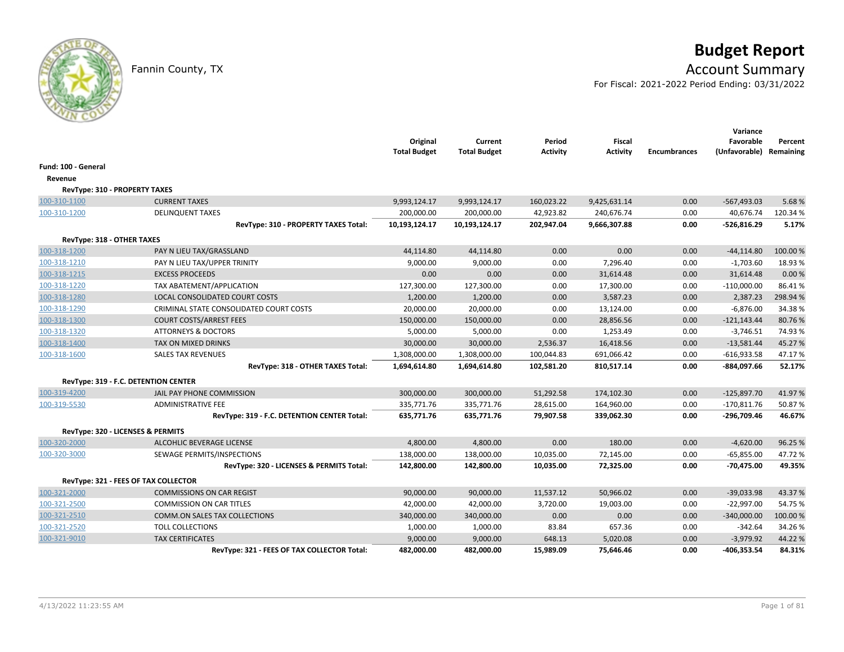# **Budget Report**

## Fannin County, TX **Account Summary**

For Fiscal: 2021-2022 Period Ending: 03/31/2022

|                                      |                                             | Original<br><b>Total Budget</b> | Current<br><b>Total Budget</b> | Period<br><b>Activity</b> | <b>Fiscal</b><br><b>Activity</b> | <b>Encumbrances</b> | Variance<br>Favorable<br>(Unfavorable) Remaining | Percent  |
|--------------------------------------|---------------------------------------------|---------------------------------|--------------------------------|---------------------------|----------------------------------|---------------------|--------------------------------------------------|----------|
| Fund: 100 - General                  |                                             |                                 |                                |                           |                                  |                     |                                                  |          |
| Revenue                              |                                             |                                 |                                |                           |                                  |                     |                                                  |          |
| <b>RevType: 310 - PROPERTY TAXES</b> |                                             |                                 |                                |                           |                                  |                     |                                                  |          |
| 100-310-1100                         | <b>CURRENT TAXES</b>                        | 9,993,124.17                    | 9,993,124.17                   | 160,023.22                | 9,425,631.14                     | 0.00                | $-567,493.03$                                    | 5.68%    |
| 100-310-1200                         | <b>DELINQUENT TAXES</b>                     | 200,000.00                      | 200,000.00                     | 42,923.82                 | 240,676.74                       | 0.00                | 40,676.74                                        | 120.34%  |
|                                      | RevType: 310 - PROPERTY TAXES Total:        | 10,193,124.17                   | 10,193,124.17                  | 202,947.04                | 9,666,307.88                     | 0.00                | $-526,816.29$                                    | 5.17%    |
| RevType: 318 - OTHER TAXES           |                                             |                                 |                                |                           |                                  |                     |                                                  |          |
| 100-318-1200                         | PAY N LIEU TAX/GRASSLAND                    | 44,114.80                       | 44,114.80                      | 0.00                      | 0.00                             | 0.00                | $-44, 114.80$                                    | 100.00%  |
| 100-318-1210                         | PAY N LIEU TAX/UPPER TRINITY                | 9,000.00                        | 9,000.00                       | 0.00                      | 7,296.40                         | 0.00                | $-1,703.60$                                      | 18.93%   |
| 100-318-1215                         | <b>EXCESS PROCEEDS</b>                      | 0.00                            | 0.00                           | 0.00                      | 31,614.48                        | 0.00                | 31,614.48                                        | 0.00%    |
| 100-318-1220                         | TAX ABATEMENT/APPLICATION                   | 127,300.00                      | 127,300.00                     | 0.00                      | 17,300.00                        | 0.00                | $-110,000.00$                                    | 86.41%   |
| 100-318-1280                         | LOCAL CONSOLIDATED COURT COSTS              | 1,200.00                        | 1,200.00                       | 0.00                      | 3,587.23                         | 0.00                | 2,387.23                                         | 298.94 % |
| 100-318-1290                         | CRIMINAL STATE CONSOLIDATED COURT COSTS     | 20,000.00                       | 20,000.00                      | 0.00                      | 13,124.00                        | 0.00                | $-6,876.00$                                      | 34.38%   |
| 100-318-1300                         | <b>COURT COSTS/ARREST FEES</b>              | 150,000.00                      | 150,000.00                     | 0.00                      | 28,856.56                        | 0.00                | $-121,143.44$                                    | 80.76%   |
| 100-318-1320                         | <b>ATTORNEYS &amp; DOCTORS</b>              | 5,000.00                        | 5,000.00                       | 0.00                      | 1,253.49                         | 0.00                | $-3,746.51$                                      | 74.93%   |
| 100-318-1400                         | <b>TAX ON MIXED DRINKS</b>                  | 30,000.00                       | 30,000.00                      | 2,536.37                  | 16,418.56                        | 0.00                | $-13,581.44$                                     | 45.27%   |
| 100-318-1600                         | <b>SALES TAX REVENUES</b>                   | 1,308,000.00                    | 1,308,000.00                   | 100,044.83                | 691,066.42                       | 0.00                | $-616,933.58$                                    | 47.17%   |
|                                      | RevType: 318 - OTHER TAXES Total:           | 1,694,614.80                    | 1,694,614.80                   | 102,581.20                | 810,517.14                       | 0.00                | -884,097.66                                      | 52.17%   |
|                                      | RevType: 319 - F.C. DETENTION CENTER        |                                 |                                |                           |                                  |                     |                                                  |          |
| 100-319-4200                         | JAIL PAY PHONE COMMISSION                   | 300,000.00                      | 300,000.00                     | 51,292.58                 | 174,102.30                       | 0.00                | $-125,897.70$                                    | 41.97%   |
| 100-319-5530                         | <b>ADMINISTRATIVE FEE</b>                   | 335,771.76                      | 335,771.76                     | 28,615.00                 | 164,960.00                       | 0.00                | $-170,811.76$                                    | 50.87%   |
|                                      | RevType: 319 - F.C. DETENTION CENTER Total: | 635,771.76                      | 635,771.76                     | 79,907.58                 | 339,062.30                       | 0.00                | -296,709.46                                      | 46.67%   |
|                                      | RevType: 320 - LICENSES & PERMITS           |                                 |                                |                           |                                  |                     |                                                  |          |
| 100-320-2000                         | ALCOHLIC BEVERAGE LICENSE                   | 4,800.00                        | 4,800.00                       | 0.00                      | 180.00                           | 0.00                | $-4,620.00$                                      | 96.25%   |
| 100-320-3000                         | SEWAGE PERMITS/INSPECTIONS                  | 138,000.00                      | 138,000.00                     | 10,035.00                 | 72,145.00                        | 0.00                | $-65,855.00$                                     | 47.72%   |
|                                      | RevType: 320 - LICENSES & PERMITS Total:    | 142,800.00                      | 142,800.00                     | 10,035.00                 | 72,325.00                        | 0.00                | $-70,475.00$                                     | 49.35%   |
|                                      | RevType: 321 - FEES OF TAX COLLECTOR        |                                 |                                |                           |                                  |                     |                                                  |          |
| 100-321-2000                         | <b>COMMISSIONS ON CAR REGIST</b>            | 90,000.00                       | 90,000.00                      | 11,537.12                 | 50,966.02                        | 0.00                | $-39,033.98$                                     | 43.37%   |
| 100-321-2500                         | <b>COMMISSION ON CAR TITLES</b>             | 42,000.00                       | 42,000.00                      | 3,720.00                  | 19,003.00                        | 0.00                | $-22,997.00$                                     | 54.75%   |
| 100-321-2510                         | <b>COMM.ON SALES TAX COLLECTIONS</b>        | 340,000.00                      | 340,000.00                     | 0.00                      | 0.00                             | 0.00                | $-340,000.00$                                    | 100.00%  |
| 100-321-2520                         | <b>TOLL COLLECTIONS</b>                     | 1,000.00                        | 1,000.00                       | 83.84                     | 657.36                           | 0.00                | $-342.64$                                        | 34.26%   |
| 100-321-9010                         | <b>TAX CERTIFICATES</b>                     | 9,000.00                        | 9,000.00                       | 648.13                    | 5,020.08                         | 0.00                | $-3,979.92$                                      | 44.22%   |
|                                      | RevType: 321 - FEES OF TAX COLLECTOR Total: | 482,000.00                      | 482,000.00                     | 15,989.09                 | 75,646.46                        | 0.00                | -406,353.54                                      | 84.31%   |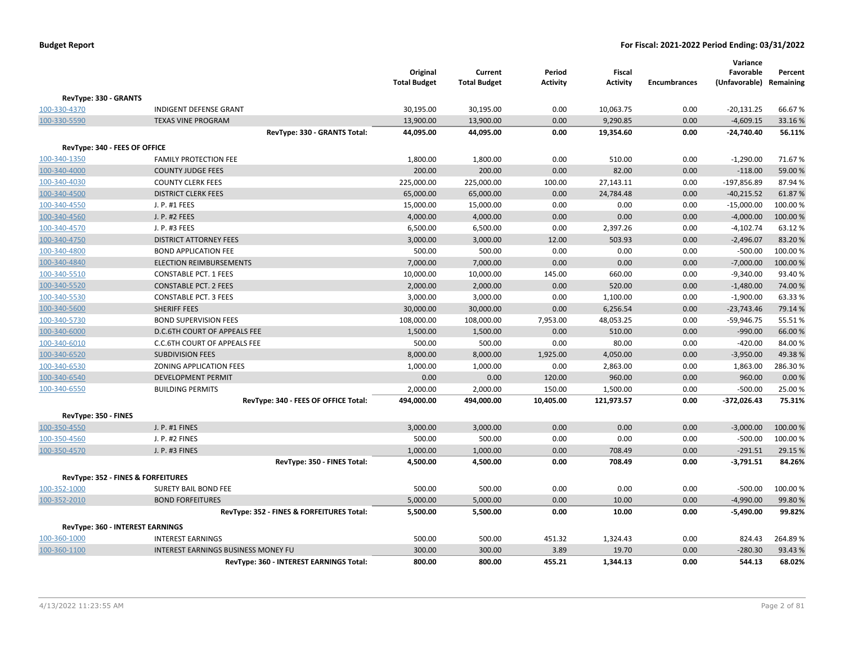|                               |                                            | Original<br><b>Total Budget</b> | Current<br><b>Total Budget</b> | Period<br><b>Activity</b> | <b>Fiscal</b><br><b>Activity</b> | <b>Encumbrances</b> | Variance<br>Favorable<br>(Unfavorable) Remaining | Percent  |
|-------------------------------|--------------------------------------------|---------------------------------|--------------------------------|---------------------------|----------------------------------|---------------------|--------------------------------------------------|----------|
| RevType: 330 - GRANTS         |                                            |                                 |                                |                           |                                  |                     |                                                  |          |
| 100-330-4370                  | <b>INDIGENT DEFENSE GRANT</b>              | 30,195.00                       | 30,195.00                      | 0.00                      | 10,063.75                        | 0.00                | $-20,131.25$                                     | 66.67%   |
| 100-330-5590                  | <b>TEXAS VINE PROGRAM</b>                  | 13,900.00                       | 13,900.00                      | 0.00                      | 9,290.85                         | 0.00                | $-4,609.15$                                      | 33.16%   |
|                               | RevType: 330 - GRANTS Total:               | 44,095.00                       | 44,095.00                      | 0.00                      | 19,354.60                        | 0.00                | $-24,740.40$                                     | 56.11%   |
| RevType: 340 - FEES OF OFFICE |                                            |                                 |                                |                           |                                  |                     |                                                  |          |
| 100-340-1350                  | <b>FAMILY PROTECTION FEE</b>               | 1,800.00                        | 1,800.00                       | 0.00                      | 510.00                           | 0.00                | $-1,290.00$                                      | 71.67%   |
| 100-340-4000                  | <b>COUNTY JUDGE FEES</b>                   | 200.00                          | 200.00                         | 0.00                      | 82.00                            | 0.00                | $-118.00$                                        | 59.00 %  |
| 100-340-4030                  | <b>COUNTY CLERK FEES</b>                   | 225,000.00                      | 225,000.00                     | 100.00                    | 27,143.11                        | 0.00                | -197,856.89                                      | 87.94%   |
| 100-340-4500                  | <b>DISTRICT CLERK FEES</b>                 | 65,000.00                       | 65,000.00                      | 0.00                      | 24,784.48                        | 0.00                | $-40,215.52$                                     | 61.87%   |
| 100-340-4550                  | J. P. #1 FEES                              | 15,000.00                       | 15,000.00                      | 0.00                      | 0.00                             | 0.00                | $-15,000.00$                                     | 100.00%  |
| 100-340-4560                  | J. P. #2 FEES                              | 4,000.00                        | 4,000.00                       | 0.00                      | 0.00                             | 0.00                | $-4,000.00$                                      | 100.00%  |
| 100-340-4570                  | J. P. #3 FEES                              | 6,500.00                        | 6,500.00                       | 0.00                      | 2,397.26                         | 0.00                | $-4,102.74$                                      | 63.12%   |
| 100-340-4750                  | <b>DISTRICT ATTORNEY FEES</b>              | 3,000.00                        | 3,000.00                       | 12.00                     | 503.93                           | 0.00                | $-2,496.07$                                      | 83.20%   |
| 100-340-4800                  | <b>BOND APPLICATION FEE</b>                | 500.00                          | 500.00                         | 0.00                      | 0.00                             | 0.00                | $-500.00$                                        | 100.00 % |
| 100-340-4840                  | <b>ELECTION REIMBURSEMENTS</b>             | 7,000.00                        | 7,000.00                       | 0.00                      | 0.00                             | 0.00                | $-7,000.00$                                      | 100.00%  |
| 100-340-5510                  | <b>CONSTABLE PCT. 1 FEES</b>               | 10,000.00                       | 10,000.00                      | 145.00                    | 660.00                           | 0.00                | $-9,340.00$                                      | 93.40%   |
| 100-340-5520                  | <b>CONSTABLE PCT. 2 FEES</b>               | 2,000.00                        | 2,000.00                       | 0.00                      | 520.00                           | 0.00                | $-1,480.00$                                      | 74.00 %  |
| 100-340-5530                  | <b>CONSTABLE PCT. 3 FEES</b>               | 3,000.00                        | 3,000.00                       | 0.00                      | 1,100.00                         | 0.00                | $-1,900.00$                                      | 63.33%   |
| 100-340-5600                  | SHERIFF FEES                               | 30,000.00                       | 30,000.00                      | 0.00                      | 6,256.54                         | 0.00                | $-23,743.46$                                     | 79.14 %  |
| 100-340-5730                  | <b>BOND SUPERVISION FEES</b>               | 108,000.00                      | 108,000.00                     | 7,953.00                  | 48,053.25                        | 0.00                | $-59,946.75$                                     | 55.51%   |
| 100-340-6000                  | D.C.6TH COURT OF APPEALS FEE               | 1,500.00                        | 1,500.00                       | 0.00                      | 510.00                           | 0.00                | $-990.00$                                        | 66.00 %  |
| 100-340-6010                  | C.C.6TH COURT OF APPEALS FEE               | 500.00                          | 500.00                         | 0.00                      | 80.00                            | 0.00                | $-420.00$                                        | 84.00%   |
| 100-340-6520                  | <b>SUBDIVISION FEES</b>                    | 8,000.00                        | 8,000.00                       | 1,925.00                  | 4,050.00                         | 0.00                | $-3,950.00$                                      | 49.38%   |
| 100-340-6530                  | ZONING APPLICATION FEES                    | 1,000.00                        | 1,000.00                       | 0.00                      | 2,863.00                         | 0.00                | 1,863.00                                         | 286.30%  |
| 100-340-6540                  | <b>DEVELOPMENT PERMIT</b>                  | 0.00                            | 0.00                           | 120.00                    | 960.00                           | 0.00                | 960.00                                           | 0.00%    |
| 100-340-6550                  | <b>BUILDING PERMITS</b>                    | 2,000.00                        | 2,000.00                       | 150.00                    | 1,500.00                         | 0.00                | $-500.00$                                        | 25.00%   |
|                               | RevType: 340 - FEES OF OFFICE Total:       | 494,000.00                      | 494,000.00                     | 10,405.00                 | 121,973.57                       | 0.00                | $-372,026.43$                                    | 75.31%   |
| RevType: 350 - FINES          |                                            |                                 |                                |                           |                                  |                     |                                                  |          |
| 100-350-4550                  | J. P. #1 FINES                             | 3,000.00                        | 3,000.00                       | 0.00                      | 0.00                             | 0.00                | $-3,000.00$                                      | 100.00%  |
| 100-350-4560                  | J. P. #2 FINES                             | 500.00                          | 500.00                         | 0.00                      | 0.00                             | 0.00                | $-500.00$                                        | 100.00 % |
| 100-350-4570                  | J. P. #3 FINES                             | 1,000.00                        | 1,000.00                       | 0.00                      | 708.49                           | 0.00                | $-291.51$                                        | 29.15 %  |
|                               | RevType: 350 - FINES Total:                | 4,500.00                        | 4,500.00                       | 0.00                      | 708.49                           | 0.00                | $-3,791.51$                                      | 84.26%   |
|                               | RevType: 352 - FINES & FORFEITURES         |                                 |                                |                           |                                  |                     |                                                  |          |
| 100-352-1000                  | SURETY BAIL BOND FEE                       | 500.00                          | 500.00                         | 0.00                      | 0.00                             | 0.00                | $-500.00$                                        | 100.00 % |
| 100-352-2010                  | <b>BOND FORFEITURES</b>                    | 5,000.00                        | 5,000.00                       | 0.00                      | 10.00                            | 0.00                | $-4,990.00$                                      | 99.80%   |
|                               | RevType: 352 - FINES & FORFEITURES Total:  | 5,500.00                        | 5,500.00                       | 0.00                      | 10.00                            | 0.00                | $-5,490.00$                                      | 99.82%   |
|                               |                                            |                                 |                                |                           |                                  |                     |                                                  |          |
|                               | RevType: 360 - INTEREST EARNINGS           |                                 |                                |                           |                                  |                     |                                                  |          |
| 100-360-1000                  | <b>INTEREST EARNINGS</b>                   | 500.00                          | 500.00                         | 451.32                    | 1,324.43                         | 0.00                | 824.43                                           | 264.89%  |
| 100-360-1100                  | <b>INTEREST EARNINGS BUSINESS MONEY FU</b> | 300.00                          | 300.00                         | 3.89                      | 19.70                            | 0.00                | $-280.30$                                        | 93.43 %  |
|                               | RevType: 360 - INTEREST EARNINGS Total:    | 800.00                          | 800.00                         | 455.21                    | 1,344.13                         | 0.00                | 544.13                                           | 68.02%   |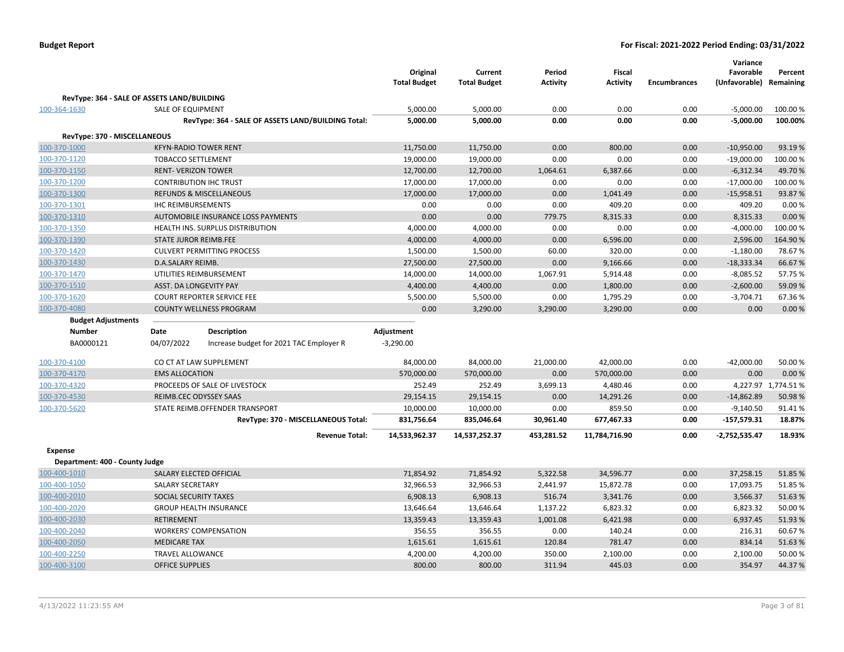|                                             |                                                           |                                                    | Original<br><b>Total Budget</b> | Current<br><b>Total Budget</b> | Period<br><b>Activity</b> | <b>Fiscal</b><br><b>Activity</b> | <b>Encumbrances</b> | Variance<br>Favorable<br>(Unfavorable) Remaining | Percent             |
|---------------------------------------------|-----------------------------------------------------------|----------------------------------------------------|---------------------------------|--------------------------------|---------------------------|----------------------------------|---------------------|--------------------------------------------------|---------------------|
| RevType: 364 - SALE OF ASSETS LAND/BUILDING |                                                           |                                                    |                                 |                                |                           |                                  |                     |                                                  |                     |
| 100-364-1630                                | <b>SALE OF EQUIPMENT</b>                                  |                                                    | 5,000.00                        | 5,000.00                       | 0.00                      | 0.00                             | 0.00                | $-5,000.00$                                      | 100.00 %            |
|                                             |                                                           | RevType: 364 - SALE OF ASSETS LAND/BUILDING Total: | 5,000.00                        | 5,000.00                       | 0.00                      | 0.00                             | 0.00                | $-5,000.00$                                      | 100.00%             |
|                                             |                                                           |                                                    |                                 |                                |                           |                                  |                     |                                                  |                     |
| RevType: 370 - MISCELLANEOUS                |                                                           |                                                    |                                 |                                |                           |                                  |                     |                                                  |                     |
| 100-370-1000<br>100-370-1120                | <b>KFYN-RADIO TOWER RENT</b><br><b>TOBACCO SETTLEMENT</b> |                                                    | 11,750.00<br>19,000.00          | 11,750.00<br>19,000.00         | 0.00<br>0.00              | 800.00<br>0.00                   | 0.00<br>0.00        | $-10,950.00$<br>$-19,000.00$                     | 93.19%<br>100.00%   |
| 100-370-1150                                | <b>RENT- VERIZON TOWER</b>                                |                                                    | 12,700.00                       | 12,700.00                      | 1,064.61                  | 6,387.66                         | 0.00                | $-6,312.34$                                      | 49.70%              |
| 100-370-1200                                | <b>CONTRIBUTION IHC TRUST</b>                             |                                                    | 17,000.00                       | 17,000.00                      | 0.00                      | 0.00                             | 0.00                | $-17,000.00$                                     | 100.00%             |
| 100-370-1300                                |                                                           | <b>REFUNDS &amp; MISCELLANEOUS</b>                 | 17,000.00                       | 17,000.00                      | 0.00                      | 1,041.49                         | 0.00                | $-15,958.51$                                     | 93.87%              |
| 100-370-1301                                | <b>IHC REIMBURSEMENTS</b>                                 |                                                    | 0.00                            | 0.00                           | 0.00                      | 409.20                           | 0.00                | 409.20                                           | 0.00%               |
| 100-370-1310                                |                                                           | AUTOMOBILE INSURANCE LOSS PAYMENTS                 | 0.00                            | 0.00                           | 779.75                    | 8,315.33                         | 0.00                | 8,315.33                                         | 0.00%               |
| 100-370-1350                                |                                                           | HEALTH INS. SURPLUS DISTRIBUTION                   | 4,000.00                        | 4,000.00                       | 0.00                      | 0.00                             | 0.00                | $-4,000.00$                                      | 100.00%             |
| 100-370-1390                                | <b>STATE JUROR REIMB.FEE</b>                              |                                                    | 4,000.00                        | 4,000.00                       | 0.00                      | 6,596.00                         | 0.00                | 2,596.00                                         | 164.90%             |
| 100-370-1420                                |                                                           | <b>CULVERT PERMITTING PROCESS</b>                  | 1,500.00                        | 1,500.00                       | 60.00                     | 320.00                           | 0.00                | $-1,180.00$                                      | 78.67%              |
| 100-370-1430                                | D.A.SALARY REIMB.                                         |                                                    | 27,500.00                       | 27,500.00                      | 0.00                      | 9,166.66                         | 0.00                | $-18,333.34$                                     | 66.67%              |
| 100-370-1470                                |                                                           | UTILITIES REIMBURSEMENT                            | 14,000.00                       | 14,000.00                      | 1,067.91                  | 5,914.48                         | 0.00                | $-8,085.52$                                      | 57.75 %             |
| 100-370-1510                                | ASST. DA LONGEVITY PAY                                    |                                                    | 4,400.00                        | 4,400.00                       | 0.00                      | 1,800.00                         | 0.00                | $-2,600.00$                                      | 59.09%              |
| 100-370-1620                                |                                                           | <b>COURT REPORTER SERVICE FEE</b>                  | 5,500.00                        | 5,500.00                       | 0.00                      | 1,795.29                         | 0.00                | $-3,704.71$                                      | 67.36%              |
| 100-370-4080                                |                                                           | <b>COUNTY WELLNESS PROGRAM</b>                     | 0.00                            | 3,290.00                       | 3,290.00                  | 3,290.00                         | 0.00                | 0.00                                             | 0.00%               |
| <b>Budget Adjustments</b>                   |                                                           |                                                    |                                 |                                |                           |                                  |                     |                                                  |                     |
| <b>Number</b>                               | Date                                                      | Description                                        | Adjustment                      |                                |                           |                                  |                     |                                                  |                     |
| BA0000121                                   | 04/07/2022                                                | Increase budget for 2021 TAC Employer R            | $-3,290.00$                     |                                |                           |                                  |                     |                                                  |                     |
|                                             |                                                           |                                                    |                                 |                                |                           |                                  |                     |                                                  |                     |
| 100-370-4100                                |                                                           | CO CT AT LAW SUPPLEMENT                            | 84,000.00                       | 84,000.00                      | 21,000.00                 | 42,000.00                        | 0.00                | $-42,000.00$                                     | 50.00%              |
| 100-370-4170                                | <b>EMS ALLOCATION</b>                                     |                                                    | 570,000.00                      | 570,000.00                     | 0.00                      | 570,000.00                       | 0.00                | 0.00                                             | 0.00%               |
| 100-370-4320                                |                                                           | PROCEEDS OF SALE OF LIVESTOCK                      | 252.49                          | 252.49                         | 3,699.13                  | 4,480.46                         | 0.00                |                                                  | 4,227.97 1,774.51 % |
| 100-370-4530                                | REIMB.CEC ODYSSEY SAAS                                    |                                                    | 29,154.15                       | 29,154.15                      | 0.00                      | 14,291.26                        | 0.00                | $-14,862.89$                                     | 50.98%              |
| 100-370-5620                                |                                                           | STATE REIMB.OFFENDER TRANSPORT                     | 10,000.00                       | 10,000.00                      | 0.00                      | 859.50                           | 0.00                | $-9,140.50$                                      | 91.41%              |
|                                             |                                                           | RevType: 370 - MISCELLANEOUS Total:                | 831,756.64                      | 835,046.64                     | 30,961.40                 | 677,467.33                       | 0.00                | $-157,579.31$                                    | 18.87%              |
|                                             |                                                           | <b>Revenue Total:</b>                              | 14,533,962.37                   | 14,537,252.37                  | 453,281.52                | 11,784,716.90                    | 0.00                | $-2,752,535.47$                                  | 18.93%              |
| Expense                                     |                                                           |                                                    |                                 |                                |                           |                                  |                     |                                                  |                     |
| Department: 400 - County Judge              |                                                           |                                                    |                                 |                                |                           |                                  |                     |                                                  |                     |
| 100-400-1010                                | SALARY ELECTED OFFICIAL                                   |                                                    | 71,854.92                       | 71,854.92                      | 5,322.58                  | 34,596.77                        | 0.00                | 37,258.15                                        | 51.85%              |
| 100-400-1050                                | <b>SALARY SECRETARY</b>                                   |                                                    | 32,966.53                       | 32,966.53                      | 2,441.97                  | 15,872.78                        | 0.00                | 17,093.75                                        | 51.85%              |
| 100-400-2010                                | SOCIAL SECURITY TAXES                                     |                                                    | 6,908.13                        | 6,908.13                       | 516.74                    | 3,341.76                         | 0.00                | 3,566.37                                         | 51.63%              |
| 100-400-2020                                |                                                           | <b>GROUP HEALTH INSURANCE</b>                      | 13,646.64                       | 13,646.64                      | 1,137.22                  | 6,823.32                         | 0.00                | 6,823.32                                         | 50.00 %             |
| 100-400-2030                                | <b>RETIREMENT</b>                                         |                                                    | 13,359.43                       | 13,359.43                      | 1,001.08                  | 6,421.98                         | 0.00                | 6,937.45                                         | 51.93%              |
| 100-400-2040                                |                                                           | <b>WORKERS' COMPENSATION</b>                       | 356.55                          | 356.55                         | 0.00                      | 140.24                           | 0.00                | 216.31                                           | 60.67%              |
| 100-400-2050                                | <b>MEDICARE TAX</b>                                       |                                                    | 1,615.61                        | 1,615.61                       | 120.84                    | 781.47                           | 0.00                | 834.14                                           | 51.63%              |
| 100-400-2250                                | <b>TRAVEL ALLOWANCE</b>                                   |                                                    | 4,200.00                        | 4,200.00                       | 350.00                    | 2,100.00                         | 0.00                | 2,100.00                                         | 50.00%              |
| 100-400-3100                                | <b>OFFICE SUPPLIES</b>                                    |                                                    | 800.00                          | 800.00                         | 311.94                    | 445.03                           | 0.00                | 354.97                                           | 44.37%              |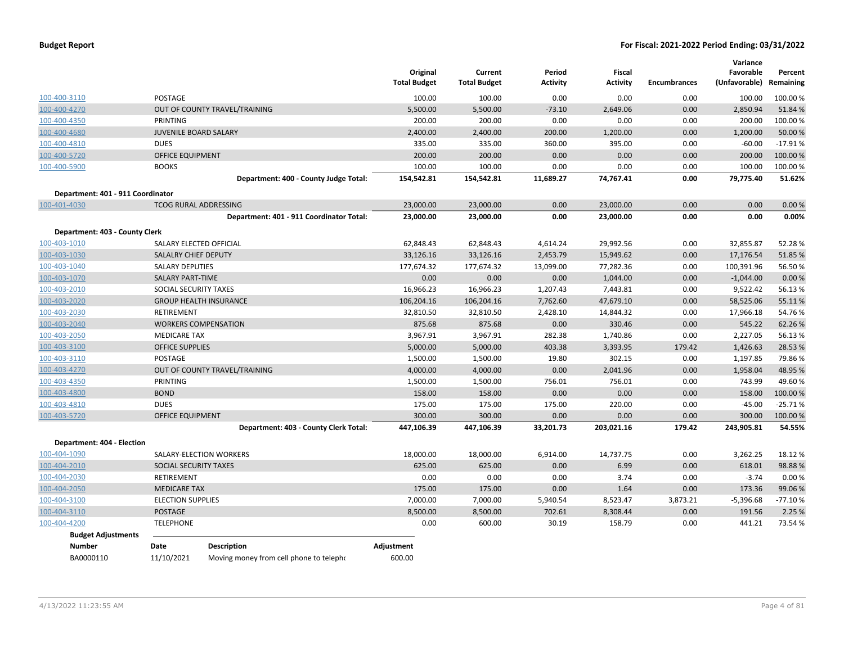|                                   |                              |                                          | Original<br><b>Total Budget</b> | Current<br><b>Total Budget</b> | Period<br><b>Activity</b> | Fiscal<br><b>Activity</b> | <b>Encumbrances</b> | Variance<br>Favorable<br>(Unfavorable) | Percent<br>Remaining |
|-----------------------------------|------------------------------|------------------------------------------|---------------------------------|--------------------------------|---------------------------|---------------------------|---------------------|----------------------------------------|----------------------|
| 100-400-3110                      | POSTAGE                      |                                          | 100.00                          | 100.00                         | 0.00                      | 0.00                      | 0.00                | 100.00                                 | 100.00%              |
| 100-400-4270                      |                              | OUT OF COUNTY TRAVEL/TRAINING            | 5,500.00                        | 5,500.00                       | $-73.10$                  | 2,649.06                  | 0.00                | 2,850.94                               | 51.84 %              |
| 100-400-4350                      | PRINTING                     |                                          | 200.00                          | 200.00                         | 0.00                      | 0.00                      | 0.00                | 200.00                                 | 100.00%              |
| 100-400-4680                      | <b>JUVENILE BOARD SALARY</b> |                                          | 2,400.00                        | 2,400.00                       | 200.00                    | 1,200.00                  | 0.00                | 1,200.00                               | 50.00 %              |
| 100-400-4810                      | <b>DUES</b>                  |                                          | 335.00                          | 335.00                         | 360.00                    | 395.00                    | 0.00                | $-60.00$                               | $-17.91%$            |
| 100-400-5720                      | <b>OFFICE EQUIPMENT</b>      |                                          | 200.00                          | 200.00                         | 0.00                      | 0.00                      | 0.00                | 200.00                                 | 100.00%              |
| 100-400-5900                      | <b>BOOKS</b>                 |                                          | 100.00                          | 100.00                         | 0.00                      | 0.00                      | 0.00                | 100.00                                 | 100.00%              |
|                                   |                              | Department: 400 - County Judge Total:    | 154,542.81                      | 154,542.81                     | 11,689.27                 | 74.767.41                 | 0.00                | 79,775.40                              | 51.62%               |
| Department: 401 - 911 Coordinator |                              |                                          |                                 |                                |                           |                           |                     |                                        |                      |
| 100-401-4030                      |                              | <b>TCOG RURAL ADDRESSING</b>             | 23,000.00                       | 23,000.00                      | 0.00                      | 23,000.00                 | 0.00                | 0.00                                   | 0.00%                |
|                                   |                              | Department: 401 - 911 Coordinator Total: | 23,000.00                       | 23,000.00                      | 0.00                      | 23,000.00                 | 0.00                | 0.00                                   | 0.00%                |
| Department: 403 - County Clerk    |                              |                                          |                                 |                                |                           |                           |                     |                                        |                      |
| 100-403-1010                      | SALARY ELECTED OFFICIAL      |                                          | 62,848.43                       | 62,848.43                      | 4,614.24                  | 29,992.56                 | 0.00                | 32,855.87                              | 52.28%               |
| 100-403-1030                      | <b>SALALRY CHIEF DEPUTY</b>  |                                          | 33,126.16                       | 33,126.16                      | 2,453.79                  | 15,949.62                 | 0.00                | 17,176.54                              | 51.85 %              |
| 100-403-1040                      | <b>SALARY DEPUTIES</b>       |                                          | 177,674.32                      | 177,674.32                     | 13,099.00                 | 77,282.36                 | 0.00                | 100,391.96                             | 56.50%               |
| 100-403-1070                      | <b>SALARY PART-TIME</b>      |                                          | 0.00                            | 0.00                           | 0.00                      | 1,044.00                  | 0.00                | $-1,044.00$                            | 0.00%                |
| 100-403-2010                      | SOCIAL SECURITY TAXES        |                                          | 16,966.23                       | 16,966.23                      | 1,207.43                  | 7,443.81                  | 0.00                | 9,522.42                               | 56.13%               |
| 100-403-2020                      |                              | <b>GROUP HEALTH INSURANCE</b>            | 106,204.16                      | 106,204.16                     | 7,762.60                  | 47,679.10                 | 0.00                | 58,525.06                              | 55.11%               |
| 100-403-2030                      | RETIREMENT                   |                                          | 32,810.50                       | 32,810.50                      | 2,428.10                  | 14,844.32                 | 0.00                | 17,966.18                              | 54.76%               |
| 100-403-2040                      |                              | <b>WORKERS COMPENSATION</b>              | 875.68                          | 875.68                         | 0.00                      | 330.46                    | 0.00                | 545.22                                 | 62.26%               |
| 100-403-2050                      | <b>MEDICARE TAX</b>          |                                          | 3,967.91                        | 3,967.91                       | 282.38                    | 1,740.86                  | 0.00                | 2,227.05                               | 56.13%               |
| 100-403-3100                      | <b>OFFICE SUPPLIES</b>       |                                          | 5,000.00                        | 5,000.00                       | 403.38                    | 3,393.95                  | 179.42              | 1,426.63                               | 28.53%               |
| 100-403-3110                      | POSTAGE                      |                                          | 1,500.00                        | 1,500.00                       | 19.80                     | 302.15                    | 0.00                | 1,197.85                               | 79.86%               |
| 100-403-4270                      |                              | OUT OF COUNTY TRAVEL/TRAINING            | 4,000.00                        | 4,000.00                       | 0.00                      | 2,041.96                  | 0.00                | 1,958.04                               | 48.95 %              |
| 100-403-4350                      | PRINTING                     |                                          | 1,500.00                        | 1,500.00                       | 756.01                    | 756.01                    | 0.00                | 743.99                                 | 49.60%               |
| 100-403-4800                      | <b>BOND</b>                  |                                          | 158.00                          | 158.00                         | 0.00                      | 0.00                      | 0.00                | 158.00                                 | 100.00%              |
| 100-403-4810                      | <b>DUES</b>                  |                                          | 175.00                          | 175.00                         | 175.00                    | 220.00                    | 0.00                | $-45.00$                               | $-25.71%$            |
| 100-403-5720                      | OFFICE EQUIPMENT             |                                          | 300.00                          | 300.00                         | 0.00                      | 0.00                      | 0.00                | 300.00                                 | 100.00 %             |
|                                   |                              | Department: 403 - County Clerk Total:    | 447,106.39                      | 447,106.39                     | 33,201.73                 | 203,021.16                | 179.42              | 243,905.81                             | 54.55%               |
| Department: 404 - Election        |                              |                                          |                                 |                                |                           |                           |                     |                                        |                      |
| 100-404-1090                      |                              | SALARY-ELECTION WORKERS                  | 18,000.00                       | 18,000.00                      | 6,914.00                  | 14,737.75                 | 0.00                | 3,262.25                               | 18.12 %              |
| 100-404-2010                      | SOCIAL SECURITY TAXES        |                                          | 625.00                          | 625.00                         | 0.00                      | 6.99                      | 0.00                | 618.01                                 | 98.88%               |
| 100-404-2030                      | RETIREMENT                   |                                          | 0.00                            | 0.00                           | 0.00                      | 3.74                      | 0.00                | $-3.74$                                | 0.00%                |
| 100-404-2050                      | <b>MEDICARE TAX</b>          |                                          | 175.00                          | 175.00                         | 0.00                      | 1.64                      | 0.00                | 173.36                                 | 99.06%               |
| 100-404-3100                      | <b>ELECTION SUPPLIES</b>     |                                          | 7,000.00                        | 7,000.00                       | 5,940.54                  | 8,523.47                  | 3,873.21            | $-5,396.68$                            | $-77.10%$            |
| 100-404-3110                      | <b>POSTAGE</b>               |                                          | 8,500.00                        | 8,500.00                       | 702.61                    | 8,308.44                  | 0.00                | 191.56                                 | 2.25 %               |
| 100-404-4200                      | <b>TELEPHONE</b>             |                                          | 0.00                            | 600.00                         | 30.19                     | 158.79                    | 0.00                | 441.21                                 | 73.54 %              |
| <b>Budget Adjustments</b>         |                              |                                          |                                 |                                |                           |                           |                     |                                        |                      |
| <b>Number</b>                     | Date                         | <b>Description</b>                       | Adjustment                      |                                |                           |                           |                     |                                        |                      |
| BA0000110                         | 11/10/2021                   | Moving money from cell phone to telepho  | 600.00                          |                                |                           |                           |                     |                                        |                      |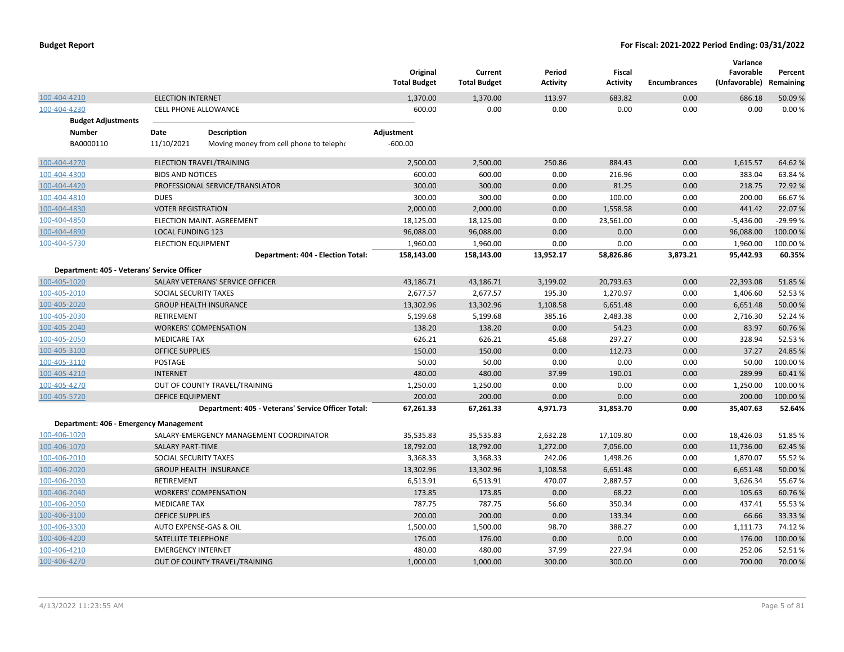|                                             |                                                       | Original<br><b>Total Budget</b> | Current<br><b>Total Budget</b> | Period<br><b>Activity</b> | <b>Fiscal</b><br><b>Activity</b> | <b>Encumbrances</b> | Variance<br>Favorable<br>(Unfavorable) | Percent<br>Remaining |
|---------------------------------------------|-------------------------------------------------------|---------------------------------|--------------------------------|---------------------------|----------------------------------|---------------------|----------------------------------------|----------------------|
| 100-404-4210                                | <b>ELECTION INTERNET</b>                              | 1,370.00                        | 1,370.00                       | 113.97                    | 683.82                           | 0.00                | 686.18                                 | 50.09%               |
| 100-404-4230                                | CELL PHONE ALLOWANCE                                  | 600.00                          | 0.00                           | 0.00                      | 0.00                             | 0.00                | 0.00                                   | 0.00%                |
| <b>Budget Adjustments</b>                   |                                                       |                                 |                                |                           |                                  |                     |                                        |                      |
| <b>Number</b>                               | Date<br><b>Description</b>                            | Adjustment                      |                                |                           |                                  |                     |                                        |                      |
| BA0000110                                   | 11/10/2021<br>Moving money from cell phone to telepho | $-600.00$                       |                                |                           |                                  |                     |                                        |                      |
| 100-404-4270                                | ELECTION TRAVEL/TRAINING                              | 2,500.00                        | 2,500.00                       | 250.86                    | 884.43                           | 0.00                | 1,615.57                               | 64.62%               |
| 100-404-4300                                | <b>BIDS AND NOTICES</b>                               | 600.00                          | 600.00                         | 0.00                      | 216.96                           | 0.00                | 383.04                                 | 63.84 %              |
| 100-404-4420                                | PROFESSIONAL SERVICE/TRANSLATOR                       | 300.00                          | 300.00                         | 0.00                      | 81.25                            | 0.00                | 218.75                                 | 72.92%               |
| 100-404-4810                                | <b>DUES</b>                                           | 300.00                          | 300.00                         | 0.00                      | 100.00                           | 0.00                | 200.00                                 | 66.67%               |
| 100-404-4830                                | <b>VOTER REGISTRATION</b>                             | 2,000.00                        | 2,000.00                       | 0.00                      | 1,558.58                         | 0.00                | 441.42                                 | 22.07%               |
| 100-404-4850                                | ELECTION MAINT. AGREEMENT                             | 18,125.00                       | 18,125.00                      | 0.00                      | 23,561.00                        | 0.00                | $-5,436.00$                            | -29.99%              |
| 100-404-4890                                | <b>LOCAL FUNDING 123</b>                              | 96,088.00                       | 96,088.00                      | 0.00                      | 0.00                             | 0.00                | 96,088.00                              | 100.00%              |
| 100-404-5730                                | <b>ELECTION EQUIPMENT</b>                             | 1,960.00                        | 1,960.00                       | 0.00                      | 0.00                             | 0.00                | 1,960.00                               | 100.00%              |
|                                             | Department: 404 - Election Total:                     | 158,143.00                      | 158,143.00                     | 13,952.17                 | 58,826.86                        | 3,873.21            | 95,442.93                              | 60.35%               |
| Department: 405 - Veterans' Service Officer |                                                       |                                 |                                |                           |                                  |                     |                                        |                      |
| 100-405-1020                                | SALARY VETERANS' SERVICE OFFICER                      | 43,186.71                       | 43,186.71                      | 3,199.02                  | 20,793.63                        | 0.00                | 22,393.08                              | 51.85%               |
| 100-405-2010                                | SOCIAL SECURITY TAXES                                 | 2,677.57                        | 2,677.57                       | 195.30                    | 1,270.97                         | 0.00                | 1,406.60                               | 52.53%               |
| 100-405-2020                                | <b>GROUP HEALTH INSURANCE</b>                         | 13,302.96                       | 13,302.96                      | 1,108.58                  | 6,651.48                         | 0.00                | 6,651.48                               | 50.00 %              |
| 100-405-2030                                | <b>RETIREMENT</b>                                     | 5,199.68                        | 5,199.68                       | 385.16                    | 2,483.38                         | 0.00                | 2,716.30                               | 52.24 %              |
| 100-405-2040                                | <b>WORKERS' COMPENSATION</b>                          | 138.20                          | 138.20                         | 0.00                      | 54.23                            | 0.00                | 83.97                                  | 60.76%               |
| 100-405-2050                                | <b>MEDICARE TAX</b>                                   | 626.21                          | 626.21                         | 45.68                     | 297.27                           | 0.00                | 328.94                                 | 52.53 %              |
| 100-405-3100                                | <b>OFFICE SUPPLIES</b>                                | 150.00                          | 150.00                         | 0.00                      | 112.73                           | 0.00                | 37.27                                  | 24.85%               |
| 100-405-3110                                | POSTAGE                                               | 50.00                           | 50.00                          | 0.00                      | 0.00                             | 0.00                | 50.00                                  | 100.00%              |
| 100-405-4210                                | <b>INTERNET</b>                                       | 480.00                          | 480.00                         | 37.99                     | 190.01                           | 0.00                | 289.99                                 | 60.41%               |
| 100-405-4270                                | OUT OF COUNTY TRAVEL/TRAINING                         | 1,250.00                        | 1,250.00                       | 0.00                      | 0.00                             | 0.00                | 1,250.00                               | 100.00%              |
| 100-405-5720                                | <b>OFFICE EQUIPMENT</b>                               | 200.00                          | 200.00                         | 0.00                      | 0.00                             | 0.00                | 200.00                                 | 100.00%              |
|                                             | Department: 405 - Veterans' Service Officer Total:    | 67,261.33                       | 67,261.33                      | 4,971.73                  | 31,853.70                        | 0.00                | 35,407.63                              | 52.64%               |
| Department: 406 - Emergency Management      |                                                       |                                 |                                |                           |                                  |                     |                                        |                      |
| 100-406-1020                                | SALARY-EMERGENCY MANAGEMENT COORDINATOR               | 35,535.83                       | 35,535.83                      | 2,632.28                  | 17,109.80                        | 0.00                | 18,426.03                              | 51.85%               |
| 100-406-1070                                | <b>SALARY PART-TIME</b>                               | 18,792.00                       | 18,792.00                      | 1,272.00                  | 7,056.00                         | 0.00                | 11,736.00                              | 62.45 %              |
| 100-406-2010                                | SOCIAL SECURITY TAXES                                 | 3,368.33                        | 3,368.33                       | 242.06                    | 1,498.26                         | 0.00                | 1,870.07                               | 55.52 %              |
| 100-406-2020                                | <b>GROUP HEALTH INSURANCE</b>                         | 13,302.96                       | 13,302.96                      | 1,108.58                  | 6,651.48                         | 0.00                | 6,651.48                               | 50.00 %              |
| 100-406-2030                                | <b>RETIREMENT</b>                                     | 6,513.91                        | 6,513.91                       | 470.07                    | 2,887.57                         | 0.00                | 3,626.34                               | 55.67%               |
| 100-406-2040                                | <b>WORKERS' COMPENSATION</b>                          | 173.85                          | 173.85                         | 0.00                      | 68.22                            | 0.00                | 105.63                                 | 60.76%               |
| 100-406-2050                                | <b>MEDICARE TAX</b>                                   | 787.75                          | 787.75                         | 56.60                     | 350.34                           | 0.00                | 437.41                                 | 55.53 %              |
| 100-406-3100                                | <b>OFFICE SUPPLIES</b>                                | 200.00                          | 200.00                         | 0.00                      | 133.34                           | 0.00                | 66.66                                  | 33.33 %              |
| 100-406-3300                                | AUTO EXPENSE-GAS & OIL                                | 1,500.00                        | 1,500.00                       | 98.70                     | 388.27                           | 0.00                | 1,111.73                               | 74.12%               |
| 100-406-4200                                | SATELLITE TELEPHONE                                   | 176.00                          | 176.00                         | 0.00                      | 0.00                             | 0.00                | 176.00                                 | 100.00%              |
| 100-406-4210                                | <b>EMERGENCY INTERNET</b>                             | 480.00                          | 480.00                         | 37.99                     | 227.94                           | 0.00                | 252.06                                 | 52.51%               |
| 100-406-4270                                | OUT OF COUNTY TRAVEL/TRAINING                         | 1,000.00                        | 1,000.00                       | 300.00                    | 300.00                           | 0.00                | 700.00                                 | 70.00 %              |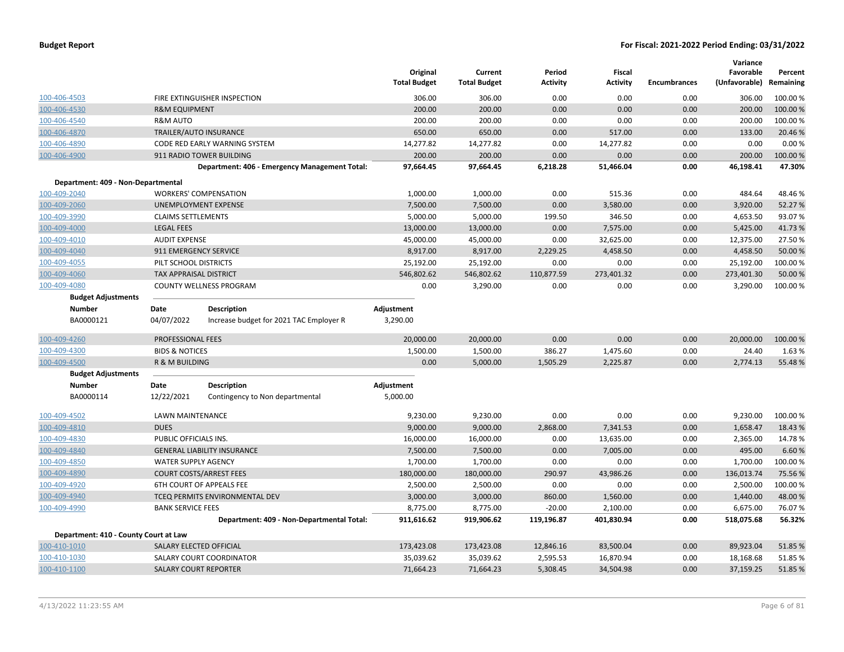|                                       |                               |                                                               | Original<br><b>Total Budget</b> | Current<br><b>Total Budget</b> | Period<br><b>Activity</b> | Fiscal<br><b>Activity</b> | <b>Encumbrances</b> | Variance<br>Favorable<br>(Unfavorable) Remaining | Percent  |
|---------------------------------------|-------------------------------|---------------------------------------------------------------|---------------------------------|--------------------------------|---------------------------|---------------------------|---------------------|--------------------------------------------------|----------|
| 100-406-4503                          |                               | FIRE EXTINGUISHER INSPECTION                                  | 306.00                          | 306.00                         | 0.00                      | 0.00                      | 0.00                | 306.00                                           | 100.00 % |
| 100-406-4530                          | <b>R&amp;M EQUIPMENT</b>      |                                                               | 200.00                          | 200.00                         | 0.00                      | 0.00                      | 0.00                | 200.00                                           | 100.00 % |
| 100-406-4540                          | <b>R&amp;M AUTO</b>           |                                                               | 200.00                          | 200.00                         | 0.00                      | 0.00                      | 0.00                | 200.00                                           | 100.00%  |
| 100-406-4870                          |                               | TRAILER/AUTO INSURANCE                                        | 650.00                          | 650.00                         | 0.00                      | 517.00                    | 0.00                | 133.00                                           | 20.46 %  |
| 100-406-4890                          |                               | CODE RED EARLY WARNING SYSTEM                                 | 14,277.82                       | 14,277.82                      | 0.00                      | 14,277.82                 | 0.00                | 0.00                                             | 0.00%    |
| 100-406-4900                          |                               | 911 RADIO TOWER BUILDING                                      | 200.00                          | 200.00                         | 0.00                      | 0.00                      | 0.00                | 200.00                                           | 100.00 % |
|                                       |                               | Department: 406 - Emergency Management Total:                 | 97,664.45                       | 97,664.45                      | 6,218.28                  | 51,466.04                 | 0.00                | 46,198.41                                        | 47.30%   |
| Department: 409 - Non-Departmental    |                               |                                                               |                                 |                                |                           |                           |                     |                                                  |          |
| 100-409-2040                          |                               | <b>WORKERS' COMPENSATION</b>                                  | 1,000.00                        | 1,000.00                       | 0.00                      | 515.36                    | 0.00                | 484.64                                           | 48.46%   |
| 100-409-2060                          |                               | <b>UNEMPLOYMENT EXPENSE</b>                                   | 7,500.00                        | 7,500.00                       | 0.00                      | 3,580.00                  | 0.00                | 3,920.00                                         | 52.27 %  |
| 100-409-3990                          | <b>CLAIMS SETTLEMENTS</b>     |                                                               | 5,000.00                        | 5,000.00                       | 199.50                    | 346.50                    | 0.00                | 4,653.50                                         | 93.07%   |
| 100-409-4000                          | <b>LEGAL FEES</b>             |                                                               | 13,000.00                       | 13,000.00                      | 0.00                      | 7,575.00                  | 0.00                | 5,425.00                                         | 41.73%   |
| 100-409-4010                          | <b>AUDIT EXPENSE</b>          |                                                               | 45,000.00                       | 45,000.00                      | 0.00                      | 32,625.00                 | 0.00                | 12,375.00                                        | 27.50 %  |
| 100-409-4040                          | 911 EMERGENCY SERVICE         |                                                               | 8,917.00                        | 8,917.00                       | 2,229.25                  | 4,458.50                  | 0.00                | 4,458.50                                         | 50.00 %  |
| 100-409-4055                          | PILT SCHOOL DISTRICTS         |                                                               | 25,192.00                       | 25,192.00                      | 0.00                      | 0.00                      | 0.00                | 25,192.00                                        | 100.00 % |
| 100-409-4060                          | <b>TAX APPRAISAL DISTRICT</b> |                                                               | 546,802.62                      | 546,802.62                     | 110,877.59                | 273,401.32                | 0.00                | 273,401.30                                       | 50.00 %  |
| 100-409-4080                          |                               | COUNTY WELLNESS PROGRAM                                       | 0.00                            | 3,290.00                       | 0.00                      | 0.00                      | 0.00                | 3,290.00                                         | 100.00 % |
| <b>Budget Adjustments</b>             |                               |                                                               |                                 |                                |                           |                           |                     |                                                  |          |
| <b>Number</b><br>BA0000121            | Date<br>04/07/2022            | <b>Description</b><br>Increase budget for 2021 TAC Employer R | Adjustment<br>3,290.00          |                                |                           |                           |                     |                                                  |          |
| 100-409-4260                          | PROFESSIONAL FEES             |                                                               | 20,000.00                       | 20,000.00                      | 0.00                      | 0.00                      | 0.00                | 20,000.00                                        | 100.00 % |
| 100-409-4300                          | <b>BIDS &amp; NOTICES</b>     |                                                               | 1,500.00                        | 1,500.00                       | 386.27                    | 1,475.60                  | 0.00                | 24.40                                            | 1.63 %   |
| 100-409-4500                          | R & M BUILDING                |                                                               | 0.00                            | 5,000.00                       | 1,505.29                  | 2,225.87                  | 0.00                | 2,774.13                                         | 55.48 %  |
| <b>Budget Adjustments</b>             |                               |                                                               |                                 |                                |                           |                           |                     |                                                  |          |
| <b>Number</b>                         | Date                          | Description                                                   | Adjustment                      |                                |                           |                           |                     |                                                  |          |
| BA0000114                             | 12/22/2021                    | Contingency to Non departmental                               | 5,000.00                        |                                |                           |                           |                     |                                                  |          |
| 100-409-4502                          | LAWN MAINTENANCE              |                                                               | 9,230.00                        | 9,230.00                       | 0.00                      | 0.00                      | 0.00                | 9,230.00                                         | 100.00%  |
| 100-409-4810                          | <b>DUES</b>                   |                                                               | 9,000.00                        | 9,000.00                       | 2,868.00                  | 7,341.53                  | 0.00                | 1,658.47                                         | 18.43 %  |
| 100-409-4830                          | PUBLIC OFFICIALS INS.         |                                                               | 16,000.00                       | 16,000.00                      | 0.00                      | 13,635.00                 | 0.00                | 2,365.00                                         | 14.78%   |
| 100-409-4840                          |                               | <b>GENERAL LIABILITY INSURANCE</b>                            | 7,500.00                        | 7,500.00                       | 0.00                      | 7,005.00                  | 0.00                | 495.00                                           | 6.60%    |
| 100-409-4850                          | <b>WATER SUPPLY AGENCY</b>    |                                                               | 1,700.00                        | 1,700.00                       | 0.00                      | 0.00                      | 0.00                | 1,700.00                                         | 100.00 % |
| 100-409-4890                          |                               | <b>COURT COSTS/ARREST FEES</b>                                | 180,000.00                      | 180,000.00                     | 290.97                    | 43,986.26                 | 0.00                | 136,013.74                                       | 75.56 %  |
| 100-409-4920                          |                               | 6TH COURT OF APPEALS FEE                                      | 2,500.00                        | 2,500.00                       | 0.00                      | 0.00                      | 0.00                | 2,500.00                                         | 100.00%  |
| 100-409-4940                          |                               | TCEQ PERMITS ENVIRONMENTAL DEV                                | 3,000.00                        | 3,000.00                       | 860.00                    | 1,560.00                  | 0.00                | 1,440.00                                         | 48.00 %  |
| 100-409-4990                          | <b>BANK SERVICE FEES</b>      |                                                               | 8,775.00                        | 8,775.00                       | $-20.00$                  | 2,100.00                  | 0.00                | 6,675.00                                         | 76.07%   |
|                                       |                               | Department: 409 - Non-Departmental Total:                     | 911,616.62                      | 919,906.62                     | 119,196.87                | 401,830.94                | 0.00                | 518,075.68                                       | 56.32%   |
| Department: 410 - County Court at Law |                               |                                                               |                                 |                                |                           |                           |                     |                                                  |          |
| 100-410-1010                          |                               | SALARY ELECTED OFFICIAL                                       | 173,423.08                      | 173,423.08                     | 12,846.16                 | 83,500.04                 | 0.00                | 89,923.04                                        | 51.85 %  |
| 100-410-1030                          |                               | SALARY COURT COORDINATOR                                      | 35,039.62                       | 35,039.62                      | 2,595.53                  | 16,870.94                 | 0.00                | 18,168.68                                        | 51.85 %  |
| 100-410-1100                          |                               | <b>SALARY COURT REPORTER</b>                                  | 71,664.23                       | 71,664.23                      | 5,308.45                  | 34,504.98                 | 0.00                | 37,159.25                                        | 51.85 %  |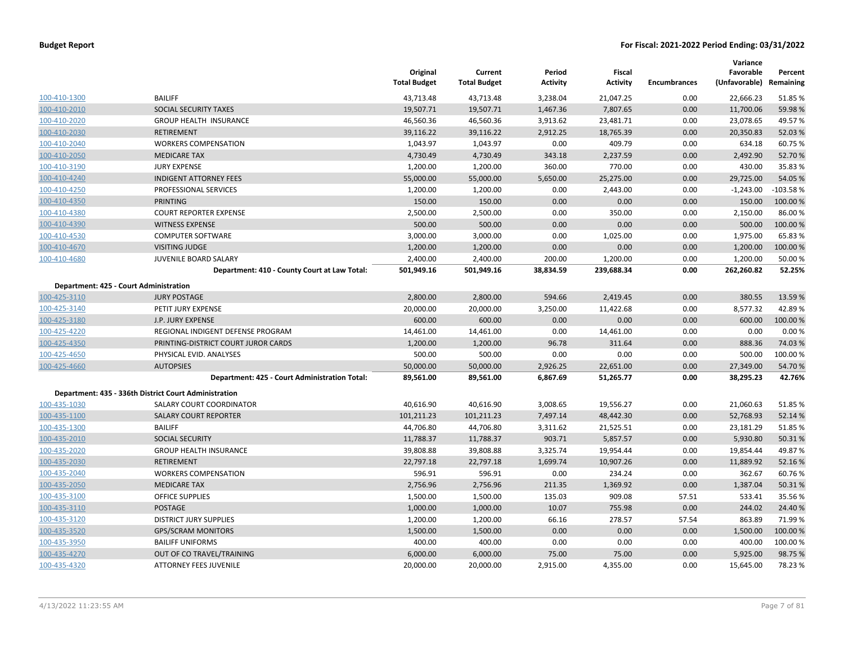|              |                                                       | Original<br><b>Total Budget</b> | Current<br><b>Total Budget</b> | Period<br><b>Activity</b> | <b>Fiscal</b><br><b>Activity</b> | <b>Encumbrances</b> | Variance<br>Favorable<br>(Unfavorable) Remaining | Percent    |
|--------------|-------------------------------------------------------|---------------------------------|--------------------------------|---------------------------|----------------------------------|---------------------|--------------------------------------------------|------------|
| 100-410-1300 | <b>BAILIFF</b>                                        | 43,713.48                       | 43,713.48                      | 3,238.04                  | 21,047.25                        | 0.00                | 22,666.23                                        | 51.85%     |
| 100-410-2010 | <b>SOCIAL SECURITY TAXES</b>                          | 19,507.71                       | 19,507.71                      | 1,467.36                  | 7,807.65                         | 0.00                | 11,700.06                                        | 59.98%     |
| 100-410-2020 | <b>GROUP HEALTH INSURANCE</b>                         | 46,560.36                       | 46,560.36                      | 3,913.62                  | 23,481.71                        | 0.00                | 23,078.65                                        | 49.57%     |
| 100-410-2030 | <b>RETIREMENT</b>                                     | 39,116.22                       | 39,116.22                      | 2,912.25                  | 18,765.39                        | 0.00                | 20,350.83                                        | 52.03%     |
| 100-410-2040 | <b>WORKERS COMPENSATION</b>                           | 1,043.97                        | 1,043.97                       | 0.00                      | 409.79                           | 0.00                | 634.18                                           | 60.75%     |
| 100-410-2050 | <b>MEDICARE TAX</b>                                   | 4,730.49                        | 4,730.49                       | 343.18                    | 2,237.59                         | 0.00                | 2,492.90                                         | 52.70%     |
| 100-410-3190 | <b>JURY EXPENSE</b>                                   | 1,200.00                        | 1,200.00                       | 360.00                    | 770.00                           | 0.00                | 430.00                                           | 35.83 %    |
| 100-410-4240 | <b>INDIGENT ATTORNEY FEES</b>                         | 55,000.00                       | 55,000.00                      | 5,650.00                  | 25,275.00                        | 0.00                | 29,725.00                                        | 54.05 %    |
| 100-410-4250 | PROFESSIONAL SERVICES                                 | 1,200.00                        | 1,200.00                       | 0.00                      | 2,443.00                         | 0.00                | $-1,243.00$                                      | $-103.58%$ |
| 100-410-4350 | <b>PRINTING</b>                                       | 150.00                          | 150.00                         | 0.00                      | 0.00                             | 0.00                | 150.00                                           | 100.00 %   |
| 100-410-4380 | <b>COURT REPORTER EXPENSE</b>                         | 2,500.00                        | 2,500.00                       | 0.00                      | 350.00                           | 0.00                | 2,150.00                                         | 86.00%     |
| 100-410-4390 | <b>WITNESS EXPENSE</b>                                | 500.00                          | 500.00                         | 0.00                      | 0.00                             | 0.00                | 500.00                                           | 100.00%    |
| 100-410-4530 | <b>COMPUTER SOFTWARE</b>                              | 3,000.00                        | 3,000.00                       | 0.00                      | 1,025.00                         | 0.00                | 1,975.00                                         | 65.83%     |
| 100-410-4670 | <b>VISITING JUDGE</b>                                 | 1,200.00                        | 1,200.00                       | 0.00                      | 0.00                             | 0.00                | 1,200.00                                         | 100.00%    |
| 100-410-4680 | JUVENILE BOARD SALARY                                 | 2,400.00                        | 2,400.00                       | 200.00                    | 1,200.00                         | 0.00                | 1,200.00                                         | 50.00 %    |
|              | Department: 410 - County Court at Law Total:          | 501,949.16                      | 501,949.16                     | 38,834.59                 | 239,688.34                       | 0.00                | 262,260.82                                       | 52.25%     |
|              | Department: 425 - Court Administration                |                                 |                                |                           |                                  |                     |                                                  |            |
| 100-425-3110 | <b>JURY POSTAGE</b>                                   | 2,800.00                        | 2,800.00                       | 594.66                    | 2,419.45                         | 0.00                | 380.55                                           | 13.59 %    |
| 100-425-3140 | PETIT JURY EXPENSE                                    | 20,000.00                       | 20,000.00                      | 3,250.00                  | 11,422.68                        | 0.00                | 8,577.32                                         | 42.89%     |
| 100-425-3180 | J.P. JURY EXPENSE                                     | 600.00                          | 600.00                         | 0.00                      | 0.00                             | 0.00                | 600.00                                           | 100.00%    |
| 100-425-4220 | REGIONAL INDIGENT DEFENSE PROGRAM                     | 14,461.00                       | 14,461.00                      | 0.00                      | 14,461.00                        | 0.00                | 0.00                                             | 0.00%      |
| 100-425-4350 | PRINTING-DISTRICT COURT JUROR CARDS                   | 1,200.00                        | 1,200.00                       | 96.78                     | 311.64                           | 0.00                | 888.36                                           | 74.03%     |
| 100-425-4650 | PHYSICAL EVID. ANALYSES                               | 500.00                          | 500.00                         | 0.00                      | 0.00                             | 0.00                | 500.00                                           | 100.00%    |
| 100-425-4660 | <b>AUTOPSIES</b>                                      | 50,000.00                       | 50,000.00                      | 2,926.25                  | 22,651.00                        | 0.00                | 27,349.00                                        | 54.70%     |
|              | Department: 425 - Court Administration Total:         | 89,561.00                       | 89,561.00                      | 6,867.69                  | 51,265.77                        | 0.00                | 38,295.23                                        | 42.76%     |
|              | Department: 435 - 336th District Court Administration |                                 |                                |                           |                                  |                     |                                                  |            |
| 100-435-1030 | <b>SALARY COURT COORDINATOR</b>                       | 40,616.90                       | 40,616.90                      | 3,008.65                  | 19,556.27                        | 0.00                | 21,060.63                                        | 51.85%     |
| 100-435-1100 | <b>SALARY COURT REPORTER</b>                          | 101,211.23                      | 101,211.23                     | 7,497.14                  | 48,442.30                        | 0.00                | 52,768.93                                        | 52.14%     |
| 100-435-1300 | <b>BAILIFF</b>                                        | 44,706.80                       | 44,706.80                      | 3,311.62                  | 21,525.51                        | 0.00                | 23,181.29                                        | 51.85%     |
| 100-435-2010 | <b>SOCIAL SECURITY</b>                                | 11,788.37                       | 11,788.37                      | 903.71                    | 5,857.57                         | 0.00                | 5,930.80                                         | 50.31%     |
| 100-435-2020 | <b>GROUP HEALTH INSURANCE</b>                         | 39,808.88                       | 39,808.88                      | 3,325.74                  | 19,954.44                        | 0.00                | 19,854.44                                        | 49.87%     |
| 100-435-2030 | <b>RETIREMENT</b>                                     | 22,797.18                       | 22,797.18                      | 1,699.74                  | 10,907.26                        | 0.00                | 11,889.92                                        | 52.16%     |
| 100-435-2040 | <b>WORKERS COMPENSATION</b>                           | 596.91                          | 596.91                         | 0.00                      | 234.24                           | 0.00                | 362.67                                           | 60.76%     |
| 100-435-2050 | <b>MEDICARE TAX</b>                                   | 2,756.96                        | 2,756.96                       | 211.35                    | 1,369.92                         | 0.00                | 1,387.04                                         | 50.31%     |
| 100-435-3100 | <b>OFFICE SUPPLIES</b>                                | 1,500.00                        | 1,500.00                       | 135.03                    | 909.08                           | 57.51               | 533.41                                           | 35.56%     |
| 100-435-3110 | POSTAGE                                               | 1,000.00                        | 1,000.00                       | 10.07                     | 755.98                           | 0.00                | 244.02                                           | 24.40 %    |
| 100-435-3120 | <b>DISTRICT JURY SUPPLIES</b>                         | 1,200.00                        | 1,200.00                       | 66.16                     | 278.57                           | 57.54               | 863.89                                           | 71.99%     |
| 100-435-3520 | <b>GPS/SCRAM MONITORS</b>                             | 1,500.00                        | 1,500.00                       | 0.00                      | 0.00                             | 0.00                | 1,500.00                                         | 100.00%    |
| 100-435-3950 | <b>BAILIFF UNIFORMS</b>                               | 400.00                          | 400.00                         | 0.00                      | 0.00                             | 0.00                | 400.00                                           | 100.00%    |
| 100-435-4270 | OUT OF CO TRAVEL/TRAINING                             | 6,000.00                        | 6,000.00                       | 75.00                     | 75.00                            | 0.00                | 5,925.00                                         | 98.75 %    |
| 100-435-4320 | <b>ATTORNEY FEES JUVENILE</b>                         | 20,000.00                       | 20,000.00                      | 2,915.00                  | 4,355.00                         | 0.00                | 15,645.00                                        | 78.23%     |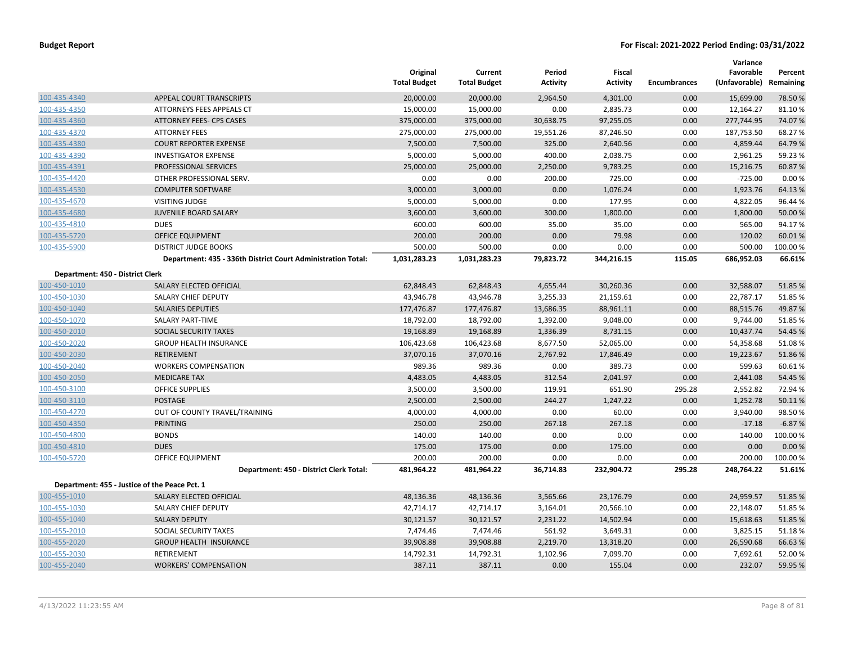|                                  |                                                              | Original<br><b>Total Budget</b> | Current<br><b>Total Budget</b> | Period<br><b>Activity</b> | Fiscal<br><b>Activity</b> | <b>Encumbrances</b> | Variance<br>Favorable<br>(Unfavorable) Remaining | Percent  |
|----------------------------------|--------------------------------------------------------------|---------------------------------|--------------------------------|---------------------------|---------------------------|---------------------|--------------------------------------------------|----------|
| 100-435-4340                     | APPEAL COURT TRANSCRIPTS                                     | 20,000.00                       | 20,000.00                      | 2,964.50                  | 4,301.00                  | 0.00                | 15,699.00                                        | 78.50 %  |
| 100-435-4350                     | ATTORNEYS FEES APPEALS CT                                    | 15,000.00                       | 15,000.00                      | 0.00                      | 2,835.73                  | 0.00                | 12,164.27                                        | 81.10%   |
| 100-435-4360                     | <b>ATTORNEY FEES- CPS CASES</b>                              | 375,000.00                      | 375,000.00                     | 30,638.75                 | 97,255.05                 | 0.00                | 277,744.95                                       | 74.07%   |
| 100-435-4370                     | <b>ATTORNEY FEES</b>                                         | 275,000.00                      | 275,000.00                     | 19,551.26                 | 87,246.50                 | 0.00                | 187,753.50                                       | 68.27%   |
| 100-435-4380                     | <b>COURT REPORTER EXPENSE</b>                                | 7,500.00                        | 7,500.00                       | 325.00                    | 2,640.56                  | 0.00                | 4,859.44                                         | 64.79%   |
| 100-435-4390                     | <b>INVESTIGATOR EXPENSE</b>                                  | 5,000.00                        | 5,000.00                       | 400.00                    | 2,038.75                  | 0.00                | 2,961.25                                         | 59.23 %  |
| 100-435-4391                     | PROFESSIONAL SERVICES                                        | 25,000.00                       | 25,000.00                      | 2,250.00                  | 9,783.25                  | 0.00                | 15,216.75                                        | 60.87%   |
| 100-435-4420                     | OTHER PROFESSIONAL SERV.                                     | 0.00                            | 0.00                           | 200.00                    | 725.00                    | 0.00                | $-725.00$                                        | 0.00%    |
| 100-435-4530                     | <b>COMPUTER SOFTWARE</b>                                     | 3,000.00                        | 3,000.00                       | 0.00                      | 1,076.24                  | 0.00                | 1,923.76                                         | 64.13%   |
| 100-435-4670                     | <b>VISITING JUDGE</b>                                        | 5,000.00                        | 5,000.00                       | 0.00                      | 177.95                    | 0.00                | 4,822.05                                         | 96.44 %  |
| 100-435-4680                     | <b>JUVENILE BOARD SALARY</b>                                 | 3,600.00                        | 3,600.00                       | 300.00                    | 1,800.00                  | 0.00                | 1,800.00                                         | 50.00 %  |
| 100-435-4810                     | <b>DUES</b>                                                  | 600.00                          | 600.00                         | 35.00                     | 35.00                     | 0.00                | 565.00                                           | 94.17%   |
| 100-435-5720                     | <b>OFFICE EQUIPMENT</b>                                      | 200.00                          | 200.00                         | 0.00                      | 79.98                     | 0.00                | 120.02                                           | 60.01%   |
| 100-435-5900                     | <b>DISTRICT JUDGE BOOKS</b>                                  | 500.00                          | 500.00                         | 0.00                      | 0.00                      | 0.00                | 500.00                                           | 100.00 % |
|                                  | Department: 435 - 336th District Court Administration Total: | 1,031,283.23                    | 1,031,283.23                   | 79,823.72                 | 344,216.15                | 115.05              | 686,952.03                                       | 66.61%   |
| Department: 450 - District Clerk |                                                              |                                 |                                |                           |                           |                     |                                                  |          |
| 100-450-1010                     | SALARY ELECTED OFFICIAL                                      | 62,848.43                       | 62,848.43                      | 4,655.44                  | 30,260.36                 | 0.00                | 32,588.07                                        | 51.85 %  |
| 100-450-1030                     | SALARY CHIEF DEPUTY                                          | 43,946.78                       | 43,946.78                      | 3,255.33                  | 21,159.61                 | 0.00                | 22,787.17                                        | 51.85 %  |
| 100-450-1040                     | <b>SALARIES DEPUTIES</b>                                     | 177,476.87                      | 177,476.87                     | 13,686.35                 | 88,961.11                 | 0.00                | 88,515.76                                        | 49.87%   |
| 100-450-1070                     | <b>SALARY PART-TIME</b>                                      | 18,792.00                       | 18,792.00                      | 1,392.00                  | 9,048.00                  | 0.00                | 9,744.00                                         | 51.85 %  |
| 100-450-2010                     | SOCIAL SECURITY TAXES                                        | 19,168.89                       | 19,168.89                      | 1,336.39                  | 8,731.15                  | 0.00                | 10,437.74                                        | 54.45 %  |
| 100-450-2020                     | <b>GROUP HEALTH INSURANCE</b>                                | 106,423.68                      | 106,423.68                     | 8,677.50                  | 52,065.00                 | 0.00                | 54,358.68                                        | 51.08%   |
| 100-450-2030                     | <b>RETIREMENT</b>                                            | 37,070.16                       | 37,070.16                      | 2,767.92                  | 17,846.49                 | 0.00                | 19,223.67                                        | 51.86%   |
| 100-450-2040                     | <b>WORKERS COMPENSATION</b>                                  | 989.36                          | 989.36                         | 0.00                      | 389.73                    | 0.00                | 599.63                                           | 60.61%   |
| 100-450-2050                     | <b>MEDICARE TAX</b>                                          | 4,483.05                        | 4,483.05                       | 312.54                    | 2,041.97                  | 0.00                | 2,441.08                                         | 54.45 %  |
| 100-450-3100                     | <b>OFFICE SUPPLIES</b>                                       | 3,500.00                        | 3,500.00                       | 119.91                    | 651.90                    | 295.28              | 2,552.82                                         | 72.94 %  |
| 100-450-3110                     | POSTAGE                                                      | 2,500.00                        | 2,500.00                       | 244.27                    | 1,247.22                  | 0.00                | 1,252.78                                         | 50.11%   |
| 100-450-4270                     | OUT OF COUNTY TRAVEL/TRAINING                                | 4,000.00                        | 4,000.00                       | 0.00                      | 60.00                     | 0.00                | 3,940.00                                         | 98.50%   |
| 100-450-4350                     | <b>PRINTING</b>                                              | 250.00                          | 250.00                         | 267.18                    | 267.18                    | 0.00                | $-17.18$                                         | $-6.87%$ |
| 100-450-4800                     | <b>BONDS</b>                                                 | 140.00                          | 140.00                         | 0.00                      | 0.00                      | 0.00                | 140.00                                           | 100.00 % |
| 100-450-4810                     | <b>DUES</b>                                                  | 175.00                          | 175.00                         | 0.00                      | 175.00                    | 0.00                | 0.00                                             | 0.00%    |
| 100-450-5720                     | OFFICE EQUIPMENT                                             | 200.00                          | 200.00                         | 0.00                      | 0.00                      | 0.00                | 200.00                                           | 100.00 % |
|                                  | Department: 450 - District Clerk Total:                      | 481,964.22                      | 481,964.22                     | 36,714.83                 | 232,904.72                | 295.28              | 248,764.22                                       | 51.61%   |
|                                  | Department: 455 - Justice of the Peace Pct. 1                |                                 |                                |                           |                           |                     |                                                  |          |
| 100-455-1010                     | SALARY ELECTED OFFICIAL                                      | 48,136.36                       | 48,136.36                      | 3,565.66                  | 23,176.79                 | 0.00                | 24,959.57                                        | 51.85 %  |
| 100-455-1030                     | SALARY CHIEF DEPUTY                                          | 42,714.17                       | 42,714.17                      | 3,164.01                  | 20,566.10                 | 0.00                | 22,148.07                                        | 51.85 %  |
| 100-455-1040                     | <b>SALARY DEPUTY</b>                                         | 30,121.57                       | 30,121.57                      | 2,231.22                  | 14,502.94                 | 0.00                | 15,618.63                                        | 51.85 %  |
| 100-455-2010                     | SOCIAL SECURITY TAXES                                        | 7,474.46                        | 7,474.46                       | 561.92                    | 3,649.31                  | 0.00                | 3,825.15                                         | 51.18%   |
| 100-455-2020                     | <b>GROUP HEALTH INSURANCE</b>                                | 39,908.88                       | 39,908.88                      | 2,219.70                  | 13,318.20                 | 0.00                | 26,590.68                                        | 66.63 %  |
| 100-455-2030                     | <b>RETIREMENT</b>                                            | 14,792.31                       | 14,792.31                      | 1,102.96                  | 7,099.70                  | 0.00                | 7,692.61                                         | 52.00 %  |
| 100-455-2040                     | <b>WORKERS' COMPENSATION</b>                                 | 387.11                          | 387.11                         | 0.00                      | 155.04                    | 0.00                | 232.07                                           | 59.95 %  |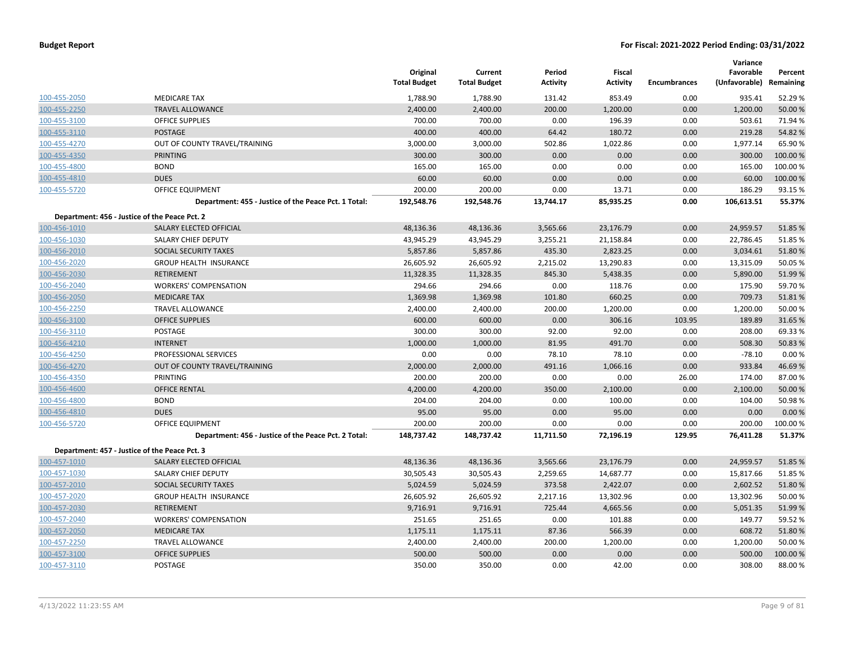|              |                                                      | Original<br><b>Total Budget</b> | Current<br><b>Total Budget</b> | Period<br><b>Activity</b> | Fiscal<br><b>Activity</b> | <b>Encumbrances</b> | Variance<br>Favorable<br>(Unfavorable) | Percent<br>Remaining |
|--------------|------------------------------------------------------|---------------------------------|--------------------------------|---------------------------|---------------------------|---------------------|----------------------------------------|----------------------|
| 100-455-2050 | <b>MEDICARE TAX</b>                                  | 1,788.90                        | 1,788.90                       | 131.42                    | 853.49                    | 0.00                | 935.41                                 | 52.29 %              |
| 100-455-2250 | <b>TRAVEL ALLOWANCE</b>                              | 2,400.00                        | 2,400.00                       | 200.00                    | 1,200.00                  | 0.00                | 1,200.00                               | 50.00 %              |
| 100-455-3100 | <b>OFFICE SUPPLIES</b>                               | 700.00                          | 700.00                         | 0.00                      | 196.39                    | 0.00                | 503.61                                 | 71.94 %              |
| 100-455-3110 | <b>POSTAGE</b>                                       | 400.00                          | 400.00                         | 64.42                     | 180.72                    | 0.00                | 219.28                                 | 54.82 %              |
| 100-455-4270 | OUT OF COUNTY TRAVEL/TRAINING                        | 3,000.00                        | 3,000.00                       | 502.86                    | 1,022.86                  | 0.00                | 1,977.14                               | 65.90%               |
| 100-455-4350 | <b>PRINTING</b>                                      | 300.00                          | 300.00                         | 0.00                      | 0.00                      | 0.00                | 300.00                                 | 100.00%              |
| 100-455-4800 | <b>BOND</b>                                          | 165.00                          | 165.00                         | 0.00                      | 0.00                      | 0.00                | 165.00                                 | 100.00%              |
| 100-455-4810 | <b>DUES</b>                                          | 60.00                           | 60.00                          | 0.00                      | 0.00                      | 0.00                | 60.00                                  | 100.00%              |
| 100-455-5720 | <b>OFFICE EQUIPMENT</b>                              | 200.00                          | 200.00                         | 0.00                      | 13.71                     | 0.00                | 186.29                                 | 93.15 %              |
|              | Department: 455 - Justice of the Peace Pct. 1 Total: | 192,548.76                      | 192,548.76                     | 13,744.17                 | 85,935.25                 | 0.00                | 106,613.51                             | 55.37%               |
|              | Department: 456 - Justice of the Peace Pct. 2        |                                 |                                |                           |                           |                     |                                        |                      |
| 100-456-1010 | SALARY ELECTED OFFICIAL                              | 48,136.36                       | 48,136.36                      | 3,565.66                  | 23,176.79                 | 0.00                | 24,959.57                              | 51.85 %              |
| 100-456-1030 | SALARY CHIEF DEPUTY                                  | 43,945.29                       | 43,945.29                      | 3,255.21                  | 21,158.84                 | 0.00                | 22,786.45                              | 51.85%               |
| 100-456-2010 | SOCIAL SECURITY TAXES                                | 5,857.86                        | 5,857.86                       | 435.30                    | 2,823.25                  | 0.00                | 3,034.61                               | 51.80%               |
| 100-456-2020 | GROUP HEALTH INSURANCE                               | 26,605.92                       | 26,605.92                      | 2,215.02                  | 13,290.83                 | 0.00                | 13,315.09                              | 50.05 %              |
| 100-456-2030 | <b>RETIREMENT</b>                                    | 11,328.35                       | 11,328.35                      | 845.30                    | 5,438.35                  | 0.00                | 5,890.00                               | 51.99%               |
| 100-456-2040 | <b>WORKERS' COMPENSATION</b>                         | 294.66                          | 294.66                         | 0.00                      | 118.76                    | 0.00                | 175.90                                 | 59.70%               |
| 100-456-2050 | <b>MEDICARE TAX</b>                                  | 1,369.98                        | 1,369.98                       | 101.80                    | 660.25                    | 0.00                | 709.73                                 | 51.81%               |
| 100-456-2250 | <b>TRAVEL ALLOWANCE</b>                              | 2,400.00                        | 2,400.00                       | 200.00                    | 1,200.00                  | 0.00                | 1,200.00                               | 50.00 %              |
| 100-456-3100 | <b>OFFICE SUPPLIES</b>                               | 600.00                          | 600.00                         | 0.00                      | 306.16                    | 103.95              | 189.89                                 | 31.65 %              |
| 100-456-3110 | POSTAGE                                              | 300.00                          | 300.00                         | 92.00                     | 92.00                     | 0.00                | 208.00                                 | 69.33 %              |
| 100-456-4210 | <b>INTERNET</b>                                      | 1,000.00                        | 1,000.00                       | 81.95                     | 491.70                    | 0.00                | 508.30                                 | 50.83 %              |
| 100-456-4250 | PROFESSIONAL SERVICES                                | 0.00                            | 0.00                           | 78.10                     | 78.10                     | 0.00                | $-78.10$                               | 0.00%                |
| 100-456-4270 | OUT OF COUNTY TRAVEL/TRAINING                        | 2,000.00                        | 2,000.00                       | 491.16                    | 1,066.16                  | 0.00                | 933.84                                 | 46.69%               |
| 100-456-4350 | PRINTING                                             | 200.00                          | 200.00                         | 0.00                      | 0.00                      | 26.00               | 174.00                                 | 87.00%               |
| 100-456-4600 | <b>OFFICE RENTAL</b>                                 | 4,200.00                        | 4,200.00                       | 350.00                    | 2,100.00                  | 0.00                | 2,100.00                               | 50.00 %              |
| 100-456-4800 | <b>BOND</b>                                          | 204.00                          | 204.00                         | 0.00                      | 100.00                    | 0.00                | 104.00                                 | 50.98%               |
| 100-456-4810 | <b>DUES</b>                                          | 95.00                           | 95.00                          | 0.00                      | 95.00                     | 0.00                | 0.00                                   | 0.00 %               |
| 100-456-5720 | <b>OFFICE EQUIPMENT</b>                              | 200.00                          | 200.00                         | 0.00                      | 0.00                      | 0.00                | 200.00                                 | 100.00%              |
|              | Department: 456 - Justice of the Peace Pct. 2 Total: | 148,737.42                      | 148,737.42                     | 11,711.50                 | 72,196.19                 | 129.95              | 76,411.28                              | 51.37%               |
|              | Department: 457 - Justice of the Peace Pct. 3        |                                 |                                |                           |                           |                     |                                        |                      |
| 100-457-1010 | SALARY ELECTED OFFICIAL                              | 48,136.36                       | 48,136.36                      | 3,565.66                  | 23,176.79                 | 0.00                | 24,959.57                              | 51.85 %              |
| 100-457-1030 | SALARY CHIEF DEPUTY                                  | 30,505.43                       | 30,505.43                      | 2,259.65                  | 14,687.77                 | 0.00                | 15,817.66                              | 51.85%               |
| 100-457-2010 | SOCIAL SECURITY TAXES                                | 5,024.59                        | 5,024.59                       | 373.58                    | 2,422.07                  | 0.00                | 2,602.52                               | 51.80%               |
| 100-457-2020 | <b>GROUP HEALTH INSURANCE</b>                        | 26,605.92                       | 26,605.92                      | 2,217.16                  | 13,302.96                 | 0.00                | 13,302.96                              | 50.00 %              |
| 100-457-2030 | <b>RETIREMENT</b>                                    | 9,716.91                        | 9,716.91                       | 725.44                    | 4,665.56                  | 0.00                | 5,051.35                               | 51.99 %              |
| 100-457-2040 | <b>WORKERS' COMPENSATION</b>                         | 251.65                          | 251.65                         | 0.00                      | 101.88                    | 0.00                | 149.77                                 | 59.52 %              |
| 100-457-2050 | <b>MEDICARE TAX</b>                                  | 1,175.11                        | 1,175.11                       | 87.36                     | 566.39                    | 0.00                | 608.72                                 | 51.80%               |
| 100-457-2250 | <b>TRAVEL ALLOWANCE</b>                              | 2,400.00                        | 2,400.00                       | 200.00                    | 1,200.00                  | 0.00                | 1,200.00                               | 50.00 %              |
| 100-457-3100 | <b>OFFICE SUPPLIES</b>                               | 500.00                          | 500.00                         | 0.00                      | 0.00                      | 0.00                | 500.00                                 | 100.00%              |
| 100-457-3110 | POSTAGE                                              | 350.00                          | 350.00                         | 0.00                      | 42.00                     | 0.00                | 308.00                                 | 88.00 %              |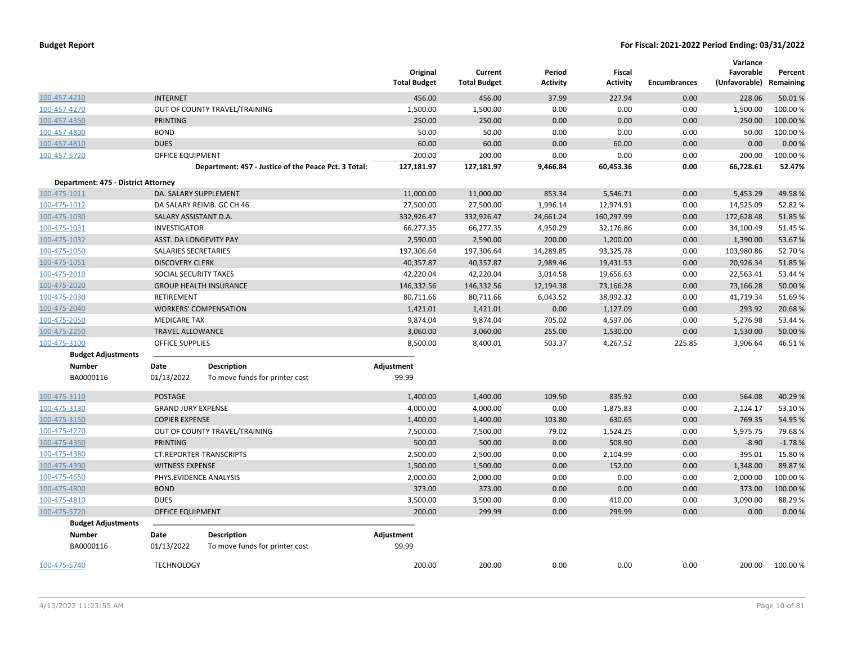|                                     |                           |                                                      | Original<br><b>Total Budget</b> | Current<br><b>Total Budget</b> | Period<br><b>Activity</b> | Fiscal<br><b>Activity</b> | <b>Encumbrances</b> | Variance<br>Favorable<br>(Unfavorable) | Percent<br>Remaining |
|-------------------------------------|---------------------------|------------------------------------------------------|---------------------------------|--------------------------------|---------------------------|---------------------------|---------------------|----------------------------------------|----------------------|
| 100-457-4210                        | <b>INTERNET</b>           |                                                      | 456.00                          | 456.00                         | 37.99                     | 227.94                    | 0.00                | 228.06                                 | 50.01%               |
| 100-457-4270                        |                           | OUT OF COUNTY TRAVEL/TRAINING                        | 1,500.00                        | 1,500.00                       | 0.00                      | 0.00                      | 0.00                | 1,500.00                               | 100.00 %             |
| 100-457-4350                        | <b>PRINTING</b>           |                                                      | 250.00                          | 250.00                         | 0.00                      | 0.00                      | 0.00                | 250.00                                 | 100.00%              |
| 100-457-4800                        | <b>BOND</b>               |                                                      | 50.00                           | 50.00                          | 0.00                      | 0.00                      | 0.00                | 50.00                                  | 100.00%              |
| 100-457-4810                        | <b>DUES</b>               |                                                      | 60.00                           | 60.00                          | 0.00                      | 60.00                     | 0.00                | 0.00                                   | 0.00%                |
| 100-457-5720                        | <b>OFFICE EQUIPMENT</b>   |                                                      | 200.00                          | 200.00                         | 0.00                      | 0.00                      | 0.00                | 200.00                                 | 100.00%              |
|                                     |                           | Department: 457 - Justice of the Peace Pct. 3 Total: | 127,181.97                      | 127,181.97                     | 9,466.84                  | 60,453.36                 | 0.00                | 66,728.61                              | 52.47%               |
| Department: 475 - District Attorney |                           |                                                      |                                 |                                |                           |                           |                     |                                        |                      |
| 100-475-1011                        |                           | DA. SALARY SUPPLEMENT                                | 11,000.00                       | 11,000.00                      | 853.34                    | 5,546.71                  | 0.00                | 5,453.29                               | 49.58%               |
| 100-475-1012                        |                           | DA SALARY REIMB. GC CH 46                            | 27,500.00                       | 27,500.00                      | 1,996.14                  | 12,974.91                 | 0.00                | 14,525.09                              | 52.82 %              |
| 100-475-1030                        | SALARY ASSISTANT D.A.     |                                                      | 332,926.47                      | 332,926.47                     | 24,661.24                 | 160,297.99                | 0.00                | 172,628.48                             | 51.85 %              |
| 100-475-1031                        | INVESTIGATOR              |                                                      | 66,277.35                       | 66,277.35                      | 4,950.29                  | 32,176.86                 | 0.00                | 34,100.49                              | 51.45 %              |
| 100-475-1032                        |                           | ASST. DA LONGEVITY PAY                               | 2,590.00                        | 2,590.00                       | 200.00                    | 1,200.00                  | 0.00                | 1,390.00                               | 53.67%               |
| 100-475-1050                        | SALARIES SECRETARIES      |                                                      | 197,306.64                      | 197,306.64                     | 14,289.85                 | 93,325.78                 | 0.00                | 103,980.86                             | 52.70%               |
| 100-475-1051                        | <b>DISCOVERY CLERK</b>    |                                                      | 40,357.87                       | 40,357.87                      | 2,989.46                  | 19,431.53                 | 0.00                | 20,926.34                              | 51.85 %              |
| 100-475-2010                        | SOCIAL SECURITY TAXES     |                                                      | 42,220.04                       | 42,220.04                      | 3,014.58                  | 19,656.63                 | 0.00                | 22,563.41                              | 53.44 %              |
| 100-475-2020                        |                           | <b>GROUP HEALTH INSURANCE</b>                        | 146,332.56                      | 146,332.56                     | 12,194.38                 | 73,166.28                 | 0.00                | 73,166.28                              | 50.00 %              |
| 100-475-2030                        | <b>RETIREMENT</b>         |                                                      | 80,711.66                       | 80,711.66                      | 6,043.52                  | 38,992.32                 | 0.00                | 41,719.34                              | 51.69%               |
| 100-475-2040                        |                           | <b>WORKERS' COMPENSATION</b>                         | 1,421.01                        | 1,421.01                       | 0.00                      | 1,127.09                  | 0.00                | 293.92                                 | 20.68%               |
| 100-475-2050                        | <b>MEDICARE TAX</b>       |                                                      | 9,874.04                        | 9,874.04                       | 705.02                    | 4,597.06                  | 0.00                | 5,276.98                               | 53.44 %              |
| 100-475-2250                        | <b>TRAVEL ALLOWANCE</b>   |                                                      | 3,060.00                        | 3,060.00                       | 255.00                    | 1,530.00                  | 0.00                | 1,530.00                               | 50.00 %              |
| 100-475-3100                        | <b>OFFICE SUPPLIES</b>    |                                                      | 8,500.00                        | 8,400.01                       | 503.37                    | 4,267.52                  | 225.85              | 3,906.64                               | 46.51%               |
| <b>Budget Adjustments</b>           |                           |                                                      |                                 |                                |                           |                           |                     |                                        |                      |
| <b>Number</b>                       | Date                      | <b>Description</b>                                   | Adjustment                      |                                |                           |                           |                     |                                        |                      |
| BA0000116                           | 01/13/2022                | To move funds for printer cost                       | -99.99                          |                                |                           |                           |                     |                                        |                      |
| 100-475-3110                        | <b>POSTAGE</b>            |                                                      | 1,400.00                        | 1,400.00                       | 109.50                    | 835.92                    | 0.00                | 564.08                                 | 40.29 %              |
| 100-475-3130                        | <b>GRAND JURY EXPENSE</b> |                                                      | 4,000.00                        | 4,000.00                       | 0.00                      | 1,875.83                  | 0.00                | 2,124.17                               | 53.10%               |
| 100-475-3150                        | <b>COPIER EXPENSE</b>     |                                                      | 1,400.00                        | 1,400.00                       | 103.80                    | 630.65                    | 0.00                | 769.35                                 | 54.95 %              |
| 100-475-4270                        |                           | OUT OF COUNTY TRAVEL/TRAINING                        | 7,500.00                        | 7,500.00                       | 79.02                     | 1,524.25                  | 0.00                | 5,975.75                               | 79.68%               |
| 100-475-4350                        | <b>PRINTING</b>           |                                                      | 500.00                          | 500.00                         | 0.00                      | 508.90                    | 0.00                | $-8.90$                                | $-1.78%$             |
| 100-475-4380                        |                           | CT.REPORTER-TRANSCRIPTS                              | 2,500.00                        | 2,500.00                       | 0.00                      | 2,104.99                  | 0.00                | 395.01                                 | 15.80%               |
| 100-475-4390                        | <b>WITNESS EXPENSE</b>    |                                                      | 1,500.00                        | 1,500.00                       | 0.00                      | 152.00                    | 0.00                | 1,348.00                               | 89.87%               |
| 100-475-4650                        |                           | PHYS.EVIDENCE ANALYSIS                               | 2,000.00                        | 2,000.00                       | 0.00                      | 0.00                      | 0.00                | 2,000.00                               | 100.00%              |
| 100-475-4800                        | <b>BOND</b>               |                                                      | 373.00                          | 373.00                         | 0.00                      | 0.00                      | 0.00                | 373.00                                 | 100.00 %             |
| 100-475-4810                        | <b>DUES</b>               |                                                      | 3,500.00                        | 3,500.00                       | 0.00                      | 410.00                    | 0.00                | 3,090.00                               | 88.29%               |
| 100-475-5720                        | <b>OFFICE EQUIPMENT</b>   |                                                      | 200.00                          | 299.99                         | 0.00                      | 299.99                    | 0.00                | 0.00                                   | 0.00%                |
| <b>Budget Adjustments</b>           |                           |                                                      |                                 |                                |                           |                           |                     |                                        |                      |
| Number                              | Date                      | Description                                          | Adjustment                      |                                |                           |                           |                     |                                        |                      |
| BA0000116                           | 01/13/2022                | To move funds for printer cost                       | 99.99                           |                                |                           |                           |                     |                                        |                      |
| 100-475-5740                        | <b>TECHNOLOGY</b>         |                                                      | 200.00                          | 200.00                         | 0.00                      | 0.00                      | 0.00                | 200.00                                 | 100.00%              |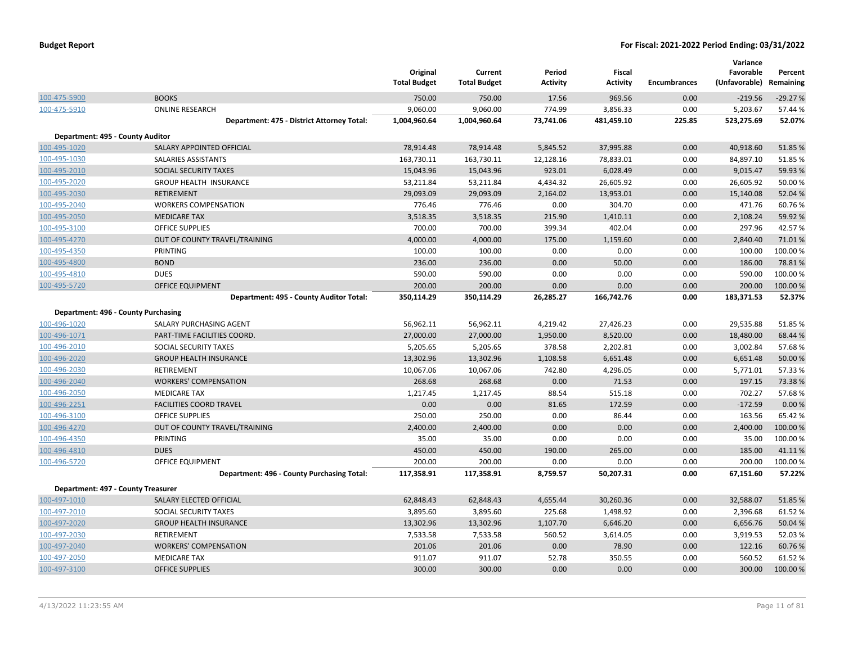|                                    |                                            | Original<br><b>Total Budget</b> | Current<br><b>Total Budget</b> | Period<br><b>Activity</b> | Fiscal<br><b>Activity</b> | <b>Encumbrances</b> | Variance<br>Favorable<br>(Unfavorable) | Percent<br>Remaining |
|------------------------------------|--------------------------------------------|---------------------------------|--------------------------------|---------------------------|---------------------------|---------------------|----------------------------------------|----------------------|
| 100-475-5900                       | <b>BOOKS</b>                               | 750.00                          | 750.00                         | 17.56                     | 969.56                    | 0.00                | $-219.56$                              | $-29.27%$            |
| 100-475-5910                       | <b>ONLINE RESEARCH</b>                     | 9,060.00                        | 9,060.00                       | 774.99                    | 3,856.33                  | 0.00                | 5,203.67                               | 57.44 %              |
|                                    | Department: 475 - District Attorney Total: | 1,004,960.64                    | 1,004,960.64                   | 73,741.06                 | 481,459.10                | 225.85              | 523,275.69                             | 52.07%               |
| Department: 495 - County Auditor   |                                            |                                 |                                |                           |                           |                     |                                        |                      |
| 100-495-1020                       | SALARY APPOINTED OFFICIAL                  | 78,914.48                       | 78,914.48                      | 5,845.52                  | 37,995.88                 | 0.00                | 40,918.60                              | 51.85%               |
| 100-495-1030                       | SALARIES ASSISTANTS                        | 163,730.11                      | 163,730.11                     | 12,128.16                 | 78,833.01                 | 0.00                | 84,897.10                              | 51.85%               |
| 100-495-2010                       | SOCIAL SECURITY TAXES                      | 15,043.96                       | 15,043.96                      | 923.01                    | 6,028.49                  | 0.00                | 9,015.47                               | 59.93 %              |
| 100-495-2020                       | <b>GROUP HEALTH INSURANCE</b>              | 53,211.84                       | 53,211.84                      | 4,434.32                  | 26,605.92                 | 0.00                | 26,605.92                              | 50.00%               |
| 100-495-2030                       | <b>RETIREMENT</b>                          | 29,093.09                       | 29,093.09                      | 2,164.02                  | 13,953.01                 | 0.00                | 15,140.08                              | 52.04 %              |
| 100-495-2040                       | <b>WORKERS COMPENSATION</b>                | 776.46                          | 776.46                         | 0.00                      | 304.70                    | 0.00                | 471.76                                 | 60.76%               |
| 100-495-2050                       | <b>MEDICARE TAX</b>                        | 3,518.35                        | 3,518.35                       | 215.90                    | 1,410.11                  | 0.00                | 2,108.24                               | 59.92 %              |
| 100-495-3100                       | <b>OFFICE SUPPLIES</b>                     | 700.00                          | 700.00                         | 399.34                    | 402.04                    | 0.00                | 297.96                                 | 42.57%               |
| 100-495-4270                       | OUT OF COUNTY TRAVEL/TRAINING              | 4,000.00                        | 4,000.00                       | 175.00                    | 1,159.60                  | 0.00                | 2,840.40                               | 71.01%               |
| 100-495-4350                       | PRINTING                                   | 100.00                          | 100.00                         | 0.00                      | 0.00                      | 0.00                | 100.00                                 | 100.00%              |
| 100-495-4800                       | <b>BOND</b>                                | 236.00                          | 236.00                         | 0.00                      | 50.00                     | 0.00                | 186.00                                 | 78.81%               |
| 100-495-4810                       | <b>DUES</b>                                | 590.00                          | 590.00                         | 0.00                      | 0.00                      | 0.00                | 590.00                                 | 100.00%              |
| 100-495-5720                       | OFFICE EQUIPMENT                           | 200.00                          | 200.00                         | 0.00                      | 0.00                      | 0.00                | 200.00                                 | 100.00 %             |
|                                    | Department: 495 - County Auditor Total:    | 350,114.29                      | 350,114.29                     | 26,285.27                 | 166,742.76                | 0.00                | 183,371.53                             | 52.37%               |
|                                    | Department: 496 - County Purchasing        |                                 |                                |                           |                           |                     |                                        |                      |
| 100-496-1020                       | SALARY PURCHASING AGENT                    | 56,962.11                       | 56,962.11                      | 4,219.42                  | 27,426.23                 | 0.00                | 29,535.88                              | 51.85%               |
| 100-496-1071                       | PART-TIME FACILITIES COORD.                | 27,000.00                       | 27,000.00                      | 1,950.00                  | 8,520.00                  | 0.00                | 18,480.00                              | 68.44 %              |
| 100-496-2010                       | SOCIAL SECURITY TAXES                      | 5,205.65                        | 5,205.65                       | 378.58                    | 2,202.81                  | 0.00                | 3,002.84                               | 57.68%               |
| 100-496-2020                       | <b>GROUP HEALTH INSURANCE</b>              | 13,302.96                       | 13,302.96                      | 1,108.58                  | 6,651.48                  | 0.00                | 6,651.48                               | 50.00 %              |
| 100-496-2030                       | RETIREMENT                                 | 10,067.06                       | 10,067.06                      | 742.80                    | 4,296.05                  | 0.00                | 5,771.01                               | 57.33 %              |
| 100-496-2040                       | <b>WORKERS' COMPENSATION</b>               | 268.68                          | 268.68                         | 0.00                      | 71.53                     | 0.00                | 197.15                                 | 73.38%               |
| 100-496-2050                       | <b>MEDICARE TAX</b>                        | 1,217.45                        | 1,217.45                       | 88.54                     | 515.18                    | 0.00                | 702.27                                 | 57.68%               |
| 100-496-2251                       | <b>FACILITIES COORD TRAVEL</b>             | 0.00                            | 0.00                           | 81.65                     | 172.59                    | 0.00                | $-172.59$                              | 0.00%                |
| 100-496-3100                       | <b>OFFICE SUPPLIES</b>                     | 250.00                          | 250.00                         | 0.00                      | 86.44                     | 0.00                | 163.56                                 | 65.42%               |
| 100-496-4270                       | OUT OF COUNTY TRAVEL/TRAINING              | 2,400.00                        | 2,400.00                       | 0.00                      | 0.00                      | 0.00                | 2,400.00                               | 100.00 %             |
| 100-496-4350                       | PRINTING                                   | 35.00                           | 35.00                          | 0.00                      | 0.00                      | 0.00                | 35.00                                  | 100.00%              |
| 100-496-4810                       | <b>DUES</b>                                | 450.00                          | 450.00                         | 190.00                    | 265.00                    | 0.00                | 185.00                                 | 41.11%               |
| 100-496-5720                       | OFFICE EQUIPMENT                           | 200.00                          | 200.00                         | 0.00                      | 0.00                      | 0.00                | 200.00                                 | 100.00%              |
|                                    | Department: 496 - County Purchasing Total: | 117,358.91                      | 117,358.91                     | 8,759.57                  | 50,207.31                 | 0.00                | 67,151.60                              | 57.22%               |
| Department: 497 - County Treasurer |                                            |                                 |                                |                           |                           |                     |                                        |                      |
| 100-497-1010                       | SALARY ELECTED OFFICIAL                    | 62,848.43                       | 62,848.43                      | 4,655.44                  | 30,260.36                 | 0.00                | 32,588.07                              | 51.85%               |
| 100-497-2010                       | SOCIAL SECURITY TAXES                      | 3,895.60                        | 3,895.60                       | 225.68                    | 1,498.92                  | 0.00                | 2,396.68                               | 61.52%               |
| 100-497-2020                       | <b>GROUP HEALTH INSURANCE</b>              | 13,302.96                       | 13,302.96                      | 1,107.70                  | 6,646.20                  | 0.00                | 6,656.76                               | 50.04 %              |
| 100-497-2030                       | RETIREMENT                                 | 7,533.58                        | 7,533.58                       | 560.52                    | 3,614.05                  | 0.00                | 3,919.53                               | 52.03%               |
| 100-497-2040                       | <b>WORKERS' COMPENSATION</b>               | 201.06                          | 201.06                         | 0.00                      | 78.90                     | 0.00                | 122.16                                 | 60.76%               |
| 100-497-2050                       | <b>MEDICARE TAX</b>                        | 911.07                          | 911.07                         | 52.78                     | 350.55                    | 0.00                | 560.52                                 | 61.52%               |
| 100-497-3100                       | <b>OFFICE SUPPLIES</b>                     | 300.00                          | 300.00                         | 0.00                      | 0.00                      | 0.00                | 300.00                                 | 100.00 %             |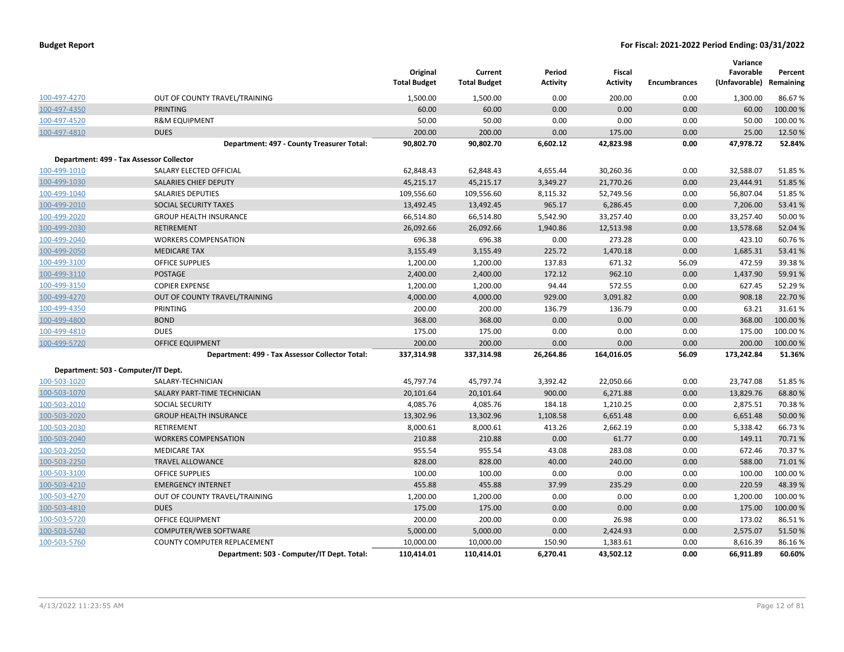|              |                                                 | Original<br><b>Total Budget</b> | Current<br><b>Total Budget</b> | Period<br>Activity | Fiscal<br><b>Activity</b> | <b>Encumbrances</b> | Variance<br>Favorable<br>(Unfavorable) | Percent<br>Remaining |
|--------------|-------------------------------------------------|---------------------------------|--------------------------------|--------------------|---------------------------|---------------------|----------------------------------------|----------------------|
| 100-497-4270 | OUT OF COUNTY TRAVEL/TRAINING                   | 1,500.00                        | 1,500.00                       | 0.00               | 200.00                    | 0.00                | 1,300.00                               | 86.67%               |
| 100-497-4350 | <b>PRINTING</b>                                 | 60.00                           | 60.00                          | 0.00               | 0.00                      | 0.00                | 60.00                                  | 100.00 %             |
| 100-497-4520 | <b>R&amp;M EQUIPMENT</b>                        | 50.00                           | 50.00                          | 0.00               | 0.00                      | 0.00                | 50.00                                  | 100.00%              |
| 100-497-4810 | <b>DUES</b>                                     | 200.00                          | 200.00                         | 0.00               | 175.00                    | 0.00                | 25.00                                  | 12.50%               |
|              | Department: 497 - County Treasurer Total:       | 90,802.70                       | 90,802.70                      | 6,602.12           | 42,823.98                 | 0.00                | 47,978.72                              | 52.84%               |
|              | Department: 499 - Tax Assessor Collector        |                                 |                                |                    |                           |                     |                                        |                      |
| 100-499-1010 | SALARY ELECTED OFFICIAL                         | 62,848.43                       | 62,848.43                      | 4,655.44           | 30,260.36                 | 0.00                | 32,588.07                              | 51.85%               |
| 100-499-1030 | SALARIES CHIEF DEPUTY                           | 45,215.17                       | 45,215.17                      | 3,349.27           | 21,770.26                 | 0.00                | 23,444.91                              | 51.85%               |
| 100-499-1040 | <b>SALARIES DEPUTIES</b>                        | 109,556.60                      | 109,556.60                     | 8,115.32           | 52,749.56                 | 0.00                | 56,807.04                              | 51.85%               |
| 100-499-2010 | SOCIAL SECURITY TAXES                           | 13,492.45                       | 13,492.45                      | 965.17             | 6,286.45                  | 0.00                | 7,206.00                               | 53.41%               |
| 100-499-2020 | <b>GROUP HEALTH INSURANCE</b>                   | 66,514.80                       | 66,514.80                      | 5,542.90           | 33,257.40                 | 0.00                | 33,257.40                              | 50.00%               |
| 100-499-2030 | <b>RETIREMENT</b>                               | 26,092.66                       | 26,092.66                      | 1,940.86           | 12,513.98                 | 0.00                | 13,578.68                              | 52.04 %              |
| 100-499-2040 | <b>WORKERS COMPENSATION</b>                     | 696.38                          | 696.38                         | 0.00               | 273.28                    | 0.00                | 423.10                                 | 60.76%               |
| 100-499-2050 | <b>MEDICARE TAX</b>                             | 3,155.49                        | 3,155.49                       | 225.72             | 1,470.18                  | 0.00                | 1,685.31                               | 53.41%               |
| 100-499-3100 | <b>OFFICE SUPPLIES</b>                          | 1,200.00                        | 1,200.00                       | 137.83             | 671.32                    | 56.09               | 472.59                                 | 39.38%               |
| 100-499-3110 | <b>POSTAGE</b>                                  | 2,400.00                        | 2,400.00                       | 172.12             | 962.10                    | 0.00                | 1,437.90                               | 59.91%               |
| 100-499-3150 | <b>COPIER EXPENSE</b>                           | 1,200.00                        | 1,200.00                       | 94.44              | 572.55                    | 0.00                | 627.45                                 | 52.29%               |
| 100-499-4270 | OUT OF COUNTY TRAVEL/TRAINING                   | 4,000.00                        | 4,000.00                       | 929.00             | 3,091.82                  | 0.00                | 908.18                                 | 22.70%               |
| 100-499-4350 | PRINTING                                        | 200.00                          | 200.00                         | 136.79             | 136.79                    | 0.00                | 63.21                                  | 31.61%               |
| 100-499-4800 | <b>BOND</b>                                     | 368.00                          | 368.00                         | 0.00               | 0.00                      | 0.00                | 368.00                                 | 100.00 %             |
| 100-499-4810 | <b>DUES</b>                                     | 175.00                          | 175.00                         | 0.00               | 0.00                      | 0.00                | 175.00                                 | 100.00 %             |
| 100-499-5720 | <b>OFFICE EQUIPMENT</b>                         | 200.00                          | 200.00                         | 0.00               | 0.00                      | 0.00                | 200.00                                 | 100.00 %             |
|              | Department: 499 - Tax Assessor Collector Total: | 337,314.98                      | 337,314.98                     | 26,264.86          | 164,016.05                | 56.09               | 173,242.84                             | 51.36%               |
|              | Department: 503 - Computer/IT Dept.             |                                 |                                |                    |                           |                     |                                        |                      |
| 100-503-1020 | SALARY-TECHNICIAN                               | 45,797.74                       | 45,797.74                      | 3,392.42           | 22,050.66                 | 0.00                | 23,747.08                              | 51.85%               |
| 100-503-1070 | SALARY PART-TIME TECHNICIAN                     | 20,101.64                       | 20,101.64                      | 900.00             | 6,271.88                  | 0.00                | 13,829.76                              | 68.80%               |
| 100-503-2010 | <b>SOCIAL SECURITY</b>                          | 4,085.76                        | 4,085.76                       | 184.18             | 1,210.25                  | 0.00                | 2,875.51                               | 70.38%               |
| 100-503-2020 | <b>GROUP HEALTH INSURANCE</b>                   | 13,302.96                       | 13,302.96                      | 1,108.58           | 6,651.48                  | 0.00                | 6,651.48                               | 50.00 %              |
| 100-503-2030 | RETIREMENT                                      | 8,000.61                        | 8,000.61                       | 413.26             | 2,662.19                  | 0.00                | 5,338.42                               | 66.73%               |
| 100-503-2040 | <b>WORKERS COMPENSATION</b>                     | 210.88                          | 210.88                         | 0.00               | 61.77                     | 0.00                | 149.11                                 | 70.71%               |
| 100-503-2050 | <b>MEDICARE TAX</b>                             | 955.54                          | 955.54                         | 43.08              | 283.08                    | 0.00                | 672.46                                 | 70.37%               |
| 100-503-2250 | <b>TRAVEL ALLOWANCE</b>                         | 828.00                          | 828.00                         | 40.00              | 240.00                    | 0.00                | 588.00                                 | 71.01%               |
| 100-503-3100 | <b>OFFICE SUPPLIES</b>                          | 100.00                          | 100.00                         | 0.00               | 0.00                      | 0.00                | 100.00                                 | 100.00%              |
| 100-503-4210 | <b>EMERGENCY INTERNET</b>                       | 455.88                          | 455.88                         | 37.99              | 235.29                    | 0.00                | 220.59                                 | 48.39%               |
| 100-503-4270 | OUT OF COUNTY TRAVEL/TRAINING                   | 1,200.00                        | 1,200.00                       | 0.00               | 0.00                      | 0.00                | 1,200.00                               | 100.00%              |
| 100-503-4810 | <b>DUES</b>                                     | 175.00                          | 175.00                         | 0.00               | 0.00                      | 0.00                | 175.00                                 | 100.00%              |
| 100-503-5720 | OFFICE EQUIPMENT                                | 200.00                          | 200.00                         | 0.00               | 26.98                     | 0.00                | 173.02                                 | 86.51%               |
| 100-503-5740 | COMPUTER/WEB SOFTWARE                           | 5,000.00                        | 5,000.00                       | 0.00               | 2,424.93                  | 0.00                | 2,575.07                               | 51.50%               |
| 100-503-5760 | <b>COUNTY COMPUTER REPLACEMENT</b>              | 10,000.00                       | 10,000.00                      | 150.90             | 1,383.61                  | 0.00                | 8,616.39                               | 86.16%               |
|              | Department: 503 - Computer/IT Dept. Total:      | 110,414.01                      | 110,414.01                     | 6,270.41           | 43,502.12                 | 0.00                | 66,911.89                              | 60.60%               |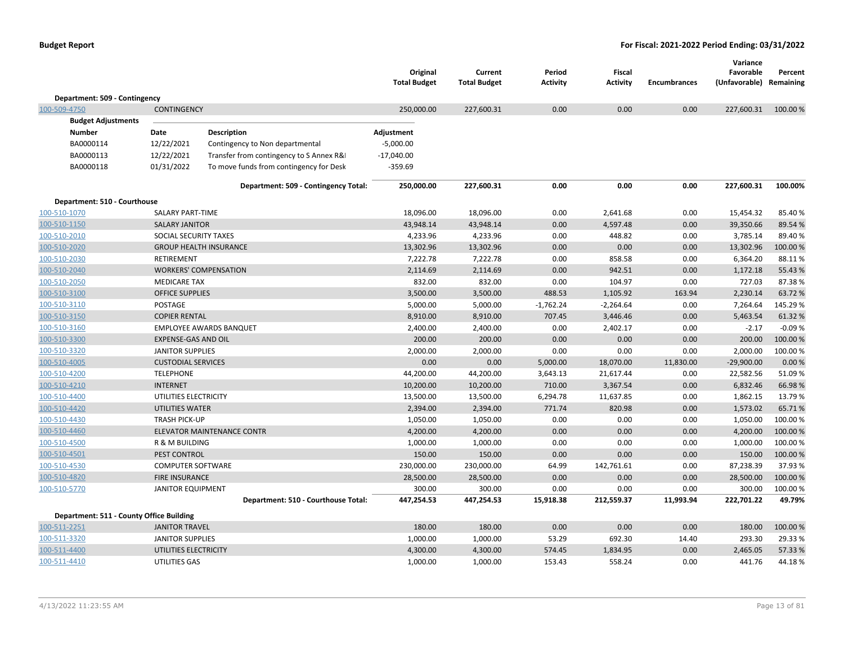|                                          |                            |                                          | Original<br><b>Total Budget</b> | Current<br><b>Total Budget</b> | Period<br>Activity | <b>Fiscal</b><br><b>Activity</b> | Encumbrances | Variance<br>Favorable<br>(Unfavorable) Remaining | Percent  |
|------------------------------------------|----------------------------|------------------------------------------|---------------------------------|--------------------------------|--------------------|----------------------------------|--------------|--------------------------------------------------|----------|
| Department: 509 - Contingency            |                            |                                          |                                 |                                |                    |                                  |              |                                                  |          |
| 100-509-4750                             | <b>CONTINGENCY</b>         |                                          | 250,000.00                      | 227,600.31                     | 0.00               | 0.00                             | 0.00         | 227,600.31                                       | 100.00 % |
| <b>Budget Adjustments</b>                |                            |                                          |                                 |                                |                    |                                  |              |                                                  |          |
| <b>Number</b>                            | Date                       | Description                              | Adjustment                      |                                |                    |                                  |              |                                                  |          |
| BA0000114                                | 12/22/2021                 | Contingency to Non departmental          | $-5,000.00$                     |                                |                    |                                  |              |                                                  |          |
| BA0000113                                | 12/22/2021                 | Transfer from contingency to S Annex R&I | $-17,040.00$                    |                                |                    |                                  |              |                                                  |          |
| BA0000118                                | 01/31/2022                 | To move funds from contingency for Desk  | $-359.69$                       |                                |                    |                                  |              |                                                  |          |
|                                          |                            | Department: 509 - Contingency Total:     | 250,000.00                      | 227,600.31                     | 0.00               | 0.00                             | 0.00         | 227,600.31                                       | 100.00%  |
| Department: 510 - Courthouse             |                            |                                          |                                 |                                |                    |                                  |              |                                                  |          |
| 100-510-1070                             | <b>SALARY PART-TIME</b>    |                                          | 18,096.00                       | 18,096.00                      | 0.00               | 2,641.68                         | 0.00         | 15,454.32                                        | 85.40%   |
| 100-510-1150                             | <b>SALARY JANITOR</b>      |                                          | 43,948.14                       | 43,948.14                      | 0.00               | 4,597.48                         | 0.00         | 39,350.66                                        | 89.54%   |
| 100-510-2010                             | SOCIAL SECURITY TAXES      |                                          | 4,233.96                        | 4,233.96                       | 0.00               | 448.82                           | 0.00         | 3,785.14                                         | 89.40%   |
| 100-510-2020                             |                            | <b>GROUP HEALTH INSURANCE</b>            | 13,302.96                       | 13,302.96                      | 0.00               | 0.00                             | 0.00         | 13,302.96                                        | 100.00%  |
| 100-510-2030                             | <b>RETIREMENT</b>          |                                          | 7,222.78                        | 7,222.78                       | 0.00               | 858.58                           | 0.00         | 6,364.20                                         | 88.11%   |
| 100-510-2040                             |                            | <b>WORKERS' COMPENSATION</b>             | 2,114.69                        | 2,114.69                       | 0.00               | 942.51                           | 0.00         | 1,172.18                                         | 55.43 %  |
| 100-510-2050                             | <b>MEDICARE TAX</b>        |                                          | 832.00                          | 832.00                         | 0.00               | 104.97                           | 0.00         | 727.03                                           | 87.38%   |
| 100-510-3100                             | <b>OFFICE SUPPLIES</b>     |                                          | 3,500.00                        | 3,500.00                       | 488.53             | 1,105.92                         | 163.94       | 2,230.14                                         | 63.72%   |
| 100-510-3110                             | POSTAGE                    |                                          | 5,000.00                        | 5,000.00                       | $-1,762.24$        | $-2,264.64$                      | 0.00         | 7,264.64                                         | 145.29%  |
| 100-510-3150                             | <b>COPIER RENTAL</b>       |                                          | 8,910.00                        | 8,910.00                       | 707.45             | 3,446.46                         | 0.00         | 5,463.54                                         | 61.32%   |
| 100-510-3160                             |                            | <b>EMPLOYEE AWARDS BANQUET</b>           | 2,400.00                        | 2,400.00                       | 0.00               | 2,402.17                         | 0.00         | $-2.17$                                          | $-0.09%$ |
| 100-510-3300                             | <b>EXPENSE-GAS AND OIL</b> |                                          | 200.00                          | 200.00                         | 0.00               | 0.00                             | 0.00         | 200.00                                           | 100.00 % |
| 100-510-3320                             | <b>JANITOR SUPPLIES</b>    |                                          | 2,000.00                        | 2,000.00                       | 0.00               | 0.00                             | 0.00         | 2,000.00                                         | 100.00%  |
| 100-510-4005                             | <b>CUSTODIAL SERVICES</b>  |                                          | 0.00                            | 0.00                           | 5,000.00           | 18,070.00                        | 11,830.00    | $-29,900.00$                                     | 0.00%    |
| 100-510-4200                             | <b>TELEPHONE</b>           |                                          | 44,200.00                       | 44,200.00                      | 3,643.13           | 21,617.44                        | 0.00         | 22,582.56                                        | 51.09%   |
| 100-510-4210                             | <b>INTERNET</b>            |                                          | 10,200.00                       | 10,200.00                      | 710.00             | 3,367.54                         | 0.00         | 6,832.46                                         | 66.98%   |
| 100-510-4400                             | UTILITIES ELECTRICITY      |                                          | 13,500.00                       | 13,500.00                      | 6,294.78           | 11,637.85                        | 0.00         | 1,862.15                                         | 13.79%   |
| 100-510-4420                             | <b>UTILITIES WATER</b>     |                                          | 2,394.00                        | 2,394.00                       | 771.74             | 820.98                           | 0.00         | 1,573.02                                         | 65.71%   |
| 100-510-4430                             | <b>TRASH PICK-UP</b>       |                                          | 1,050.00                        | 1,050.00                       | 0.00               | 0.00                             | 0.00         | 1,050.00                                         | 100.00%  |
| 100-510-4460                             |                            | ELEVATOR MAINTENANCE CONTR               | 4,200.00                        | 4,200.00                       | 0.00               | 0.00                             | 0.00         | 4,200.00                                         | 100.00 % |
| 100-510-4500                             | R & M BUILDING             |                                          | 1,000.00                        | 1,000.00                       | 0.00               | 0.00                             | 0.00         | 1,000.00                                         | 100.00%  |
| 100-510-4501                             | PEST CONTROL               |                                          | 150.00                          | 150.00                         | 0.00               | 0.00                             | 0.00         | 150.00                                           | 100.00 % |
| 100-510-4530                             | <b>COMPUTER SOFTWARE</b>   |                                          | 230,000.00                      | 230,000.00                     | 64.99              | 142,761.61                       | 0.00         | 87,238.39                                        | 37.93%   |
| 100-510-4820                             | <b>FIRE INSURANCE</b>      |                                          | 28,500.00                       | 28,500.00                      | 0.00               | 0.00                             | 0.00         | 28,500.00                                        | 100.00%  |
| 100-510-5770                             | <b>JANITOR EQUIPMENT</b>   |                                          | 300.00                          | 300.00                         | 0.00               | 0.00                             | 0.00         | 300.00                                           | 100.00%  |
|                                          |                            | Department: 510 - Courthouse Total:      | 447,254.53                      | 447,254.53                     | 15,918.38          | 212,559.37                       | 11,993.94    | 222,701.22                                       | 49.79%   |
| Department: 511 - County Office Building |                            |                                          |                                 |                                |                    |                                  |              |                                                  |          |
| 100-511-2251                             | <b>JANITOR TRAVEL</b>      |                                          | 180.00                          | 180.00                         | 0.00               | 0.00                             | 0.00         | 180.00                                           | 100.00 % |
| 100-511-3320                             | JANITOR SUPPLIES           |                                          | 1,000.00                        | 1,000.00                       | 53.29              | 692.30                           | 14.40        | 293.30                                           | 29.33 %  |
| 100-511-4400                             | UTILITIES ELECTRICITY      |                                          | 4,300.00                        | 4,300.00                       | 574.45             | 1,834.95                         | 0.00         | 2,465.05                                         | 57.33 %  |
| 100-511-4410                             | UTILITIES GAS              |                                          | 1,000.00                        | 1,000.00                       | 153.43             | 558.24                           | 0.00         | 441.76                                           | 44.18%   |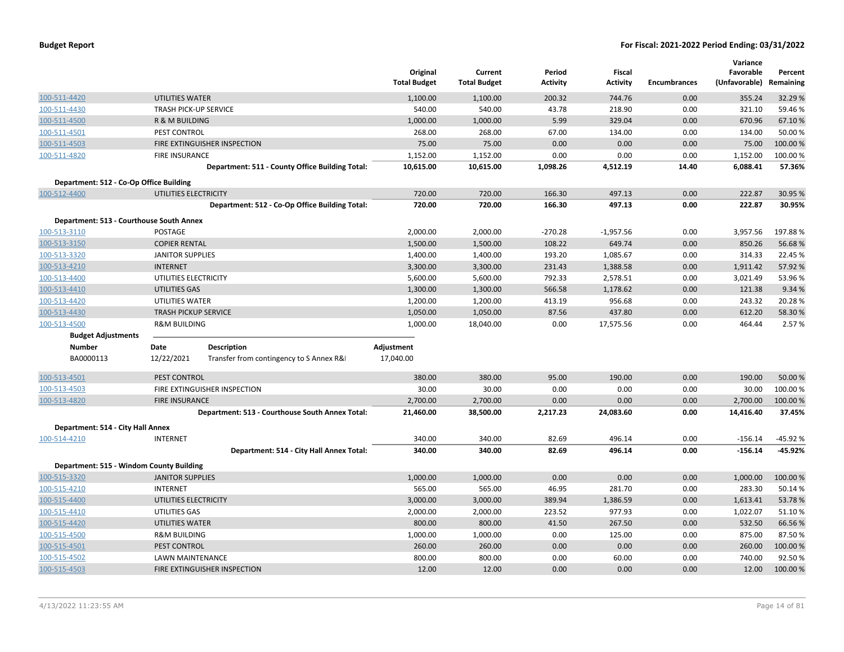|                                          |                              |                                                 | Original<br><b>Total Budget</b> | Current<br><b>Total Budget</b> | Period<br><b>Activity</b> | Fiscal<br><b>Activity</b> | <b>Encumbrances</b> | Variance<br>Favorable<br>(Unfavorable) | Percent<br>Remaining |
|------------------------------------------|------------------------------|-------------------------------------------------|---------------------------------|--------------------------------|---------------------------|---------------------------|---------------------|----------------------------------------|----------------------|
| 100-511-4420                             | <b>UTILITIES WATER</b>       |                                                 | 1,100.00                        | 1,100.00                       | 200.32                    | 744.76                    | 0.00                | 355.24                                 | 32.29 %              |
| 100-511-4430                             | <b>TRASH PICK-UP SERVICE</b> |                                                 | 540.00                          | 540.00                         | 43.78                     | 218.90                    | 0.00                | 321.10                                 | 59.46%               |
| 100-511-4500                             | R & M BUILDING               |                                                 | 1,000.00                        | 1,000.00                       | 5.99                      | 329.04                    | 0.00                | 670.96                                 | 67.10%               |
| 100-511-4501                             | PEST CONTROL                 |                                                 | 268.00                          | 268.00                         | 67.00                     | 134.00                    | 0.00                | 134.00                                 | 50.00 %              |
| 100-511-4503                             |                              | FIRE EXTINGUISHER INSPECTION                    | 75.00                           | 75.00                          | 0.00                      | 0.00                      | 0.00                | 75.00                                  | 100.00 %             |
| 100-511-4820                             | <b>FIRE INSURANCE</b>        |                                                 | 1,152.00                        | 1,152.00                       | 0.00                      | 0.00                      | 0.00                | 1,152.00                               | 100.00%              |
|                                          |                              | Department: 511 - County Office Building Total: | 10,615.00                       | 10,615.00                      | 1,098.26                  | 4,512.19                  | 14.40               | 6,088.41                               | 57.36%               |
| Department: 512 - Co-Op Office Building  |                              |                                                 |                                 |                                |                           |                           |                     |                                        |                      |
| 100-512-4400                             | UTILITIES ELECTRICITY        |                                                 | 720.00                          | 720.00                         | 166.30                    | 497.13                    | 0.00                | 222.87                                 | 30.95 %              |
|                                          |                              | Department: 512 - Co-Op Office Building Total:  | 720.00                          | 720.00                         | 166.30                    | 497.13                    | 0.00                | 222.87                                 | 30.95%               |
| Department: 513 - Courthouse South Annex |                              |                                                 |                                 |                                |                           |                           |                     |                                        |                      |
| 100-513-3110                             | POSTAGE                      |                                                 | 2,000.00                        | 2,000.00                       | $-270.28$                 | $-1,957.56$               | 0.00                | 3,957.56                               | 197.88%              |
| 100-513-3150                             | <b>COPIER RENTAL</b>         |                                                 | 1,500.00                        | 1,500.00                       | 108.22                    | 649.74                    | 0.00                | 850.26                                 | 56.68%               |
| 100-513-3320                             | <b>JANITOR SUPPLIES</b>      |                                                 | 1,400.00                        | 1,400.00                       | 193.20                    | 1,085.67                  | 0.00                | 314.33                                 | 22.45 %              |
| 100-513-4210                             | <b>INTERNET</b>              |                                                 | 3,300.00                        | 3,300.00                       | 231.43                    | 1,388.58                  | 0.00                | 1,911.42                               | 57.92 %              |
| 100-513-4400                             | UTILITIES ELECTRICITY        |                                                 | 5,600.00                        | 5,600.00                       | 792.33                    | 2,578.51                  | 0.00                | 3,021.49                               | 53.96%               |
| 100-513-4410                             | UTILITIES GAS                |                                                 | 1,300.00                        | 1,300.00                       | 566.58                    | 1,178.62                  | 0.00                | 121.38                                 | 9.34 %               |
| 100-513-4420                             | UTILITIES WATER              |                                                 | 1,200.00                        | 1,200.00                       | 413.19                    | 956.68                    | 0.00                | 243.32                                 | 20.28%               |
| 100-513-4430                             | <b>TRASH PICKUP SERVICE</b>  |                                                 | 1,050.00                        | 1,050.00                       | 87.56                     | 437.80                    | 0.00                | 612.20                                 | 58.30%               |
| 100-513-4500                             | <b>R&amp;M BUILDING</b>      |                                                 | 1,000.00                        | 18,040.00                      | 0.00                      | 17,575.56                 | 0.00                | 464.44                                 | 2.57 %               |
| <b>Budget Adjustments</b>                |                              |                                                 |                                 |                                |                           |                           |                     |                                        |                      |
| <b>Number</b>                            | Date                         | <b>Description</b>                              | Adjustment                      |                                |                           |                           |                     |                                        |                      |
| BA0000113                                | 12/22/2021                   | Transfer from contingency to S Annex R&I        | 17,040.00                       |                                |                           |                           |                     |                                        |                      |
| 100-513-4501                             | PEST CONTROL                 |                                                 | 380.00                          | 380.00                         | 95.00                     | 190.00                    | 0.00                | 190.00                                 | 50.00 %              |
| 100-513-4503                             |                              | FIRE EXTINGUISHER INSPECTION                    | 30.00                           | 30.00                          | 0.00                      | 0.00                      | 0.00                | 30.00                                  | 100.00%              |
| 100-513-4820                             | <b>FIRE INSURANCE</b>        |                                                 | 2,700.00                        | 2,700.00                       | 0.00                      | 0.00                      | 0.00                | 2,700.00                               | 100.00 %             |
|                                          |                              | Department: 513 - Courthouse South Annex Total: | 21,460.00                       | 38,500.00                      | 2,217.23                  | 24,083.60                 | 0.00                | 14,416.40                              | 37.45%               |
| Department: 514 - City Hall Annex        |                              |                                                 |                                 |                                |                           |                           |                     |                                        |                      |
| 100-514-4210                             | <b>INTERNET</b>              |                                                 | 340.00                          | 340.00                         | 82.69                     | 496.14                    | 0.00                | $-156.14$                              | -45.92 %             |
|                                          |                              | Department: 514 - City Hall Annex Total:        | 340.00                          | 340.00                         | 82.69                     | 496.14                    | 0.00                | $-156.14$                              | -45.92%              |
| Department: 515 - Windom County Building |                              |                                                 |                                 |                                |                           |                           |                     |                                        |                      |
| 100-515-3320                             | <b>JANITOR SUPPLIES</b>      |                                                 | 1,000.00                        | 1,000.00                       | 0.00                      | 0.00                      | 0.00                | 1,000.00                               | 100.00 %             |
| 100-515-4210                             | <b>INTERNET</b>              |                                                 | 565.00                          | 565.00                         | 46.95                     | 281.70                    | 0.00                | 283.30                                 | 50.14 %              |
| 100-515-4400                             | UTILITIES ELECTRICITY        |                                                 | 3,000.00                        | 3,000.00                       | 389.94                    | 1,386.59                  | 0.00                | 1,613.41                               | 53.78 %              |
| 100-515-4410                             | UTILITIES GAS                |                                                 | 2,000.00                        | 2,000.00                       | 223.52                    | 977.93                    | 0.00                | 1,022.07                               | 51.10%               |
| 100-515-4420                             | <b>UTILITIES WATER</b>       |                                                 | 800.00                          | 800.00                         | 41.50                     | 267.50                    | 0.00                | 532.50                                 | 66.56%               |
| 100-515-4500                             | <b>R&amp;M BUILDING</b>      |                                                 | 1,000.00                        | 1,000.00                       | 0.00                      | 125.00                    | 0.00                | 875.00                                 | 87.50%               |
| 100-515-4501                             | PEST CONTROL                 |                                                 | 260.00                          | 260.00                         | 0.00                      | 0.00                      | 0.00                | 260.00                                 | 100.00 %             |
| 100-515-4502                             | <b>LAWN MAINTENANCE</b>      |                                                 | 800.00                          | 800.00                         | 0.00                      | 60.00                     | 0.00                | 740.00                                 | 92.50%               |
| 100-515-4503                             |                              | FIRE EXTINGUISHER INSPECTION                    | 12.00                           | 12.00                          | 0.00                      | 0.00                      | 0.00                | 12.00                                  | 100.00 %             |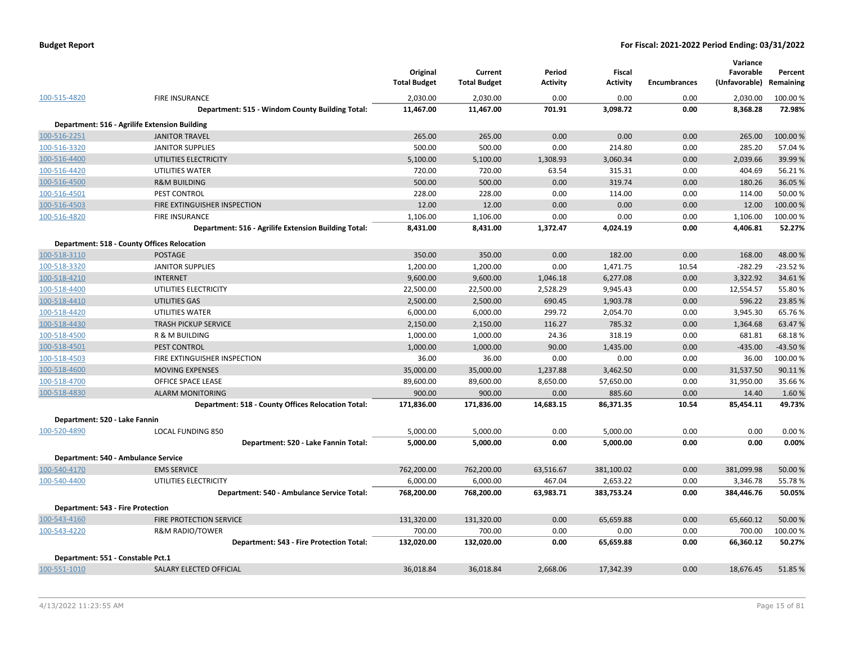|                                          |                                                      | Original<br><b>Total Budget</b> | Current<br><b>Total Budget</b> | Period<br><b>Activity</b> | <b>Fiscal</b><br><b>Activity</b> | <b>Encumbrances</b> | Variance<br>Favorable<br>(Unfavorable) | Percent<br>Remaining |
|------------------------------------------|------------------------------------------------------|---------------------------------|--------------------------------|---------------------------|----------------------------------|---------------------|----------------------------------------|----------------------|
| 100-515-4820                             | <b>FIRE INSURANCE</b>                                | 2,030.00                        | 2,030.00                       | 0.00                      | 0.00                             | 0.00                | 2,030.00                               | 100.00 %             |
|                                          | Department: 515 - Windom County Building Total:      | 11,467.00                       | 11,467.00                      | 701.91                    | 3,098.72                         | 0.00                | 8,368.28                               | 72.98%               |
|                                          | Department: 516 - Agrilife Extension Building        |                                 |                                |                           |                                  |                     |                                        |                      |
| 100-516-2251                             | <b>JANITOR TRAVEL</b>                                | 265.00                          | 265.00                         | 0.00                      | 0.00                             | 0.00                | 265.00                                 | 100.00 %             |
| 100-516-3320                             | <b>JANITOR SUPPLIES</b>                              | 500.00                          | 500.00                         | 0.00                      | 214.80                           | 0.00                | 285.20                                 | 57.04 %              |
| 100-516-4400                             | UTILITIES ELECTRICITY                                | 5,100.00                        | 5,100.00                       | 1,308.93                  | 3,060.34                         | 0.00                | 2,039.66                               | 39.99%               |
| 100-516-4420                             | UTILITIES WATER                                      | 720.00                          | 720.00                         | 63.54                     | 315.31                           | 0.00                | 404.69                                 | 56.21%               |
| 100-516-4500                             | <b>R&amp;M BUILDING</b>                              | 500.00                          | 500.00                         | 0.00                      | 319.74                           | 0.00                | 180.26                                 | 36.05 %              |
| 100-516-4501                             | PEST CONTROL                                         | 228.00                          | 228.00                         | 0.00                      | 114.00                           | 0.00                | 114.00                                 | 50.00 %              |
| 100-516-4503                             | FIRE EXTINGUISHER INSPECTION                         | 12.00                           | 12.00                          | 0.00                      | 0.00                             | 0.00                | 12.00                                  | 100.00 %             |
| 100-516-4820                             | <b>FIRE INSURANCE</b>                                | 1,106.00                        | 1,106.00                       | 0.00                      | 0.00                             | 0.00                | 1,106.00                               | 100.00 %             |
|                                          | Department: 516 - Agrilife Extension Building Total: | 8,431.00                        | 8,431.00                       | 1,372.47                  | 4,024.19                         | 0.00                | 4,406.81                               | 52.27%               |
|                                          | <b>Department: 518 - County Offices Relocation</b>   |                                 |                                |                           |                                  |                     |                                        |                      |
| 100-518-3110                             | <b>POSTAGE</b>                                       | 350.00                          | 350.00                         | 0.00                      | 182.00                           | 0.00                | 168.00                                 | 48.00%               |
| 100-518-3320                             | <b>JANITOR SUPPLIES</b>                              | 1,200.00                        | 1,200.00                       | 0.00                      | 1,471.75                         | 10.54               | $-282.29$                              | $-23.52%$            |
| 100-518-4210                             | <b>INTERNET</b>                                      | 9,600.00                        | 9,600.00                       | 1,046.18                  | 6,277.08                         | 0.00                | 3,322.92                               | 34.61%               |
| 100-518-4400                             | UTILITIES ELECTRICITY                                | 22,500.00                       | 22,500.00                      | 2,528.29                  | 9,945.43                         | 0.00                | 12,554.57                              | 55.80%               |
| 100-518-4410                             | <b>UTILITIES GAS</b>                                 | 2,500.00                        | 2,500.00                       | 690.45                    | 1,903.78                         | 0.00                | 596.22                                 | 23.85 %              |
| 100-518-4420                             | UTILITIES WATER                                      | 6,000.00                        | 6,000.00                       | 299.72                    | 2,054.70                         | 0.00                | 3,945.30                               | 65.76%               |
| 100-518-4430                             | <b>TRASH PICKUP SERVICE</b>                          | 2,150.00                        | 2,150.00                       | 116.27                    | 785.32                           | 0.00                | 1,364.68                               | 63.47%               |
| 100-518-4500                             | R & M BUILDING                                       | 1,000.00                        | 1,000.00                       | 24.36                     | 318.19                           | 0.00                | 681.81                                 | 68.18%               |
| 100-518-4501                             | PEST CONTROL                                         | 1,000.00                        | 1,000.00                       | 90.00                     | 1,435.00                         | 0.00                | $-435.00$                              | $-43.50%$            |
| 100-518-4503                             | FIRE EXTINGUISHER INSPECTION                         | 36.00                           | 36.00                          | 0.00                      | 0.00                             | 0.00                | 36.00                                  | 100.00%              |
| 100-518-4600                             | MOVING EXPENSES                                      | 35,000.00                       | 35,000.00                      | 1,237.88                  | 3,462.50                         | 0.00                | 31,537.50                              | 90.11%               |
| 100-518-4700                             | OFFICE SPACE LEASE                                   | 89,600.00                       | 89,600.00                      | 8,650.00                  | 57,650.00                        | 0.00                | 31,950.00                              | 35.66%               |
| 100-518-4830                             | <b>ALARM MONITORING</b>                              | 900.00                          | 900.00                         | 0.00                      | 885.60                           | 0.00                | 14.40                                  | 1.60%                |
|                                          | Department: 518 - County Offices Relocation Total:   | 171,836.00                      | 171,836.00                     | 14,683.15                 | 86,371.35                        | 10.54               | 85,454.11                              | 49.73%               |
| Department: 520 - Lake Fannin            |                                                      |                                 |                                |                           |                                  |                     |                                        |                      |
| 100-520-4890                             | <b>LOCAL FUNDING 850</b>                             | 5,000.00                        | 5,000.00                       | 0.00                      | 5,000.00                         | 0.00                | 0.00                                   | 0.00%                |
|                                          | Department: 520 - Lake Fannin Total:                 | 5,000.00                        | 5,000.00                       | 0.00                      | 5,000.00                         | 0.00                | 0.00                                   | 0.00%                |
|                                          |                                                      |                                 |                                |                           |                                  |                     |                                        |                      |
|                                          | Department: 540 - Ambulance Service                  |                                 |                                |                           |                                  |                     |                                        |                      |
| 100-540-4170                             | <b>EMS SERVICE</b>                                   | 762,200.00                      | 762,200.00                     | 63,516.67                 | 381,100.02                       | 0.00                | 381,099.98                             | 50.00 %              |
| 100-540-4400                             | UTILITIES ELECTRICITY                                | 6,000.00                        | 6,000.00                       | 467.04                    | 2,653.22                         | 0.00                | 3,346.78                               | 55.78%               |
|                                          | Department: 540 - Ambulance Service Total:           | 768,200.00                      | 768,200.00                     | 63,983.71                 | 383,753.24                       | 0.00                | 384,446.76                             | 50.05%               |
| <b>Department: 543 - Fire Protection</b> |                                                      |                                 |                                |                           |                                  |                     |                                        |                      |
| 100-543-4160                             | FIRE PROTECTION SERVICE                              | 131,320.00                      | 131,320.00                     | 0.00                      | 65,659.88                        | 0.00                | 65,660.12                              | 50.00 %              |
| 100-543-4220                             | <b>R&amp;M RADIO/TOWER</b>                           | 700.00                          | 700.00                         | 0.00                      | 0.00                             | 0.00                | 700.00                                 | 100.00 %             |
|                                          | Department: 543 - Fire Protection Total:             | 132,020.00                      | 132,020.00                     | 0.00                      | 65,659.88                        | 0.00                | 66,360.12                              | 50.27%               |
| Department: 551 - Constable Pct.1        |                                                      |                                 |                                |                           |                                  |                     |                                        |                      |
| 100-551-1010                             | SALARY ELECTED OFFICIAL                              | 36,018.84                       | 36,018.84                      | 2,668.06                  | 17,342.39                        | 0.00                | 18,676.45                              | 51.85%               |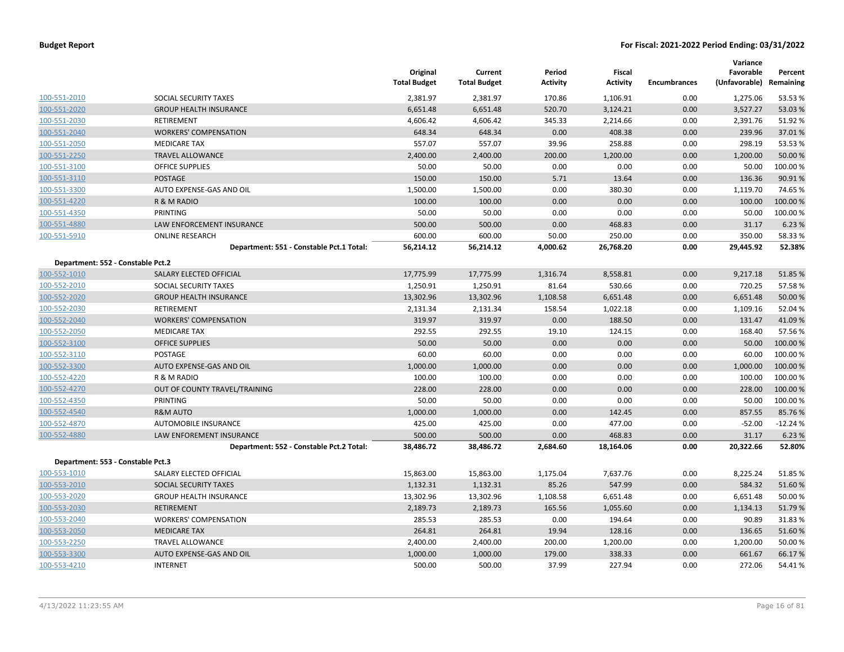|                                   |                                          | Original<br><b>Total Budget</b> | Current<br><b>Total Budget</b> | Period<br><b>Activity</b> | <b>Fiscal</b><br><b>Activity</b> | <b>Encumbrances</b> | Variance<br>Favorable<br>(Unfavorable) Remaining | Percent   |
|-----------------------------------|------------------------------------------|---------------------------------|--------------------------------|---------------------------|----------------------------------|---------------------|--------------------------------------------------|-----------|
| 100-551-2010                      | SOCIAL SECURITY TAXES                    | 2,381.97                        | 2,381.97                       | 170.86                    | 1,106.91                         | 0.00                | 1,275.06                                         | 53.53 %   |
| 100-551-2020                      | <b>GROUP HEALTH INSURANCE</b>            | 6,651.48                        | 6,651.48                       | 520.70                    | 3,124.21                         | 0.00                | 3,527.27                                         | 53.03 %   |
| 100-551-2030                      | <b>RETIREMENT</b>                        | 4,606.42                        | 4,606.42                       | 345.33                    | 2,214.66                         | 0.00                | 2,391.76                                         | 51.92%    |
| 100-551-2040                      | <b>WORKERS' COMPENSATION</b>             | 648.34                          | 648.34                         | 0.00                      | 408.38                           | 0.00                | 239.96                                           | 37.01%    |
| 100-551-2050                      | <b>MEDICARE TAX</b>                      | 557.07                          | 557.07                         | 39.96                     | 258.88                           | 0.00                | 298.19                                           | 53.53 %   |
| 100-551-2250                      | <b>TRAVEL ALLOWANCE</b>                  | 2,400.00                        | 2,400.00                       | 200.00                    | 1,200.00                         | 0.00                | 1,200.00                                         | 50.00 %   |
| 100-551-3100                      | <b>OFFICE SUPPLIES</b>                   | 50.00                           | 50.00                          | 0.00                      | 0.00                             | 0.00                | 50.00                                            | 100.00%   |
| 100-551-3110                      | <b>POSTAGE</b>                           | 150.00                          | 150.00                         | 5.71                      | 13.64                            | 0.00                | 136.36                                           | 90.91%    |
| 100-551-3300                      | AUTO EXPENSE-GAS AND OIL                 | 1,500.00                        | 1,500.00                       | 0.00                      | 380.30                           | 0.00                | 1,119.70                                         | 74.65 %   |
| 100-551-4220                      | R & M RADIO                              | 100.00                          | 100.00                         | 0.00                      | 0.00                             | 0.00                | 100.00                                           | 100.00 %  |
| 100-551-4350                      | PRINTING                                 | 50.00                           | 50.00                          | 0.00                      | 0.00                             | 0.00                | 50.00                                            | 100.00%   |
| 100-551-4880                      | LAW ENFORCEMENT INSURANCE                | 500.00                          | 500.00                         | 0.00                      | 468.83                           | 0.00                | 31.17                                            | 6.23 %    |
| 100-551-5910                      | <b>ONLINE RESEARCH</b>                   | 600.00                          | 600.00                         | 50.00                     | 250.00                           | 0.00                | 350.00                                           | 58.33 %   |
|                                   | Department: 551 - Constable Pct.1 Total: | 56,214.12                       | 56,214.12                      | 4,000.62                  | 26,768.20                        | 0.00                | 29,445.92                                        | 52.38%    |
| Department: 552 - Constable Pct.2 |                                          |                                 |                                |                           |                                  |                     |                                                  |           |
| 100-552-1010                      | SALARY ELECTED OFFICIAL                  | 17,775.99                       | 17,775.99                      | 1,316.74                  | 8,558.81                         | 0.00                | 9,217.18                                         | 51.85%    |
| 100-552-2010                      | SOCIAL SECURITY TAXES                    | 1,250.91                        | 1,250.91                       | 81.64                     | 530.66                           | 0.00                | 720.25                                           | 57.58%    |
| 100-552-2020                      | <b>GROUP HEALTH INSURANCE</b>            | 13,302.96                       | 13,302.96                      | 1,108.58                  | 6,651.48                         | 0.00                | 6,651.48                                         | 50.00 %   |
| 100-552-2030                      | RETIREMENT                               | 2,131.34                        | 2,131.34                       | 158.54                    | 1,022.18                         | 0.00                | 1,109.16                                         | 52.04 %   |
| 100-552-2040                      | <b>WORKERS' COMPENSATION</b>             | 319.97                          | 319.97                         | 0.00                      | 188.50                           | 0.00                | 131.47                                           | 41.09%    |
| 100-552-2050                      | <b>MEDICARE TAX</b>                      | 292.55                          | 292.55                         | 19.10                     | 124.15                           | 0.00                | 168.40                                           | 57.56 %   |
| 100-552-3100                      | <b>OFFICE SUPPLIES</b>                   | 50.00                           | 50.00                          | 0.00                      | 0.00                             | 0.00                | 50.00                                            | 100.00 %  |
| 100-552-3110                      | POSTAGE                                  | 60.00                           | 60.00                          | 0.00                      | 0.00                             | 0.00                | 60.00                                            | 100.00%   |
| 100-552-3300                      | AUTO EXPENSE-GAS AND OIL                 | 1,000.00                        | 1,000.00                       | 0.00                      | 0.00                             | 0.00                | 1,000.00                                         | 100.00 %  |
| 100-552-4220                      | R & M RADIO                              | 100.00                          | 100.00                         | 0.00                      | 0.00                             | 0.00                | 100.00                                           | 100.00%   |
| 100-552-4270                      | OUT OF COUNTY TRAVEL/TRAINING            | 228.00                          | 228.00                         | 0.00                      | 0.00                             | 0.00                | 228.00                                           | 100.00 %  |
| 100-552-4350                      | PRINTING                                 | 50.00                           | 50.00                          | 0.00                      | 0.00                             | 0.00                | 50.00                                            | 100.00 %  |
| 100-552-4540                      | <b>R&amp;M AUTO</b>                      | 1,000.00                        | 1,000.00                       | 0.00                      | 142.45                           | 0.00                | 857.55                                           | 85.76 %   |
| 100-552-4870                      | AUTOMOBILE INSURANCE                     | 425.00                          | 425.00                         | 0.00                      | 477.00                           | 0.00                | $-52.00$                                         | $-12.24%$ |
| 100-552-4880                      | <b>LAW ENFOREMENT INSURANCE</b>          | 500.00                          | 500.00                         | 0.00                      | 468.83                           | 0.00                | 31.17                                            | 6.23 %    |
|                                   | Department: 552 - Constable Pct.2 Total: | 38,486.72                       | 38,486.72                      | 2,684.60                  | 18,164.06                        | 0.00                | 20,322.66                                        | 52.80%    |
| Department: 553 - Constable Pct.3 |                                          |                                 |                                |                           |                                  |                     |                                                  |           |
| 100-553-1010                      | SALARY ELECTED OFFICIAL                  | 15,863.00                       | 15,863.00                      | 1,175.04                  | 7,637.76                         | 0.00                | 8,225.24                                         | 51.85 %   |
| 100-553-2010                      | SOCIAL SECURITY TAXES                    | 1,132.31                        | 1,132.31                       | 85.26                     | 547.99                           | 0.00                | 584.32                                           | 51.60%    |
| 100-553-2020                      | <b>GROUP HEALTH INSURANCE</b>            | 13,302.96                       | 13,302.96                      | 1,108.58                  | 6,651.48                         | 0.00                | 6,651.48                                         | 50.00 %   |
| 100-553-2030                      | <b>RETIREMENT</b>                        | 2,189.73                        | 2,189.73                       | 165.56                    | 1,055.60                         | 0.00                | 1,134.13                                         | 51.79%    |
| 100-553-2040                      | <b>WORKERS' COMPENSATION</b>             | 285.53                          | 285.53                         | 0.00                      | 194.64                           | 0.00                | 90.89                                            | 31.83%    |
| 100-553-2050                      | <b>MEDICARE TAX</b>                      | 264.81                          | 264.81                         | 19.94                     | 128.16                           | 0.00                | 136.65                                           | 51.60%    |
| 100-553-2250                      | <b>TRAVEL ALLOWANCE</b>                  | 2,400.00                        | 2,400.00                       | 200.00                    | 1,200.00                         | 0.00                | 1,200.00                                         | 50.00 %   |
| 100-553-3300                      | AUTO EXPENSE-GAS AND OIL                 | 1,000.00                        | 1,000.00                       | 179.00                    | 338.33                           | 0.00                | 661.67                                           | 66.17%    |
| 100-553-4210                      | <b>INTERNET</b>                          | 500.00                          | 500.00                         | 37.99                     | 227.94                           | 0.00                | 272.06                                           | 54.41%    |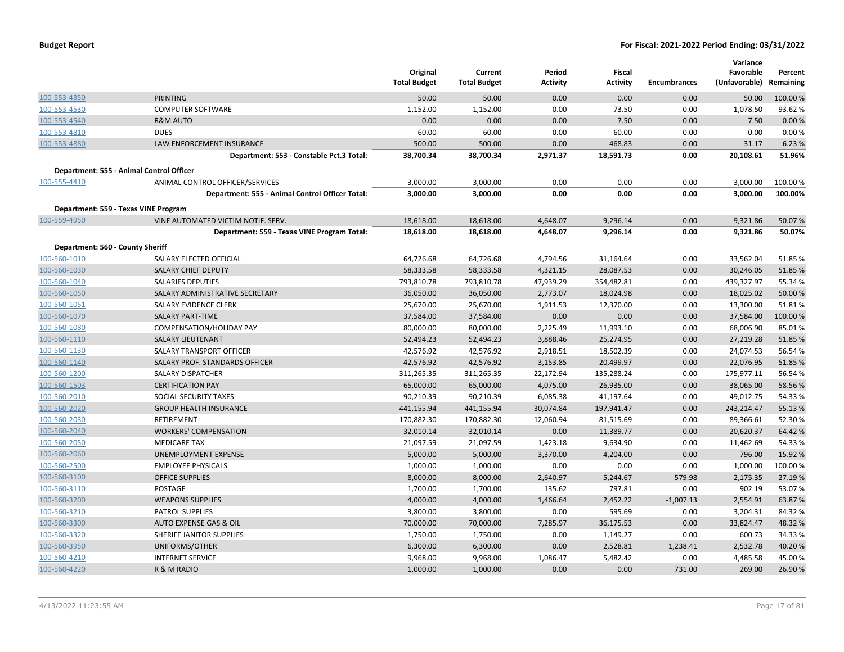| <b>Budget Report</b> |  |
|----------------------|--|
|----------------------|--|

|                                  |                                                 |                     |                     |                 |                 |                     | Variance      |           |
|----------------------------------|-------------------------------------------------|---------------------|---------------------|-----------------|-----------------|---------------------|---------------|-----------|
|                                  |                                                 | Original            | Current             | Period          | Fiscal          |                     | Favorable     | Percent   |
|                                  |                                                 | <b>Total Budget</b> | <b>Total Budget</b> | <b>Activity</b> | <b>Activity</b> | <b>Encumbrances</b> | (Unfavorable) | Remaining |
| 100-553-4350                     | <b>PRINTING</b>                                 | 50.00               | 50.00               | 0.00            | 0.00            | 0.00                | 50.00         | 100.00%   |
| 100-553-4530                     | <b>COMPUTER SOFTWARE</b>                        | 1,152.00            | 1,152.00            | 0.00            | 73.50           | 0.00                | 1,078.50      | 93.62%    |
| 100-553-4540                     | <b>R&amp;M AUTO</b>                             | 0.00                | 0.00                | 0.00            | 7.50            | 0.00                | $-7.50$       | 0.00%     |
| 100-553-4810                     | <b>DUES</b>                                     | 60.00               | 60.00               | 0.00            | 60.00           | 0.00                | 0.00          | 0.00%     |
| 100-553-4880                     | LAW ENFORCEMENT INSURANCE                       | 500.00              | 500.00              | 0.00            | 468.83          | 0.00                | 31.17         | 6.23 %    |
|                                  | Department: 553 - Constable Pct.3 Total:        | 38,700.34           | 38,700.34           | 2,971.37        | 18,591.73       | 0.00                | 20,108.61     | 51.96%    |
|                                  | Department: 555 - Animal Control Officer        |                     |                     |                 |                 |                     |               |           |
| 100-555-4410                     | ANIMAL CONTROL OFFICER/SERVICES                 | 3,000.00            | 3,000.00            | 0.00            | 0.00            | 0.00                | 3,000.00      | 100.00%   |
|                                  | Department: 555 - Animal Control Officer Total: | 3,000.00            | 3,000.00            | 0.00            | 0.00            | 0.00                | 3,000.00      | 100.00%   |
|                                  | Department: 559 - Texas VINE Program            |                     |                     |                 |                 |                     |               |           |
| 100-559-4950                     | VINE AUTOMATED VICTIM NOTIF. SERV.              | 18,618.00           | 18,618.00           | 4,648.07        | 9,296.14        | 0.00                | 9,321.86      | 50.07%    |
|                                  | Department: 559 - Texas VINE Program Total:     | 18,618.00           | 18,618.00           | 4,648.07        | 9,296.14        | 0.00                | 9,321.86      | 50.07%    |
| Department: 560 - County Sheriff |                                                 |                     |                     |                 |                 |                     |               |           |
| 100-560-1010                     | SALARY ELECTED OFFICIAL                         | 64,726.68           | 64,726.68           | 4,794.56        | 31,164.64       | 0.00                | 33,562.04     | 51.85 %   |
| 100-560-1030                     | <b>SALARY CHIEF DEPUTY</b>                      | 58,333.58           | 58,333.58           | 4,321.15        | 28,087.53       | 0.00                | 30,246.05     | 51.85 %   |
| 100-560-1040                     | <b>SALARIES DEPUTIES</b>                        | 793,810.78          | 793,810.78          | 47,939.29       | 354,482.81      | 0.00                | 439,327.97    | 55.34 %   |
| 100-560-1050                     | SALARY ADMINISTRATIVE SECRETARY                 | 36,050.00           | 36,050.00           | 2,773.07        | 18,024.98       | 0.00                | 18,025.02     | 50.00 %   |
| 100-560-1051                     | SALARY EVIDENCE CLERK                           | 25,670.00           | 25,670.00           | 1,911.53        | 12,370.00       | 0.00                | 13,300.00     | 51.81%    |
| 100-560-1070                     | <b>SALARY PART-TIME</b>                         | 37,584.00           | 37,584.00           | 0.00            | 0.00            | 0.00                | 37,584.00     | 100.00 %  |
| 100-560-1080                     | COMPENSATION/HOLIDAY PAY                        | 80,000.00           | 80,000.00           | 2,225.49        | 11,993.10       | 0.00                | 68,006.90     | 85.01%    |
| 100-560-1110                     | <b>SALARY LIEUTENANT</b>                        | 52,494.23           | 52,494.23           | 3,888.46        | 25,274.95       | 0.00                | 27,219.28     | 51.85 %   |
| 100-560-1130                     | SALARY TRANSPORT OFFICER                        | 42,576.92           | 42,576.92           | 2,918.51        | 18,502.39       | 0.00                | 24,074.53     | 56.54%    |
| 100-560-1140                     | SALARY PROF. STANDARDS OFFICER                  | 42,576.92           | 42,576.92           | 3,153.85        | 20,499.97       | 0.00                | 22,076.95     | 51.85 %   |
| 100-560-1200                     | SALARY DISPATCHER                               | 311,265.35          | 311,265.35          | 22,172.94       | 135,288.24      | 0.00                | 175,977.11    | 56.54 %   |
| 100-560-1503                     | <b>CERTIFICATION PAY</b>                        | 65,000.00           | 65,000.00           | 4,075.00        | 26,935.00       | 0.00                | 38,065.00     | 58.56 %   |
| 100-560-2010                     | <b>SOCIAL SECURITY TAXES</b>                    | 90,210.39           | 90,210.39           | 6,085.38        | 41,197.64       | 0.00                | 49,012.75     | 54.33%    |
| 100-560-2020                     | <b>GROUP HEALTH INSURANCE</b>                   | 441,155.94          | 441,155.94          | 30,074.84       | 197,941.47      | 0.00                | 243,214.47    | 55.13 %   |
| 100-560-2030                     | <b>RETIREMENT</b>                               | 170,882.30          | 170,882.30          | 12,060.94       | 81,515.69       | 0.00                | 89,366.61     | 52.30%    |
| 100-560-2040                     | <b>WORKERS' COMPENSATION</b>                    | 32,010.14           | 32,010.14           | 0.00            | 11,389.77       | 0.00                | 20,620.37     | 64.42%    |
| 100-560-2050                     | <b>MEDICARE TAX</b>                             | 21,097.59           | 21,097.59           | 1,423.18        | 9,634.90        | 0.00                | 11,462.69     | 54.33 %   |
| 100-560-2060                     | UNEMPLOYMENT EXPENSE                            | 5,000.00            | 5,000.00            | 3,370.00        | 4,204.00        | 0.00                | 796.00        | 15.92 %   |
| 100-560-2500                     | <b>EMPLOYEE PHYSICALS</b>                       | 1,000.00            | 1,000.00            | 0.00            | 0.00            | 0.00                | 1,000.00      | 100.00%   |
| 100-560-3100                     | <b>OFFICE SUPPLIES</b>                          | 8,000.00            | 8,000.00            | 2,640.97        | 5,244.67        | 579.98              | 2,175.35      | 27.19 %   |
| 100-560-3110                     | <b>POSTAGE</b>                                  | 1,700.00            | 1,700.00            | 135.62          | 797.81          | 0.00                | 902.19        | 53.07%    |
| 100-560-3200                     | <b>WEAPONS SUPPLIES</b>                         | 4,000.00            | 4,000.00            | 1,466.64        | 2,452.22        | $-1,007.13$         | 2,554.91      | 63.87%    |
| 100-560-3210                     | <b>PATROL SUPPLIES</b>                          | 3,800.00            | 3,800.00            | 0.00            | 595.69          | 0.00                | 3,204.31      | 84.32%    |
| 100-560-3300                     | <b>AUTO EXPENSE GAS &amp; OIL</b>               | 70,000.00           | 70,000.00           | 7,285.97        | 36,175.53       | 0.00                | 33,824.47     | 48.32 %   |
| 100-560-3320                     | SHERIFF JANITOR SUPPLIES                        | 1,750.00            | 1,750.00            | 0.00            | 1,149.27        | 0.00                | 600.73        | 34.33 %   |
| 100-560-3950                     | UNIFORMS/OTHER                                  | 6,300.00            | 6,300.00            | 0.00            | 2,528.81        | 1,238.41            | 2,532.78      | 40.20%    |
| 100-560-4210                     | <b>INTERNET SERVICE</b>                         | 9,968.00            | 9,968.00            | 1,086.47        | 5,482.42        | 0.00                | 4,485.58      | 45.00 %   |
| 100-560-4220                     | R & M RADIO                                     | 1,000.00            | 1,000.00            | 0.00            | 0.00            | 731.00              | 269.00        | 26.90 %   |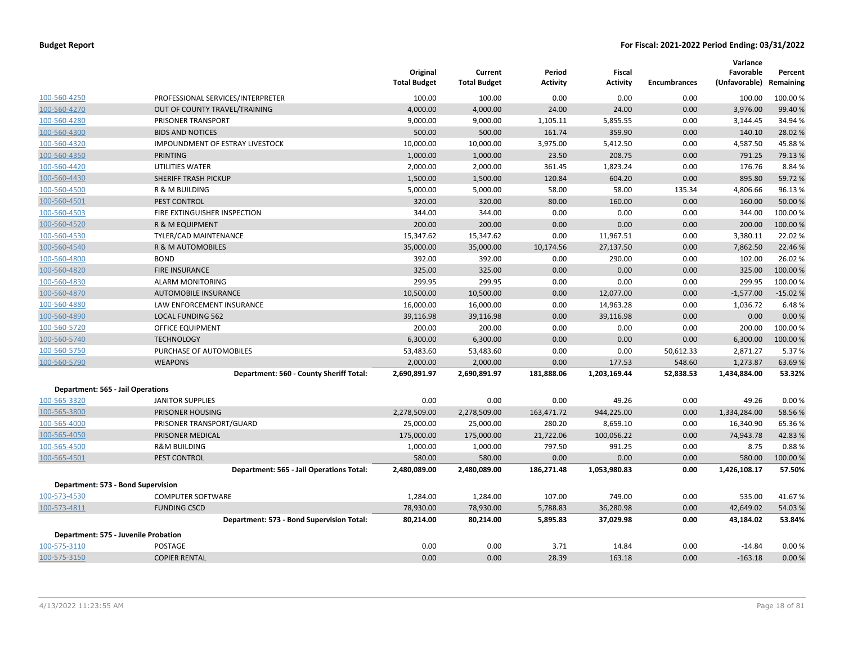|                                          |                                           | Original<br><b>Total Budget</b> | Current<br><b>Total Budget</b> | Period<br><b>Activity</b> | Fiscal<br><b>Activity</b> | <b>Encumbrances</b> | Variance<br>Favorable<br>(Unfavorable) | Percent<br>Remaining |
|------------------------------------------|-------------------------------------------|---------------------------------|--------------------------------|---------------------------|---------------------------|---------------------|----------------------------------------|----------------------|
| 100-560-4250                             | PROFESSIONAL SERVICES/INTERPRETER         | 100.00                          | 100.00                         | 0.00                      | 0.00                      | 0.00                | 100.00                                 | 100.00%              |
| 100-560-4270                             | OUT OF COUNTY TRAVEL/TRAINING             | 4,000.00                        | 4,000.00                       | 24.00                     | 24.00                     | 0.00                | 3,976.00                               | 99.40 %              |
| 100-560-4280                             | PRISONER TRANSPORT                        | 9,000.00                        | 9,000.00                       | 1,105.11                  | 5,855.55                  | 0.00                | 3,144.45                               | 34.94 %              |
| 100-560-4300                             | <b>BIDS AND NOTICES</b>                   | 500.00                          | 500.00                         | 161.74                    | 359.90                    | 0.00                | 140.10                                 | 28.02 %              |
| 100-560-4320                             | <b>IMPOUNDMENT OF ESTRAY LIVESTOCK</b>    | 10,000.00                       | 10,000.00                      | 3,975.00                  | 5,412.50                  | 0.00                | 4,587.50                               | 45.88%               |
| 100-560-4350                             | PRINTING                                  | 1,000.00                        | 1,000.00                       | 23.50                     | 208.75                    | 0.00                | 791.25                                 | 79.13 %              |
| 100-560-4420                             | UTILITIES WATER                           | 2,000.00                        | 2,000.00                       | 361.45                    | 1,823.24                  | 0.00                | 176.76                                 | 8.84 %               |
| 100-560-4430                             | SHERIFF TRASH PICKUP                      | 1,500.00                        | 1,500.00                       | 120.84                    | 604.20                    | 0.00                | 895.80                                 | 59.72 %              |
| 100-560-4500                             | R & M BUILDING                            | 5,000.00                        | 5,000.00                       | 58.00                     | 58.00                     | 135.34              | 4,806.66                               | 96.13%               |
| 100-560-4501                             | PEST CONTROL                              | 320.00                          | 320.00                         | 80.00                     | 160.00                    | 0.00                | 160.00                                 | 50.00 %              |
| 100-560-4503                             | FIRE EXTINGUISHER INSPECTION              | 344.00                          | 344.00                         | 0.00                      | 0.00                      | 0.00                | 344.00                                 | 100.00%              |
| 100-560-4520                             | R & M EQUIPMENT                           | 200.00                          | 200.00                         | 0.00                      | 0.00                      | 0.00                | 200.00                                 | 100.00 %             |
| 100-560-4530                             | TYLER/CAD MAINTENANCE                     | 15,347.62                       | 15,347.62                      | 0.00                      | 11,967.51                 | 0.00                | 3,380.11                               | 22.02 %              |
| 100-560-4540                             | R & M AUTOMOBILES                         | 35,000.00                       | 35,000.00                      | 10,174.56                 | 27,137.50                 | 0.00                | 7,862.50                               | 22.46 %              |
| 100-560-4800                             | <b>BOND</b>                               | 392.00                          | 392.00                         | 0.00                      | 290.00                    | 0.00                | 102.00                                 | 26.02%               |
| 100-560-4820                             | <b>FIRE INSURANCE</b>                     | 325.00                          | 325.00                         | 0.00                      | 0.00                      | 0.00                | 325.00                                 | 100.00 %             |
| 100-560-4830                             | <b>ALARM MONITORING</b>                   | 299.95                          | 299.95                         | 0.00                      | 0.00                      | 0.00                | 299.95                                 | 100.00%              |
| 100-560-4870                             | <b>AUTOMOBILE INSURANCE</b>               | 10,500.00                       | 10,500.00                      | 0.00                      | 12,077.00                 | 0.00                | $-1,577.00$                            | $-15.02%$            |
| 100-560-4880                             | LAW ENFORCEMENT INSURANCE                 | 16,000.00                       | 16,000.00                      | 0.00                      | 14,963.28                 | 0.00                | 1,036.72                               | 6.48%                |
| 100-560-4890                             | <b>LOCAL FUNDING 562</b>                  | 39,116.98                       | 39,116.98                      | 0.00                      | 39,116.98                 | 0.00                | 0.00                                   | 0.00%                |
| 100-560-5720                             | OFFICE EQUIPMENT                          | 200.00                          | 200.00                         | 0.00                      | 0.00                      | 0.00                | 200.00                                 | 100.00%              |
| 100-560-5740                             | <b>TECHNOLOGY</b>                         | 6,300.00                        | 6,300.00                       | 0.00                      | 0.00                      | 0.00                | 6,300.00                               | 100.00 %             |
| 100-560-5750                             | PURCHASE OF AUTOMOBILES                   | 53,483.60                       | 53,483.60                      | 0.00                      | 0.00                      | 50,612.33           | 2,871.27                               | 5.37 %               |
| 100-560-5790                             | <b>WEAPONS</b>                            | 2,000.00                        | 2,000.00                       | 0.00                      | 177.53                    | 548.60              | 1,273.87                               | 63.69%               |
|                                          | Department: 560 - County Sheriff Total:   | 2,690,891.97                    | 2,690,891.97                   | 181,888.06                | 1,203,169.44              | 52,838.53           | 1,434,884.00                           | 53.32%               |
| <b>Department: 565 - Jail Operations</b> |                                           |                                 |                                |                           |                           |                     |                                        |                      |
| 100-565-3320                             | <b>JANITOR SUPPLIES</b>                   | 0.00                            | 0.00                           | 0.00                      | 49.26                     | 0.00                | $-49.26$                               | 0.00%                |
| 100-565-3800                             | PRISONER HOUSING                          | 2,278,509.00                    | 2,278,509.00                   | 163,471.72                | 944,225.00                | 0.00                | 1,334,284.00                           | 58.56 %              |
| 100-565-4000                             | PRISONER TRANSPORT/GUARD                  | 25,000.00                       | 25,000.00                      | 280.20                    | 8,659.10                  | 0.00                | 16,340.90                              | 65.36%               |
| 100-565-4050                             | <b>PRISONER MEDICAL</b>                   | 175,000.00                      | 175,000.00                     | 21,722.06                 | 100,056.22                | 0.00                | 74,943.78                              | 42.83 %              |
| 100-565-4500                             | <b>R&amp;M BUILDING</b>                   | 1,000.00                        | 1,000.00                       | 797.50                    | 991.25                    | 0.00                | 8.75                                   | 0.88%                |
| 100-565-4501                             | PEST CONTROL                              | 580.00                          | 580.00                         | 0.00                      | 0.00                      | 0.00                | 580.00                                 | 100.00 %             |
|                                          | Department: 565 - Jail Operations Total:  | 2,480,089.00                    | 2,480,089.00                   | 186,271.48                | 1,053,980.83              | 0.00                | 1,426,108.17                           | 57.50%               |
| Department: 573 - Bond Supervision       |                                           |                                 |                                |                           |                           |                     |                                        |                      |
| 100-573-4530                             | <b>COMPUTER SOFTWARE</b>                  | 1,284.00                        | 1,284.00                       | 107.00                    | 749.00                    | 0.00                | 535.00                                 | 41.67%               |
| 100-573-4811                             | <b>FUNDING CSCD</b>                       | 78,930.00                       | 78,930.00                      | 5,788.83                  | 36,280.98                 | 0.00                | 42,649.02                              | 54.03 %              |
|                                          | Department: 573 - Bond Supervision Total: | 80,214.00                       | 80,214.00                      | 5,895.83                  | 37,029.98                 | 0.00                | 43,184.02                              | 53.84%               |
| Department: 575 - Juvenile Probation     |                                           |                                 |                                |                           |                           |                     |                                        |                      |
| 100-575-3110                             | POSTAGE                                   | 0.00                            | 0.00                           | 3.71                      | 14.84                     | 0.00                | $-14.84$                               | 0.00%                |
| 100-575-3150                             | <b>COPIER RENTAL</b>                      | 0.00                            | 0.00                           | 28.39                     | 163.18                    | 0.00                | $-163.18$                              | 0.00%                |
|                                          |                                           |                                 |                                |                           |                           |                     |                                        |                      |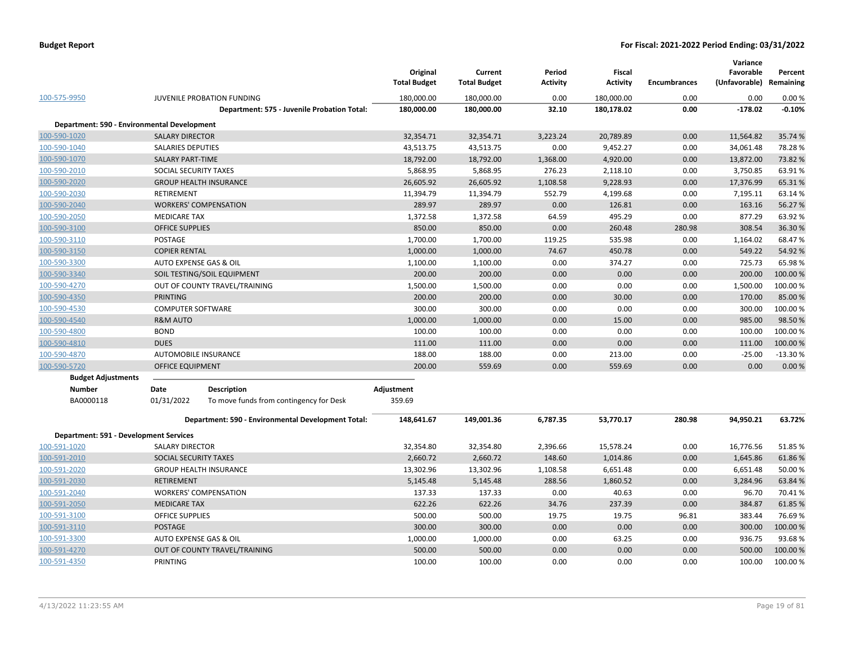|                                               |                          |                                                    | Original<br><b>Total Budget</b> | Current<br><b>Total Budget</b> | Period<br><b>Activity</b> | <b>Fiscal</b><br><b>Activity</b> | <b>Encumbrances</b> | Variance<br>Favorable<br>(Unfavorable) Remaining | Percent   |
|-----------------------------------------------|--------------------------|----------------------------------------------------|---------------------------------|--------------------------------|---------------------------|----------------------------------|---------------------|--------------------------------------------------|-----------|
| 100-575-9950                                  |                          | JUVENILE PROBATION FUNDING                         | 180,000.00                      | 180,000.00                     | 0.00                      | 180,000.00                       | 0.00                | 0.00                                             | 0.00%     |
|                                               |                          | Department: 575 - Juvenile Probation Total:        | 180,000.00                      | 180,000.00                     | 32.10                     | 180,178.02                       | 0.00                | $-178.02$                                        | $-0.10%$  |
| Department: 590 - Environmental Development   |                          |                                                    |                                 |                                |                           |                                  |                     |                                                  |           |
| 100-590-1020                                  | <b>SALARY DIRECTOR</b>   |                                                    | 32,354.71                       | 32,354.71                      | 3,223.24                  | 20,789.89                        | 0.00                | 11,564.82                                        | 35.74 %   |
| 100-590-1040                                  | <b>SALARIES DEPUTIES</b> |                                                    | 43,513.75                       | 43,513.75                      | 0.00                      | 9,452.27                         | 0.00                | 34,061.48                                        | 78.28%    |
| 100-590-1070                                  | <b>SALARY PART-TIME</b>  |                                                    | 18,792.00                       | 18,792.00                      | 1,368.00                  | 4,920.00                         | 0.00                | 13,872.00                                        | 73.82%    |
| 100-590-2010                                  | SOCIAL SECURITY TAXES    |                                                    | 5,868.95                        | 5,868.95                       | 276.23                    | 2,118.10                         | 0.00                | 3,750.85                                         | 63.91%    |
| 100-590-2020                                  |                          | <b>GROUP HEALTH INSURANCE</b>                      | 26,605.92                       | 26,605.92                      | 1,108.58                  | 9,228.93                         | 0.00                | 17,376.99                                        | 65.31%    |
| 100-590-2030                                  | <b>RETIREMENT</b>        |                                                    | 11,394.79                       | 11,394.79                      | 552.79                    | 4,199.68                         | 0.00                | 7,195.11                                         | 63.14%    |
| 100-590-2040                                  |                          | <b>WORKERS' COMPENSATION</b>                       | 289.97                          | 289.97                         | 0.00                      | 126.81                           | 0.00                | 163.16                                           | 56.27 %   |
| 100-590-2050                                  | <b>MEDICARE TAX</b>      |                                                    | 1,372.58                        | 1,372.58                       | 64.59                     | 495.29                           | 0.00                | 877.29                                           | 63.92%    |
| 100-590-3100                                  | <b>OFFICE SUPPLIES</b>   |                                                    | 850.00                          | 850.00                         | 0.00                      | 260.48                           | 280.98              | 308.54                                           | 36.30%    |
| 100-590-3110                                  | POSTAGE                  |                                                    | 1,700.00                        | 1,700.00                       | 119.25                    | 535.98                           | 0.00                | 1,164.02                                         | 68.47%    |
| 100-590-3150                                  | <b>COPIER RENTAL</b>     |                                                    | 1,000.00                        | 1,000.00                       | 74.67                     | 450.78                           | 0.00                | 549.22                                           | 54.92%    |
| 100-590-3300                                  |                          | AUTO EXPENSE GAS & OIL                             | 1,100.00                        | 1,100.00                       | 0.00                      | 374.27                           | 0.00                | 725.73                                           | 65.98%    |
| 100-590-3340                                  |                          | SOIL TESTING/SOIL EQUIPMENT                        | 200.00                          | 200.00                         | 0.00                      | 0.00                             | 0.00                | 200.00                                           | 100.00 %  |
| 100-590-4270                                  |                          | OUT OF COUNTY TRAVEL/TRAINING                      | 1,500.00                        | 1,500.00                       | 0.00                      | 0.00                             | 0.00                | 1,500.00                                         | 100.00%   |
| 100-590-4350                                  | <b>PRINTING</b>          |                                                    | 200.00                          | 200.00                         | 0.00                      | 30.00                            | 0.00                | 170.00                                           | 85.00 %   |
| 100-590-4530                                  | <b>COMPUTER SOFTWARE</b> |                                                    | 300.00                          | 300.00                         | 0.00                      | 0.00                             | 0.00                | 300.00                                           | 100.00%   |
| 100-590-4540                                  | <b>R&amp;M AUTO</b>      |                                                    | 1,000.00                        | 1,000.00                       | 0.00                      | 15.00                            | 0.00                | 985.00                                           | 98.50%    |
| 100-590-4800                                  | <b>BOND</b>              |                                                    | 100.00                          | 100.00                         | 0.00                      | 0.00                             | 0.00                | 100.00                                           | 100.00 %  |
| 100-590-4810                                  | <b>DUES</b>              |                                                    | 111.00                          | 111.00                         | 0.00                      | 0.00                             | 0.00                | 111.00                                           | 100.00 %  |
| 100-590-4870                                  |                          | AUTOMOBILE INSURANCE                               | 188.00                          | 188.00                         | 0.00                      | 213.00                           | 0.00                | $-25.00$                                         | $-13.30%$ |
| 100-590-5720                                  | OFFICE EQUIPMENT         |                                                    | 200.00                          | 559.69                         | 0.00                      | 559.69                           | 0.00                | 0.00                                             | 0.00%     |
| <b>Budget Adjustments</b>                     |                          |                                                    |                                 |                                |                           |                                  |                     |                                                  |           |
| <b>Number</b>                                 | Date                     | <b>Description</b>                                 | Adjustment                      |                                |                           |                                  |                     |                                                  |           |
| BA0000118                                     | 01/31/2022               | To move funds from contingency for Desk            | 359.69                          |                                |                           |                                  |                     |                                                  |           |
|                                               |                          | Department: 590 - Environmental Development Total: | 148,641.67                      | 149,001.36                     | 6,787.35                  | 53,770.17                        | 280.98              | 94,950.21                                        | 63.72%    |
| <b>Department: 591 - Development Services</b> |                          |                                                    |                                 |                                |                           |                                  |                     |                                                  |           |
| 100-591-1020                                  | <b>SALARY DIRECTOR</b>   |                                                    | 32,354.80                       | 32,354.80                      | 2,396.66                  | 15,578.24                        | 0.00                | 16,776.56                                        | 51.85%    |
| 100-591-2010                                  | SOCIAL SECURITY TAXES    |                                                    | 2,660.72                        | 2,660.72                       | 148.60                    | 1,014.86                         | 0.00                | 1,645.86                                         | 61.86%    |
| 100-591-2020                                  |                          | <b>GROUP HEALTH INSURANCE</b>                      | 13,302.96                       | 13,302.96                      | 1,108.58                  | 6,651.48                         | 0.00                | 6,651.48                                         | 50.00%    |
| 100-591-2030                                  | <b>RETIREMENT</b>        |                                                    | 5,145.48                        | 5,145.48                       | 288.56                    | 1,860.52                         | 0.00                | 3,284.96                                         | 63.84 %   |
| 100-591-2040                                  |                          | <b>WORKERS' COMPENSATION</b>                       | 137.33                          | 137.33                         | 0.00                      | 40.63                            | 0.00                | 96.70                                            | 70.41%    |
| 100-591-2050                                  | <b>MEDICARE TAX</b>      |                                                    | 622.26                          | 622.26                         | 34.76                     | 237.39                           | 0.00                | 384.87                                           | 61.85%    |
| 100-591-3100                                  | <b>OFFICE SUPPLIES</b>   |                                                    | 500.00                          | 500.00                         | 19.75                     | 19.75                            | 96.81               | 383.44                                           | 76.69%    |
| 100-591-3110                                  | <b>POSTAGE</b>           |                                                    | 300.00                          | 300.00                         | 0.00                      | 0.00                             | 0.00                | 300.00                                           | 100.00 %  |
| 100-591-3300                                  |                          | AUTO EXPENSE GAS & OIL                             | 1,000.00                        | 1,000.00                       | 0.00                      | 63.25                            | 0.00                | 936.75                                           | 93.68%    |
| 100-591-4270                                  |                          | OUT OF COUNTY TRAVEL/TRAINING                      | 500.00                          | 500.00                         | 0.00                      | 0.00                             | 0.00                | 500.00                                           | 100.00 %  |
| 100-591-4350                                  | PRINTING                 |                                                    | 100.00                          | 100.00                         | 0.00                      | 0.00                             | 0.00                | 100.00                                           | 100.00%   |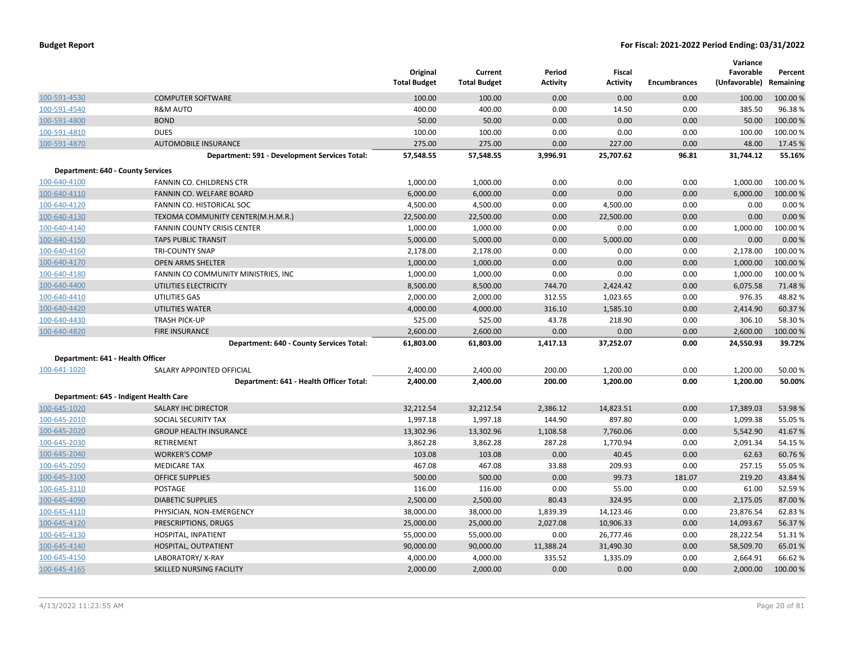|                                   |                                               | Original<br><b>Total Budget</b> | Current<br><b>Total Budget</b> | Period<br><b>Activity</b> | Fiscal<br><b>Activity</b> | <b>Encumbrances</b> | Variance<br>Favorable<br>(Unfavorable) | Percent<br>Remaining |
|-----------------------------------|-----------------------------------------------|---------------------------------|--------------------------------|---------------------------|---------------------------|---------------------|----------------------------------------|----------------------|
| 100-591-4530                      | <b>COMPUTER SOFTWARE</b>                      | 100.00                          | 100.00                         | 0.00                      | 0.00                      | 0.00                | 100.00                                 | 100.00 %             |
| 100-591-4540                      | <b>R&amp;M AUTO</b>                           | 400.00                          | 400.00                         | 0.00                      | 14.50                     | 0.00                | 385.50                                 | 96.38%               |
| 100-591-4800                      | <b>BOND</b>                                   | 50.00                           | 50.00                          | 0.00                      | 0.00                      | 0.00                | 50.00                                  | 100.00 %             |
| 100-591-4810                      | <b>DUES</b>                                   | 100.00                          | 100.00                         | 0.00                      | 0.00                      | 0.00                | 100.00                                 | 100.00%              |
| 100-591-4870                      | <b>AUTOMOBILE INSURANCE</b>                   | 275.00                          | 275.00                         | 0.00                      | 227.00                    | 0.00                | 48.00                                  | 17.45 %              |
|                                   | Department: 591 - Development Services Total: | 57,548.55                       | 57,548.55                      | 3,996.91                  | 25,707.62                 | 96.81               | 31,744.12                              | 55.16%               |
| Department: 640 - County Services |                                               |                                 |                                |                           |                           |                     |                                        |                      |
| 100-640-4100                      | FANNIN CO. CHILDRENS CTR                      | 1,000.00                        | 1,000.00                       | 0.00                      | 0.00                      | 0.00                | 1,000.00                               | 100.00%              |
| 100-640-4110                      | FANNIN CO. WELFARE BOARD                      | 6,000.00                        | 6,000.00                       | 0.00                      | 0.00                      | 0.00                | 6,000.00                               | 100.00 %             |
| 100-640-4120                      | FANNIN CO. HISTORICAL SOC                     | 4,500.00                        | 4,500.00                       | 0.00                      | 4,500.00                  | 0.00                | 0.00                                   | 0.00%                |
| 100-640-4130                      | TEXOMA COMMUNITY CENTER(M.H.M.R.)             | 22,500.00                       | 22,500.00                      | 0.00                      | 22,500.00                 | 0.00                | 0.00                                   | 0.00%                |
| 100-640-4140                      | <b>FANNIN COUNTY CRISIS CENTER</b>            | 1,000.00                        | 1,000.00                       | 0.00                      | 0.00                      | 0.00                | 1,000.00                               | 100.00 %             |
| 100-640-4150                      | <b>TAPS PUBLIC TRANSIT</b>                    | 5,000.00                        | 5,000.00                       | 0.00                      | 5,000.00                  | 0.00                | 0.00                                   | 0.00%                |
| 100-640-4160                      | <b>TRI-COUNTY SNAP</b>                        | 2,178.00                        | 2,178.00                       | 0.00                      | 0.00                      | 0.00                | 2,178.00                               | 100.00%              |
| 100-640-4170                      | <b>OPEN ARMS SHELTER</b>                      | 1,000.00                        | 1,000.00                       | 0.00                      | 0.00                      | 0.00                | 1,000.00                               | 100.00 %             |
| 100-640-4180                      | FANNIN CO COMMUNITY MINISTRIES, INC.          | 1,000.00                        | 1,000.00                       | 0.00                      | 0.00                      | 0.00                | 1,000.00                               | 100.00%              |
| 100-640-4400                      | UTILITIES ELECTRICITY                         | 8,500.00                        | 8,500.00                       | 744.70                    | 2,424.42                  | 0.00                | 6,075.58                               | 71.48%               |
| 100-640-4410                      | UTILITIES GAS                                 | 2,000.00                        | 2,000.00                       | 312.55                    | 1,023.65                  | 0.00                | 976.35                                 | 48.82 %              |
| 100-640-4420                      | <b>UTILITIES WATER</b>                        | 4,000.00                        | 4,000.00                       | 316.10                    | 1,585.10                  | 0.00                | 2,414.90                               | 60.37 %              |
| 100-640-4430                      | <b>TRASH PICK-UP</b>                          | 525.00                          | 525.00                         | 43.78                     | 218.90                    | 0.00                | 306.10                                 | 58.30%               |
| 100-640-4820                      | <b>FIRE INSURANCE</b>                         | 2,600.00                        | 2,600.00                       | 0.00                      | 0.00                      | 0.00                | 2,600.00                               | 100.00%              |
|                                   | Department: 640 - County Services Total:      | 61,803.00                       | 61,803.00                      | 1,417.13                  | 37,252.07                 | 0.00                | 24,550.93                              | 39.72%               |
| Department: 641 - Health Officer  |                                               |                                 |                                |                           |                           |                     |                                        |                      |
| 100-641-1020                      | SALARY APPOINTED OFFICIAL                     | 2,400.00                        | 2,400.00                       | 200.00                    | 1,200.00                  | 0.00                | 1,200.00                               | 50.00 %              |
|                                   | Department: 641 - Health Officer Total:       | 2,400.00                        | 2,400.00                       | 200.00                    | 1,200.00                  | 0.00                | 1,200.00                               | 50.00%               |
|                                   | Department: 645 - Indigent Health Care        |                                 |                                |                           |                           |                     |                                        |                      |
| 100-645-1020                      | <b>SALARY IHC DIRECTOR</b>                    | 32,212.54                       | 32,212.54                      | 2,386.12                  | 14,823.51                 | 0.00                | 17,389.03                              | 53.98 %              |
| 100-645-2010                      | SOCIAL SECURITY TAX                           | 1,997.18                        | 1,997.18                       | 144.90                    | 897.80                    | 0.00                | 1,099.38                               | 55.05 %              |
| 100-645-2020                      | <b>GROUP HEALTH INSURANCE</b>                 | 13,302.96                       | 13,302.96                      | 1,108.58                  | 7,760.06                  | 0.00                | 5,542.90                               | 41.67%               |
| 100-645-2030                      | RETIREMENT                                    | 3,862.28                        | 3,862.28                       | 287.28                    | 1,770.94                  | 0.00                | 2,091.34                               | 54.15 %              |
| 100-645-2040                      | <b>WORKER'S COMP</b>                          | 103.08                          | 103.08                         | 0.00                      | 40.45                     | 0.00                | 62.63                                  | 60.76%               |
| 100-645-2050                      | <b>MEDICARE TAX</b>                           | 467.08                          | 467.08                         | 33.88                     | 209.93                    | 0.00                | 257.15                                 | 55.05 %              |
| 100-645-3100                      | <b>OFFICE SUPPLIES</b>                        | 500.00                          | 500.00                         | 0.00                      | 99.73                     | 181.07              | 219.20                                 | 43.84 %              |
| 100-645-3110                      | POSTAGE                                       | 116.00                          | 116.00                         | 0.00                      | 55.00                     | 0.00                | 61.00                                  | 52.59 %              |
| 100-645-4090                      | <b>DIABETIC SUPPLIES</b>                      | 2,500.00                        | 2,500.00                       | 80.43                     | 324.95                    | 0.00                | 2,175.05                               | 87.00 %              |
| 100-645-4110                      | PHYSICIAN, NON-EMERGENCY                      | 38,000.00                       | 38,000.00                      | 1,839.39                  | 14,123.46                 | 0.00                | 23,876.54                              | 62.83%               |
| 100-645-4120                      | PRESCRIPTIONS, DRUGS                          | 25,000.00                       | 25,000.00                      | 2,027.08                  | 10,906.33                 | 0.00                | 14,093.67                              | 56.37 %              |
| 100-645-4130                      | HOSPITAL, INPATIENT                           | 55,000.00                       | 55,000.00                      | 0.00                      | 26,777.46                 | 0.00                | 28,222.54                              | 51.31%               |
| 100-645-4140                      | HOSPITAL, OUTPATIENT                          | 90,000.00                       | 90,000.00                      | 11,388.24                 | 31,490.30                 | 0.00                | 58,509.70                              | 65.01%               |
| 100-645-4150                      | LABORATORY/X-RAY                              | 4,000.00                        | 4,000.00                       | 335.52                    | 1,335.09                  | 0.00                | 2,664.91                               | 66.62%               |
| 100-645-4165                      | SKILLED NURSING FACILITY                      | 2,000.00                        | 2,000.00                       | 0.00                      | 0.00                      | 0.00                | 2,000.00                               | 100.00 %             |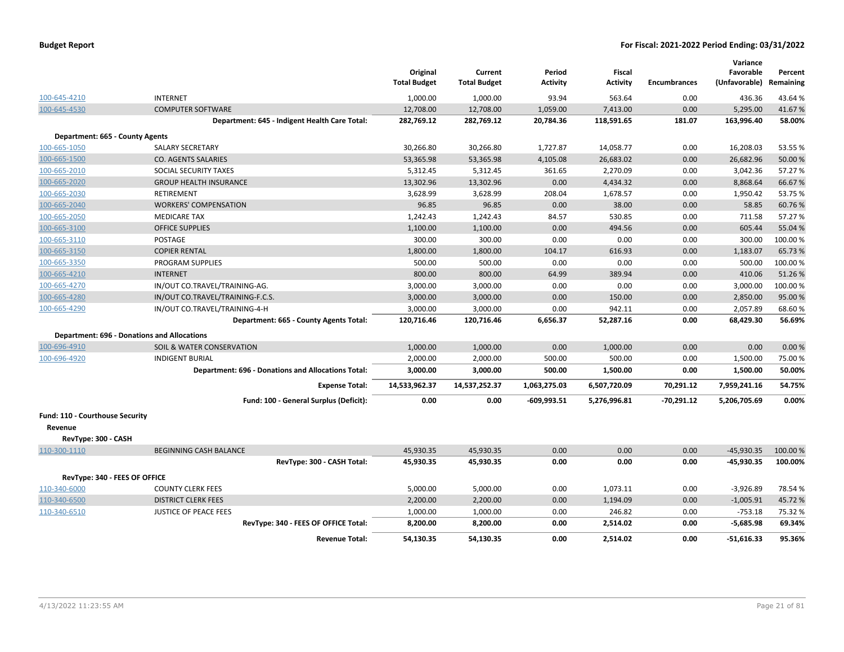|                                                    |                                                    | Original<br><b>Total Budget</b> | Current<br><b>Total Budget</b> | Period<br><b>Activity</b> | <b>Fiscal</b><br><b>Activity</b> | <b>Encumbrances</b> | Variance<br>Favorable<br>(Unfavorable) | Percent<br>Remaining |
|----------------------------------------------------|----------------------------------------------------|---------------------------------|--------------------------------|---------------------------|----------------------------------|---------------------|----------------------------------------|----------------------|
| 100-645-4210                                       | <b>INTERNET</b>                                    | 1,000.00                        | 1,000.00                       | 93.94                     | 563.64                           | 0.00                | 436.36                                 | 43.64 %              |
| 100-645-4530                                       | <b>COMPUTER SOFTWARE</b>                           | 12,708.00                       | 12,708.00                      | 1,059.00                  | 7,413.00                         | 0.00                | 5,295.00                               | 41.67%               |
|                                                    | Department: 645 - Indigent Health Care Total:      | 282,769.12                      | 282,769.12                     | 20,784.36                 | 118,591.65                       | 181.07              | 163,996.40                             | 58.00%               |
| Department: 665 - County Agents                    |                                                    |                                 |                                |                           |                                  |                     |                                        |                      |
| 100-665-1050                                       | <b>SALARY SECRETARY</b>                            | 30,266.80                       | 30,266.80                      | 1,727.87                  | 14,058.77                        | 0.00                | 16,208.03                              | 53.55 %              |
| 100-665-1500                                       | <b>CO. AGENTS SALARIES</b>                         | 53,365.98                       | 53,365.98                      | 4,105.08                  | 26,683.02                        | 0.00                | 26,682.96                              | 50.00 %              |
| 100-665-2010                                       | SOCIAL SECURITY TAXES                              | 5,312.45                        | 5,312.45                       | 361.65                    | 2,270.09                         | 0.00                | 3,042.36                               | 57.27 %              |
| 100-665-2020                                       | <b>GROUP HEALTH INSURANCE</b>                      | 13,302.96                       | 13,302.96                      | 0.00                      | 4,434.32                         | 0.00                | 8,868.64                               | 66.67%               |
| 100-665-2030                                       | <b>RETIREMENT</b>                                  | 3,628.99                        | 3,628.99                       | 208.04                    | 1,678.57                         | 0.00                | 1,950.42                               | 53.75 %              |
| 100-665-2040                                       | <b>WORKERS' COMPENSATION</b>                       | 96.85                           | 96.85                          | 0.00                      | 38.00                            | 0.00                | 58.85                                  | 60.76%               |
| 100-665-2050                                       | <b>MEDICARE TAX</b>                                | 1,242.43                        | 1,242.43                       | 84.57                     | 530.85                           | 0.00                | 711.58                                 | 57.27 %              |
| 100-665-3100                                       | <b>OFFICE SUPPLIES</b>                             | 1,100.00                        | 1,100.00                       | 0.00                      | 494.56                           | 0.00                | 605.44                                 | 55.04 %              |
| 100-665-3110                                       | <b>POSTAGE</b>                                     | 300.00                          | 300.00                         | 0.00                      | 0.00                             | 0.00                | 300.00                                 | 100.00%              |
| 100-665-3150                                       | <b>COPIER RENTAL</b>                               | 1,800.00                        | 1,800.00                       | 104.17                    | 616.93                           | 0.00                | 1,183.07                               | 65.73 %              |
| 100-665-3350                                       | <b>PROGRAM SUPPLIES</b>                            | 500.00                          | 500.00                         | 0.00                      | 0.00                             | 0.00                | 500.00                                 | 100.00%              |
| 100-665-4210                                       | <b>INTERNET</b>                                    | 800.00                          | 800.00                         | 64.99                     | 389.94                           | 0.00                | 410.06                                 | 51.26%               |
| 100-665-4270                                       | IN/OUT CO.TRAVEL/TRAINING-AG.                      | 3,000.00                        | 3,000.00                       | 0.00                      | 0.00                             | 0.00                | 3,000.00                               | 100.00%              |
| 100-665-4280                                       | IN/OUT CO.TRAVEL/TRAINING-F.C.S.                   | 3,000.00                        | 3,000.00                       | 0.00                      | 150.00                           | 0.00                | 2,850.00                               | 95.00 %              |
| 100-665-4290                                       | IN/OUT CO.TRAVEL/TRAINING-4-H                      | 3,000.00                        | 3,000.00                       | 0.00                      | 942.11                           | 0.00                | 2,057.89                               | 68.60%               |
|                                                    | Department: 665 - County Agents Total:             | 120,716.46                      | 120,716.46                     | 6,656.37                  | 52,287.16                        | 0.00                | 68,429.30                              | 56.69%               |
| <b>Department: 696 - Donations and Allocations</b> |                                                    |                                 |                                |                           |                                  |                     |                                        |                      |
| 100-696-4910                                       | SOIL & WATER CONSERVATION                          | 1,000.00                        | 1,000.00                       | 0.00                      | 1,000.00                         | 0.00                | 0.00                                   | 0.00%                |
| 100-696-4920                                       | <b>INDIGENT BURIAL</b>                             | 2,000.00                        | 2,000.00                       | 500.00                    | 500.00                           | 0.00                | 1,500.00                               | 75.00 %              |
|                                                    | Department: 696 - Donations and Allocations Total: | 3,000.00                        | 3,000.00                       | 500.00                    | 1,500.00                         | 0.00                | 1,500.00                               | 50.00%               |
|                                                    | <b>Expense Total:</b>                              | 14,533,962.37                   | 14,537,252.37                  | 1,063,275.03              | 6,507,720.09                     | 70,291.12           | 7,959,241.16                           | 54.75%               |
|                                                    | Fund: 100 - General Surplus (Deficit):             | 0.00                            | 0.00                           | $-609,993.51$             | 5,276,996.81                     | $-70,291.12$        | 5,206,705.69                           | 0.00%                |
| Fund: 110 - Courthouse Security                    |                                                    |                                 |                                |                           |                                  |                     |                                        |                      |
| Revenue                                            |                                                    |                                 |                                |                           |                                  |                     |                                        |                      |
| RevType: 300 - CASH                                |                                                    |                                 |                                |                           |                                  |                     |                                        |                      |
| 110-300-1110                                       | BEGINNING CASH BALANCE                             | 45,930.35                       | 45,930.35                      | 0.00                      | 0.00                             | 0.00                | $-45,930.35$                           | 100.00 %             |
|                                                    | RevType: 300 - CASH Total:                         | 45,930.35                       | 45,930.35                      | 0.00                      | 0.00                             | 0.00                | $-45,930.35$                           | 100.00%              |
| RevType: 340 - FEES OF OFFICE                      |                                                    |                                 |                                |                           |                                  |                     |                                        |                      |
| 110-340-6000                                       | <b>COUNTY CLERK FEES</b>                           | 5,000.00                        | 5,000.00                       | 0.00                      | 1,073.11                         | 0.00                | $-3,926.89$                            | 78.54 %              |
| 110-340-6500                                       | <b>DISTRICT CLERK FEES</b>                         | 2,200.00                        | 2,200.00                       | 0.00                      | 1,194.09                         | 0.00                | $-1,005.91$                            | 45.72%               |
| 110-340-6510                                       | <b>JUSTICE OF PEACE FEES</b>                       | 1,000.00                        | 1,000.00                       | 0.00                      | 246.82                           | 0.00                | $-753.18$                              | 75.32 %              |
|                                                    | RevType: 340 - FEES OF OFFICE Total:               | 8,200.00                        | 8,200.00                       | 0.00                      | 2,514.02                         | 0.00                | $-5,685.98$                            | 69.34%               |
|                                                    | <b>Revenue Total:</b>                              | 54,130.35                       | 54,130.35                      | 0.00                      | 2.514.02                         | 0.00                | $-51,616.33$                           | 95.36%               |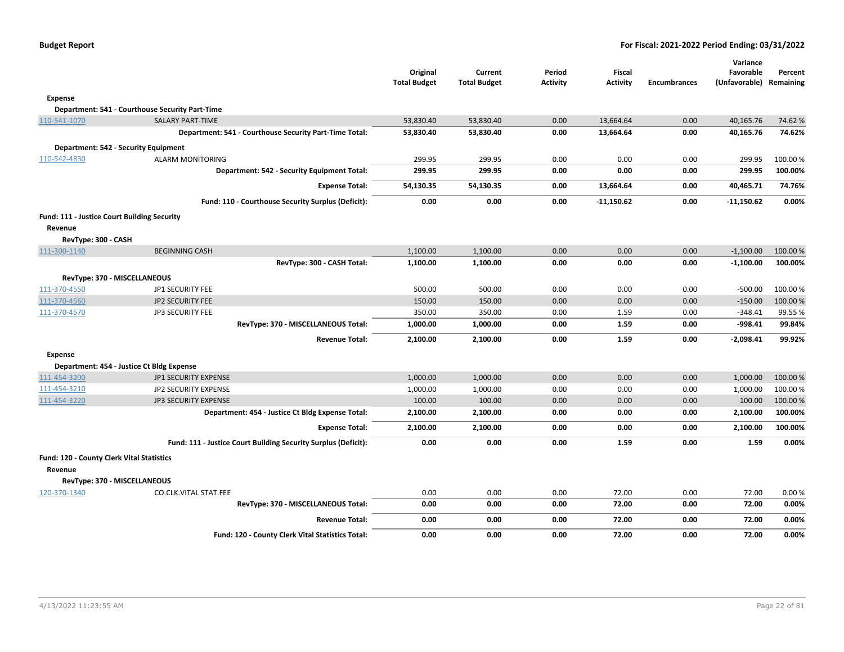|                     |                                                                | Original<br><b>Total Budget</b> | Current<br><b>Total Budget</b> | Period<br>Activity | <b>Fiscal</b><br><b>Activity</b> | <b>Encumbrances</b> | Variance<br>Favorable<br>(Unfavorable) | Percent<br>Remaining |
|---------------------|----------------------------------------------------------------|---------------------------------|--------------------------------|--------------------|----------------------------------|---------------------|----------------------------------------|----------------------|
| <b>Expense</b>      |                                                                |                                 |                                |                    |                                  |                     |                                        |                      |
|                     | Department: 541 - Courthouse Security Part-Time                |                                 |                                |                    |                                  |                     |                                        |                      |
| 110-541-1070        | <b>SALARY PART-TIME</b>                                        | 53,830.40                       | 53,830.40                      | 0.00               | 13,664.64                        | 0.00                | 40,165.76                              | 74.62%               |
|                     | Department: 541 - Courthouse Security Part-Time Total:         | 53,830.40                       | 53,830.40                      | 0.00               | 13,664.64                        | 0.00                | 40,165.76                              | 74.62%               |
|                     | Department: 542 - Security Equipment                           |                                 |                                |                    |                                  |                     |                                        |                      |
| 110-542-4830        | <b>ALARM MONITORING</b>                                        | 299.95                          | 299.95                         | 0.00               | 0.00                             | 0.00                | 299.95                                 | 100.00 %             |
|                     | Department: 542 - Security Equipment Total:                    | 299.95                          | 299.95                         | 0.00               | 0.00                             | 0.00                | 299.95                                 | 100.00%              |
|                     | <b>Expense Total:</b>                                          | 54,130.35                       | 54,130.35                      | 0.00               | 13,664.64                        | 0.00                | 40,465.71                              | 74.76%               |
|                     | Fund: 110 - Courthouse Security Surplus (Deficit):             | 0.00                            | 0.00                           | 0.00               | $-11,150.62$                     | 0.00                | -11,150.62                             | 0.00%                |
|                     | Fund: 111 - Justice Court Building Security                    |                                 |                                |                    |                                  |                     |                                        |                      |
| Revenue             |                                                                |                                 |                                |                    |                                  |                     |                                        |                      |
| RevType: 300 - CASH |                                                                |                                 |                                |                    |                                  |                     |                                        |                      |
| 111-300-1140        | <b>BEGINNING CASH</b>                                          | 1,100.00                        | 1,100.00                       | 0.00               | 0.00                             | 0.00                | $-1,100.00$                            | 100.00 %             |
|                     | RevType: 300 - CASH Total:                                     | 1,100.00                        | 1,100.00                       | 0.00               | 0.00                             | 0.00                | $-1,100.00$                            | 100.00%              |
|                     | RevType: 370 - MISCELLANEOUS                                   |                                 |                                |                    |                                  |                     |                                        |                      |
| 111-370-4550        | JP1 SECURITY FEE                                               | 500.00                          | 500.00                         | 0.00               | 0.00                             | 0.00                | $-500.00$                              | 100.00 %             |
| 111-370-4560        | <b>JP2 SECURITY FEE</b>                                        | 150.00                          | 150.00                         | 0.00               | 0.00                             | 0.00                | $-150.00$                              | 100.00%              |
| 111-370-4570        | <b>JP3 SECURITY FEE</b>                                        | 350.00                          | 350.00                         | 0.00               | 1.59                             | 0.00                | $-348.41$                              | 99.55%               |
|                     | RevType: 370 - MISCELLANEOUS Total:                            | 1,000.00                        | 1,000.00                       | 0.00               | 1.59                             | 0.00                | $-998.41$                              | 99.84%               |
|                     | <b>Revenue Total:</b>                                          | 2,100.00                        | 2,100.00                       | 0.00               | 1.59                             | 0.00                | $-2,098.41$                            | 99.92%               |
| <b>Expense</b>      |                                                                |                                 |                                |                    |                                  |                     |                                        |                      |
|                     | Department: 454 - Justice Ct Bldg Expense                      |                                 |                                |                    |                                  |                     |                                        |                      |
| 111-454-3200        | <b>JP1 SECURITY EXPENSE</b>                                    | 1,000.00                        | 1.000.00                       | 0.00               | 0.00                             | 0.00                | 1,000.00                               | 100.00 %             |
| 111-454-3210        | JP2 SECURITY EXPENSE                                           | 1,000.00                        | 1,000.00                       | 0.00               | 0.00                             | 0.00                | 1,000.00                               | 100.00 %             |
| 111-454-3220        | <b>JP3 SECURITY EXPENSE</b>                                    | 100.00                          | 100.00                         | 0.00               | 0.00                             | 0.00                | 100.00                                 | 100.00 %             |
|                     | Department: 454 - Justice Ct Bldg Expense Total:               | 2,100.00                        | 2,100.00                       | 0.00               | 0.00                             | 0.00                | 2,100.00                               | 100.00%              |
|                     | <b>Expense Total:</b>                                          | 2,100.00                        | 2,100.00                       | 0.00               | 0.00                             | 0.00                | 2,100.00                               | 100.00%              |
|                     | Fund: 111 - Justice Court Building Security Surplus (Deficit): | 0.00                            | 0.00                           | 0.00               | 1.59                             | 0.00                | 1.59                                   | 0.00%                |
|                     | Fund: 120 - County Clerk Vital Statistics                      |                                 |                                |                    |                                  |                     |                                        |                      |
| Revenue             |                                                                |                                 |                                |                    |                                  |                     |                                        |                      |
|                     | RevType: 370 - MISCELLANEOUS                                   |                                 |                                |                    |                                  |                     |                                        |                      |
| 120-370-1340        | CO.CLK.VITAL STAT.FEE                                          | 0.00                            | 0.00                           | 0.00               | 72.00                            | 0.00                | 72.00                                  | 0.00%                |
|                     | RevType: 370 - MISCELLANEOUS Total:                            | 0.00                            | 0.00                           | 0.00               | 72.00                            | 0.00                | 72.00                                  | 0.00%                |
|                     | <b>Revenue Total:</b>                                          | 0.00                            | 0.00                           | 0.00               | 72.00                            | 0.00                | 72.00                                  | 0.00%                |
|                     | Fund: 120 - County Clerk Vital Statistics Total:               | 0.00                            | 0.00                           | 0.00               | 72.00                            | 0.00                | 72.00                                  | 0.00%                |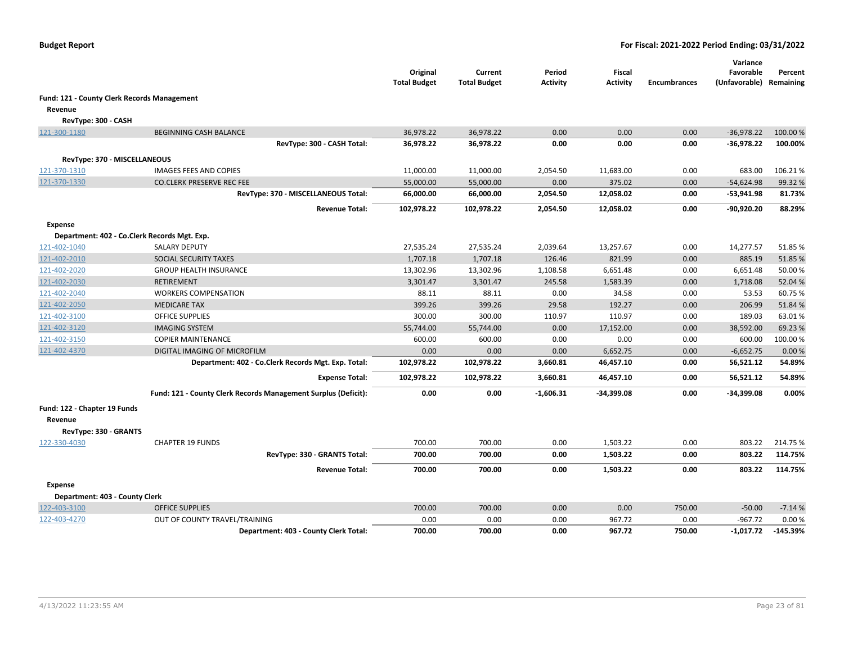|                                |                                                                | Original<br><b>Total Budget</b> | Current<br><b>Total Budget</b> | Period<br><b>Activity</b> | Fiscal<br><b>Activity</b> | <b>Encumbrances</b> | Variance<br>Favorable<br>(Unfavorable) Remaining | Percent    |
|--------------------------------|----------------------------------------------------------------|---------------------------------|--------------------------------|---------------------------|---------------------------|---------------------|--------------------------------------------------|------------|
|                                | <b>Fund: 121 - County Clerk Records Management</b>             |                                 |                                |                           |                           |                     |                                                  |            |
| Revenue                        |                                                                |                                 |                                |                           |                           |                     |                                                  |            |
| RevType: 300 - CASH            |                                                                |                                 |                                |                           |                           |                     |                                                  |            |
| 121-300-1180                   | <b>BEGINNING CASH BALANCE</b>                                  | 36,978.22                       | 36,978.22                      | 0.00                      | 0.00                      | 0.00                | $-36,978.22$                                     | 100.00 %   |
|                                | RevType: 300 - CASH Total:                                     | 36,978.22                       | 36,978.22                      | 0.00                      | 0.00                      | 0.00                | $-36,978.22$                                     | 100.00%    |
| RevType: 370 - MISCELLANEOUS   |                                                                |                                 |                                |                           |                           |                     |                                                  |            |
| 121-370-1310                   | <b>IMAGES FEES AND COPIES</b>                                  | 11,000.00                       | 11,000.00                      | 2,054.50                  | 11,683.00                 | 0.00                | 683.00                                           | 106.21%    |
| 121-370-1330                   | <b>CO.CLERK PRESERVE REC FEE</b>                               | 55,000.00                       | 55,000.00                      | 0.00                      | 375.02                    | 0.00                | $-54,624.98$                                     | 99.32 %    |
|                                | RevType: 370 - MISCELLANEOUS Total:                            | 66,000.00                       | 66,000.00                      | 2,054.50                  | 12,058.02                 | 0.00                | $-53,941.98$                                     | 81.73%     |
|                                |                                                                |                                 |                                |                           |                           |                     |                                                  |            |
|                                | <b>Revenue Total:</b>                                          | 102,978.22                      | 102,978.22                     | 2,054.50                  | 12,058.02                 | 0.00                | $-90,920.20$                                     | 88.29%     |
| <b>Expense</b>                 |                                                                |                                 |                                |                           |                           |                     |                                                  |            |
|                                | Department: 402 - Co.Clerk Records Mgt. Exp.                   |                                 |                                |                           |                           |                     |                                                  |            |
| 121-402-1040                   | <b>SALARY DEPUTY</b>                                           | 27,535.24                       | 27,535.24                      | 2,039.64                  | 13,257.67                 | 0.00                | 14,277.57                                        | 51.85%     |
| 121-402-2010                   | SOCIAL SECURITY TAXES                                          | 1,707.18                        | 1,707.18                       | 126.46                    | 821.99                    | 0.00                | 885.19                                           | 51.85%     |
| 121-402-2020                   | <b>GROUP HEALTH INSURANCE</b>                                  | 13,302.96                       | 13,302.96                      | 1,108.58                  | 6,651.48                  | 0.00                | 6,651.48                                         | 50.00%     |
| 121-402-2030                   | <b>RETIREMENT</b>                                              | 3,301.47                        | 3,301.47                       | 245.58                    | 1,583.39                  | 0.00                | 1,718.08                                         | 52.04 %    |
| 121-402-2040                   | <b>WORKERS COMPENSATION</b>                                    | 88.11                           | 88.11                          | 0.00                      | 34.58                     | 0.00                | 53.53                                            | 60.75%     |
| 121-402-2050                   | <b>MEDICARE TAX</b>                                            | 399.26                          | 399.26                         | 29.58                     | 192.27                    | 0.00                | 206.99                                           | 51.84 %    |
| 121-402-3100                   | <b>OFFICE SUPPLIES</b>                                         | 300.00                          | 300.00                         | 110.97                    | 110.97                    | 0.00                | 189.03                                           | 63.01%     |
| 121-402-3120                   | <b>IMAGING SYSTEM</b>                                          | 55,744.00                       | 55,744.00                      | 0.00                      | 17,152.00                 | 0.00                | 38,592.00                                        | 69.23 %    |
| 121-402-3150                   | <b>COPIER MAINTENANCE</b>                                      | 600.00                          | 600.00                         | 0.00                      | 0.00                      | 0.00                | 600.00                                           | 100.00%    |
| 121-402-4370                   | DIGITAL IMAGING OF MICROFILM                                   | 0.00                            | 0.00                           | 0.00                      | 6,652.75                  | 0.00                | $-6,652.75$                                      | 0.00%      |
|                                | Department: 402 - Co.Clerk Records Mgt. Exp. Total:            | 102,978.22                      | 102,978.22                     | 3,660.81                  | 46,457.10                 | 0.00                | 56,521.12                                        | 54.89%     |
|                                | <b>Expense Total:</b>                                          | 102,978.22                      | 102,978.22                     | 3,660.81                  | 46,457.10                 | 0.00                | 56,521.12                                        | 54.89%     |
|                                | Fund: 121 - County Clerk Records Management Surplus (Deficit): | 0.00                            | 0.00                           | $-1,606.31$               | -34,399.08                | 0.00                | $-34,399.08$                                     | 0.00%      |
| Fund: 122 - Chapter 19 Funds   |                                                                |                                 |                                |                           |                           |                     |                                                  |            |
| Revenue                        |                                                                |                                 |                                |                           |                           |                     |                                                  |            |
| RevType: 330 - GRANTS          |                                                                |                                 |                                |                           |                           |                     |                                                  |            |
| 122-330-4030                   | <b>CHAPTER 19 FUNDS</b>                                        | 700.00                          | 700.00                         | 0.00                      | 1,503.22                  | 0.00                | 803.22                                           | 214.75 %   |
|                                | RevType: 330 - GRANTS Total:                                   | 700.00                          | 700.00                         | 0.00                      | 1,503.22                  | 0.00                | 803.22                                           | 114.75%    |
|                                | <b>Revenue Total:</b>                                          | 700.00                          | 700.00                         | 0.00                      | 1,503.22                  | 0.00                | 803.22                                           | 114.75%    |
| Expense                        |                                                                |                                 |                                |                           |                           |                     |                                                  |            |
| Department: 403 - County Clerk |                                                                |                                 |                                |                           |                           |                     |                                                  |            |
| 122-403-3100                   | <b>OFFICE SUPPLIES</b>                                         | 700.00                          | 700.00                         | 0.00                      | 0.00                      | 750.00              | $-50.00$                                         | $-7.14%$   |
| 122-403-4270                   | OUT OF COUNTY TRAVEL/TRAINING                                  | 0.00                            | 0.00                           | 0.00                      | 967.72                    | 0.00                | $-967.72$                                        | 0.00%      |
|                                | Department: 403 - County Clerk Total:                          | 700.00                          | 700.00                         | 0.00                      | 967.72                    | 750.00              | -1,017.72                                        | $-145.39%$ |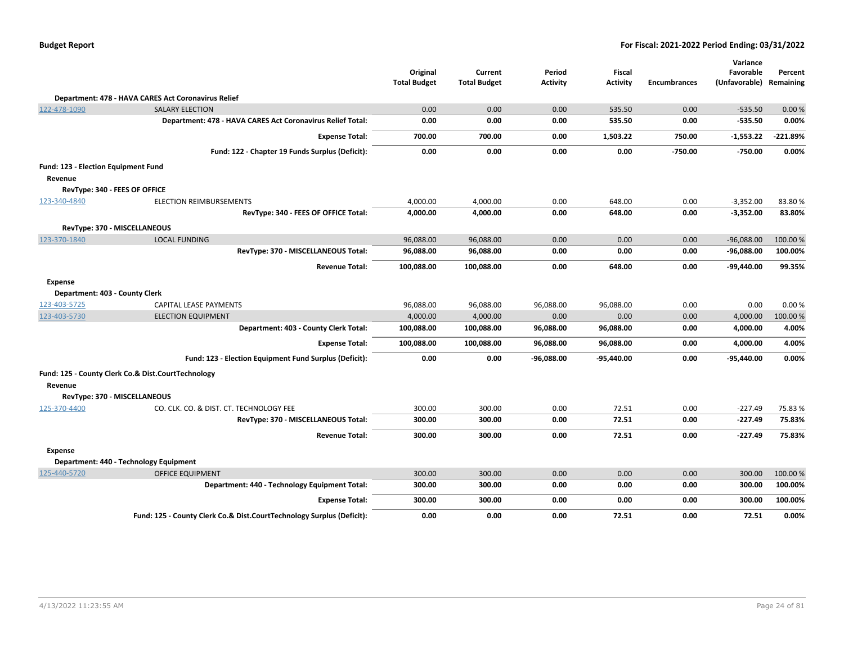| <b>Budget Report</b> |  |
|----------------------|--|
|----------------------|--|

|                                     |                                                                       | Original            | Current             | Period          | <b>Fiscal</b>   |                     | Variance<br>Favorable   | Percent    |
|-------------------------------------|-----------------------------------------------------------------------|---------------------|---------------------|-----------------|-----------------|---------------------|-------------------------|------------|
|                                     |                                                                       | <b>Total Budget</b> | <b>Total Budget</b> | <b>Activity</b> | <b>Activity</b> | <b>Encumbrances</b> | (Unfavorable) Remaining |            |
|                                     | Department: 478 - HAVA CARES Act Coronavirus Relief                   |                     |                     |                 |                 |                     |                         |            |
| 122-478-1090                        | <b>SALARY ELECTION</b>                                                | 0.00                | 0.00                | 0.00            | 535.50          | 0.00                | $-535.50$               | 0.00%      |
|                                     | Department: 478 - HAVA CARES Act Coronavirus Relief Total:            | 0.00                | 0.00                | 0.00            | 535.50          | 0.00                | $-535.50$               | 0.00%      |
|                                     | <b>Expense Total:</b>                                                 | 700.00              | 700.00              | 0.00            | 1,503.22        | 750.00              | $-1,553.22$             | $-221.89%$ |
|                                     | Fund: 122 - Chapter 19 Funds Surplus (Deficit):                       | 0.00                | 0.00                | 0.00            | 0.00            | $-750.00$           | $-750.00$               | 0.00%      |
| Fund: 123 - Election Equipment Fund |                                                                       |                     |                     |                 |                 |                     |                         |            |
| Revenue                             |                                                                       |                     |                     |                 |                 |                     |                         |            |
|                                     | RevType: 340 - FEES OF OFFICE                                         |                     |                     |                 |                 |                     |                         |            |
| 123-340-4840                        | ELECTION REIMBURSEMENTS                                               | 4,000.00            | 4,000.00            | 0.00            | 648.00          | 0.00                | $-3,352.00$             | 83.80%     |
|                                     | RevType: 340 - FEES OF OFFICE Total:                                  | 4,000.00            | 4,000.00            | 0.00            | 648.00          | 0.00                | $-3,352.00$             | 83.80%     |
|                                     | RevType: 370 - MISCELLANEOUS                                          |                     |                     |                 |                 |                     |                         |            |
| 123-370-1840                        | <b>LOCAL FUNDING</b>                                                  | 96,088.00           | 96,088.00           | 0.00            | 0.00            | 0.00                | $-96,088.00$            | 100.00%    |
|                                     | RevType: 370 - MISCELLANEOUS Total:                                   | 96,088.00           | 96,088.00           | 0.00            | 0.00            | 0.00                | $-96,088.00$            | 100.00%    |
|                                     | <b>Revenue Total:</b>                                                 | 100,088.00          | 100,088.00          | 0.00            | 648.00          | 0.00                | $-99,440.00$            | 99.35%     |
| Expense                             |                                                                       |                     |                     |                 |                 |                     |                         |            |
| Department: 403 - County Clerk      |                                                                       |                     |                     |                 |                 |                     |                         |            |
| 123-403-5725                        | CAPITAL LEASE PAYMENTS                                                | 96,088.00           | 96,088.00           | 96,088.00       | 96,088.00       | 0.00                | 0.00                    | 0.00%      |
| 123-403-5730                        | <b>ELECTION EQUIPMENT</b>                                             | 4,000.00            | 4,000.00            | 0.00            | 0.00            | 0.00                | 4,000.00                | 100.00 %   |
|                                     | Department: 403 - County Clerk Total:                                 | 100,088.00          | 100,088.00          | 96,088.00       | 96,088.00       | 0.00                | 4,000.00                | 4.00%      |
|                                     | <b>Expense Total:</b>                                                 | 100,088.00          | 100,088.00          | 96,088.00       | 96,088.00       | 0.00                | 4,000.00                | 4.00%      |
|                                     | Fund: 123 - Election Equipment Fund Surplus (Deficit):                | 0.00                | 0.00                | $-96,088.00$    | $-95,440.00$    | 0.00                | -95,440.00              | 0.00%      |
|                                     | Fund: 125 - County Clerk Co.& Dist.CourtTechnology                    |                     |                     |                 |                 |                     |                         |            |
| Revenue                             |                                                                       |                     |                     |                 |                 |                     |                         |            |
|                                     | RevType: 370 - MISCELLANEOUS                                          |                     |                     |                 |                 |                     |                         |            |
| 125-370-4400                        | CO. CLK. CO. & DIST. CT. TECHNOLOGY FEE                               | 300.00              | 300.00              | 0.00            | 72.51           | 0.00                | $-227.49$               | 75.83%     |
|                                     | RevType: 370 - MISCELLANEOUS Total:                                   | 300.00              | 300.00              | 0.00            | 72.51           | 0.00                | $-227.49$               | 75.83%     |
|                                     | <b>Revenue Total:</b>                                                 | 300.00              | 300.00              | 0.00            | 72.51           | 0.00                | $-227.49$               | 75.83%     |
| Expense                             |                                                                       |                     |                     |                 |                 |                     |                         |            |
|                                     | Department: 440 - Technology Equipment                                |                     |                     |                 |                 |                     |                         |            |
| 125-440-5720                        | <b>OFFICE EQUIPMENT</b>                                               | 300.00              | 300.00              | 0.00            | 0.00            | 0.00                | 300.00                  | 100.00%    |
|                                     | Department: 440 - Technology Equipment Total:                         | 300.00              | 300.00              | 0.00            | 0.00            | 0.00                | 300.00                  | 100.00%    |
|                                     | <b>Expense Total:</b>                                                 | 300.00              | 300.00              | 0.00            | 0.00            | 0.00                | 300.00                  | 100.00%    |
|                                     | Fund: 125 - County Clerk Co.& Dist.CourtTechnology Surplus (Deficit): | 0.00                | 0.00                | 0.00            | 72.51           | 0.00                | 72.51                   | 0.00%      |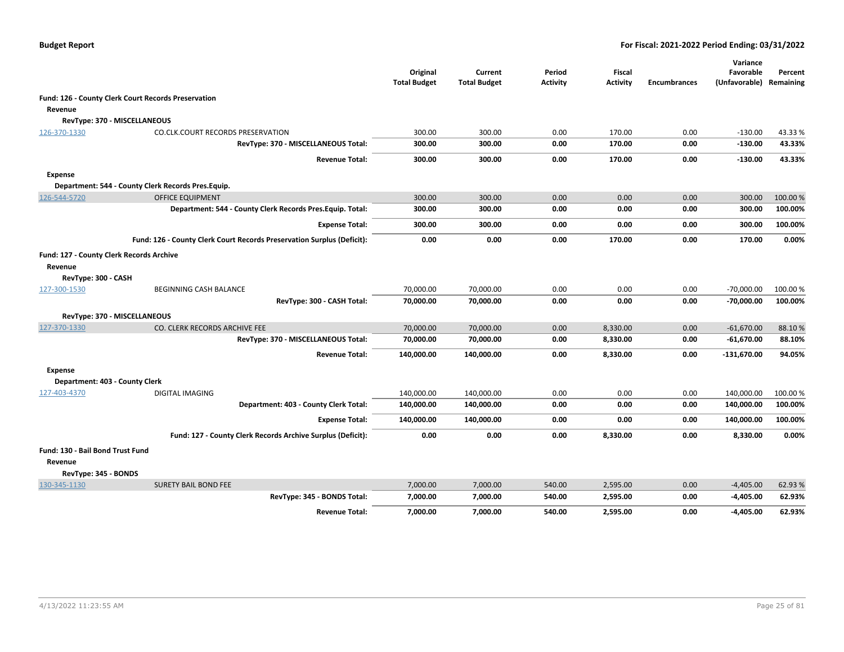|                                                 |                                                                        | Original<br><b>Total Budget</b> | Current<br><b>Total Budget</b> | Period<br><b>Activity</b> | Fiscal<br><b>Activity</b> | <b>Encumbrances</b> | Variance<br>Favorable<br>(Unfavorable) Remaining | Percent  |
|-------------------------------------------------|------------------------------------------------------------------------|---------------------------------|--------------------------------|---------------------------|---------------------------|---------------------|--------------------------------------------------|----------|
|                                                 | Fund: 126 - County Clerk Court Records Preservation                    |                                 |                                |                           |                           |                     |                                                  |          |
| Revenue                                         |                                                                        |                                 |                                |                           |                           |                     |                                                  |          |
|                                                 | RevType: 370 - MISCELLANEOUS                                           |                                 |                                |                           |                           |                     |                                                  |          |
| 126-370-1330                                    | CO.CLK.COURT RECORDS PRESERVATION                                      | 300.00                          | 300.00                         | 0.00                      | 170.00                    | 0.00                | $-130.00$                                        | 43.33%   |
|                                                 | RevType: 370 - MISCELLANEOUS Total:                                    | 300.00                          | 300.00                         | 0.00                      | 170.00                    | 0.00                | $-130.00$                                        | 43.33%   |
|                                                 | <b>Revenue Total:</b>                                                  | 300.00                          | 300.00                         | 0.00                      | 170.00                    | 0.00                | $-130.00$                                        | 43.33%   |
| <b>Expense</b>                                  |                                                                        |                                 |                                |                           |                           |                     |                                                  |          |
|                                                 | Department: 544 - County Clerk Records Pres. Equip.                    |                                 |                                |                           |                           |                     |                                                  |          |
| 126-544-5720                                    | <b>OFFICE EQUIPMENT</b>                                                | 300.00                          | 300.00                         | 0.00                      | 0.00                      | 0.00                | 300.00                                           | 100.00%  |
|                                                 | Department: 544 - County Clerk Records Pres. Equip. Total:             | 300.00                          | 300.00                         | 0.00                      | 0.00                      | 0.00                | 300.00                                           | 100.00%  |
|                                                 | <b>Expense Total:</b>                                                  | 300.00                          | 300.00                         | 0.00                      | 0.00                      | 0.00                | 300.00                                           | 100.00%  |
|                                                 | Fund: 126 - County Clerk Court Records Preservation Surplus (Deficit): | 0.00                            | 0.00                           | 0.00                      | 170.00                    | 0.00                | 170.00                                           | 0.00%    |
| <b>Fund: 127 - County Clerk Records Archive</b> |                                                                        |                                 |                                |                           |                           |                     |                                                  |          |
| Revenue                                         |                                                                        |                                 |                                |                           |                           |                     |                                                  |          |
| RevType: 300 - CASH                             |                                                                        |                                 |                                |                           |                           |                     |                                                  |          |
| 127-300-1530                                    | BEGINNING CASH BALANCE                                                 | 70,000.00                       | 70,000.00                      | 0.00                      | 0.00                      | 0.00                | $-70,000.00$                                     | 100.00%  |
|                                                 | RevType: 300 - CASH Total:                                             | 70,000.00                       | 70,000.00                      | 0.00                      | 0.00                      | 0.00                | $-70,000.00$                                     | 100.00%  |
|                                                 | RevType: 370 - MISCELLANEOUS                                           |                                 |                                |                           |                           |                     |                                                  |          |
| 127-370-1330                                    | CO. CLERK RECORDS ARCHIVE FEE                                          | 70,000.00                       | 70,000.00                      | 0.00                      | 8,330.00                  | 0.00                | $-61,670.00$                                     | 88.10%   |
|                                                 | RevType: 370 - MISCELLANEOUS Total:                                    | 70,000.00                       | 70,000.00                      | 0.00                      | 8,330.00                  | 0.00                | $-61,670.00$                                     | 88.10%   |
|                                                 | <b>Revenue Total:</b>                                                  | 140,000.00                      | 140,000.00                     | 0.00                      | 8,330.00                  | 0.00                | $-131,670.00$                                    | 94.05%   |
| <b>Expense</b>                                  |                                                                        |                                 |                                |                           |                           |                     |                                                  |          |
| Department: 403 - County Clerk                  |                                                                        |                                 |                                |                           |                           |                     |                                                  |          |
| 127-403-4370                                    | <b>DIGITAL IMAGING</b>                                                 | 140,000.00                      | 140,000.00                     | 0.00                      | 0.00                      | 0.00                | 140,000.00                                       | 100.00 % |
|                                                 | Department: 403 - County Clerk Total:                                  | 140,000.00                      | 140,000.00                     | 0.00                      | 0.00                      | 0.00                | 140,000.00                                       | 100.00%  |
|                                                 | <b>Expense Total:</b>                                                  | 140,000.00                      | 140,000.00                     | 0.00                      | 0.00                      | 0.00                | 140,000.00                                       | 100.00%  |
|                                                 | Fund: 127 - County Clerk Records Archive Surplus (Deficit):            | 0.00                            | 0.00                           | 0.00                      | 8,330.00                  | 0.00                | 8,330.00                                         | 0.00%    |
| Fund: 130 - Bail Bond Trust Fund                |                                                                        |                                 |                                |                           |                           |                     |                                                  |          |
| Revenue                                         |                                                                        |                                 |                                |                           |                           |                     |                                                  |          |
| RevType: 345 - BONDS                            |                                                                        |                                 |                                |                           |                           |                     |                                                  |          |
| 130-345-1130                                    | <b>SURETY BAIL BOND FEE</b>                                            | 7,000.00                        | 7,000.00                       | 540.00                    | 2,595.00                  | 0.00                | $-4,405.00$                                      | 62.93 %  |
|                                                 | RevType: 345 - BONDS Total:                                            | 7,000.00                        | 7,000.00                       | 540.00                    | 2,595.00                  | 0.00                | $-4,405.00$                                      | 62.93%   |
|                                                 | <b>Revenue Total:</b>                                                  | 7,000.00                        | 7,000.00                       | 540.00                    | 2,595.00                  | 0.00                | $-4,405.00$                                      | 62.93%   |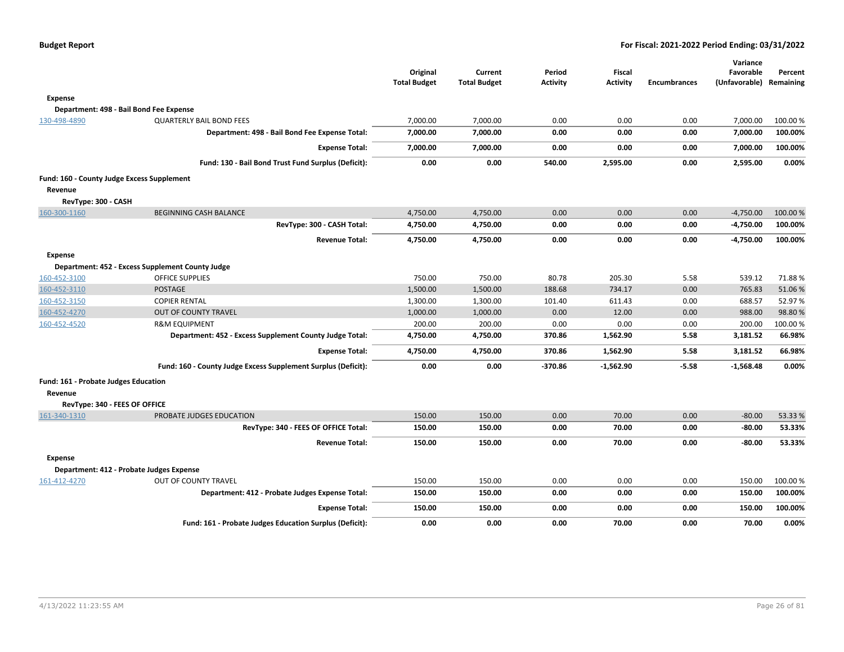|                                      |                                                               | Original<br><b>Total Budget</b> | Current<br><b>Total Budget</b> | Period<br><b>Activity</b> | <b>Fiscal</b><br><b>Activity</b> | <b>Encumbrances</b> | Variance<br>Favorable<br>(Unfavorable) Remaining | Percent  |
|--------------------------------------|---------------------------------------------------------------|---------------------------------|--------------------------------|---------------------------|----------------------------------|---------------------|--------------------------------------------------|----------|
| <b>Expense</b>                       |                                                               |                                 |                                |                           |                                  |                     |                                                  |          |
|                                      | Department: 498 - Bail Bond Fee Expense                       |                                 |                                |                           |                                  |                     |                                                  |          |
| 130-498-4890                         | <b>QUARTERLY BAIL BOND FEES</b>                               | 7,000.00                        | 7,000.00                       | 0.00                      | 0.00                             | 0.00                | 7,000.00                                         | 100.00 % |
|                                      | Department: 498 - Bail Bond Fee Expense Total:                | 7,000.00                        | 7,000.00                       | 0.00                      | 0.00                             | 0.00                | 7,000.00                                         | 100.00%  |
|                                      | <b>Expense Total:</b>                                         | 7,000.00                        | 7,000.00                       | 0.00                      | 0.00                             | 0.00                | 7,000.00                                         | 100.00%  |
|                                      | Fund: 130 - Bail Bond Trust Fund Surplus (Deficit):           | 0.00                            | 0.00                           | 540.00                    | 2,595.00                         | 0.00                | 2,595.00                                         | 0.00%    |
|                                      | Fund: 160 - County Judge Excess Supplement                    |                                 |                                |                           |                                  |                     |                                                  |          |
| Revenue                              |                                                               |                                 |                                |                           |                                  |                     |                                                  |          |
| RevType: 300 - CASH                  |                                                               |                                 |                                |                           |                                  |                     |                                                  |          |
| 160-300-1160                         | BEGINNING CASH BALANCE                                        | 4,750.00                        | 4,750.00                       | 0.00                      | 0.00                             | 0.00                | $-4,750.00$                                      | 100.00 % |
|                                      | RevType: 300 - CASH Total:                                    | 4,750.00                        | 4,750.00                       | 0.00                      | 0.00                             | 0.00                | $-4,750.00$                                      | 100.00%  |
|                                      | <b>Revenue Total:</b>                                         | 4,750.00                        | 4,750.00                       | 0.00                      | 0.00                             | 0.00                | $-4,750.00$                                      | 100.00%  |
| <b>Expense</b>                       |                                                               |                                 |                                |                           |                                  |                     |                                                  |          |
|                                      | Department: 452 - Excess Supplement County Judge              |                                 |                                |                           |                                  |                     |                                                  |          |
| 160-452-3100                         | <b>OFFICE SUPPLIES</b>                                        | 750.00                          | 750.00                         | 80.78                     | 205.30                           | 5.58                | 539.12                                           | 71.88%   |
| 160-452-3110                         | <b>POSTAGE</b>                                                | 1,500.00                        | 1,500.00                       | 188.68                    | 734.17                           | 0.00                | 765.83                                           | 51.06%   |
| 160-452-3150                         | <b>COPIER RENTAL</b>                                          | 1,300.00                        | 1,300.00                       | 101.40                    | 611.43                           | 0.00                | 688.57                                           | 52.97%   |
| 160-452-4270                         | <b>OUT OF COUNTY TRAVEL</b>                                   | 1,000.00                        | 1,000.00                       | 0.00                      | 12.00                            | 0.00                | 988.00                                           | 98.80%   |
| 160-452-4520                         | <b>R&amp;M EQUIPMENT</b>                                      | 200.00                          | 200.00                         | 0.00                      | 0.00                             | 0.00                | 200.00                                           | 100.00%  |
|                                      | Department: 452 - Excess Supplement County Judge Total:       | 4,750.00                        | 4,750.00                       | 370.86                    | 1,562.90                         | 5.58                | 3,181.52                                         | 66.98%   |
|                                      | <b>Expense Total:</b>                                         | 4,750.00                        | 4,750.00                       | 370.86                    | 1,562.90                         | 5.58                | 3,181.52                                         | 66.98%   |
|                                      | Fund: 160 - County Judge Excess Supplement Surplus (Deficit): | 0.00                            | 0.00                           | -370.86                   | $-1,562.90$                      | $-5.58$             | $-1,568.48$                                      | 0.00%    |
| Fund: 161 - Probate Judges Education |                                                               |                                 |                                |                           |                                  |                     |                                                  |          |
| Revenue                              |                                                               |                                 |                                |                           |                                  |                     |                                                  |          |
| RevType: 340 - FEES OF OFFICE        |                                                               |                                 |                                |                           |                                  |                     |                                                  |          |
| 161-340-1310                         | PROBATE JUDGES EDUCATION                                      | 150.00                          | 150.00                         | 0.00                      | 70.00                            | 0.00                | $-80.00$                                         | 53.33 %  |
|                                      | RevType: 340 - FEES OF OFFICE Total:                          | 150.00                          | 150.00                         | 0.00                      | 70.00                            | 0.00                | $-80.00$                                         | 53.33%   |
|                                      | <b>Revenue Total:</b>                                         | 150.00                          | 150.00                         | 0.00                      | 70.00                            | 0.00                | $-80.00$                                         | 53.33%   |
| <b>Expense</b>                       |                                                               |                                 |                                |                           |                                  |                     |                                                  |          |
|                                      | Department: 412 - Probate Judges Expense                      |                                 |                                |                           |                                  |                     |                                                  |          |
| 161-412-4270                         | OUT OF COUNTY TRAVEL                                          | 150.00                          | 150.00                         | 0.00                      | 0.00                             | 0.00                | 150.00                                           | 100.00 % |
|                                      | Department: 412 - Probate Judges Expense Total:               | 150.00                          | 150.00                         | 0.00                      | 0.00                             | 0.00                | 150.00                                           | 100.00%  |
|                                      | <b>Expense Total:</b>                                         | 150.00                          | 150.00                         | 0.00                      | 0.00                             | 0.00                | 150.00                                           | 100.00%  |
|                                      | Fund: 161 - Probate Judges Education Surplus (Deficit):       | 0.00                            | 0.00                           | 0.00                      | 70.00                            | 0.00                | 70.00                                            | 0.00%    |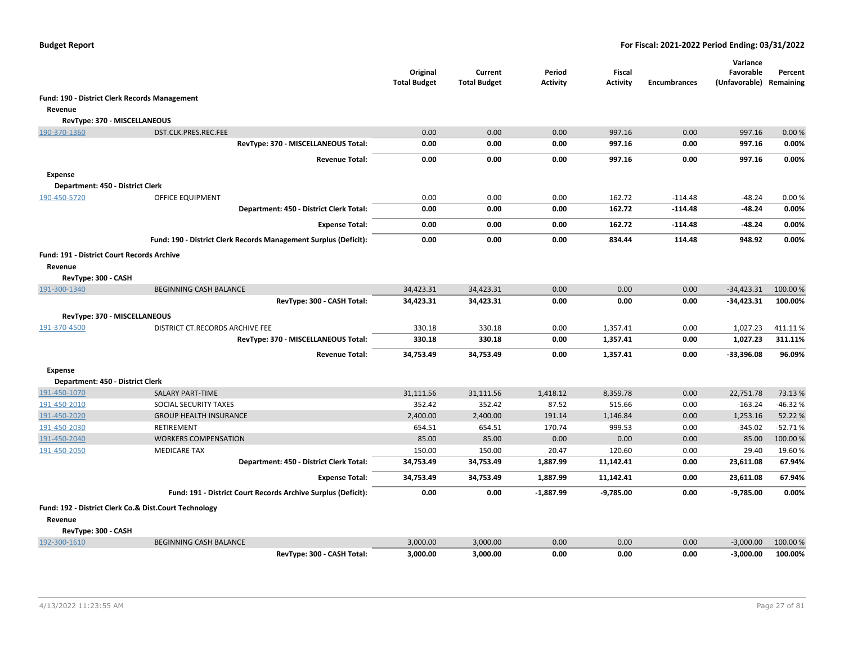|                                                              |                                                                  | Original<br><b>Total Budget</b> | Current<br><b>Total Budget</b> | Period<br><b>Activity</b> | <b>Fiscal</b><br><b>Activity</b> | <b>Encumbrances</b> | Variance<br>Favorable<br>(Unfavorable) Remaining | Percent   |
|--------------------------------------------------------------|------------------------------------------------------------------|---------------------------------|--------------------------------|---------------------------|----------------------------------|---------------------|--------------------------------------------------|-----------|
| <b>Fund: 190 - District Clerk Records Management</b>         |                                                                  |                                 |                                |                           |                                  |                     |                                                  |           |
| Revenue                                                      |                                                                  |                                 |                                |                           |                                  |                     |                                                  |           |
| RevType: 370 - MISCELLANEOUS                                 |                                                                  |                                 |                                |                           |                                  |                     |                                                  |           |
| 190-370-1360                                                 | DST.CLK.PRES.REC.FEE                                             | 0.00                            | 0.00                           | 0.00                      | 997.16                           | 0.00                | 997.16                                           | 0.00%     |
|                                                              | RevType: 370 - MISCELLANEOUS Total:                              | 0.00                            | 0.00                           | 0.00                      | 997.16                           | 0.00                | 997.16                                           | 0.00%     |
|                                                              | <b>Revenue Total:</b>                                            | 0.00                            | 0.00                           | 0.00                      | 997.16                           | 0.00                | 997.16                                           | 0.00%     |
| <b>Expense</b>                                               |                                                                  |                                 |                                |                           |                                  |                     |                                                  |           |
| Department: 450 - District Clerk                             |                                                                  |                                 |                                |                           |                                  |                     |                                                  |           |
| 190-450-5720                                                 | OFFICE EQUIPMENT                                                 | 0.00                            | 0.00                           | 0.00                      | 162.72                           | $-114.48$           | $-48.24$                                         | 0.00%     |
|                                                              | Department: 450 - District Clerk Total:                          | 0.00                            | 0.00                           | 0.00                      | 162.72                           | $-114.48$           | $-48.24$                                         | 0.00%     |
|                                                              | <b>Expense Total:</b>                                            | 0.00                            | 0.00                           | 0.00                      | 162.72                           | $-114.48$           | $-48.24$                                         | 0.00%     |
|                                                              | Fund: 190 - District Clerk Records Management Surplus (Deficit): | 0.00                            | 0.00                           | 0.00                      | 834.44                           | 114.48              | 948.92                                           | 0.00%     |
| <b>Fund: 191 - District Court Records Archive</b><br>Revenue |                                                                  |                                 |                                |                           |                                  |                     |                                                  |           |
| RevType: 300 - CASH                                          |                                                                  |                                 |                                |                           |                                  |                     |                                                  |           |
| 191-300-1340                                                 | <b>BEGINNING CASH BALANCE</b>                                    | 34,423.31                       | 34,423.31                      | 0.00                      | 0.00                             | 0.00                | $-34,423.31$                                     | 100.00 %  |
|                                                              | RevType: 300 - CASH Total:                                       | 34,423.31                       | 34,423.31                      | 0.00                      | 0.00                             | 0.00                | $-34,423.31$                                     | 100.00%   |
| RevType: 370 - MISCELLANEOUS                                 |                                                                  |                                 |                                |                           |                                  |                     |                                                  |           |
| 191-370-4500                                                 | DISTRICT CT.RECORDS ARCHIVE FEE                                  | 330.18                          | 330.18                         | 0.00                      | 1,357.41                         | 0.00                | 1,027.23                                         | 411.11%   |
|                                                              | RevType: 370 - MISCELLANEOUS Total:                              | 330.18                          | 330.18                         | 0.00                      | 1,357.41                         | 0.00                | 1,027.23                                         | 311.11%   |
|                                                              | <b>Revenue Total:</b>                                            | 34,753.49                       | 34,753.49                      | 0.00                      | 1,357.41                         | 0.00                | $-33,396.08$                                     | 96.09%    |
| <b>Expense</b>                                               |                                                                  |                                 |                                |                           |                                  |                     |                                                  |           |
| Department: 450 - District Clerk                             |                                                                  |                                 |                                |                           |                                  |                     |                                                  |           |
| 191-450-1070                                                 | <b>SALARY PART-TIME</b>                                          | 31,111.56                       | 31,111.56                      | 1,418.12                  | 8,359.78                         | 0.00                | 22,751.78                                        | 73.13 %   |
| 191-450-2010                                                 | SOCIAL SECURITY TAXES                                            | 352.42                          | 352.42                         | 87.52                     | 515.66                           | 0.00                | $-163.24$                                        | $-46.32%$ |
| 191-450-2020                                                 | <b>GROUP HEALTH INSURANCE</b>                                    | 2,400.00                        | 2,400.00                       | 191.14                    | 1,146.84                         | 0.00                | 1,253.16                                         | 52.22 %   |
| 191-450-2030                                                 | RETIREMENT                                                       | 654.51                          | 654.51                         | 170.74                    | 999.53                           | 0.00                | $-345.02$                                        | $-52.71%$ |
| 191-450-2040                                                 | <b>WORKERS COMPENSATION</b>                                      | 85.00                           | 85.00                          | 0.00                      | 0.00                             | 0.00                | 85.00                                            | 100.00%   |
| 191-450-2050                                                 | <b>MEDICARE TAX</b>                                              | 150.00                          | 150.00                         | 20.47                     | 120.60                           | 0.00                | 29.40                                            | 19.60%    |
|                                                              | Department: 450 - District Clerk Total:                          | 34,753.49                       | 34,753.49                      | 1,887.99                  | 11,142.41                        | 0.00                | 23,611.08                                        | 67.94%    |
|                                                              | <b>Expense Total:</b>                                            | 34,753.49                       | 34,753.49                      | 1,887.99                  | 11,142.41                        | 0.00                | 23,611.08                                        | 67.94%    |
|                                                              | Fund: 191 - District Court Records Archive Surplus (Deficit):    | 0.00                            | 0.00                           | $-1,887.99$               | $-9,785.00$                      | 0.00                | $-9,785.00$                                      | 0.00%     |
|                                                              | Fund: 192 - District Clerk Co.& Dist.Court Technology            |                                 |                                |                           |                                  |                     |                                                  |           |
| Revenue                                                      |                                                                  |                                 |                                |                           |                                  |                     |                                                  |           |
| RevType: 300 - CASH                                          |                                                                  |                                 |                                |                           |                                  |                     |                                                  |           |
| 192-300-1610                                                 | <b>BEGINNING CASH BALANCE</b>                                    | 3,000.00                        | 3,000.00                       | 0.00                      | 0.00                             | 0.00                | $-3,000.00$                                      | 100.00 %  |
|                                                              | RevType: 300 - CASH Total:                                       | 3,000.00                        | 3,000.00                       | 0.00                      | 0.00                             | 0.00                | $-3,000.00$                                      | 100.00%   |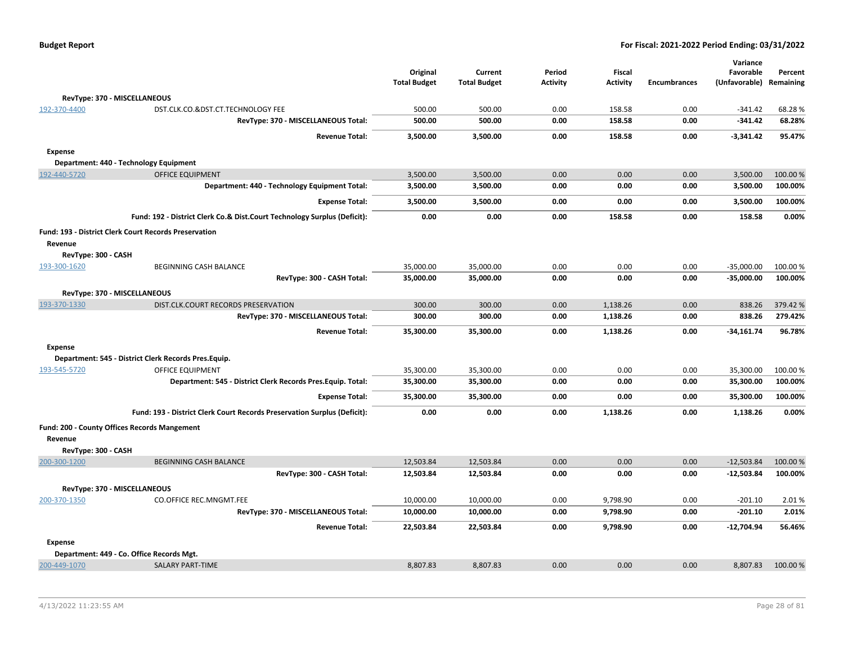|                     |                                                                          |                                 |                                |                           |                           |                     | Variance                   |                      |
|---------------------|--------------------------------------------------------------------------|---------------------------------|--------------------------------|---------------------------|---------------------------|---------------------|----------------------------|----------------------|
|                     |                                                                          | Original<br><b>Total Budget</b> | Current<br><b>Total Budget</b> | Period<br><b>Activity</b> | Fiscal<br><b>Activity</b> | <b>Encumbrances</b> | Favorable<br>(Unfavorable) | Percent<br>Remaining |
|                     |                                                                          |                                 |                                |                           |                           |                     |                            |                      |
|                     | RevType: 370 - MISCELLANEOUS                                             |                                 |                                |                           |                           |                     |                            |                      |
| 192-370-4400        | DST.CLK.CO.&DST.CT.TECHNOLOGY FEE                                        | 500.00                          | 500.00                         | 0.00                      | 158.58                    | 0.00                | $-341.42$                  | 68.28%               |
|                     | RevType: 370 - MISCELLANEOUS Total:                                      | 500.00                          | 500.00                         | 0.00                      | 158.58                    | 0.00                | $-341.42$                  | 68.28%               |
|                     | <b>Revenue Total:</b>                                                    | 3,500.00                        | 3,500.00                       | 0.00                      | 158.58                    | 0.00                | $-3,341.42$                | 95.47%               |
| <b>Expense</b>      |                                                                          |                                 |                                |                           |                           |                     |                            |                      |
|                     | Department: 440 - Technology Equipment                                   |                                 |                                |                           |                           |                     |                            |                      |
| 192-440-5720        | <b>OFFICE EQUIPMENT</b>                                                  | 3,500.00                        | 3,500.00                       | 0.00                      | 0.00                      | 0.00                | 3,500.00                   | 100.00 %             |
|                     | Department: 440 - Technology Equipment Total:                            | 3,500.00                        | 3,500.00                       | 0.00                      | 0.00                      | 0.00                | 3,500.00                   | 100.00%              |
|                     | <b>Expense Total:</b>                                                    | 3,500.00                        | 3,500.00                       | 0.00                      | 0.00                      | 0.00                | 3,500.00                   | 100.00%              |
|                     | Fund: 192 - District Clerk Co.& Dist.Court Technology Surplus (Deficit): | 0.00                            | 0.00                           | 0.00                      | 158.58                    | 0.00                | 158.58                     | 0.00%                |
|                     | Fund: 193 - District Clerk Court Records Preservation                    |                                 |                                |                           |                           |                     |                            |                      |
| Revenue             |                                                                          |                                 |                                |                           |                           |                     |                            |                      |
| RevType: 300 - CASH |                                                                          |                                 |                                |                           |                           |                     |                            |                      |
| 193-300-1620        | BEGINNING CASH BALANCE                                                   | 35,000.00                       | 35,000.00                      | 0.00                      | 0.00                      | 0.00                | $-35,000.00$               | 100.00 %             |
|                     | RevType: 300 - CASH Total:                                               | 35,000.00                       | 35,000.00                      | 0.00                      | 0.00                      | 0.00                | $-35,000.00$               | 100.00%              |
|                     | RevType: 370 - MISCELLANEOUS                                             |                                 |                                |                           |                           |                     |                            |                      |
| 193-370-1330        | DIST.CLK.COURT RECORDS PRESERVATION                                      | 300.00                          | 300.00                         | 0.00                      | 1,138.26                  | 0.00                | 838.26                     | 379.42 %             |
|                     | RevType: 370 - MISCELLANEOUS Total:                                      | 300.00                          | 300.00                         | 0.00                      | 1,138.26                  | 0.00                | 838.26                     | 279.42%              |
|                     | <b>Revenue Total:</b>                                                    | 35,300.00                       | 35,300.00                      | 0.00                      | 1,138.26                  | 0.00                | $-34,161.74$               | 96.78%               |
| <b>Expense</b>      |                                                                          |                                 |                                |                           |                           |                     |                            |                      |
|                     | Department: 545 - District Clerk Records Pres.Equip.                     |                                 |                                |                           |                           |                     |                            |                      |
| 193-545-5720        | <b>OFFICE EQUIPMENT</b>                                                  | 35,300.00                       | 35,300.00                      | 0.00                      | 0.00                      | 0.00                | 35,300.00                  | 100.00 %             |
|                     | Department: 545 - District Clerk Records Pres. Equip. Total:             | 35,300.00                       | 35,300.00                      | 0.00                      | 0.00                      | 0.00                | 35,300.00                  | 100.00%              |
|                     | <b>Expense Total:</b>                                                    | 35,300.00                       | 35,300.00                      | 0.00                      | 0.00                      | 0.00                | 35,300.00                  | 100.00%              |
|                     | Fund: 193 - District Clerk Court Records Preservation Surplus (Deficit): | 0.00                            | 0.00                           | 0.00                      | 1,138.26                  | 0.00                | 1,138.26                   | 0.00%                |
|                     | Fund: 200 - County Offices Records Mangement                             |                                 |                                |                           |                           |                     |                            |                      |
| Revenue             |                                                                          |                                 |                                |                           |                           |                     |                            |                      |
| RevType: 300 - CASH |                                                                          |                                 |                                |                           |                           |                     |                            |                      |
| 200-300-1200        | <b>BEGINNING CASH BALANCE</b>                                            | 12,503.84                       | 12,503.84                      | 0.00                      | 0.00                      | 0.00                | $-12,503.84$               | 100.00 %             |
|                     | RevType: 300 - CASH Total:                                               | 12,503.84                       | 12,503.84                      | 0.00                      | 0.00                      | 0.00                | $-12,503.84$               | 100.00%              |
|                     | RevType: 370 - MISCELLANEOUS                                             |                                 |                                |                           |                           |                     |                            |                      |
| 200-370-1350        | CO.OFFICE REC.MNGMT.FEE                                                  | 10,000.00                       | 10,000.00                      | 0.00                      | 9,798.90                  | 0.00                | $-201.10$                  | 2.01%                |
|                     | RevType: 370 - MISCELLANEOUS Total:                                      | 10,000.00                       | 10,000.00                      | 0.00                      | 9,798.90                  | 0.00                | $-201.10$                  | 2.01%                |
|                     | <b>Revenue Total:</b>                                                    | 22,503.84                       | 22,503.84                      | 0.00                      | 9,798.90                  | 0.00                | $-12,704.94$               | 56.46%               |
| <b>Expense</b>      |                                                                          |                                 |                                |                           |                           |                     |                            |                      |
|                     | Department: 449 - Co. Office Records Mgt.                                |                                 |                                |                           |                           |                     |                            |                      |
| 200-449-1070        | <b>SALARY PART-TIME</b>                                                  | 8,807.83                        | 8,807.83                       | 0.00                      | 0.00                      | 0.00                | 8,807.83                   | 100.00 %             |
|                     |                                                                          |                                 |                                |                           |                           |                     |                            |                      |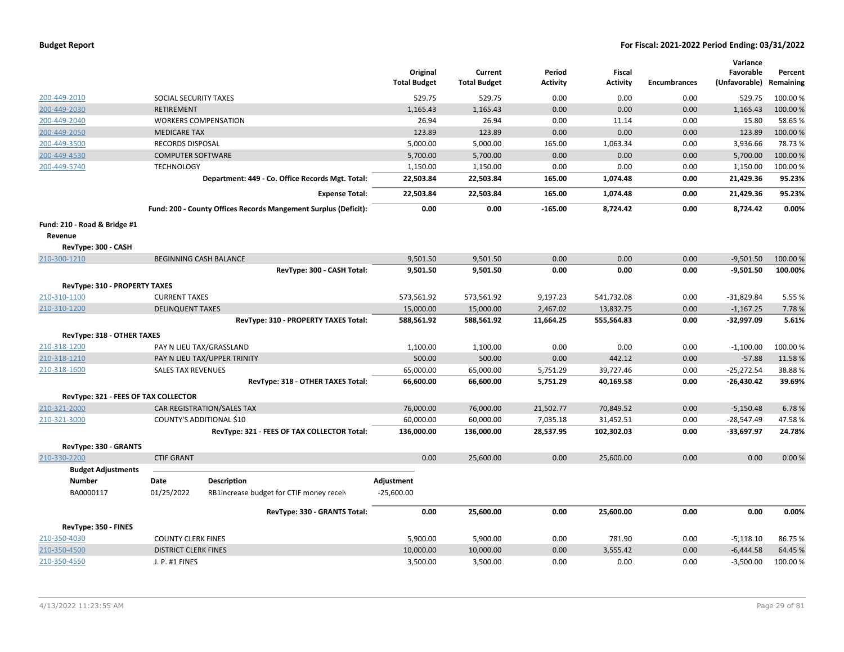|                                      |                             |                                                                 | Original<br><b>Total Budget</b> | Current<br><b>Total Budget</b> | Period<br><b>Activity</b> | Fiscal<br><b>Activity</b> | <b>Encumbrances</b> | Variance<br>Favorable<br>(Unfavorable) | Percent<br>Remaining |
|--------------------------------------|-----------------------------|-----------------------------------------------------------------|---------------------------------|--------------------------------|---------------------------|---------------------------|---------------------|----------------------------------------|----------------------|
| 200-449-2010                         | SOCIAL SECURITY TAXES       |                                                                 | 529.75                          | 529.75                         | 0.00                      | 0.00                      | 0.00                | 529.75                                 | 100.00%              |
| 200-449-2030                         | <b>RETIREMENT</b>           |                                                                 | 1,165.43                        | 1,165.43                       | 0.00                      | 0.00                      | 0.00                | 1,165.43                               | 100.00%              |
| 200-449-2040                         |                             | <b>WORKERS COMPENSATION</b>                                     | 26.94                           | 26.94                          | 0.00                      | 11.14                     | 0.00                | 15.80                                  | 58.65 %              |
| 200-449-2050                         | <b>MEDICARE TAX</b>         |                                                                 | 123.89                          | 123.89                         | 0.00                      | 0.00                      | 0.00                | 123.89                                 | 100.00%              |
| 200-449-3500                         | <b>RECORDS DISPOSAL</b>     |                                                                 | 5,000.00                        | 5,000.00                       | 165.00                    | 1,063.34                  | 0.00                | 3,936.66                               | 78.73%               |
| 200-449-4530                         | <b>COMPUTER SOFTWARE</b>    |                                                                 | 5,700.00                        | 5,700.00                       | 0.00                      | 0.00                      | 0.00                | 5,700.00                               | 100.00 %             |
| 200-449-5740                         | <b>TECHNOLOGY</b>           |                                                                 | 1,150.00                        | 1,150.00                       | 0.00                      | 0.00                      | 0.00                | 1,150.00                               | 100.00%              |
|                                      |                             | Department: 449 - Co. Office Records Mgt. Total:                | 22,503.84                       | 22,503.84                      | 165.00                    | 1,074.48                  | 0.00                | 21,429.36                              | 95.23%               |
|                                      |                             | <b>Expense Total:</b>                                           | 22,503.84                       | 22,503.84                      | 165.00                    | 1,074.48                  | 0.00                | 21,429.36                              | 95.23%               |
|                                      |                             | Fund: 200 - County Offices Records Mangement Surplus (Deficit): | 0.00                            | 0.00                           | $-165.00$                 | 8,724.42                  | 0.00                | 8,724.42                               | 0.00%                |
| Fund: 210 - Road & Bridge #1         |                             |                                                                 |                                 |                                |                           |                           |                     |                                        |                      |
| Revenue                              |                             |                                                                 |                                 |                                |                           |                           |                     |                                        |                      |
| RevType: 300 - CASH                  |                             |                                                                 |                                 |                                |                           |                           |                     |                                        |                      |
| 210-300-1210                         |                             | <b>BEGINNING CASH BALANCE</b>                                   | 9,501.50                        | 9,501.50                       | 0.00                      | 0.00                      | 0.00                | $-9,501.50$                            | 100.00%              |
|                                      |                             | RevType: 300 - CASH Total:                                      | 9,501.50                        | 9,501.50                       | 0.00                      | 0.00                      | 0.00                | $-9,501.50$                            | 100.00%              |
| RevType: 310 - PROPERTY TAXES        |                             |                                                                 |                                 |                                |                           |                           |                     |                                        |                      |
| 210-310-1100                         | <b>CURRENT TAXES</b>        |                                                                 | 573,561.92                      | 573,561.92                     | 9,197.23                  | 541,732.08                | 0.00                | $-31,829.84$                           | 5.55 %               |
| 210-310-1200                         | <b>DELINQUENT TAXES</b>     |                                                                 | 15,000.00                       | 15,000.00                      | 2,467.02                  | 13,832.75                 | 0.00                | $-1,167.25$                            | 7.78%                |
|                                      |                             | RevType: 310 - PROPERTY TAXES Total:                            | 588,561.92                      | 588,561.92                     | 11,664.25                 | 555,564.83                | 0.00                | $-32,997.09$                           | 5.61%                |
| RevType: 318 - OTHER TAXES           |                             |                                                                 |                                 |                                |                           |                           |                     |                                        |                      |
| 210-318-1200                         |                             | PAY N LIEU TAX/GRASSLAND                                        | 1,100.00                        | 1,100.00                       | 0.00                      | 0.00                      | 0.00                | $-1,100.00$                            | 100.00%              |
| 210-318-1210                         |                             | PAY N LIEU TAX/UPPER TRINITY                                    | 500.00                          | 500.00                         | 0.00                      | 442.12                    | 0.00                | $-57.88$                               | 11.58%               |
| 210-318-1600                         | <b>SALES TAX REVENUES</b>   |                                                                 | 65,000.00                       | 65,000.00                      | 5,751.29                  | 39,727.46                 | 0.00                | $-25,272.54$                           | 38.88%               |
|                                      |                             | RevType: 318 - OTHER TAXES Total:                               | 66,600.00                       | 66,600.00                      | 5,751.29                  | 40,169.58                 | 0.00                | $-26,430.42$                           | 39.69%               |
| RevType: 321 - FEES OF TAX COLLECTOR |                             |                                                                 |                                 |                                |                           |                           |                     |                                        |                      |
| 210-321-2000                         |                             | CAR REGISTRATION/SALES TAX                                      | 76,000.00                       | 76,000.00                      | 21,502.77                 | 70,849.52                 | 0.00                | $-5,150.48$                            | 6.78%                |
| 210-321-3000                         |                             | <b>COUNTY'S ADDITIONAL \$10</b>                                 | 60,000.00                       | 60,000.00                      | 7,035.18                  | 31,452.51                 | 0.00                | $-28,547.49$                           | 47.58%               |
|                                      |                             | RevType: 321 - FEES OF TAX COLLECTOR Total:                     | 136,000.00                      | 136,000.00                     | 28,537.95                 | 102,302.03                | 0.00                | $-33,697.97$                           | 24.78%               |
| RevType: 330 - GRANTS                |                             |                                                                 |                                 |                                |                           |                           |                     |                                        |                      |
| 210-330-2200                         | <b>CTIF GRANT</b>           |                                                                 | 0.00                            | 25,600.00                      | 0.00                      | 25,600.00                 | 0.00                | 0.00                                   | 0.00%                |
| <b>Budget Adjustments</b>            |                             |                                                                 |                                 |                                |                           |                           |                     |                                        |                      |
| <b>Number</b>                        | Date                        | <b>Description</b>                                              | Adjustment                      |                                |                           |                           |                     |                                        |                      |
| BA0000117                            | 01/25/2022                  | RB1increase budget for CTIF money receiv                        | $-25,600.00$                    |                                |                           |                           |                     |                                        |                      |
|                                      |                             | RevType: 330 - GRANTS Total:                                    | 0.00                            | 25,600.00                      | 0.00                      | 25,600.00                 | 0.00                | 0.00                                   | 0.00%                |
| RevType: 350 - FINES                 |                             |                                                                 |                                 |                                |                           |                           |                     |                                        |                      |
| 210-350-4030                         | <b>COUNTY CLERK FINES</b>   |                                                                 | 5,900.00                        | 5,900.00                       | 0.00                      | 781.90                    | 0.00                | $-5,118.10$                            | 86.75 %              |
| 210-350-4500                         | <b>DISTRICT CLERK FINES</b> |                                                                 | 10,000.00                       | 10,000.00                      | 0.00                      | 3,555.42                  | 0.00                | $-6,444.58$                            | 64.45 %              |
| 210-350-4550                         | J. P. #1 FINES              |                                                                 | 3,500.00                        | 3,500.00                       | 0.00                      | 0.00                      | 0.00                | $-3,500.00$                            | 100.00%              |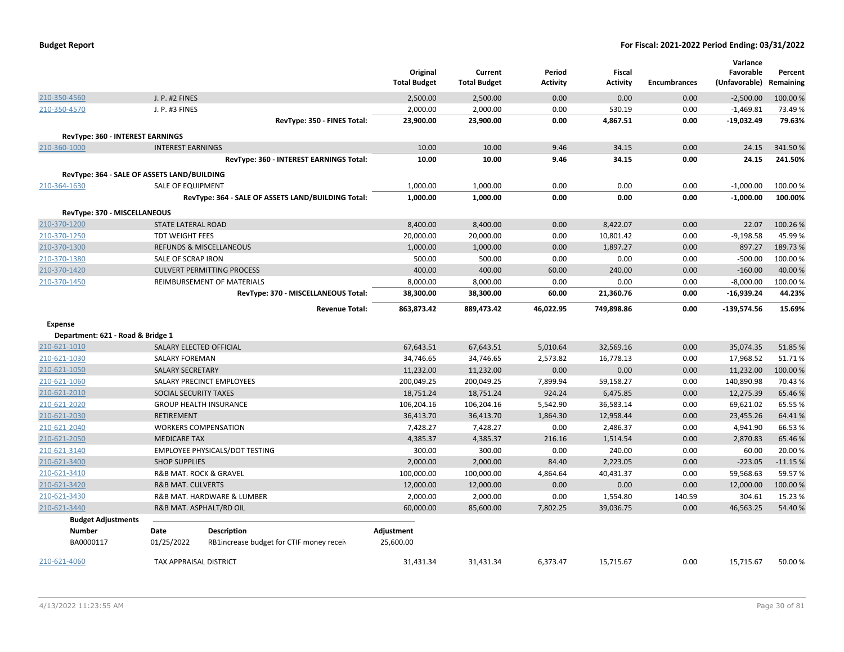| <b>Budget Report</b> |  |
|----------------------|--|
|----------------------|--|

|                                              |                                             |                                                    |                     |                     |           |               |                     | Variance      |           |
|----------------------------------------------|---------------------------------------------|----------------------------------------------------|---------------------|---------------------|-----------|---------------|---------------------|---------------|-----------|
|                                              |                                             |                                                    | Original            | Current             | Period    | <b>Fiscal</b> |                     | Favorable     | Percent   |
|                                              |                                             |                                                    | <b>Total Budget</b> | <b>Total Budget</b> | Activity  | Activity      | <b>Encumbrances</b> | (Unfavorable) | Remaining |
| 210-350-4560                                 | J. P. #2 FINES                              |                                                    | 2,500.00            | 2,500.00            | 0.00      | 0.00          | 0.00                | $-2,500.00$   | 100.00 %  |
| 210-350-4570                                 | J. P. #3 FINES                              |                                                    | 2,000.00            | 2,000.00            | 0.00      | 530.19        | 0.00                | $-1,469.81$   | 73.49%    |
|                                              |                                             | RevType: 350 - FINES Total:                        | 23,900.00           | 23,900.00           | 0.00      | 4,867.51      | 0.00                | $-19,032.49$  | 79.63%    |
|                                              | RevType: 360 - INTEREST EARNINGS            |                                                    |                     |                     |           |               |                     |               |           |
| 210-360-1000                                 | <b>INTEREST EARNINGS</b>                    |                                                    | 10.00               | 10.00               | 9.46      | 34.15         | 0.00                | 24.15         | 341.50%   |
|                                              |                                             | RevType: 360 - INTEREST EARNINGS Total:            | 10.00               | 10.00               | 9.46      | 34.15         | 0.00                | 24.15         | 241.50%   |
|                                              | RevType: 364 - SALE OF ASSETS LAND/BUILDING |                                                    |                     |                     |           |               |                     |               |           |
| 210-364-1630                                 | <b>SALE OF EQUIPMENT</b>                    |                                                    | 1,000.00            | 1,000.00            | 0.00      | 0.00          | 0.00                | $-1,000.00$   | 100.00%   |
|                                              |                                             | RevType: 364 - SALE OF ASSETS LAND/BUILDING Total: | 1,000.00            | 1,000.00            | 0.00      | 0.00          | 0.00                | $-1,000.00$   | 100.00%   |
|                                              |                                             |                                                    |                     |                     |           |               |                     |               |           |
| RevType: 370 - MISCELLANEOUS<br>210-370-1200 | STATE LATERAL ROAD                          |                                                    | 8,400.00            | 8,400.00            | 0.00      | 8,422.07      | 0.00                | 22.07         | 100.26%   |
| 210-370-1250                                 | <b>TDT WEIGHT FEES</b>                      |                                                    | 20,000.00           | 20,000.00           | 0.00      | 10,801.42     | 0.00                | $-9,198.58$   | 45.99%    |
| 210-370-1300                                 |                                             | <b>REFUNDS &amp; MISCELLANEOUS</b>                 | 1,000.00            | 1,000.00            | 0.00      | 1,897.27      | 0.00                | 897.27        | 189.73%   |
| 210-370-1380                                 | SALE OF SCRAP IRON                          |                                                    | 500.00              | 500.00              | 0.00      | 0.00          | 0.00                | $-500.00$     | 100.00%   |
| 210-370-1420                                 |                                             | <b>CULVERT PERMITTING PROCESS</b>                  | 400.00              | 400.00              | 60.00     | 240.00        | 0.00                | $-160.00$     | 40.00 %   |
| 210-370-1450                                 |                                             | REIMBURSEMENT OF MATERIALS                         | 8,000.00            | 8,000.00            | 0.00      | 0.00          | 0.00                | $-8,000.00$   | 100.00%   |
|                                              |                                             | RevType: 370 - MISCELLANEOUS Total:                | 38,300.00           | 38,300.00           | 60.00     | 21,360.76     | 0.00                | $-16,939.24$  | 44.23%    |
|                                              |                                             |                                                    |                     |                     |           |               |                     |               |           |
|                                              |                                             | <b>Revenue Total:</b>                              | 863,873.42          | 889,473.42          | 46,022.95 | 749,898.86    | 0.00                | $-139,574.56$ | 15.69%    |
| <b>Expense</b>                               |                                             |                                                    |                     |                     |           |               |                     |               |           |
| Department: 621 - Road & Bridge 1            |                                             |                                                    |                     |                     |           |               |                     |               |           |
| 210-621-1010                                 | SALARY ELECTED OFFICIAL                     |                                                    | 67,643.51           | 67,643.51           | 5,010.64  | 32,569.16     | 0.00                | 35,074.35     | 51.85%    |
| 210-621-1030                                 | <b>SALARY FOREMAN</b>                       |                                                    | 34,746.65           | 34,746.65           | 2,573.82  | 16,778.13     | 0.00                | 17,968.52     | 51.71%    |
| 210-621-1050                                 | <b>SALARY SECRETARY</b>                     |                                                    | 11,232.00           | 11,232.00           | 0.00      | 0.00          | 0.00                | 11.232.00     | 100.00%   |
| 210-621-1060                                 |                                             | SALARY PRECINCT EMPLOYEES                          | 200,049.25          | 200,049.25          | 7,899.94  | 59,158.27     | 0.00                | 140,890.98    | 70.43%    |
| 210-621-2010                                 | SOCIAL SECURITY TAXES                       |                                                    | 18,751.24           | 18,751.24           | 924.24    | 6,475.85      | 0.00                | 12,275.39     | 65.46 %   |
| 210-621-2020                                 |                                             | <b>GROUP HEALTH INSURANCE</b>                      | 106,204.16          | 106,204.16          | 5,542.90  | 36,583.14     | 0.00                | 69,621.02     | 65.55%    |
| 210-621-2030                                 | RETIREMENT                                  |                                                    | 36,413.70           | 36,413.70           | 1,864.30  | 12,958.44     | 0.00                | 23,455.26     | 64.41%    |
| 210-621-2040                                 |                                             | <b>WORKERS COMPENSATION</b>                        | 7,428.27            | 7,428.27            | 0.00      | 2,486.37      | 0.00                | 4,941.90      | 66.53%    |
| 210-621-2050                                 | <b>MEDICARE TAX</b>                         |                                                    | 4,385.37            | 4,385.37            | 216.16    | 1,514.54      | 0.00                | 2,870.83      | 65.46%    |
| 210-621-3140                                 |                                             | EMPLOYEE PHYSICALS/DOT TESTING                     | 300.00              | 300.00              | 0.00      | 240.00        | 0.00                | 60.00         | 20.00 %   |
| 210-621-3400                                 | <b>SHOP SUPPLIES</b>                        |                                                    | 2,000.00            | 2,000.00            | 84.40     | 2,223.05      | 0.00                | $-223.05$     | $-11.15%$ |
| 210-621-3410                                 | <b>R&amp;B MAT. ROCK &amp; GRAVEL</b>       |                                                    | 100,000.00          | 100,000.00          | 4,864.64  | 40,431.37     | 0.00                | 59,568.63     | 59.57%    |
| 210-621-3420                                 | <b>R&amp;B MAT. CULVERTS</b>                |                                                    | 12,000.00           | 12,000.00           | 0.00      | 0.00          | 0.00                | 12,000.00     | 100.00%   |
| 210-621-3430                                 |                                             | R&B MAT. HARDWARE & LUMBER                         | 2,000.00            | 2,000.00            | 0.00      | 1,554.80      | 140.59              | 304.61        | 15.23 %   |
| 210-621-3440                                 |                                             | R&B MAT. ASPHALT/RD OIL                            | 60,000.00           | 85,600.00           | 7,802.25  | 39,036.75     | 0.00                | 46,563.25     | 54.40%    |
| <b>Budget Adjustments</b>                    |                                             |                                                    |                     |                     |           |               |                     |               |           |
| Number                                       | Date                                        | Description                                        | Adjustment          |                     |           |               |                     |               |           |
| BA0000117                                    | 01/25/2022                                  | RB1increase budget for CTIF money receiv           | 25,600.00           |                     |           |               |                     |               |           |
| 210-621-4060                                 | <b>TAX APPRAISAL DISTRICT</b>               |                                                    | 31,431.34           | 31,431.34           | 6,373.47  | 15,715.67     | 0.00                | 15,715.67     | 50.00 %   |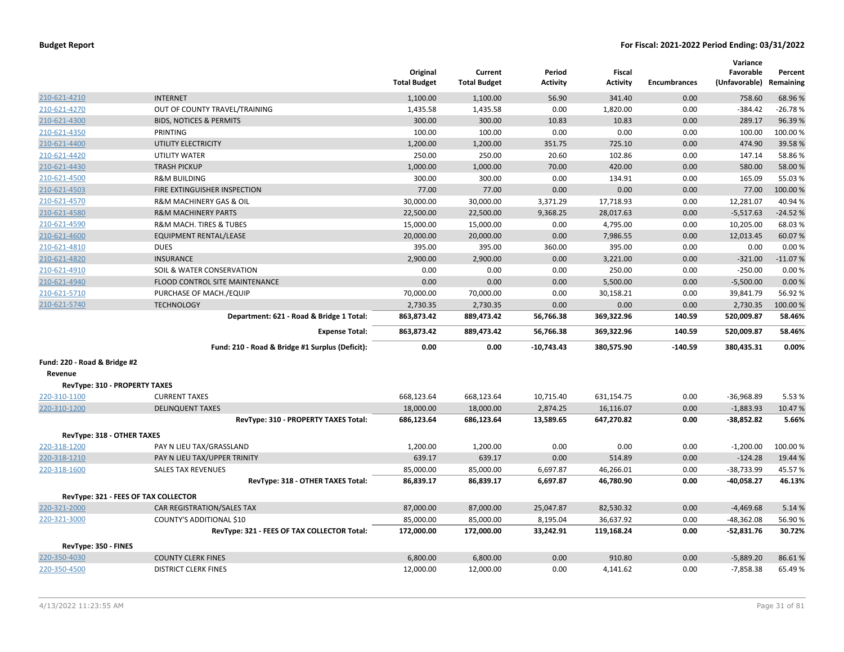|                                      |                                                 | Original<br><b>Total Budget</b> | Current<br><b>Total Budget</b> | Period<br><b>Activity</b> | Fiscal<br><b>Activity</b> | <b>Encumbrances</b> | Variance<br>Favorable<br>(Unfavorable) | Percent<br>Remaining |
|--------------------------------------|-------------------------------------------------|---------------------------------|--------------------------------|---------------------------|---------------------------|---------------------|----------------------------------------|----------------------|
| 210-621-4210                         | <b>INTERNET</b>                                 | 1,100.00                        | 1,100.00                       | 56.90                     | 341.40                    | 0.00                | 758.60                                 | 68.96%               |
| 210-621-4270                         | OUT OF COUNTY TRAVEL/TRAINING                   | 1,435.58                        | 1,435.58                       | 0.00                      | 1,820.00                  | 0.00                | $-384.42$                              | $-26.78%$            |
| 210-621-4300                         | <b>BIDS, NOTICES &amp; PERMITS</b>              | 300.00                          | 300.00                         | 10.83                     | 10.83                     | 0.00                | 289.17                                 | 96.39%               |
| 210-621-4350                         | PRINTING                                        | 100.00                          | 100.00                         | 0.00                      | 0.00                      | 0.00                | 100.00                                 | 100.00%              |
| 210-621-4400                         | UTILITY ELECTRICITY                             | 1,200.00                        | 1,200.00                       | 351.75                    | 725.10                    | 0.00                | 474.90                                 | 39.58%               |
| 210-621-4420                         | UTILITY WATER                                   | 250.00                          | 250.00                         | 20.60                     | 102.86                    | 0.00                | 147.14                                 | 58.86%               |
| 210-621-4430                         | <b>TRASH PICKUP</b>                             | 1,000.00                        | 1,000.00                       | 70.00                     | 420.00                    | 0.00                | 580.00                                 | 58.00 %              |
| 210-621-4500                         | <b>R&amp;M BUILDING</b>                         | 300.00                          | 300.00                         | 0.00                      | 134.91                    | 0.00                | 165.09                                 | 55.03%               |
| 210-621-4503                         | FIRE EXTINGUISHER INSPECTION                    | 77.00                           | 77.00                          | 0.00                      | 0.00                      | 0.00                | 77.00                                  | 100.00 %             |
| 210-621-4570                         | R&M MACHINERY GAS & OIL                         | 30,000.00                       | 30,000.00                      | 3,371.29                  | 17,718.93                 | 0.00                | 12,281.07                              | 40.94%               |
| 210-621-4580                         | <b>R&amp;M MACHINERY PARTS</b>                  | 22,500.00                       | 22,500.00                      | 9,368.25                  | 28,017.63                 | 0.00                | $-5,517.63$                            | $-24.52%$            |
| 210-621-4590                         | R&M MACH. TIRES & TUBES                         | 15,000.00                       | 15,000.00                      | 0.00                      | 4,795.00                  | 0.00                | 10,205.00                              | 68.03%               |
| 210-621-4600                         | <b>EQUIPMENT RENTAL/LEASE</b>                   | 20,000.00                       | 20,000.00                      | 0.00                      | 7,986.55                  | 0.00                | 12,013.45                              | 60.07%               |
| 210-621-4810                         | <b>DUES</b>                                     | 395.00                          | 395.00                         | 360.00                    | 395.00                    | 0.00                | 0.00                                   | 0.00%                |
| 210-621-4820                         | <b>INSURANCE</b>                                | 2,900.00                        | 2,900.00                       | 0.00                      | 3,221.00                  | 0.00                | $-321.00$                              | $-11.07%$            |
| 210-621-4910                         | SOIL & WATER CONSERVATION                       | 0.00                            | 0.00                           | 0.00                      | 250.00                    | 0.00                | $-250.00$                              | 0.00%                |
| 210-621-4940                         | FLOOD CONTROL SITE MAINTENANCE                  | 0.00                            | 0.00                           | 0.00                      | 5,500.00                  | 0.00                | $-5,500.00$                            | 0.00%                |
| 210-621-5710                         | PURCHASE OF MACH./EQUIP                         | 70,000.00                       | 70,000.00                      | 0.00                      | 30,158.21                 | 0.00                | 39,841.79                              | 56.92%               |
| 210-621-5740                         | <b>TECHNOLOGY</b>                               | 2,730.35                        | 2,730.35                       | 0.00                      | 0.00                      | 0.00                | 2,730.35                               | 100.00%              |
|                                      | Department: 621 - Road & Bridge 1 Total:        | 863,873.42                      | 889,473.42                     | 56,766.38                 | 369,322.96                | 140.59              | 520,009.87                             | 58.46%               |
|                                      | <b>Expense Total:</b>                           | 863,873.42                      | 889,473.42                     | 56,766.38                 | 369,322.96                | 140.59              | 520,009.87                             | 58.46%               |
|                                      | Fund: 210 - Road & Bridge #1 Surplus (Deficit): | 0.00                            | 0.00                           | $-10,743.43$              | 380,575.90                | $-140.59$           | 380,435.31                             | 0.00%                |
| Fund: 220 - Road & Bridge #2         |                                                 |                                 |                                |                           |                           |                     |                                        |                      |
| Revenue                              |                                                 |                                 |                                |                           |                           |                     |                                        |                      |
| <b>RevType: 310 - PROPERTY TAXES</b> |                                                 |                                 |                                |                           |                           |                     |                                        |                      |
| 220-310-1100                         | <b>CURRENT TAXES</b>                            | 668,123.64                      | 668,123.64                     | 10,715.40                 | 631,154.75                | 0.00                | $-36,968.89$                           | 5.53%                |
| 220-310-1200                         | <b>DELINQUENT TAXES</b>                         | 18,000.00                       | 18,000.00                      | 2,874.25                  | 16,116.07                 | 0.00                | $-1,883.93$                            | 10.47%               |
|                                      | RevType: 310 - PROPERTY TAXES Total:            | 686,123.64                      | 686,123.64                     | 13,589.65                 | 647,270.82                | 0.00                | -38,852.82                             | 5.66%                |
| RevType: 318 - OTHER TAXES           |                                                 |                                 |                                |                           |                           |                     |                                        |                      |
| 220-318-1200                         | PAY N LIEU TAX/GRASSLAND                        | 1,200.00                        | 1,200.00                       | 0.00                      | 0.00                      | 0.00                | $-1,200.00$                            | 100.00 %             |
| 220-318-1210                         | PAY N LIEU TAX/UPPER TRINITY                    | 639.17                          | 639.17                         | 0.00                      | 514.89                    | 0.00                | $-124.28$                              | 19.44 %              |
| 220-318-1600                         | <b>SALES TAX REVENUES</b>                       | 85,000.00                       | 85,000.00                      | 6,697.87                  | 46,266.01                 | 0.00                | $-38,733.99$                           | 45.57 %              |
|                                      | RevType: 318 - OTHER TAXES Total:               | 86,839.17                       | 86,839.17                      | 6,697.87                  | 46,780.90                 | 0.00                | -40,058.27                             | 46.13%               |
|                                      | RevType: 321 - FEES OF TAX COLLECTOR            |                                 |                                |                           |                           |                     |                                        |                      |
| 220-321-2000                         | <b>CAR REGISTRATION/SALES TAX</b>               | 87,000.00                       | 87,000.00                      | 25,047.87                 | 82,530.32                 | 0.00                | $-4,469.68$                            | 5.14 %               |
| 220-321-3000                         | COUNTY'S ADDITIONAL \$10                        | 85,000.00                       | 85,000.00                      | 8,195.04                  | 36,637.92                 | 0.00                | $-48,362.08$                           | 56.90%               |
|                                      | RevType: 321 - FEES OF TAX COLLECTOR Total:     | 172,000.00                      | 172,000.00                     | 33,242.91                 | 119,168.24                | 0.00                | $-52,831.76$                           | 30.72%               |
| RevType: 350 - FINES                 |                                                 |                                 |                                |                           |                           |                     |                                        |                      |
| 220-350-4030                         | <b>COUNTY CLERK FINES</b>                       | 6,800.00                        | 6,800.00                       | 0.00                      | 910.80                    | 0.00                | $-5,889.20$                            | 86.61%               |
| 220-350-4500                         | <b>DISTRICT CLERK FINES</b>                     | 12,000.00                       | 12,000.00                      | 0.00                      | 4,141.62                  | 0.00                | $-7,858.38$                            | 65.49%               |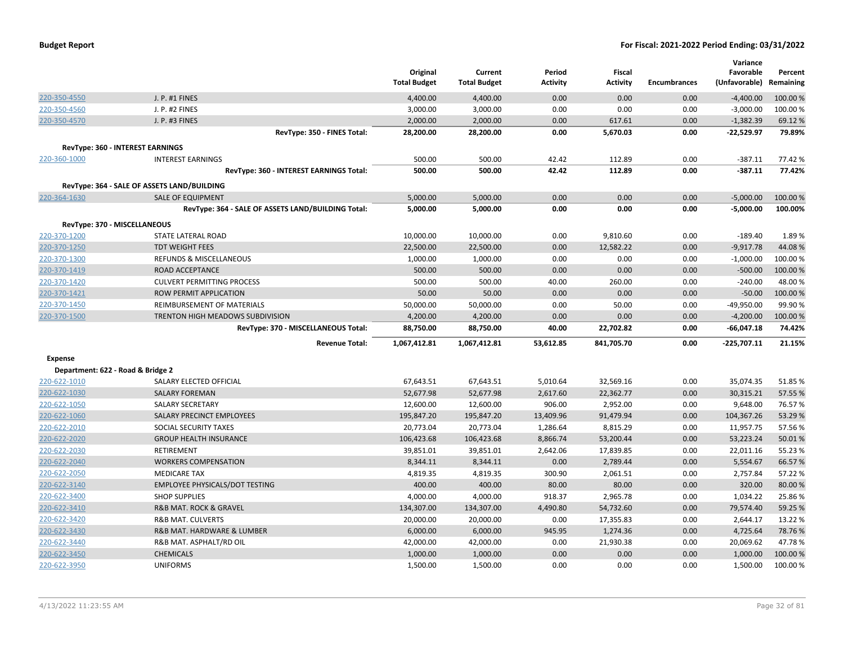| <b>Budget Report</b> |  |
|----------------------|--|
|----------------------|--|

|                                   |                                                    | Original            | Current             | Period          | <b>Fiscal</b>   |                     | Variance<br>Favorable | Percent   |
|-----------------------------------|----------------------------------------------------|---------------------|---------------------|-----------------|-----------------|---------------------|-----------------------|-----------|
|                                   |                                                    | <b>Total Budget</b> | <b>Total Budget</b> | <b>Activity</b> | <b>Activity</b> | <b>Encumbrances</b> | (Unfavorable)         | Remaining |
| 220-350-4550                      | J. P. #1 FINES                                     | 4,400.00            | 4,400.00            | 0.00            | 0.00            | 0.00                | $-4,400.00$           | 100.00%   |
| 220-350-4560                      | J. P. #2 FINES                                     | 3,000.00            | 3,000.00            | 0.00            | 0.00            | 0.00                | $-3,000.00$           | 100.00%   |
| 220-350-4570                      | J. P. #3 FINES                                     | 2,000.00            | 2,000.00            | 0.00            | 617.61          | 0.00                | $-1,382.39$           | 69.12%    |
|                                   | RevType: 350 - FINES Total:                        | 28,200.00           | 28,200.00           | 0.00            | 5,670.03        | 0.00                | $-22,529.97$          | 79.89%    |
|                                   | <b>RevType: 360 - INTEREST EARNINGS</b>            |                     |                     |                 |                 |                     |                       |           |
| 220-360-1000                      | <b>INTEREST EARNINGS</b>                           | 500.00              | 500.00              | 42.42           | 112.89          | 0.00                | $-387.11$             | 77.42%    |
|                                   | RevType: 360 - INTEREST EARNINGS Total:            | 500.00              | 500.00              | 42.42           | 112.89          | 0.00                | $-387.11$             | 77.42%    |
|                                   | RevType: 364 - SALE OF ASSETS LAND/BUILDING        |                     |                     |                 |                 |                     |                       |           |
| 220-364-1630                      | <b>SALE OF EQUIPMENT</b>                           | 5,000.00            | 5,000.00            | 0.00            | 0.00            | 0.00                | $-5,000.00$           | 100.00 %  |
|                                   | RevType: 364 - SALE OF ASSETS LAND/BUILDING Total: | 5,000.00            | 5,000.00            | 0.00            | 0.00            | 0.00                | $-5,000.00$           | 100.00%   |
|                                   | RevType: 370 - MISCELLANEOUS                       |                     |                     |                 |                 |                     |                       |           |
| 220-370-1200                      | STATE LATERAL ROAD                                 | 10,000.00           | 10,000.00           | 0.00            | 9,810.60        | 0.00                | $-189.40$             | 1.89%     |
| 220-370-1250                      | <b>TDT WEIGHT FEES</b>                             | 22,500.00           | 22,500.00           | 0.00            | 12,582.22       | 0.00                | $-9,917.78$           | 44.08%    |
| 220-370-1300                      | <b>REFUNDS &amp; MISCELLANEOUS</b>                 | 1,000.00            | 1,000.00            | 0.00            | 0.00            | 0.00                | $-1,000.00$           | 100.00%   |
| 220-370-1419                      | ROAD ACCEPTANCE                                    | 500.00              | 500.00              | 0.00            | 0.00            | 0.00                | $-500.00$             | 100.00 %  |
| 220-370-1420                      | <b>CULVERT PERMITTING PROCESS</b>                  | 500.00              | 500.00              | 40.00           | 260.00          | 0.00                | $-240.00$             | 48.00 %   |
| 220-370-1421                      | ROW PERMIT APPLICATION                             | 50.00               | 50.00               | 0.00            | 0.00            | 0.00                | $-50.00$              | 100.00%   |
| 220-370-1450                      | REIMBURSEMENT OF MATERIALS                         | 50,000.00           | 50,000.00           | 0.00            | 50.00           | 0.00                | $-49,950.00$          | 99.90%    |
| 220-370-1500                      | TRENTON HIGH MEADOWS SUBDIVISION                   | 4,200.00            | 4,200.00            | 0.00            | 0.00            | 0.00                | $-4,200.00$           | 100.00 %  |
|                                   | RevType: 370 - MISCELLANEOUS Total:                | 88,750.00           | 88,750.00           | 40.00           | 22,702.82       | 0.00                | $-66,047.18$          | 74.42%    |
|                                   | <b>Revenue Total:</b>                              | 1,067,412.81        | 1,067,412.81        | 53,612.85       | 841,705.70      | 0.00                | -225,707.11           | 21.15%    |
| Expense                           |                                                    |                     |                     |                 |                 |                     |                       |           |
| Department: 622 - Road & Bridge 2 |                                                    |                     |                     |                 |                 |                     |                       |           |
| 220-622-1010                      | SALARY ELECTED OFFICIAL                            | 67,643.51           | 67,643.51           | 5,010.64        | 32,569.16       | 0.00                | 35,074.35             | 51.85%    |
| 220-622-1030                      | <b>SALARY FOREMAN</b>                              | 52,677.98           | 52,677.98           | 2,617.60        | 22,362.77       | 0.00                | 30,315.21             | 57.55 %   |
| 220-622-1050                      | SALARY SECRETARY                                   | 12,600.00           | 12,600.00           | 906.00          | 2,952.00        | 0.00                | 9,648.00              | 76.57%    |
| 220-622-1060                      | SALARY PRECINCT EMPLOYEES                          | 195,847.20          | 195,847.20          | 13,409.96       | 91,479.94       | 0.00                | 104,367.26            | 53.29 %   |
| 220-622-2010                      | SOCIAL SECURITY TAXES                              | 20,773.04           | 20,773.04           | 1,286.64        | 8,815.29        | 0.00                | 11,957.75             | 57.56%    |
| 220-622-2020                      | <b>GROUP HEALTH INSURANCE</b>                      | 106,423.68          | 106,423.68          | 8,866.74        | 53,200.44       | 0.00                | 53,223.24             | 50.01%    |
| 220-622-2030                      | RETIREMENT                                         | 39,851.01           | 39,851.01           | 2,642.06        | 17,839.85       | 0.00                | 22,011.16             | 55.23 %   |
| 220-622-2040                      | <b>WORKERS COMPENSATION</b>                        | 8,344.11            | 8,344.11            | 0.00            | 2,789.44        | 0.00                | 5,554.67              | 66.57%    |
| 220-622-2050                      | <b>MEDICARE TAX</b>                                | 4,819.35            | 4,819.35            | 300.90          | 2,061.51        | 0.00                | 2,757.84              | 57.22 %   |
| 220-622-3140                      | <b>EMPLOYEE PHYSICALS/DOT TESTING</b>              | 400.00              | 400.00              | 80.00           | 80.00           | 0.00                | 320.00                | 80.00%    |
| 220-622-3400                      | <b>SHOP SUPPLIES</b>                               | 4,000.00            | 4,000.00            | 918.37          | 2,965.78        | 0.00                | 1,034.22              | 25.86%    |
| 220-622-3410                      | <b>R&amp;B MAT. ROCK &amp; GRAVEL</b>              | 134,307.00          | 134,307.00          | 4,490.80        | 54,732.60       | 0.00                | 79,574.40             | 59.25 %   |
| 220-622-3420                      | <b>R&amp;B MAT. CULVERTS</b>                       | 20,000.00           | 20,000.00           | 0.00            | 17,355.83       | 0.00                | 2,644.17              | 13.22 %   |
| 220-622-3430                      | R&B MAT. HARDWARE & LUMBER                         | 6,000.00            | 6,000.00            | 945.95          | 1,274.36        | 0.00                | 4,725.64              | 78.76%    |
| 220-622-3440                      | R&B MAT. ASPHALT/RD OIL                            | 42,000.00           | 42,000.00           | 0.00            | 21,930.38       | 0.00                | 20,069.62             | 47.78%    |
| 220-622-3450                      | <b>CHEMICALS</b>                                   | 1,000.00            | 1,000.00            | 0.00            | 0.00            | 0.00                | 1,000.00              | 100.00%   |
| 220-622-3950                      | <b>UNIFORMS</b>                                    | 1,500.00            | 1,500.00            | 0.00            | 0.00            | 0.00                | 1,500.00              | 100.00 %  |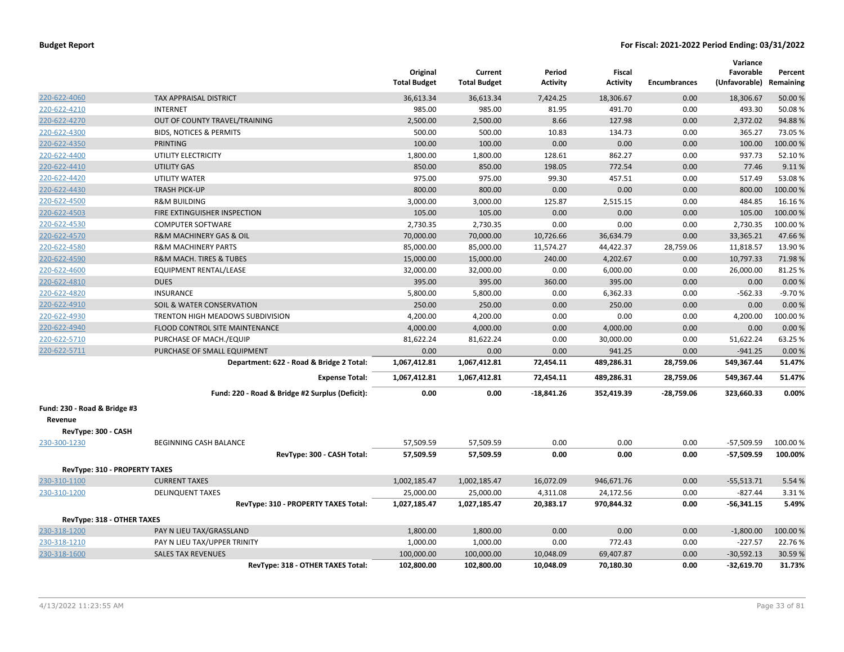|                                         |                                                 | Original<br><b>Total Budget</b> | Current<br><b>Total Budget</b> | Period<br><b>Activity</b> | Fiscal<br><b>Activity</b> | <b>Encumbrances</b> | Variance<br>Favorable<br>(Unfavorable) | Percent<br>Remaining |
|-----------------------------------------|-------------------------------------------------|---------------------------------|--------------------------------|---------------------------|---------------------------|---------------------|----------------------------------------|----------------------|
| 220-622-4060                            | <b>TAX APPRAISAL DISTRICT</b>                   | 36,613.34                       | 36,613.34                      | 7,424.25                  | 18,306.67                 | 0.00                | 18,306.67                              | 50.00 %              |
| 220-622-4210                            | <b>INTERNET</b>                                 | 985.00                          | 985.00                         | 81.95                     | 491.70                    | 0.00                | 493.30                                 | 50.08%               |
| 220-622-4270                            | OUT OF COUNTY TRAVEL/TRAINING                   | 2,500.00                        | 2,500.00                       | 8.66                      | 127.98                    | 0.00                | 2,372.02                               | 94.88%               |
| 220-622-4300                            | <b>BIDS, NOTICES &amp; PERMITS</b>              | 500.00                          | 500.00                         | 10.83                     | 134.73                    | 0.00                | 365.27                                 | 73.05%               |
| 220-622-4350                            | PRINTING                                        | 100.00                          | 100.00                         | 0.00                      | 0.00                      | 0.00                | 100.00                                 | 100.00 %             |
| 220-622-4400                            | UTILITY ELECTRICITY                             | 1,800.00                        | 1,800.00                       | 128.61                    | 862.27                    | 0.00                | 937.73                                 | 52.10%               |
| 220-622-4410                            | <b>UTILITY GAS</b>                              | 850.00                          | 850.00                         | 198.05                    | 772.54                    | 0.00                | 77.46                                  | 9.11%                |
| 220-622-4420                            | <b>UTILITY WATER</b>                            | 975.00                          | 975.00                         | 99.30                     | 457.51                    | 0.00                | 517.49                                 | 53.08%               |
| 220-622-4430                            | <b>TRASH PICK-UP</b>                            | 800.00                          | 800.00                         | 0.00                      | 0.00                      | 0.00                | 800.00                                 | 100.00%              |
| 220-622-4500                            | <b>R&amp;M BUILDING</b>                         | 3,000.00                        | 3,000.00                       | 125.87                    | 2,515.15                  | 0.00                | 484.85                                 | 16.16%               |
| 220-622-4503                            | FIRE EXTINGUISHER INSPECTION                    | 105.00                          | 105.00                         | 0.00                      | 0.00                      | 0.00                | 105.00                                 | 100.00%              |
| 220-622-4530                            | <b>COMPUTER SOFTWARE</b>                        | 2,730.35                        | 2,730.35                       | 0.00                      | 0.00                      | 0.00                | 2,730.35                               | 100.00%              |
| 220-622-4570                            | <b>R&amp;M MACHINERY GAS &amp; OIL</b>          | 70,000.00                       | 70,000.00                      | 10,726.66                 | 36,634.79                 | 0.00                | 33,365.21                              | 47.66%               |
| 220-622-4580                            | <b>R&amp;M MACHINERY PARTS</b>                  | 85,000.00                       | 85,000.00                      | 11,574.27                 | 44,422.37                 | 28,759.06           | 11,818.57                              | 13.90%               |
| 220-622-4590                            | <b>R&amp;M MACH. TIRES &amp; TUBES</b>          | 15,000.00                       | 15,000.00                      | 240.00                    | 4,202.67                  | 0.00                | 10,797.33                              | 71.98%               |
| 220-622-4600                            | EQUIPMENT RENTAL/LEASE                          | 32,000.00                       | 32,000.00                      | 0.00                      | 6,000.00                  | 0.00                | 26,000.00                              | 81.25 %              |
| 220-622-4810                            | <b>DUES</b>                                     | 395.00                          | 395.00                         | 360.00                    | 395.00                    | 0.00                | 0.00                                   | 0.00%                |
| 220-622-4820                            | <b>INSURANCE</b>                                | 5,800.00                        | 5,800.00                       | 0.00                      | 6,362.33                  | 0.00                | $-562.33$                              | $-9.70%$             |
| 220-622-4910                            | SOIL & WATER CONSERVATION                       | 250.00                          | 250.00                         | 0.00                      | 250.00                    | 0.00                | 0.00                                   | 0.00%                |
| 220-622-4930                            | TRENTON HIGH MEADOWS SUBDIVISION                | 4,200.00                        | 4,200.00                       | 0.00                      | 0.00                      | 0.00                | 4,200.00                               | 100.00%              |
| 220-622-4940                            | FLOOD CONTROL SITE MAINTENANCE                  | 4,000.00                        | 4,000.00                       | 0.00                      | 4,000.00                  | 0.00                | 0.00                                   | 0.00%                |
| 220-622-5710                            | PURCHASE OF MACH./EQUIP                         | 81,622.24                       | 81,622.24                      | 0.00                      | 30,000.00                 | 0.00                | 51,622.24                              | 63.25 %              |
| 220-622-5711                            | PURCHASE OF SMALL EQUIPMENT                     | 0.00                            | 0.00                           | 0.00                      | 941.25                    | 0.00                | $-941.25$                              | 0.00%                |
|                                         | Department: 622 - Road & Bridge 2 Total:        | 1,067,412.81                    | 1,067,412.81                   | 72,454.11                 | 489,286.31                | 28,759.06           | 549,367.44                             | 51.47%               |
|                                         | <b>Expense Total:</b>                           | 1,067,412.81                    | 1,067,412.81                   | 72,454.11                 | 489,286.31                | 28,759.06           | 549,367.44                             | 51.47%               |
|                                         | Fund: 220 - Road & Bridge #2 Surplus (Deficit): | 0.00                            | 0.00                           | $-18,841.26$              | 352,419.39                | $-28,759.06$        | 323,660.33                             | 0.00%                |
| Fund: 230 - Road & Bridge #3<br>Revenue |                                                 |                                 |                                |                           |                           |                     |                                        |                      |
| RevType: 300 - CASH                     |                                                 |                                 |                                |                           |                           |                     |                                        |                      |
| 230-300-1230                            | BEGINNING CASH BALANCE                          | 57,509.59                       | 57,509.59                      | 0.00                      | 0.00                      | 0.00                | $-57,509.59$                           | 100.00%              |
|                                         | RevType: 300 - CASH Total:                      | 57,509.59                       | 57,509.59                      | 0.00                      | 0.00                      | 0.00                | $-57,509.59$                           | 100.00%              |
| RevType: 310 - PROPERTY TAXES           |                                                 |                                 |                                |                           |                           |                     |                                        |                      |
| 230-310-1100                            | <b>CURRENT TAXES</b>                            | 1,002,185.47                    | 1,002,185.47                   | 16,072.09                 | 946,671.76                | 0.00                | $-55,513.71$                           | 5.54 %               |
| 230-310-1200                            | <b>DELINQUENT TAXES</b>                         | 25,000.00                       | 25,000.00                      | 4,311.08                  | 24,172.56                 | 0.00                | $-827.44$                              | 3.31%                |
|                                         | RevType: 310 - PROPERTY TAXES Total:            | 1,027,185.47                    | 1,027,185.47                   | 20,383.17                 | 970,844.32                | 0.00                | $-56,341.15$                           | 5.49%                |
| RevType: 318 - OTHER TAXES              |                                                 |                                 |                                |                           |                           |                     |                                        |                      |
| 230-318-1200                            | PAY N LIEU TAX/GRASSLAND                        | 1,800.00                        | 1,800.00                       | 0.00                      | 0.00                      | 0.00                | $-1,800.00$                            | 100.00 %             |
| 230-318-1210                            | PAY N LIEU TAX/UPPER TRINITY                    | 1,000.00                        | 1,000.00                       | 0.00                      | 772.43                    | 0.00                | $-227.57$                              | 22.76%               |
| 230-318-1600                            | <b>SALES TAX REVENUES</b>                       | 100,000.00                      | 100,000.00                     | 10,048.09                 | 69,407.87                 | 0.00                | $-30,592.13$                           | 30.59 %              |
|                                         | RevType: 318 - OTHER TAXES Total:               | 102,800.00                      | 102,800.00                     | 10,048.09                 | 70,180.30                 | 0.00                | $-32,619.70$                           | 31.73%               |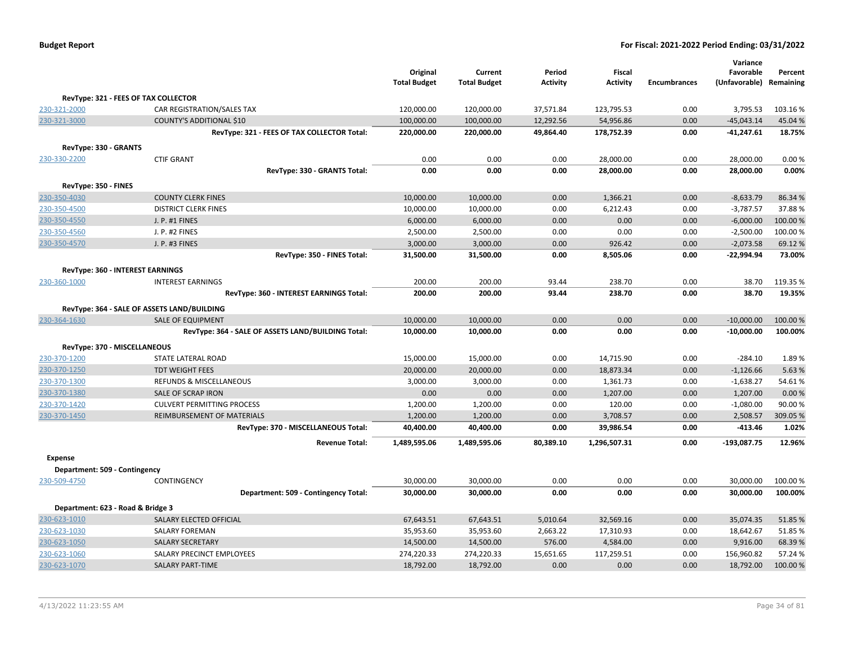| <b>Budget Report</b> |  |
|----------------------|--|
|----------------------|--|

|                               |                                                    | Original<br><b>Total Budget</b> | Current<br><b>Total Budget</b> | Period<br><b>Activity</b> | <b>Fiscal</b><br><b>Activity</b> | <b>Encumbrances</b> | Variance<br>Favorable<br>(Unfavorable) Remaining | Percent  |
|-------------------------------|----------------------------------------------------|---------------------------------|--------------------------------|---------------------------|----------------------------------|---------------------|--------------------------------------------------|----------|
|                               | RevType: 321 - FEES OF TAX COLLECTOR               |                                 |                                |                           |                                  |                     |                                                  |          |
| 230-321-2000                  | CAR REGISTRATION/SALES TAX                         | 120,000.00                      | 120,000.00                     | 37,571.84                 | 123,795.53                       | 0.00                | 3,795.53                                         | 103.16%  |
| 230-321-3000                  | COUNTY'S ADDITIONAL \$10                           | 100,000.00                      | 100,000.00                     | 12,292.56                 | 54,956.86                        | 0.00                | $-45,043.14$                                     | 45.04%   |
|                               | RevType: 321 - FEES OF TAX COLLECTOR Total:        | 220,000.00                      | 220,000.00                     | 49,864.40                 | 178,752.39                       | 0.00                | $-41,247.61$                                     | 18.75%   |
| RevType: 330 - GRANTS         |                                                    |                                 |                                |                           |                                  |                     |                                                  |          |
| 230-330-2200                  | <b>CTIF GRANT</b>                                  | 0.00                            | 0.00                           | 0.00                      | 28,000.00                        | 0.00                | 28,000.00                                        | 0.00%    |
|                               | RevType: 330 - GRANTS Total:                       | 0.00                            | 0.00                           | 0.00                      | 28,000.00                        | 0.00                | 28,000.00                                        | 0.00%    |
| RevType: 350 - FINES          |                                                    |                                 |                                |                           |                                  |                     |                                                  |          |
| 230-350-4030                  | <b>COUNTY CLERK FINES</b>                          | 10,000.00                       | 10,000.00                      | 0.00                      | 1,366.21                         | 0.00                | $-8,633.79$                                      | 86.34 %  |
| 230-350-4500                  | <b>DISTRICT CLERK FINES</b>                        | 10,000.00                       | 10,000.00                      | 0.00                      | 6,212.43                         | 0.00                | $-3,787.57$                                      | 37.88%   |
| 230-350-4550                  | J. P. #1 FINES                                     | 6,000.00                        | 6,000.00                       | 0.00                      | 0.00                             | 0.00                | $-6,000.00$                                      | 100.00 % |
| 230-350-4560                  | J. P. #2 FINES                                     | 2,500.00                        | 2,500.00                       | 0.00                      | 0.00                             | 0.00                | $-2,500.00$                                      | 100.00%  |
| 230-350-4570                  | J. P. #3 FINES                                     | 3,000.00                        | 3,000.00                       | 0.00                      | 926.42                           | 0.00                | $-2,073.58$                                      | 69.12%   |
|                               | RevType: 350 - FINES Total:                        | 31,500.00                       | 31,500.00                      | 0.00                      | 8,505.06                         | 0.00                | $-22,994.94$                                     | 73.00%   |
|                               | RevType: 360 - INTEREST EARNINGS                   |                                 |                                |                           |                                  |                     |                                                  |          |
| 230-360-1000                  | <b>INTEREST EARNINGS</b>                           | 200.00                          | 200.00                         | 93.44                     | 238.70                           | 0.00                | 38.70                                            | 119.35 % |
|                               | RevType: 360 - INTEREST EARNINGS Total:            | 200.00                          | 200.00                         | 93.44                     | 238.70                           | 0.00                | 38.70                                            | 19.35%   |
|                               | RevType: 364 - SALE OF ASSETS LAND/BUILDING        |                                 |                                |                           |                                  |                     |                                                  |          |
| 230-364-1630                  | <b>SALE OF EQUIPMENT</b>                           | 10,000.00                       | 10,000.00                      | 0.00                      | 0.00                             | 0.00                | $-10,000.00$                                     | 100.00%  |
|                               | RevType: 364 - SALE OF ASSETS LAND/BUILDING Total: | 10,000.00                       | 10,000.00                      | 0.00                      | 0.00                             | 0.00                | $-10,000.00$                                     | 100.00%  |
|                               | RevType: 370 - MISCELLANEOUS                       |                                 |                                |                           |                                  |                     |                                                  |          |
| 230-370-1200                  | STATE LATERAL ROAD                                 | 15,000.00                       | 15,000.00                      | 0.00                      | 14,715.90                        | 0.00                | $-284.10$                                        | 1.89%    |
| 230-370-1250                  | <b>TDT WEIGHT FEES</b>                             | 20,000.00                       | 20,000.00                      | 0.00                      | 18,873.34                        | 0.00                | $-1,126.66$                                      | 5.63%    |
| 230-370-1300                  | REFUNDS & MISCELLANEOUS                            | 3,000.00                        | 3,000.00                       | 0.00                      | 1,361.73                         | 0.00                | $-1,638.27$                                      | 54.61%   |
| 230-370-1380                  | SALE OF SCRAP IRON                                 | 0.00                            | 0.00                           | 0.00                      | 1,207.00                         | 0.00                | 1,207.00                                         | 0.00%    |
| 230-370-1420                  | <b>CULVERT PERMITTING PROCESS</b>                  | 1,200.00                        | 1,200.00                       | 0.00                      | 120.00                           | 0.00                | $-1,080.00$                                      | 90.00%   |
| 230-370-1450                  | REIMBURSEMENT OF MATERIALS                         | 1,200.00                        | 1,200.00                       | 0.00                      | 3,708.57                         | 0.00                | 2,508.57                                         | 309.05%  |
|                               | RevType: 370 - MISCELLANEOUS Total:                | 40,400.00                       | 40,400.00                      | 0.00                      | 39,986.54                        | 0.00                | $-413.46$                                        | 1.02%    |
|                               | <b>Revenue Total:</b>                              | 1,489,595.06                    | 1,489,595.06                   | 80,389.10                 | 1,296,507.31                     | 0.00                | -193,087.75                                      | 12.96%   |
| <b>Expense</b>                |                                                    |                                 |                                |                           |                                  |                     |                                                  |          |
| Department: 509 - Contingency |                                                    |                                 |                                |                           |                                  |                     |                                                  |          |
| 230-509-4750                  | CONTINGENCY                                        | 30,000.00                       | 30,000.00                      | 0.00                      | 0.00                             | 0.00                | 30,000.00                                        | 100.00%  |
|                               | Department: 509 - Contingency Total:               | 30,000.00                       | 30,000.00                      | 0.00                      | 0.00                             | 0.00                | 30,000.00                                        | 100.00%  |
|                               | Department: 623 - Road & Bridge 3                  |                                 |                                |                           |                                  |                     |                                                  |          |
| 230-623-1010                  | SALARY ELECTED OFFICIAL                            | 67,643.51                       | 67,643.51                      | 5,010.64                  | 32,569.16                        | 0.00                | 35,074.35                                        | 51.85%   |
| 230-623-1030                  | SALARY FOREMAN                                     | 35,953.60                       | 35,953.60                      | 2,663.22                  | 17,310.93                        | 0.00                | 18,642.67                                        | 51.85%   |
| 230-623-1050                  | <b>SALARY SECRETARY</b>                            | 14,500.00                       | 14,500.00                      | 576.00                    | 4,584.00                         | 0.00                | 9,916.00                                         | 68.39 %  |
| 230-623-1060                  | SALARY PRECINCT EMPLOYEES                          | 274,220.33                      | 274,220.33                     | 15,651.65                 | 117,259.51                       | 0.00                | 156,960.82                                       | 57.24 %  |
| 230-623-1070                  | <b>SALARY PART-TIME</b>                            | 18,792.00                       | 18,792.00                      | 0.00                      | 0.00                             | 0.00                | 18,792.00                                        | 100.00%  |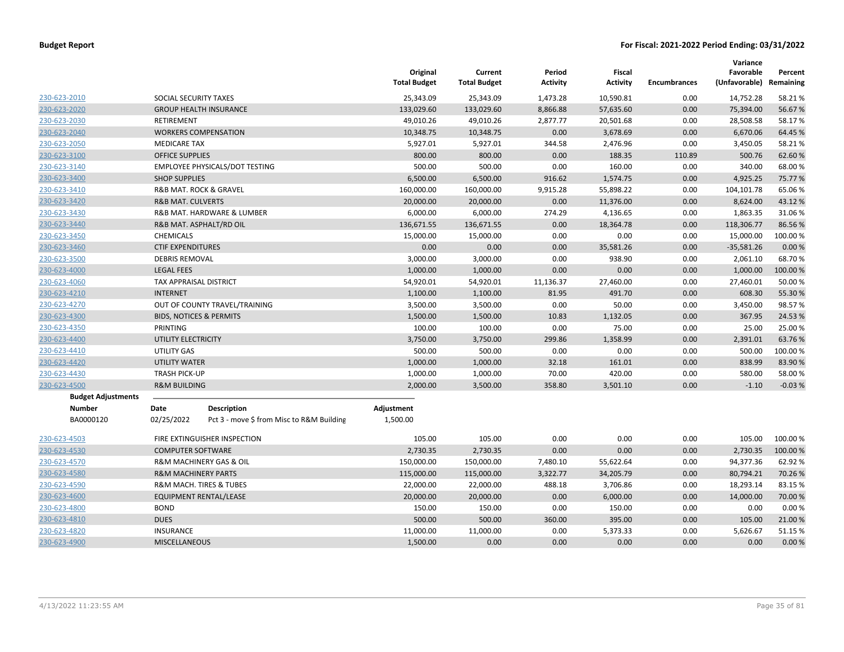|                           |                                    |                                           | Original<br><b>Total Budget</b> | Current<br><b>Total Budget</b> | Period<br><b>Activity</b> | Fiscal<br><b>Activity</b> | <b>Encumbrances</b> | Variance<br>Favorable<br>(Unfavorable) | Percent<br>Remaining |
|---------------------------|------------------------------------|-------------------------------------------|---------------------------------|--------------------------------|---------------------------|---------------------------|---------------------|----------------------------------------|----------------------|
| 230-623-2010              | SOCIAL SECURITY TAXES              |                                           | 25,343.09                       | 25,343.09                      | 1,473.28                  | 10,590.81                 | 0.00                | 14,752.28                              | 58.21%               |
| 230-623-2020              |                                    | <b>GROUP HEALTH INSURANCE</b>             | 133,029.60                      | 133,029.60                     | 8,866.88                  | 57,635.60                 | 0.00                | 75,394.00                              | 56.67%               |
| 230-623-2030              | RETIREMENT                         |                                           | 49,010.26                       | 49,010.26                      | 2,877.77                  | 20,501.68                 | 0.00                | 28,508.58                              | 58.17%               |
| 230-623-2040              |                                    | <b>WORKERS COMPENSATION</b>               | 10,348.75                       | 10,348.75                      | 0.00                      | 3,678.69                  | 0.00                | 6,670.06                               | 64.45 %              |
| 230-623-2050              | <b>MEDICARE TAX</b>                |                                           | 5,927.01                        | 5,927.01                       | 344.58                    | 2,476.96                  | 0.00                | 3,450.05                               | 58.21%               |
| 230-623-3100              | <b>OFFICE SUPPLIES</b>             |                                           | 800.00                          | 800.00                         | 0.00                      | 188.35                    | 110.89              | 500.76                                 | 62.60%               |
| 230-623-3140              |                                    | EMPLOYEE PHYSICALS/DOT TESTING            | 500.00                          | 500.00                         | 0.00                      | 160.00                    | 0.00                | 340.00                                 | 68.00 %              |
| 230-623-3400              | <b>SHOP SUPPLIES</b>               |                                           | 6,500.00                        | 6,500.00                       | 916.62                    | 1,574.75                  | 0.00                | 4,925.25                               | 75.77 %              |
| 230-623-3410              |                                    | R&B MAT. ROCK & GRAVEL                    | 160,000.00                      | 160,000.00                     | 9,915.28                  | 55,898.22                 | 0.00                | 104,101.78                             | 65.06%               |
| 230-623-3420              | <b>R&amp;B MAT. CULVERTS</b>       |                                           | 20,000.00                       | 20,000.00                      | 0.00                      | 11,376.00                 | 0.00                | 8,624.00                               | 43.12%               |
| 230-623-3430              |                                    | R&B MAT. HARDWARE & LUMBER                | 6,000.00                        | 6,000.00                       | 274.29                    | 4,136.65                  | 0.00                | 1,863.35                               | 31.06%               |
| 230-623-3440              |                                    | R&B MAT. ASPHALT/RD OIL                   | 136,671.55                      | 136,671.55                     | 0.00                      | 18,364.78                 | 0.00                | 118,306.77                             | 86.56%               |
| 230-623-3450              | <b>CHEMICALS</b>                   |                                           | 15,000.00                       | 15,000.00                      | 0.00                      | 0.00                      | 0.00                | 15,000.00                              | 100.00 %             |
| 230-623-3460              | <b>CTIF EXPENDITURES</b>           |                                           | 0.00                            | 0.00                           | 0.00                      | 35,581.26                 | 0.00                | $-35,581.26$                           | 0.00 %               |
| 230-623-3500              | <b>DEBRIS REMOVAL</b>              |                                           | 3,000.00                        | 3,000.00                       | 0.00                      | 938.90                    | 0.00                | 2,061.10                               | 68.70%               |
| 230-623-4000              | <b>LEGAL FEES</b>                  |                                           | 1,000.00                        | 1,000.00                       | 0.00                      | 0.00                      | 0.00                | 1,000.00                               | 100.00 %             |
| 230-623-4060              | TAX APPRAISAL DISTRICT             |                                           | 54,920.01                       | 54,920.01                      | 11,136.37                 | 27,460.00                 | 0.00                | 27,460.01                              | 50.00 %              |
| 230-623-4210              | <b>INTERNET</b>                    |                                           | 1,100.00                        | 1,100.00                       | 81.95                     | 491.70                    | 0.00                | 608.30                                 | 55.30 %              |
| 230-623-4270              | OUT OF COUNTY TRAVEL/TRAINING      |                                           | 3,500.00                        | 3,500.00                       | 0.00                      | 50.00                     | 0.00                | 3,450.00                               | 98.57%               |
| 230-623-4300              | <b>BIDS, NOTICES &amp; PERMITS</b> |                                           | 1,500.00                        | 1,500.00                       | 10.83                     | 1,132.05                  | 0.00                | 367.95                                 | 24.53 %              |
| 230-623-4350              | PRINTING                           |                                           | 100.00                          | 100.00                         | 0.00                      | 75.00                     | 0.00                | 25.00                                  | 25.00 %              |
| 230-623-4400              | UTILITY ELECTRICITY                |                                           | 3,750.00                        | 3,750.00                       | 299.86                    | 1,358.99                  | 0.00                | 2,391.01                               | 63.76%               |
| 230-623-4410              | UTILITY GAS                        |                                           | 500.00                          | 500.00                         | 0.00                      | 0.00                      | 0.00                | 500.00                                 | 100.00%              |
| 230-623-4420              | <b>UTILITY WATER</b>               |                                           | 1,000.00                        | 1,000.00                       | 32.18                     | 161.01                    | 0.00                | 838.99                                 | 83.90%               |
| 230-623-4430              | <b>TRASH PICK-UP</b>               |                                           | 1,000.00                        | 1,000.00                       | 70.00                     | 420.00                    | 0.00                | 580.00                                 | 58.00 %              |
| 230-623-4500              | <b>R&amp;M BUILDING</b>            |                                           | 2,000.00                        | 3,500.00                       | 358.80                    | 3,501.10                  | 0.00                | $-1.10$                                | $-0.03%$             |
| <b>Budget Adjustments</b> |                                    |                                           |                                 |                                |                           |                           |                     |                                        |                      |
| <b>Number</b>             | Date                               | <b>Description</b>                        | Adjustment                      |                                |                           |                           |                     |                                        |                      |
| BA0000120                 | 02/25/2022                         | Pct 3 - move \$ from Misc to R&M Building | 1,500.00                        |                                |                           |                           |                     |                                        |                      |
| 230-623-4503              |                                    | FIRE EXTINGUISHER INSPECTION              | 105.00                          | 105.00                         | 0.00                      | 0.00                      | 0.00                | 105.00                                 | 100.00%              |
| 230-623-4530              | <b>COMPUTER SOFTWARE</b>           |                                           | 2,730.35                        | 2,730.35                       | 0.00                      | 0.00                      | 0.00                | 2,730.35                               | 100.00%              |
| 230-623-4570              | R&M MACHINERY GAS & OIL            |                                           | 150,000.00                      | 150,000.00                     | 7,480.10                  | 55,622.64                 | 0.00                | 94,377.36                              | 62.92%               |
| 230-623-4580              | <b>R&amp;M MACHINERY PARTS</b>     |                                           | 115,000.00                      | 115,000.00                     | 3,322.77                  | 34,205.79                 | 0.00                | 80,794.21                              | 70.26%               |
| 230-623-4590              | R&M MACH. TIRES & TUBES            |                                           | 22,000.00                       | 22,000.00                      | 488.18                    | 3,706.86                  | 0.00                | 18,293.14                              | 83.15 %              |
| 230-623-4600              | <b>EQUIPMENT RENTAL/LEASE</b>      |                                           | 20,000.00                       | 20,000.00                      | 0.00                      | 6,000.00                  | 0.00                | 14,000.00                              | 70.00 %              |
| 230-623-4800              | <b>BOND</b>                        |                                           | 150.00                          | 150.00                         | 0.00                      | 150.00                    | 0.00                | 0.00                                   | 0.00%                |
| 230-623-4810              | <b>DUES</b>                        |                                           | 500.00                          | 500.00                         | 360.00                    | 395.00                    | 0.00                | 105.00                                 | 21.00 %              |
| 230-623-4820              | <b>INSURANCE</b>                   |                                           | 11,000.00                       | 11,000.00                      | 0.00                      | 5,373.33                  | 0.00                | 5,626.67                               | 51.15 %              |
| 230-623-4900              | <b>MISCELLANEOUS</b>               |                                           | 1,500.00                        | 0.00                           | 0.00                      | 0.00                      | 0.00                | 0.00                                   | 0.00%                |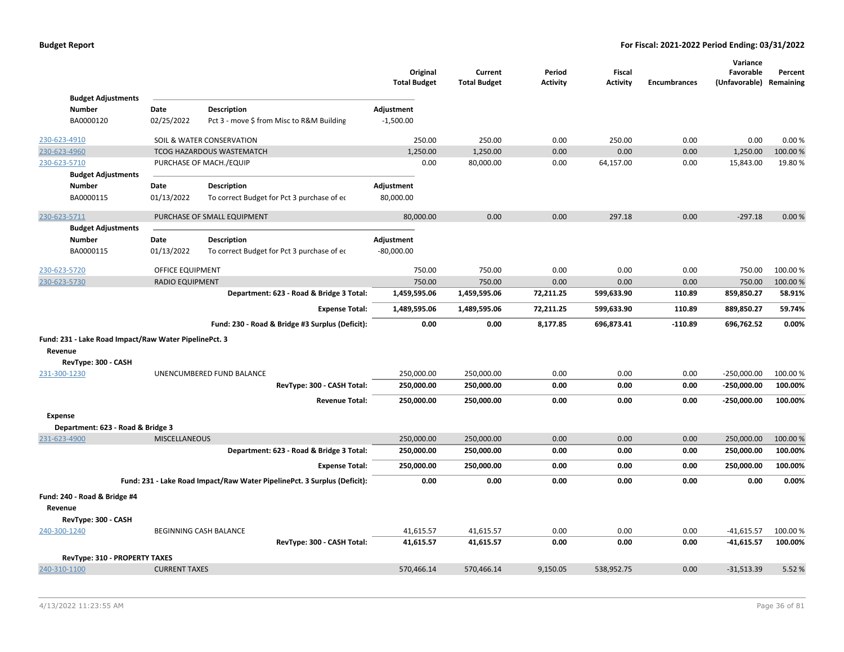|                                                                  |                                   |                        |                                                                          | Original<br><b>Total Budget</b> | Current<br><b>Total Budget</b> | Period<br>Activity | <b>Fiscal</b><br><b>Activity</b> | <b>Encumbrances</b> | Variance<br>Favorable<br>(Unfavorable) Remaining | Percent  |
|------------------------------------------------------------------|-----------------------------------|------------------------|--------------------------------------------------------------------------|---------------------------------|--------------------------------|--------------------|----------------------------------|---------------------|--------------------------------------------------|----------|
|                                                                  | <b>Budget Adjustments</b>         |                        |                                                                          |                                 |                                |                    |                                  |                     |                                                  |          |
| <b>Number</b>                                                    |                                   | Date                   | <b>Description</b>                                                       | Adjustment                      |                                |                    |                                  |                     |                                                  |          |
| BA0000120                                                        |                                   | 02/25/2022             | Pct 3 - move \$ from Misc to R&M Building                                | $-1,500.00$                     |                                |                    |                                  |                     |                                                  |          |
| 230-623-4910                                                     |                                   |                        | SOIL & WATER CONSERVATION                                                | 250.00                          | 250.00                         | 0.00               | 250.00                           | 0.00                | 0.00                                             | 0.00%    |
| 230-623-4960                                                     |                                   |                        | <b>TCOG HAZARDOUS WASTEMATCH</b>                                         | 1,250.00                        | 1,250.00                       | 0.00               | 0.00                             | 0.00                | 1,250.00                                         | 100.00%  |
| 230-623-5710                                                     |                                   |                        | PURCHASE OF MACH./EQUIP                                                  | 0.00                            | 80,000.00                      | 0.00               | 64,157.00                        | 0.00                | 15,843.00                                        | 19.80%   |
|                                                                  | <b>Budget Adjustments</b>         |                        |                                                                          |                                 |                                |                    |                                  |                     |                                                  |          |
| <b>Number</b>                                                    |                                   | Date                   | Description                                                              | Adjustment                      |                                |                    |                                  |                     |                                                  |          |
| BA0000115                                                        |                                   | 01/13/2022             | To correct Budget for Pct 3 purchase of eq                               | 80,000.00                       |                                |                    |                                  |                     |                                                  |          |
| 230-623-5711                                                     |                                   |                        | PURCHASE OF SMALL EQUIPMENT                                              | 80,000.00                       | 0.00                           | 0.00               | 297.18                           | 0.00                | $-297.18$                                        | 0.00%    |
|                                                                  | <b>Budget Adjustments</b>         |                        |                                                                          |                                 |                                |                    |                                  |                     |                                                  |          |
| Number                                                           |                                   | Date                   | Description                                                              | Adjustment                      |                                |                    |                                  |                     |                                                  |          |
| BA0000115                                                        |                                   | 01/13/2022             | To correct Budget for Pct 3 purchase of eq                               | $-80,000.00$                    |                                |                    |                                  |                     |                                                  |          |
| 230-623-5720                                                     |                                   | OFFICE EQUIPMENT       |                                                                          | 750.00                          | 750.00                         | 0.00               | 0.00                             | 0.00                | 750.00                                           | 100.00 % |
| 230-623-5730                                                     |                                   | <b>RADIO EQUIPMENT</b> |                                                                          | 750.00                          | 750.00                         | 0.00               | 0.00                             | 0.00                | 750.00                                           | 100.00 % |
|                                                                  |                                   |                        | Department: 623 - Road & Bridge 3 Total:                                 | 1,459,595.06                    | 1,459,595.06                   | 72,211.25          | 599,633.90                       | 110.89              | 859,850.27                                       | 58.91%   |
|                                                                  |                                   |                        | <b>Expense Total:</b>                                                    | 1,489,595.06                    | 1,489,595.06                   | 72,211.25          | 599,633.90                       | 110.89              | 889,850.27                                       | 59.74%   |
|                                                                  |                                   |                        | Fund: 230 - Road & Bridge #3 Surplus (Deficit):                          | 0.00                            | 0.00                           | 8,177.85           | 696,873.41                       | $-110.89$           | 696,762.52                                       | 0.00%    |
| Fund: 231 - Lake Road Impact/Raw Water PipelinePct. 3<br>Revenue | RevType: 300 - CASH               |                        |                                                                          |                                 |                                |                    |                                  |                     |                                                  |          |
| 231-300-1230                                                     |                                   |                        | UNENCUMBERED FUND BALANCE                                                | 250,000.00                      | 250,000.00                     | 0.00               | 0.00                             | 0.00                | $-250,000.00$                                    | 100.00%  |
|                                                                  |                                   |                        | RevType: 300 - CASH Total:                                               | 250,000.00                      | 250,000.00                     | 0.00               | 0.00                             | 0.00                | $-250,000.00$                                    | 100.00%  |
|                                                                  |                                   |                        | <b>Revenue Total:</b>                                                    | 250,000.00                      | 250,000.00                     | 0.00               | 0.00                             | 0.00                | $-250,000.00$                                    | 100.00%  |
| <b>Expense</b>                                                   |                                   |                        |                                                                          |                                 |                                |                    |                                  |                     |                                                  |          |
|                                                                  | Department: 623 - Road & Bridge 3 |                        |                                                                          |                                 |                                |                    |                                  |                     |                                                  |          |
| 231-623-4900                                                     |                                   | <b>MISCELLANEOUS</b>   |                                                                          | 250,000.00                      | 250,000.00                     | 0.00               | 0.00                             | 0.00                | 250,000.00                                       | 100.00%  |
|                                                                  |                                   |                        | Department: 623 - Road & Bridge 3 Total:                                 | 250,000.00                      | 250,000.00                     | 0.00               | 0.00                             | 0.00                | 250,000.00                                       | 100.00%  |
|                                                                  |                                   |                        | <b>Expense Total:</b>                                                    | 250,000.00                      | 250,000.00                     | 0.00               | 0.00                             | 0.00                | 250,000.00                                       | 100.00%  |
|                                                                  |                                   |                        | Fund: 231 - Lake Road Impact/Raw Water PipelinePct. 3 Surplus (Deficit): | 0.00                            | 0.00                           | 0.00               | 0.00                             | 0.00                | 0.00                                             | 0.00%    |
| Fund: 240 - Road & Bridge #4<br>Revenue                          | RevType: 300 - CASH               |                        |                                                                          |                                 |                                |                    |                                  |                     |                                                  |          |
| 240-300-1240                                                     |                                   |                        | <b>BEGINNING CASH BALANCE</b>                                            | 41,615.57                       | 41,615.57                      | 0.00               | 0.00                             | 0.00                | $-41,615.57$                                     | 100.00%  |
|                                                                  |                                   |                        | RevType: 300 - CASH Total:                                               | 41,615.57                       | 41,615.57                      | 0.00               | 0.00                             | 0.00                | $-41,615.57$                                     | 100.00%  |
|                                                                  | RevType: 310 - PROPERTY TAXES     |                        |                                                                          |                                 |                                |                    |                                  |                     |                                                  |          |
| 240-310-1100                                                     |                                   | <b>CURRENT TAXES</b>   |                                                                          | 570,466.14                      | 570,466.14                     | 9,150.05           | 538,952.75                       | 0.00                | $-31,513.39$                                     | 5.52 %   |
|                                                                  |                                   |                        |                                                                          |                                 |                                |                    |                                  |                     |                                                  |          |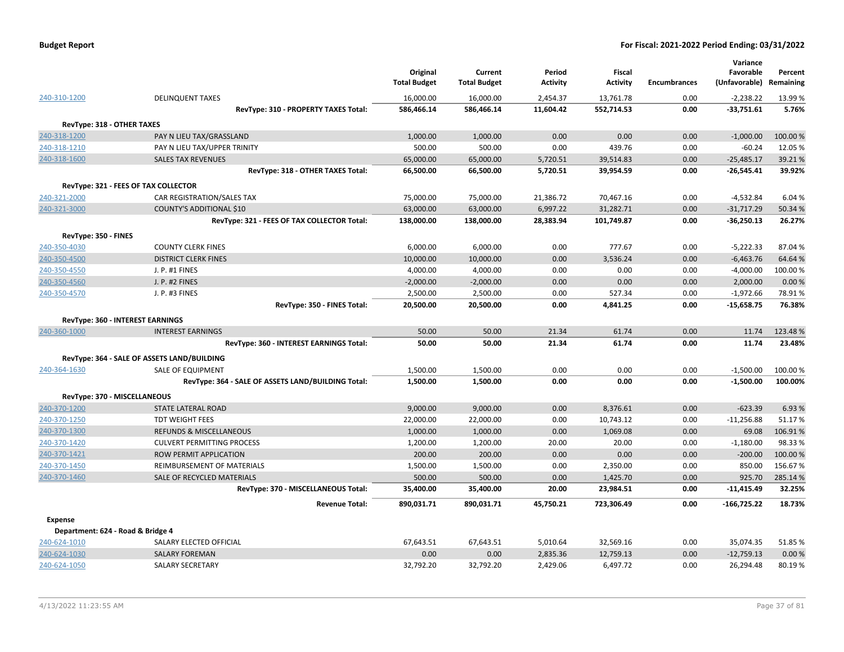| <b>Budget Report</b> |  |
|----------------------|--|
|----------------------|--|

|                              |                                                    | Original<br><b>Total Budget</b> | Current<br><b>Total Budget</b> | Period<br><b>Activity</b> | Fiscal<br><b>Activity</b> | Encumbrances | Variance<br>Favorable<br>(Unfavorable) Remaining | Percent         |
|------------------------------|----------------------------------------------------|---------------------------------|--------------------------------|---------------------------|---------------------------|--------------|--------------------------------------------------|-----------------|
| 240-310-1200                 | <b>DELINQUENT TAXES</b>                            | 16,000.00                       | 16,000.00                      | 2,454.37                  | 13,761.78                 | 0.00         | $-2,238.22$                                      | 13.99%          |
|                              | RevType: 310 - PROPERTY TAXES Total:               | 586,466.14                      | 586,466.14                     | 11,604.42                 | 552,714.53                | 0.00         | $-33,751.61$                                     | 5.76%           |
|                              | RevType: 318 - OTHER TAXES                         |                                 |                                |                           |                           |              |                                                  |                 |
| 240-318-1200                 | PAY N LIEU TAX/GRASSLAND                           | 1,000.00                        | 1,000.00                       | 0.00                      | 0.00                      | 0.00         | $-1,000.00$                                      | 100.00%         |
| 240-318-1210                 | PAY N LIEU TAX/UPPER TRINITY                       | 500.00                          | 500.00                         | 0.00                      | 439.76                    | 0.00         | $-60.24$                                         | 12.05 %         |
| 240-318-1600                 | <b>SALES TAX REVENUES</b>                          | 65,000.00                       | 65,000.00                      | 5,720.51                  | 39,514.83                 | 0.00         | $-25,485.17$                                     | 39.21%          |
|                              | RevType: 318 - OTHER TAXES Total:                  | 66,500.00                       | 66,500.00                      | 5,720.51                  | 39,954.59                 | 0.00         | $-26,545.41$                                     | 39.92%          |
|                              | RevType: 321 - FEES OF TAX COLLECTOR               |                                 |                                |                           |                           |              |                                                  |                 |
| 240-321-2000                 | CAR REGISTRATION/SALES TAX                         | 75,000.00                       | 75,000.00                      | 21,386.72                 | 70,467.16                 | 0.00         | $-4,532.84$                                      | 6.04%           |
| 240-321-3000                 | <b>COUNTY'S ADDITIONAL \$10</b>                    | 63,000.00                       | 63,000.00                      | 6,997.22                  | 31,282.71                 | 0.00         | $-31,717.29$                                     | 50.34 %         |
|                              | RevType: 321 - FEES OF TAX COLLECTOR Total:        | 138,000.00                      | 138,000.00                     | 28,383.94                 | 101,749.87                | 0.00         | $-36,250.13$                                     | 26.27%          |
| RevType: 350 - FINES         |                                                    |                                 |                                |                           |                           |              |                                                  |                 |
| 240-350-4030                 | <b>COUNTY CLERK FINES</b>                          | 6,000.00                        | 6,000.00                       | 0.00                      | 777.67                    | 0.00         | $-5,222.33$                                      | 87.04 %         |
| 240-350-4500                 | <b>DISTRICT CLERK FINES</b>                        | 10,000.00                       | 10,000.00                      | 0.00                      | 3,536.24                  | 0.00         | $-6,463.76$                                      | 64.64%          |
| 240-350-4550                 | J. P. #1 FINES                                     | 4,000.00                        | 4,000.00                       | 0.00                      | 0.00                      | 0.00         | $-4,000.00$                                      | 100.00%         |
| 240-350-4560                 | <b>J. P. #2 FINES</b>                              | $-2,000.00$                     | $-2,000.00$                    | 0.00                      | 0.00                      | 0.00         | 2,000.00                                         | 0.00%           |
| 240-350-4570                 | J. P. #3 FINES                                     | 2,500.00                        | 2,500.00                       | 0.00                      | 527.34                    | 0.00         | $-1,972.66$                                      | 78.91%          |
|                              | RevType: 350 - FINES Total:                        | 20,500.00                       | 20,500.00                      | 0.00                      | 4,841.25                  | 0.00         | $-15,658.75$                                     | 76.38%          |
|                              | RevType: 360 - INTEREST EARNINGS                   |                                 |                                |                           |                           |              |                                                  |                 |
| 240-360-1000                 | <b>INTEREST EARNINGS</b>                           | 50.00                           | 50.00                          | 21.34                     | 61.74                     | 0.00         | 11.74                                            | 123.48%         |
|                              | RevType: 360 - INTEREST EARNINGS Total:            | 50.00                           | 50.00                          | 21.34                     | 61.74                     | 0.00         | 11.74                                            | 23.48%          |
|                              | RevType: 364 - SALE OF ASSETS LAND/BUILDING        |                                 |                                |                           |                           |              |                                                  |                 |
| 240-364-1630                 | <b>SALE OF EQUIPMENT</b>                           | 1,500.00                        | 1,500.00                       | 0.00                      | 0.00                      | 0.00         | $-1,500.00$                                      | 100.00%         |
|                              | RevType: 364 - SALE OF ASSETS LAND/BUILDING Total: | 1,500.00                        | 1,500.00                       | 0.00                      | 0.00                      | 0.00         | $-1,500.00$                                      | 100.00%         |
|                              |                                                    |                                 |                                |                           |                           |              |                                                  |                 |
|                              | RevType: 370 - MISCELLANEOUS                       |                                 |                                |                           |                           |              |                                                  |                 |
| 240-370-1200                 | <b>STATE LATERAL ROAD</b>                          | 9,000.00                        | 9,000.00                       | 0.00                      | 8,376.61                  | 0.00<br>0.00 | $-623.39$                                        | 6.93%<br>51.17% |
| 240-370-1250<br>240-370-1300 | <b>TDT WEIGHT FEES</b><br>REFUNDS & MISCELLANEOUS  | 22,000.00<br>1,000.00           | 22,000.00<br>1,000.00          | 0.00<br>0.00              | 10,743.12<br>1,069.08     | 0.00         | $-11,256.88$<br>69.08                            | 106.91%         |
| 240-370-1420                 | <b>CULVERT PERMITTING PROCESS</b>                  | 1,200.00                        | 1,200.00                       | 20.00                     | 20.00                     | 0.00         | $-1,180.00$                                      | 98.33%          |
| 240-370-1421                 | <b>ROW PERMIT APPLICATION</b>                      | 200.00                          | 200.00                         | 0.00                      | 0.00                      | 0.00         | $-200.00$                                        | 100.00%         |
| 240-370-1450                 | REIMBURSEMENT OF MATERIALS                         | 1,500.00                        | 1,500.00                       | 0.00                      | 2,350.00                  | 0.00         | 850.00                                           | 156.67%         |
| 240-370-1460                 | SALE OF RECYCLED MATERIALS                         | 500.00                          | 500.00                         | 0.00                      | 1,425.70                  | 0.00         | 925.70                                           | 285.14 %        |
|                              | RevType: 370 - MISCELLANEOUS Total:                | 35,400.00                       | 35,400.00                      | 20.00                     | 23,984.51                 | 0.00         | $-11,415.49$                                     | 32.25%          |
|                              |                                                    |                                 |                                |                           |                           |              |                                                  |                 |
|                              | <b>Revenue Total:</b>                              | 890,031.71                      | 890,031.71                     | 45,750.21                 | 723,306.49                | 0.00         | $-166,725.22$                                    | 18.73%          |
| <b>Expense</b>               |                                                    |                                 |                                |                           |                           |              |                                                  |                 |
|                              | Department: 624 - Road & Bridge 4                  |                                 |                                |                           |                           |              |                                                  |                 |
| 240-624-1010                 | SALARY ELECTED OFFICIAL                            | 67,643.51                       | 67,643.51                      | 5,010.64                  | 32,569.16                 | 0.00         | 35,074.35                                        | 51.85%          |
| 240-624-1030                 | <b>SALARY FOREMAN</b>                              | 0.00                            | 0.00                           | 2,835.36                  | 12,759.13                 | 0.00         | $-12,759.13$                                     | 0.00%           |
| 240-624-1050                 | <b>SALARY SECRETARY</b>                            | 32,792.20                       | 32,792.20                      | 2,429.06                  | 6,497.72                  | 0.00         | 26,294.48                                        | 80.19%          |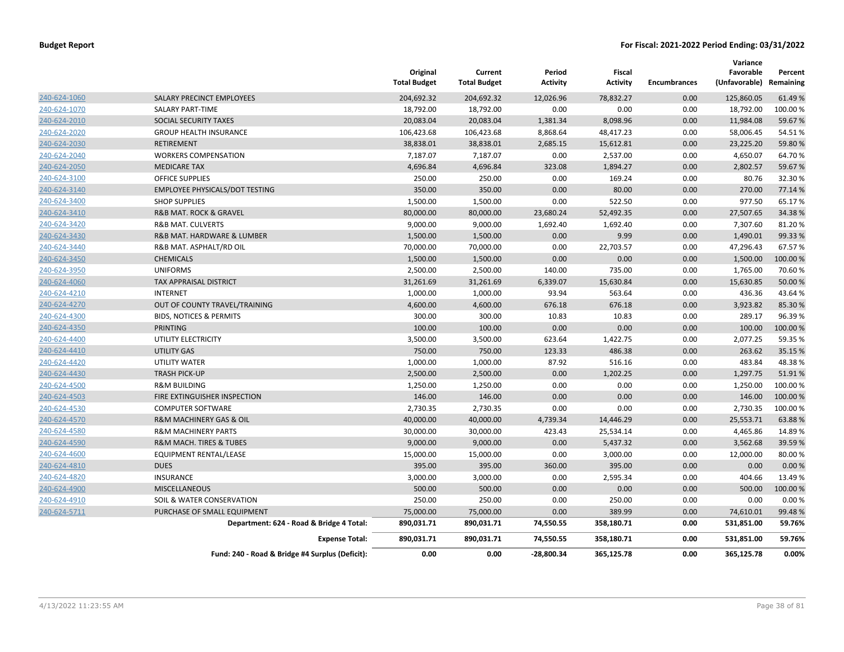|              |                                                 | Original<br><b>Total Budget</b> | Current<br><b>Total Budget</b> | Period<br><b>Activity</b> | Fiscal<br><b>Activity</b> | <b>Encumbrances</b> | Variance<br>Favorable<br>(Unfavorable) Remaining | Percent  |
|--------------|-------------------------------------------------|---------------------------------|--------------------------------|---------------------------|---------------------------|---------------------|--------------------------------------------------|----------|
| 240-624-1060 | SALARY PRECINCT EMPLOYEES                       | 204,692.32                      | 204,692.32                     | 12,026.96                 | 78,832.27                 | 0.00                | 125,860.05                                       | 61.49%   |
| 240-624-1070 | <b>SALARY PART-TIME</b>                         | 18,792.00                       | 18,792.00                      | 0.00                      | 0.00                      | 0.00                | 18,792.00                                        | 100.00%  |
| 240-624-2010 | SOCIAL SECURITY TAXES                           | 20,083.04                       | 20,083.04                      | 1,381.34                  | 8,098.96                  | 0.00                | 11,984.08                                        | 59.67%   |
| 240-624-2020 | <b>GROUP HEALTH INSURANCE</b>                   | 106,423.68                      | 106,423.68                     | 8,868.64                  | 48,417.23                 | 0.00                | 58,006.45                                        | 54.51%   |
| 240-624-2030 | RETIREMENT                                      | 38,838.01                       | 38,838.01                      | 2,685.15                  | 15,612.81                 | 0.00                | 23,225.20                                        | 59.80%   |
| 240-624-2040 | <b>WORKERS COMPENSATION</b>                     | 7,187.07                        | 7,187.07                       | 0.00                      | 2,537.00                  | 0.00                | 4,650.07                                         | 64.70%   |
| 240-624-2050 | <b>MEDICARE TAX</b>                             | 4,696.84                        | 4,696.84                       | 323.08                    | 1,894.27                  | 0.00                | 2,802.57                                         | 59.67%   |
| 240-624-3100 | OFFICE SUPPLIES                                 | 250.00                          | 250.00                         | 0.00                      | 169.24                    | 0.00                | 80.76                                            | 32.30%   |
| 240-624-3140 | <b>EMPLOYEE PHYSICALS/DOT TESTING</b>           | 350.00                          | 350.00                         | 0.00                      | 80.00                     | 0.00                | 270.00                                           | 77.14%   |
| 240-624-3400 | <b>SHOP SUPPLIES</b>                            | 1,500.00                        | 1,500.00                       | 0.00                      | 522.50                    | 0.00                | 977.50                                           | 65.17%   |
| 240-624-3410 | <b>R&amp;B MAT. ROCK &amp; GRAVEL</b>           | 80,000.00                       | 80,000.00                      | 23,680.24                 | 52,492.35                 | 0.00                | 27,507.65                                        | 34.38%   |
| 240-624-3420 | <b>R&amp;B MAT. CULVERTS</b>                    | 9,000.00                        | 9,000.00                       | 1,692.40                  | 1,692.40                  | 0.00                | 7,307.60                                         | 81.20%   |
| 240-624-3430 | R&B MAT. HARDWARE & LUMBER                      | 1,500.00                        | 1,500.00                       | 0.00                      | 9.99                      | 0.00                | 1,490.01                                         | 99.33%   |
| 240-624-3440 | R&B MAT. ASPHALT/RD OIL                         | 70,000.00                       | 70,000.00                      | 0.00                      | 22,703.57                 | 0.00                | 47,296.43                                        | 67.57%   |
| 240-624-3450 | <b>CHEMICALS</b>                                | 1,500.00                        | 1,500.00                       | 0.00                      | 0.00                      | 0.00                | 1,500.00                                         | 100.00%  |
| 240-624-3950 | <b>UNIFORMS</b>                                 | 2,500.00                        | 2,500.00                       | 140.00                    | 735.00                    | 0.00                | 1,765.00                                         | 70.60%   |
| 240-624-4060 | TAX APPRAISAL DISTRICT                          | 31,261.69                       | 31,261.69                      | 6,339.07                  | 15,630.84                 | 0.00                | 15,630.85                                        | 50.00 %  |
| 240-624-4210 | <b>INTERNET</b>                                 | 1,000.00                        | 1,000.00                       | 93.94                     | 563.64                    | 0.00                | 436.36                                           | 43.64%   |
| 240-624-4270 | OUT OF COUNTY TRAVEL/TRAINING                   | 4,600.00                        | 4,600.00                       | 676.18                    | 676.18                    | 0.00                | 3,923.82                                         | 85.30%   |
| 240-624-4300 | <b>BIDS, NOTICES &amp; PERMITS</b>              | 300.00                          | 300.00                         | 10.83                     | 10.83                     | 0.00                | 289.17                                           | 96.39%   |
| 240-624-4350 | <b>PRINTING</b>                                 | 100.00                          | 100.00                         | 0.00                      | 0.00                      | 0.00                | 100.00                                           | 100.00%  |
| 240-624-4400 | UTILITY ELECTRICITY                             | 3,500.00                        | 3,500.00                       | 623.64                    | 1,422.75                  | 0.00                | 2,077.25                                         | 59.35 %  |
| 240-624-4410 | <b>UTILITY GAS</b>                              | 750.00                          | 750.00                         | 123.33                    | 486.38                    | 0.00                | 263.62                                           | 35.15 %  |
| 240-624-4420 | UTILITY WATER                                   | 1,000.00                        | 1,000.00                       | 87.92                     | 516.16                    | 0.00                | 483.84                                           | 48.38%   |
| 240-624-4430 | <b>TRASH PICK-UP</b>                            | 2,500.00                        | 2,500.00                       | 0.00                      | 1,202.25                  | 0.00                | 1,297.75                                         | 51.91%   |
| 240-624-4500 | <b>R&amp;M BUILDING</b>                         | 1,250.00                        | 1,250.00                       | 0.00                      | 0.00                      | 0.00                | 1,250.00                                         | 100.00 % |
| 240-624-4503 | FIRE EXTINGUISHER INSPECTION                    | 146.00                          | 146.00                         | 0.00                      | 0.00                      | 0.00                | 146.00                                           | 100.00%  |
| 240-624-4530 | <b>COMPUTER SOFTWARE</b>                        | 2,730.35                        | 2,730.35                       | 0.00                      | 0.00                      | 0.00                | 2,730.35                                         | 100.00%  |
| 240-624-4570 | <b>R&amp;M MACHINERY GAS &amp; OIL</b>          | 40,000.00                       | 40,000.00                      | 4,739.34                  | 14,446.29                 | 0.00                | 25,553.71                                        | 63.88%   |
| 240-624-4580 | <b>R&amp;M MACHINERY PARTS</b>                  | 30,000.00                       | 30,000.00                      | 423.43                    | 25,534.14                 | 0.00                | 4,465.86                                         | 14.89%   |
| 240-624-4590 | <b>R&amp;M MACH. TIRES &amp; TUBES</b>          | 9,000.00                        | 9,000.00                       | 0.00                      | 5,437.32                  | 0.00                | 3,562.68                                         | 39.59%   |
| 240-624-4600 | EQUIPMENT RENTAL/LEASE                          | 15,000.00                       | 15,000.00                      | 0.00                      | 3,000.00                  | 0.00                | 12,000.00                                        | 80.00%   |
| 240-624-4810 | <b>DUES</b>                                     | 395.00                          | 395.00                         | 360.00                    | 395.00                    | 0.00                | 0.00                                             | 0.00%    |
| 240-624-4820 | <b>INSURANCE</b>                                | 3,000.00                        | 3,000.00                       | 0.00                      | 2,595.34                  | 0.00                | 404.66                                           | 13.49 %  |
| 240-624-4900 | MISCELLANEOUS                                   | 500.00                          | 500.00                         | 0.00                      | 0.00                      | 0.00                | 500.00                                           | 100.00%  |
| 240-624-4910 | SOIL & WATER CONSERVATION                       | 250.00                          | 250.00                         | 0.00                      | 250.00                    | 0.00                | 0.00                                             | 0.00%    |
| 240-624-5711 | PURCHASE OF SMALL EQUIPMENT                     | 75,000.00                       | 75,000.00                      | 0.00                      | 389.99                    | 0.00                | 74,610.01                                        | 99.48%   |
|              | Department: 624 - Road & Bridge 4 Total:        | 890,031.71                      | 890,031.71                     | 74,550.55                 | 358,180.71                | 0.00                | 531,851.00                                       | 59.76%   |
|              | <b>Expense Total:</b>                           | 890,031.71                      | 890,031.71                     | 74,550.55                 | 358,180.71                | 0.00                | 531,851.00                                       | 59.76%   |
|              | Fund: 240 - Road & Bridge #4 Surplus (Deficit): | 0.00                            | 0.00                           | $-28,800.34$              | 365,125.78                | 0.00                | 365,125.78                                       | 0.00%    |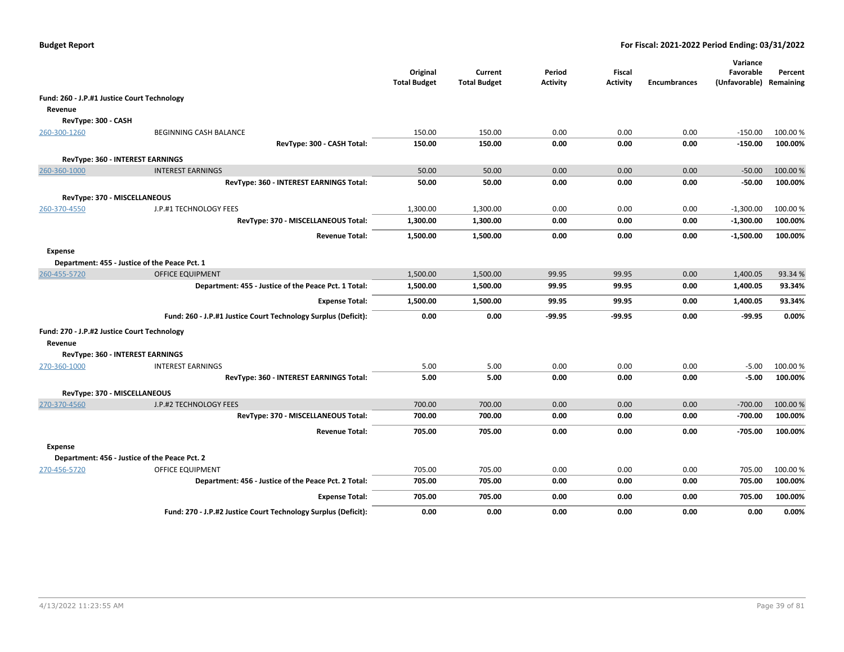|                                                        |                                                                                 | Original<br><b>Total Budget</b> | Current<br><b>Total Budget</b> | Period<br><b>Activity</b> | Fiscal<br><b>Activity</b> | <b>Encumbrances</b> | Variance<br>Favorable<br>(Unfavorable) Remaining | Percent           |
|--------------------------------------------------------|---------------------------------------------------------------------------------|---------------------------------|--------------------------------|---------------------------|---------------------------|---------------------|--------------------------------------------------|-------------------|
| Fund: 260 - J.P.#1 Justice Court Technology            |                                                                                 |                                 |                                |                           |                           |                     |                                                  |                   |
| Revenue                                                |                                                                                 |                                 |                                |                           |                           |                     |                                                  |                   |
| RevType: 300 - CASH                                    |                                                                                 |                                 |                                |                           |                           |                     |                                                  |                   |
| 260-300-1260                                           | BEGINNING CASH BALANCE                                                          | 150.00                          | 150.00                         | 0.00                      | 0.00                      | 0.00                | $-150.00$                                        | 100.00 %          |
|                                                        | RevType: 300 - CASH Total:                                                      | 150.00                          | 150.00                         | 0.00                      | 0.00                      | 0.00                | $-150.00$                                        | 100.00%           |
|                                                        | RevType: 360 - INTEREST EARNINGS                                                |                                 |                                |                           |                           |                     |                                                  |                   |
| 260-360-1000                                           | <b>INTEREST EARNINGS</b>                                                        | 50.00                           | 50.00                          | 0.00                      | 0.00                      | 0.00                | $-50.00$                                         | 100.00 %          |
|                                                        | RevType: 360 - INTEREST EARNINGS Total:                                         | 50.00                           | 50.00                          | 0.00                      | 0.00                      | 0.00                | $-50.00$                                         | 100.00%           |
| RevType: 370 - MISCELLANEOUS                           |                                                                                 |                                 |                                |                           |                           |                     |                                                  |                   |
| 260-370-4550                                           | J.P.#1 TECHNOLOGY FEES                                                          | 1,300.00                        | 1,300.00                       | 0.00                      | 0.00                      | 0.00                | $-1,300.00$                                      | 100.00 %          |
|                                                        | RevType: 370 - MISCELLANEOUS Total:                                             | 1,300.00                        | 1,300.00                       | 0.00                      | 0.00                      | 0.00                | $-1,300.00$                                      | 100.00%           |
|                                                        | <b>Revenue Total:</b>                                                           | 1,500.00                        | 1,500.00                       | 0.00                      | 0.00                      | 0.00                | $-1,500.00$                                      | 100.00%           |
|                                                        |                                                                                 |                                 |                                |                           |                           |                     |                                                  |                   |
| Expense                                                |                                                                                 |                                 |                                |                           |                           |                     |                                                  |                   |
|                                                        | Department: 455 - Justice of the Peace Pct. 1                                   |                                 |                                |                           |                           |                     |                                                  |                   |
| 260-455-5720                                           | <b>OFFICE EQUIPMENT</b><br>Department: 455 - Justice of the Peace Pct. 1 Total: | 1,500.00<br>1,500.00            | 1,500.00<br>1,500.00           | 99.95<br>99.95            | 99.95<br>99.95            | 0.00<br>0.00        | 1,400.05<br>1,400.05                             | 93.34 %<br>93.34% |
|                                                        |                                                                                 |                                 |                                |                           |                           |                     |                                                  |                   |
|                                                        | <b>Expense Total:</b>                                                           | 1,500.00                        | 1,500.00                       | 99.95                     | 99.95                     | 0.00                | 1,400.05                                         | 93.34%            |
|                                                        | Fund: 260 - J.P.#1 Justice Court Technology Surplus (Deficit):                  | 0.00                            | 0.00                           | $-99.95$                  | $-99.95$                  | 0.00                | $-99.95$                                         | 0.00%             |
| Fund: 270 - J.P.#2 Justice Court Technology<br>Revenue |                                                                                 |                                 |                                |                           |                           |                     |                                                  |                   |
|                                                        | RevType: 360 - INTEREST EARNINGS                                                |                                 |                                |                           |                           |                     |                                                  |                   |
| 270-360-1000                                           | <b>INTEREST EARNINGS</b>                                                        | 5.00                            | 5.00                           | 0.00                      | 0.00                      | 0.00                | $-5.00$                                          | 100.00%           |
|                                                        | RevType: 360 - INTEREST EARNINGS Total:                                         | 5.00                            | 5.00                           | 0.00                      | 0.00                      | 0.00                | $-5.00$                                          | 100.00%           |
| RevType: 370 - MISCELLANEOUS                           |                                                                                 |                                 |                                |                           |                           |                     |                                                  |                   |
| 270-370-4560                                           | J.P.#2 TECHNOLOGY FEES                                                          | 700.00                          | 700.00                         | 0.00                      | 0.00                      | 0.00                | $-700.00$                                        | 100.00 %          |
|                                                        | RevType: 370 - MISCELLANEOUS Total:                                             | 700.00                          | 700.00                         | 0.00                      | 0.00                      | 0.00                | $-700.00$                                        | 100.00%           |
|                                                        | <b>Revenue Total:</b>                                                           | 705.00                          | 705.00                         | 0.00                      | 0.00                      | 0.00                | $-705.00$                                        | 100.00%           |
| Expense                                                |                                                                                 |                                 |                                |                           |                           |                     |                                                  |                   |
|                                                        | Department: 456 - Justice of the Peace Pct. 2                                   |                                 |                                |                           |                           |                     |                                                  |                   |
| 270-456-5720                                           | OFFICE EQUIPMENT                                                                | 705.00                          | 705.00                         | 0.00                      | 0.00                      | 0.00                | 705.00                                           | 100.00%           |
|                                                        | Department: 456 - Justice of the Peace Pct. 2 Total:                            | 705.00                          | 705.00                         | 0.00                      | 0.00                      | 0.00                | 705.00                                           | 100.00%           |
|                                                        | <b>Expense Total:</b>                                                           | 705.00                          | 705.00                         | 0.00                      | 0.00                      | 0.00                | 705.00                                           | 100.00%           |
|                                                        | Fund: 270 - J.P.#2 Justice Court Technology Surplus (Deficit):                  | 0.00                            | 0.00                           | 0.00                      | 0.00                      | 0.00                | 0.00                                             | 0.00%             |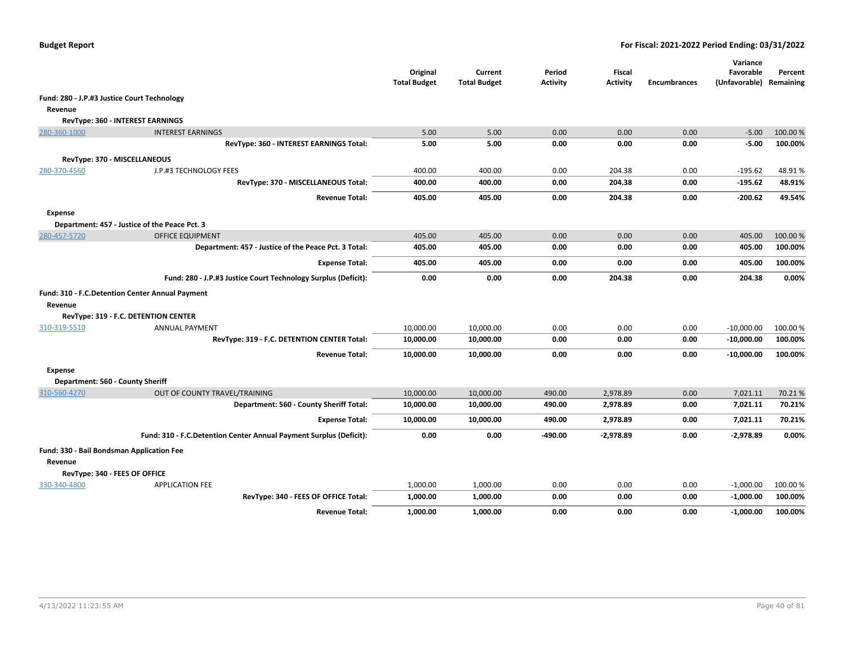|                                             |                                                                    | Original<br><b>Total Budget</b> | Current<br><b>Total Budget</b> | Period<br><b>Activity</b> | <b>Fiscal</b><br><b>Activity</b> | <b>Encumbrances</b> | Variance<br>Favorable<br>(Unfavorable) Remaining | Percent  |
|---------------------------------------------|--------------------------------------------------------------------|---------------------------------|--------------------------------|---------------------------|----------------------------------|---------------------|--------------------------------------------------|----------|
| Fund: 280 - J.P.#3 Justice Court Technology |                                                                    |                                 |                                |                           |                                  |                     |                                                  |          |
| Revenue                                     |                                                                    |                                 |                                |                           |                                  |                     |                                                  |          |
|                                             | RevType: 360 - INTEREST EARNINGS                                   |                                 |                                |                           |                                  |                     |                                                  |          |
| 280-360-1000                                | <b>INTEREST EARNINGS</b>                                           | 5.00                            | 5.00                           | 0.00                      | 0.00                             | 0.00                | $-5.00$                                          | 100.00 % |
|                                             | RevType: 360 - INTEREST EARNINGS Total:                            | 5.00                            | 5.00                           | 0.00                      | 0.00                             | 0.00                | $-5.00$                                          | 100.00%  |
|                                             | RevType: 370 - MISCELLANEOUS                                       |                                 |                                |                           |                                  |                     |                                                  |          |
| 280-370-4560                                | J.P.#3 TECHNOLOGY FEES                                             | 400.00                          | 400.00                         | 0.00                      | 204.38                           | 0.00                | $-195.62$                                        | 48.91%   |
|                                             | RevType: 370 - MISCELLANEOUS Total:                                | 400.00                          | 400.00                         | 0.00                      | 204.38                           | 0.00                | $-195.62$                                        | 48.91%   |
|                                             | <b>Revenue Total:</b>                                              | 405.00                          | 405.00                         | 0.00                      | 204.38                           | 0.00                | $-200.62$                                        | 49.54%   |
| <b>Expense</b>                              |                                                                    |                                 |                                |                           |                                  |                     |                                                  |          |
|                                             | Department: 457 - Justice of the Peace Pct. 3                      |                                 |                                |                           |                                  |                     |                                                  |          |
| 280-457-5720                                | <b>OFFICE EQUIPMENT</b>                                            | 405.00                          | 405.00                         | 0.00                      | 0.00                             | 0.00                | 405.00                                           | 100.00 % |
|                                             | Department: 457 - Justice of the Peace Pct. 3 Total:               | 405.00                          | 405.00                         | 0.00                      | 0.00                             | 0.00                | 405.00                                           | 100.00%  |
|                                             | <b>Expense Total:</b>                                              | 405.00                          | 405.00                         | 0.00                      | 0.00                             | 0.00                | 405.00                                           | 100.00%  |
|                                             | Fund: 280 - J.P.#3 Justice Court Technology Surplus (Deficit):     | 0.00                            | 0.00                           | 0.00                      | 204.38                           | 0.00                | 204.38                                           | 0.00%    |
|                                             | Fund: 310 - F.C. Detention Center Annual Payment                   |                                 |                                |                           |                                  |                     |                                                  |          |
| Revenue                                     |                                                                    |                                 |                                |                           |                                  |                     |                                                  |          |
|                                             | RevType: 319 - F.C. DETENTION CENTER                               |                                 |                                |                           |                                  |                     |                                                  |          |
| 310-319-5510                                | <b>ANNUAL PAYMENT</b>                                              | 10,000.00                       | 10,000.00                      | 0.00                      | 0.00                             | 0.00                | $-10,000.00$                                     | 100.00 % |
|                                             | RevType: 319 - F.C. DETENTION CENTER Total:                        | 10,000.00                       | 10,000.00                      | 0.00                      | 0.00                             | 0.00                | $-10,000.00$                                     | 100.00%  |
|                                             | <b>Revenue Total:</b>                                              | 10,000.00                       | 10,000.00                      | 0.00                      | 0.00                             | 0.00                | $-10,000.00$                                     | 100.00%  |
| <b>Expense</b>                              |                                                                    |                                 |                                |                           |                                  |                     |                                                  |          |
| Department: 560 - County Sheriff            |                                                                    |                                 |                                |                           |                                  |                     |                                                  |          |
| 310-560-4270                                | OUT OF COUNTY TRAVEL/TRAINING                                      | 10,000.00                       | 10,000.00                      | 490.00                    | 2,978.89                         | 0.00                | 7,021.11                                         | 70.21%   |
|                                             | Department: 560 - County Sheriff Total:                            | 10,000.00                       | 10,000.00                      | 490.00                    | 2,978.89                         | 0.00                | 7,021.11                                         | 70.21%   |
|                                             | <b>Expense Total:</b>                                              | 10,000.00                       | 10,000.00                      | 490.00                    | 2,978.89                         | 0.00                | 7,021.11                                         | 70.21%   |
|                                             | Fund: 310 - F.C.Detention Center Annual Payment Surplus (Deficit): | 0.00                            | 0.00                           | -490.00                   | $-2,978.89$                      | 0.00                | $-2,978.89$                                      | 0.00%    |
| Fund: 330 - Bail Bondsman Application Fee   |                                                                    |                                 |                                |                           |                                  |                     |                                                  |          |
| Revenue                                     |                                                                    |                                 |                                |                           |                                  |                     |                                                  |          |
|                                             | RevType: 340 - FEES OF OFFICE                                      |                                 |                                |                           |                                  |                     |                                                  |          |
| 330-340-4800                                | <b>APPLICATION FEE</b>                                             | 1,000.00                        | 1,000.00                       | 0.00                      | 0.00                             | 0.00                | $-1,000.00$                                      | 100.00 % |
|                                             | RevType: 340 - FEES OF OFFICE Total:                               | 1,000.00                        | 1,000.00                       | 0.00                      | 0.00                             | 0.00                | $-1,000.00$                                      | 100.00%  |
|                                             | <b>Revenue Total:</b>                                              | 1,000.00                        | 1,000.00                       | 0.00                      | 0.00                             | 0.00                | $-1,000.00$                                      | 100.00%  |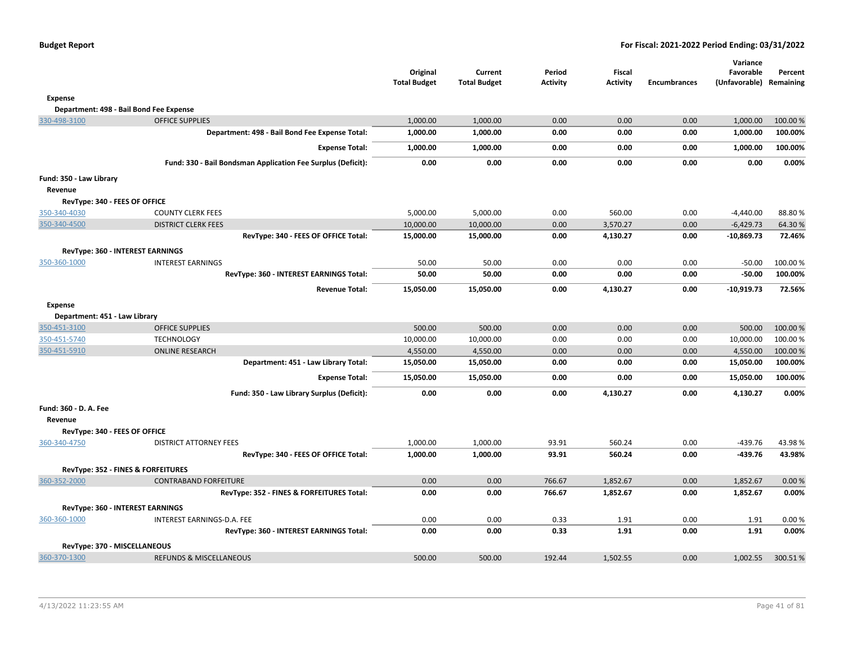|  |  |  | <b>Budget Report</b> |
|--|--|--|----------------------|
|--|--|--|----------------------|

|                                         |                                                              | Original<br><b>Total Budget</b> | Current<br><b>Total Budget</b> | Period<br><b>Activity</b> | <b>Fiscal</b><br><b>Activity</b> | <b>Encumbrances</b> | Variance<br>Favorable<br>(Unfavorable) Remaining | Percent |
|-----------------------------------------|--------------------------------------------------------------|---------------------------------|--------------------------------|---------------------------|----------------------------------|---------------------|--------------------------------------------------|---------|
| <b>Expense</b>                          |                                                              |                                 |                                |                           |                                  |                     |                                                  |         |
| Department: 498 - Bail Bond Fee Expense |                                                              |                                 |                                |                           |                                  |                     |                                                  |         |
| 330-498-3100                            | <b>OFFICE SUPPLIES</b>                                       | 1,000.00                        | 1,000.00                       | 0.00                      | 0.00                             | 0.00                | 1,000.00                                         | 100.00% |
|                                         | Department: 498 - Bail Bond Fee Expense Total:               | 1,000.00                        | 1,000.00                       | 0.00                      | 0.00                             | 0.00                | 1,000.00                                         | 100.00% |
|                                         | <b>Expense Total:</b>                                        | 1,000.00                        | 1,000.00                       | 0.00                      | 0.00                             | 0.00                | 1,000.00                                         | 100.00% |
|                                         | Fund: 330 - Bail Bondsman Application Fee Surplus (Deficit): | 0.00                            | 0.00                           | 0.00                      | 0.00                             | 0.00                | 0.00                                             | 0.00%   |
| Fund: 350 - Law Library                 |                                                              |                                 |                                |                           |                                  |                     |                                                  |         |
| Revenue                                 |                                                              |                                 |                                |                           |                                  |                     |                                                  |         |
| RevType: 340 - FEES OF OFFICE           |                                                              |                                 |                                |                           |                                  |                     |                                                  |         |
| 350-340-4030                            | <b>COUNTY CLERK FEES</b>                                     | 5,000.00                        | 5,000.00                       | 0.00                      | 560.00                           | 0.00                | $-4,440.00$                                      | 88.80%  |
| 350-340-4500                            | <b>DISTRICT CLERK FEES</b>                                   | 10,000.00                       | 10,000.00                      | 0.00                      | 3,570.27                         | 0.00                | $-6,429.73$                                      | 64.30%  |
|                                         | RevType: 340 - FEES OF OFFICE Total:                         | 15,000.00                       | 15,000.00                      | 0.00                      | 4,130.27                         | 0.00                | $-10,869.73$                                     | 72.46%  |
| RevType: 360 - INTEREST EARNINGS        |                                                              |                                 |                                |                           |                                  |                     |                                                  |         |
| 350-360-1000                            | <b>INTEREST EARNINGS</b>                                     | 50.00                           | 50.00                          | 0.00                      | 0.00                             | 0.00                | $-50.00$                                         | 100.00% |
|                                         | RevType: 360 - INTEREST EARNINGS Total:                      | 50.00                           | 50.00                          | 0.00                      | 0.00                             | 0.00                | $-50.00$                                         | 100.00% |
|                                         | <b>Revenue Total:</b>                                        | 15,050.00                       | 15,050.00                      | 0.00                      | 4,130.27                         | 0.00                | $-10,919.73$                                     | 72.56%  |
| <b>Expense</b>                          |                                                              |                                 |                                |                           |                                  |                     |                                                  |         |
| Department: 451 - Law Library           |                                                              |                                 |                                |                           |                                  |                     |                                                  |         |
| 350-451-3100                            | <b>OFFICE SUPPLIES</b>                                       | 500.00                          | 500.00                         | 0.00                      | 0.00                             | 0.00                | 500.00                                           | 100.00% |
| 350-451-5740                            | <b>TECHNOLOGY</b>                                            | 10,000.00                       | 10,000.00                      | 0.00                      | 0.00                             | 0.00                | 10,000.00                                        | 100.00% |
| 350-451-5910                            | <b>ONLINE RESEARCH</b>                                       | 4,550.00                        | 4,550.00                       | 0.00                      | 0.00                             | 0.00                | 4,550.00                                         | 100.00% |
|                                         | Department: 451 - Law Library Total:                         | 15,050.00                       | 15,050.00                      | 0.00                      | 0.00                             | 0.00                | 15,050.00                                        | 100.00% |
|                                         | <b>Expense Total:</b>                                        | 15,050.00                       | 15,050.00                      | 0.00                      | 0.00                             | 0.00                | 15,050.00                                        | 100.00% |
|                                         | Fund: 350 - Law Library Surplus (Deficit):                   | 0.00                            | 0.00                           | 0.00                      | 4,130.27                         | 0.00                | 4,130.27                                         | 0.00%   |
| Fund: 360 - D. A. Fee<br>Revenue        |                                                              |                                 |                                |                           |                                  |                     |                                                  |         |
| RevType: 340 - FEES OF OFFICE           |                                                              |                                 |                                |                           |                                  |                     |                                                  |         |
| 360-340-4750                            | <b>DISTRICT ATTORNEY FEES</b>                                | 1,000.00                        | 1,000.00                       | 93.91                     | 560.24                           | 0.00                | $-439.76$                                        | 43.98%  |
|                                         | RevType: 340 - FEES OF OFFICE Total:                         | 1,000.00                        | 1,000.00                       | 93.91                     | 560.24                           | 0.00                | $-439.76$                                        | 43.98%  |
| RevType: 352 - FINES & FORFEITURES      |                                                              |                                 |                                |                           |                                  |                     |                                                  |         |
| 360-352-2000                            | <b>CONTRABAND FORFEITURE</b>                                 | 0.00                            | 0.00                           | 766.67                    | 1,852.67                         | 0.00                | 1,852.67                                         | 0.00%   |
|                                         | RevType: 352 - FINES & FORFEITURES Total:                    | 0.00                            | 0.00                           | 766.67                    | 1,852.67                         | 0.00                | 1,852.67                                         | 0.00%   |
| RevType: 360 - INTEREST EARNINGS        |                                                              |                                 |                                |                           |                                  |                     |                                                  |         |
| 360-360-1000                            | INTEREST EARNINGS-D.A. FEE                                   | 0.00                            | 0.00                           | 0.33                      | 1.91                             | 0.00                | 1.91                                             | 0.00%   |
|                                         | RevType: 360 - INTEREST EARNINGS Total:                      | 0.00                            | 0.00                           | 0.33                      | 1.91                             | 0.00                | 1.91                                             | 0.00%   |
| RevType: 370 - MISCELLANEOUS            |                                                              |                                 |                                |                           |                                  |                     |                                                  |         |
| 360-370-1300                            | REFUNDS & MISCELLANEOUS                                      | 500.00                          | 500.00                         | 192.44                    | 1,502.55                         | 0.00                | 1,002.55                                         | 300.51% |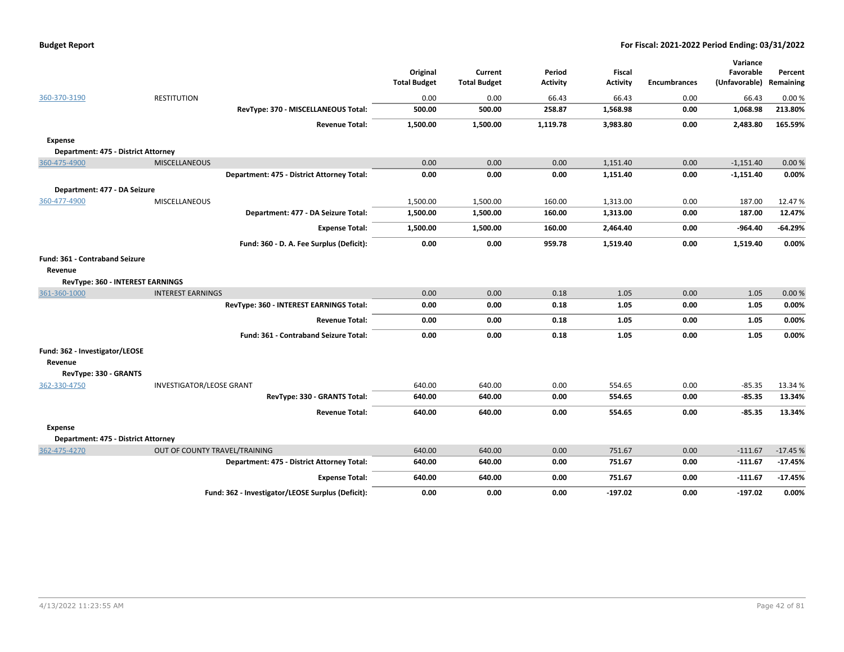|                                       |                                 |                                                   | Original<br><b>Total Budget</b> | Current<br><b>Total Budget</b> | Period<br><b>Activity</b> | <b>Fiscal</b><br><b>Activity</b> | <b>Encumbrances</b> | Variance<br>Favorable<br>(Unfavorable) | Percent<br>Remaining |
|---------------------------------------|---------------------------------|---------------------------------------------------|---------------------------------|--------------------------------|---------------------------|----------------------------------|---------------------|----------------------------------------|----------------------|
| 360-370-3190                          | <b>RESTITUTION</b>              |                                                   | 0.00                            | 0.00                           | 66.43                     | 66.43                            | 0.00                | 66.43                                  | 0.00%                |
|                                       |                                 | RevType: 370 - MISCELLANEOUS Total:               | 500.00                          | 500.00                         | 258.87                    | 1,568.98                         | 0.00                | 1,068.98                               | 213.80%              |
|                                       |                                 | <b>Revenue Total:</b>                             | 1,500.00                        | 1,500.00                       | 1,119.78                  | 3,983.80                         | 0.00                | 2,483.80                               | 165.59%              |
| <b>Expense</b>                        |                                 |                                                   |                                 |                                |                           |                                  |                     |                                        |                      |
| Department: 475 - District Attorney   |                                 |                                                   |                                 |                                |                           |                                  |                     |                                        |                      |
| 360-475-4900                          | <b>MISCELLANEOUS</b>            |                                                   | 0.00                            | 0.00                           | 0.00                      | 1,151.40                         | 0.00                | $-1,151.40$                            | 0.00%                |
|                                       |                                 | Department: 475 - District Attorney Total:        | 0.00                            | 0.00                           | 0.00                      | 1,151.40                         | 0.00                | $-1,151.40$                            | 0.00%                |
| Department: 477 - DA Seizure          |                                 |                                                   |                                 |                                |                           |                                  |                     |                                        |                      |
| 360-477-4900                          | MISCELLANEOUS                   |                                                   | 1,500.00                        | 1,500.00                       | 160.00                    | 1,313.00                         | 0.00                | 187.00                                 | 12.47%               |
|                                       |                                 | Department: 477 - DA Seizure Total:               | 1,500.00                        | 1,500.00                       | 160.00                    | 1,313.00                         | 0.00                | 187.00                                 | 12.47%               |
|                                       |                                 | <b>Expense Total:</b>                             | 1,500.00                        | 1,500.00                       | 160.00                    | 2,464.40                         | 0.00                | -964.40                                | $-64.29%$            |
|                                       |                                 | Fund: 360 - D. A. Fee Surplus (Deficit):          | 0.00                            | 0.00                           | 959.78                    | 1,519.40                         | 0.00                | 1,519.40                               | 0.00%                |
| Fund: 361 - Contraband Seizure        |                                 |                                                   |                                 |                                |                           |                                  |                     |                                        |                      |
| Revenue                               |                                 |                                                   |                                 |                                |                           |                                  |                     |                                        |                      |
| RevType: 360 - INTEREST EARNINGS      |                                 |                                                   |                                 |                                |                           |                                  |                     |                                        |                      |
| 361-360-1000                          | <b>INTEREST EARNINGS</b>        |                                                   | 0.00                            | 0.00                           | 0.18                      | 1.05                             | 0.00                | 1.05                                   | 0.00%                |
|                                       |                                 | RevType: 360 - INTEREST EARNINGS Total:           | 0.00                            | 0.00                           | 0.18                      | 1.05                             | 0.00                | 1.05                                   | 0.00%                |
|                                       |                                 | <b>Revenue Total:</b>                             | 0.00                            | 0.00                           | 0.18                      | 1.05                             | 0.00                | 1.05                                   | 0.00%                |
|                                       |                                 | <b>Fund: 361 - Contraband Seizure Total:</b>      | 0.00                            | 0.00                           | 0.18                      | 1.05                             | 0.00                | 1.05                                   | 0.00%                |
|                                       |                                 |                                                   |                                 |                                |                           |                                  |                     |                                        |                      |
| Fund: 362 - Investigator/LEOSE        |                                 |                                                   |                                 |                                |                           |                                  |                     |                                        |                      |
| Revenue                               |                                 |                                                   |                                 |                                |                           |                                  |                     |                                        |                      |
| RevType: 330 - GRANTS<br>362-330-4750 | <b>INVESTIGATOR/LEOSE GRANT</b> |                                                   | 640.00                          | 640.00                         | 0.00                      | 554.65                           | 0.00                | $-85.35$                               | 13.34 %              |
|                                       |                                 | RevType: 330 - GRANTS Total:                      | 640.00                          | 640.00                         | 0.00                      | 554.65                           | 0.00                | $-85.35$                               | 13.34%               |
|                                       |                                 | <b>Revenue Total:</b>                             | 640.00                          | 640.00                         | 0.00                      | 554.65                           | 0.00                | $-85.35$                               | 13.34%               |
|                                       |                                 |                                                   |                                 |                                |                           |                                  |                     |                                        |                      |
| <b>Expense</b>                        |                                 |                                                   |                                 |                                |                           |                                  |                     |                                        |                      |
| Department: 475 - District Attorney   |                                 |                                                   |                                 |                                |                           |                                  |                     |                                        |                      |
| 362-475-4270                          | OUT OF COUNTY TRAVEL/TRAINING   |                                                   | 640.00                          | 640.00                         | 0.00                      | 751.67                           | 0.00                | $-111.67$                              | $-17.45%$            |
|                                       |                                 | Department: 475 - District Attorney Total:        | 640.00                          | 640.00                         | 0.00                      | 751.67                           | 0.00                | $-111.67$                              | $-17.45%$            |
|                                       |                                 | <b>Expense Total:</b>                             | 640.00                          | 640.00                         | 0.00                      | 751.67                           | 0.00                | $-111.67$                              | $-17.45%$            |
|                                       |                                 | Fund: 362 - Investigator/LEOSE Surplus (Deficit): | 0.00                            | 0.00                           | 0.00                      | $-197.02$                        | 0.00                | $-197.02$                              | 0.00%                |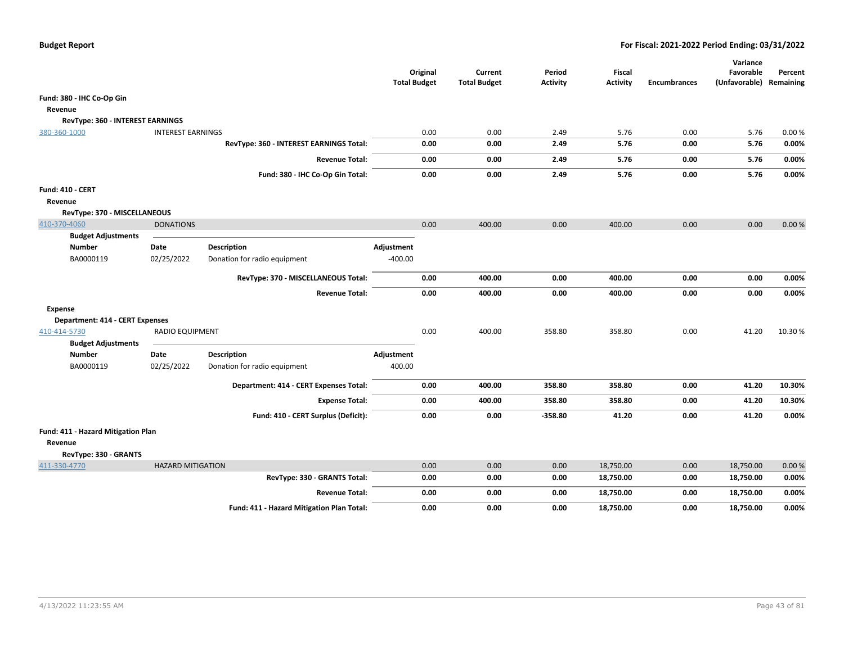|                                                                        |                          |                                           | Original<br><b>Total Budget</b> |      | Current<br><b>Total Budget</b> | Period<br><b>Activity</b> | Fiscal<br><b>Activity</b> | <b>Encumbrances</b> | Variance<br>Favorable<br>(Unfavorable) Remaining | Percent |
|------------------------------------------------------------------------|--------------------------|-------------------------------------------|---------------------------------|------|--------------------------------|---------------------------|---------------------------|---------------------|--------------------------------------------------|---------|
| Fund: 380 - IHC Co-Op Gin                                              |                          |                                           |                                 |      |                                |                           |                           |                     |                                                  |         |
| Revenue                                                                |                          |                                           |                                 |      |                                |                           |                           |                     |                                                  |         |
| RevType: 360 - INTEREST EARNINGS                                       |                          |                                           |                                 |      |                                |                           |                           |                     |                                                  |         |
| 380-360-1000                                                           | <b>INTEREST EARNINGS</b> |                                           |                                 | 0.00 | 0.00                           | 2.49                      | 5.76                      | 0.00                | 5.76                                             | 0.00%   |
|                                                                        |                          | RevType: 360 - INTEREST EARNINGS Total:   |                                 | 0.00 | 0.00                           | 2.49                      | 5.76                      | 0.00                | 5.76                                             | 0.00%   |
|                                                                        |                          | <b>Revenue Total:</b>                     |                                 | 0.00 | 0.00                           | 2.49                      | 5.76                      | 0.00                | 5.76                                             | 0.00%   |
|                                                                        |                          | Fund: 380 - IHC Co-Op Gin Total:          |                                 | 0.00 | 0.00                           | 2.49                      | 5.76                      | 0.00                | 5.76                                             | 0.00%   |
| <b>Fund: 410 - CERT</b>                                                |                          |                                           |                                 |      |                                |                           |                           |                     |                                                  |         |
| Revenue                                                                |                          |                                           |                                 |      |                                |                           |                           |                     |                                                  |         |
| RevType: 370 - MISCELLANEOUS                                           |                          |                                           |                                 |      |                                |                           |                           |                     |                                                  |         |
| 410-370-4060                                                           | <b>DONATIONS</b>         |                                           |                                 | 0.00 | 400.00                         | 0.00                      | 400.00                    | 0.00                | 0.00                                             | 0.00%   |
| <b>Budget Adjustments</b>                                              |                          |                                           |                                 |      |                                |                           |                           |                     |                                                  |         |
| <b>Number</b>                                                          | Date                     | <b>Description</b>                        | Adjustment                      |      |                                |                           |                           |                     |                                                  |         |
| BA0000119                                                              | 02/25/2022               | Donation for radio equipment              | $-400.00$                       |      |                                |                           |                           |                     |                                                  |         |
|                                                                        |                          | RevType: 370 - MISCELLANEOUS Total:       |                                 | 0.00 | 400.00                         | 0.00                      | 400.00                    | 0.00                | 0.00                                             | 0.00%   |
|                                                                        |                          | <b>Revenue Total:</b>                     |                                 | 0.00 | 400.00                         | 0.00                      | 400.00                    | 0.00                | 0.00                                             | 0.00%   |
| <b>Expense</b>                                                         |                          |                                           |                                 |      |                                |                           |                           |                     |                                                  |         |
| <b>Department: 414 - CERT Expenses</b>                                 |                          |                                           |                                 |      |                                |                           |                           |                     |                                                  |         |
| 410-414-5730<br><b>Budget Adjustments</b>                              | <b>RADIO EQUIPMENT</b>   |                                           |                                 | 0.00 | 400.00                         | 358.80                    | 358.80                    | 0.00                | 41.20                                            | 10.30%  |
| <b>Number</b>                                                          | Date                     | Description                               | Adjustment                      |      |                                |                           |                           |                     |                                                  |         |
| BA0000119                                                              | 02/25/2022               | Donation for radio equipment              | 400.00                          |      |                                |                           |                           |                     |                                                  |         |
|                                                                        |                          | Department: 414 - CERT Expenses Total:    |                                 | 0.00 | 400.00                         | 358.80                    | 358.80                    | 0.00                | 41.20                                            | 10.30%  |
|                                                                        |                          | <b>Expense Total:</b>                     |                                 | 0.00 | 400.00                         | 358.80                    | 358.80                    | 0.00                | 41.20                                            | 10.30%  |
|                                                                        |                          | Fund: 410 - CERT Surplus (Deficit):       |                                 | 0.00 | 0.00                           | $-358.80$                 | 41.20                     | 0.00                | 41.20                                            | 0.00%   |
| Fund: 411 - Hazard Mitigation Plan<br>Revenue<br>RevType: 330 - GRANTS |                          |                                           |                                 |      |                                |                           |                           |                     |                                                  |         |
| 411-330-4770                                                           | <b>HAZARD MITIGATION</b> |                                           |                                 | 0.00 | 0.00                           | 0.00                      | 18,750.00                 | 0.00                | 18,750.00                                        | 0.00%   |
|                                                                        |                          | RevType: 330 - GRANTS Total:              |                                 | 0.00 | 0.00                           | 0.00                      | 18,750.00                 | 0.00                | 18,750.00                                        | 0.00%   |
|                                                                        |                          | <b>Revenue Total:</b>                     |                                 | 0.00 | 0.00                           | 0.00                      | 18,750.00                 | 0.00                | 18,750.00                                        | 0.00%   |
|                                                                        |                          | Fund: 411 - Hazard Mitigation Plan Total: |                                 | 0.00 | 0.00                           | 0.00                      | 18,750.00                 | 0.00                | 18,750.00                                        | 0.00%   |
|                                                                        |                          |                                           |                                 |      |                                |                           |                           |                     |                                                  |         |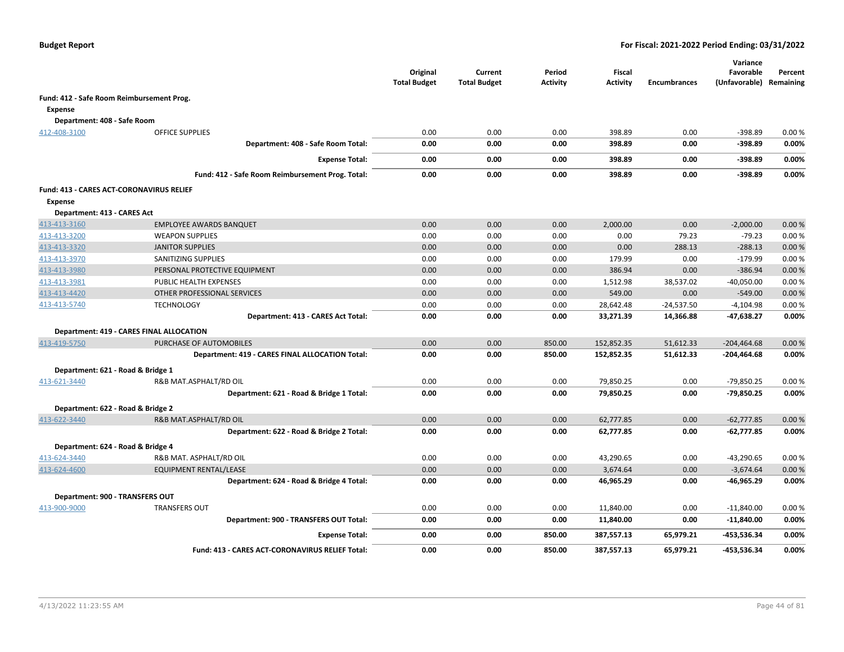|                                           |                                                        | Original<br><b>Total Budget</b> | Current<br><b>Total Budget</b> | Period<br><b>Activity</b> | Fiscal<br><b>Activity</b> | <b>Encumbrances</b> | Variance<br>Favorable<br>(Unfavorable) | Percent<br>Remaining |
|-------------------------------------------|--------------------------------------------------------|---------------------------------|--------------------------------|---------------------------|---------------------------|---------------------|----------------------------------------|----------------------|
| Fund: 412 - Safe Room Reimbursement Prog. |                                                        |                                 |                                |                           |                           |                     |                                        |                      |
| Expense                                   |                                                        |                                 |                                |                           |                           |                     |                                        |                      |
| Department: 408 - Safe Room               |                                                        |                                 |                                |                           |                           |                     |                                        |                      |
| 412-408-3100                              | <b>OFFICE SUPPLIES</b>                                 | 0.00                            | 0.00                           | 0.00                      | 398.89                    | 0.00                | $-398.89$                              | 0.00%                |
|                                           | Department: 408 - Safe Room Total:                     | 0.00                            | 0.00                           | 0.00                      | 398.89                    | 0.00                | $-398.89$                              | 0.00%                |
|                                           | <b>Expense Total:</b>                                  | 0.00                            | 0.00                           | 0.00                      | 398.89                    | 0.00                | $-398.89$                              | 0.00%                |
|                                           | Fund: 412 - Safe Room Reimbursement Prog. Total:       | 0.00                            | 0.00                           | 0.00                      | 398.89                    | 0.00                | $-398.89$                              | 0.00%                |
| Fund: 413 - CARES ACT-CORONAVIRUS RELIEF  |                                                        |                                 |                                |                           |                           |                     |                                        |                      |
| <b>Expense</b>                            |                                                        |                                 |                                |                           |                           |                     |                                        |                      |
| Department: 413 - CARES Act               |                                                        |                                 |                                |                           |                           |                     |                                        |                      |
| 413-413-3160                              | <b>EMPLOYEE AWARDS BANQUET</b>                         | 0.00                            | 0.00                           | 0.00                      | 2,000.00                  | 0.00                | $-2,000.00$                            | 0.00%                |
| 413-413-3200                              | <b>WEAPON SUPPLIES</b>                                 | 0.00                            | 0.00                           | 0.00                      | 0.00                      | 79.23               | $-79.23$                               | 0.00%                |
| 413-413-3320                              | <b>JANITOR SUPPLIES</b>                                | 0.00                            | 0.00                           | 0.00                      | 0.00                      | 288.13              | $-288.13$                              | 0.00%                |
| 413-413-3970                              | SANITIZING SUPPLIES                                    | 0.00                            | 0.00                           | 0.00                      | 179.99                    | 0.00                | $-179.99$                              | 0.00%                |
| 413-413-3980                              | PERSONAL PROTECTIVE EQUIPMENT                          | 0.00                            | 0.00                           | 0.00                      | 386.94                    | 0.00                | $-386.94$                              | 0.00%                |
| 413-413-3981                              | PUBLIC HEALTH EXPENSES                                 | 0.00                            | 0.00                           | 0.00                      | 1,512.98                  | 38,537.02           | $-40,050.00$                           | 0.00%                |
| 413-413-4420                              | OTHER PROFESSIONAL SERVICES                            | 0.00                            | 0.00                           | 0.00                      | 549.00                    | 0.00                | $-549.00$                              | 0.00%                |
| 413-413-5740                              | <b>TECHNOLOGY</b>                                      | 0.00                            | 0.00                           | 0.00                      | 28,642.48                 | $-24,537.50$        | -4,104.98                              | 0.00%                |
|                                           | Department: 413 - CARES Act Total:                     | 0.00                            | 0.00                           | 0.00                      | 33,271.39                 | 14,366.88           | $-47,638.27$                           | 0.00%                |
|                                           | Department: 419 - CARES FINAL ALLOCATION               |                                 |                                |                           |                           |                     |                                        |                      |
| 413-419-5750                              | PURCHASE OF AUTOMOBILES                                | 0.00                            | 0.00                           | 850.00                    | 152,852.35                | 51,612.33           | $-204,464.68$                          | 0.00%                |
|                                           | Department: 419 - CARES FINAL ALLOCATION Total:        | 0.00                            | 0.00                           | 850.00                    | 152,852.35                | 51,612.33           | -204,464.68                            | 0.00%                |
| Department: 621 - Road & Bridge 1         |                                                        |                                 |                                |                           |                           |                     |                                        |                      |
| 413-621-3440                              | R&B MAT.ASPHALT/RD OIL                                 | 0.00                            | 0.00                           | 0.00                      | 79,850.25                 | 0.00                | $-79,850.25$                           | 0.00%                |
|                                           | Department: 621 - Road & Bridge 1 Total:               | 0.00                            | 0.00                           | 0.00                      | 79,850.25                 | 0.00                | -79,850.25                             | 0.00%                |
| Department: 622 - Road & Bridge 2         |                                                        |                                 |                                |                           |                           |                     |                                        |                      |
| 413-622-3440                              | R&B MAT.ASPHALT/RD OIL                                 | 0.00                            | 0.00                           | 0.00                      | 62,777.85                 | 0.00                | $-62,777.85$                           | 0.00%                |
|                                           | Department: 622 - Road & Bridge 2 Total:               | 0.00                            | 0.00                           | 0.00                      | 62,777.85                 | 0.00                | $-62,777.85$                           | 0.00%                |
| Department: 624 - Road & Bridge 4         |                                                        |                                 |                                |                           |                           |                     |                                        |                      |
| 413-624-3440                              | R&B MAT. ASPHALT/RD OIL                                | 0.00                            | 0.00                           | 0.00                      | 43,290.65                 | 0.00                | $-43,290.65$                           | 0.00%                |
| 413-624-4600                              | EQUIPMENT RENTAL/LEASE                                 | 0.00                            | 0.00                           | 0.00                      | 3,674.64                  | 0.00                | $-3,674.64$                            | 0.00%                |
|                                           | Department: 624 - Road & Bridge 4 Total:               | 0.00                            | 0.00                           | 0.00                      | 46,965.29                 | 0.00                | $-46,965.29$                           | 0.00%                |
| Department: 900 - TRANSFERS OUT           |                                                        |                                 |                                |                           |                           |                     |                                        |                      |
| 413-900-9000                              | <b>TRANSFERS OUT</b>                                   | 0.00                            | 0.00                           | 0.00                      | 11,840.00                 | 0.00                | $-11,840.00$                           | 0.00%                |
|                                           | Department: 900 - TRANSFERS OUT Total:                 | 0.00                            | 0.00                           | 0.00                      | 11,840.00                 | 0.00                | $-11,840.00$                           | 0.00%                |
|                                           | <b>Expense Total:</b>                                  | 0.00                            | 0.00                           | 850.00                    | 387,557.13                | 65,979.21           | -453,536.34                            | 0.00%                |
|                                           | <b>Fund: 413 - CARES ACT-CORONAVIRUS RELIEF Total:</b> | 0.00                            | 0.00                           | 850.00                    | 387.557.13                | 65.979.21           | -453.536.34                            | 0.00%                |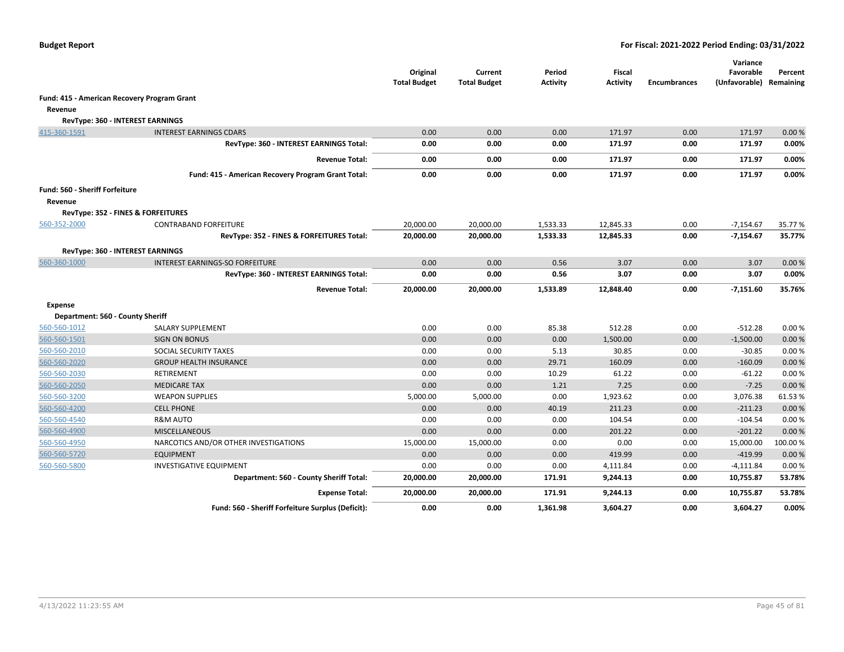|                                             |                                                    | Original<br><b>Total Budget</b> | Current<br><b>Total Budget</b> | Period<br><b>Activity</b> | Fiscal<br><b>Activity</b> | <b>Encumbrances</b> | Variance<br>Favorable<br>(Unfavorable) Remaining | Percent |
|---------------------------------------------|----------------------------------------------------|---------------------------------|--------------------------------|---------------------------|---------------------------|---------------------|--------------------------------------------------|---------|
| Fund: 415 - American Recovery Program Grant |                                                    |                                 |                                |                           |                           |                     |                                                  |         |
| Revenue                                     |                                                    |                                 |                                |                           |                           |                     |                                                  |         |
|                                             | RevType: 360 - INTEREST EARNINGS                   |                                 |                                |                           |                           |                     |                                                  |         |
| 415-360-1591                                | <b>INTEREST EARNINGS CDARS</b>                     | 0.00                            | 0.00                           | 0.00                      | 171.97                    | 0.00                | 171.97                                           | 0.00%   |
|                                             | RevType: 360 - INTEREST EARNINGS Total:            | 0.00                            | 0.00                           | 0.00                      | 171.97                    | 0.00                | 171.97                                           | 0.00%   |
|                                             | <b>Revenue Total:</b>                              | 0.00                            | 0.00                           | 0.00                      | 171.97                    | 0.00                | 171.97                                           | 0.00%   |
|                                             | Fund: 415 - American Recovery Program Grant Total: | 0.00                            | 0.00                           | 0.00                      | 171.97                    | 0.00                | 171.97                                           | 0.00%   |
| Fund: 560 - Sheriff Forfeiture              |                                                    |                                 |                                |                           |                           |                     |                                                  |         |
| Revenue                                     |                                                    |                                 |                                |                           |                           |                     |                                                  |         |
|                                             | <b>RevType: 352 - FINES &amp; FORFEITURES</b>      |                                 |                                |                           |                           |                     |                                                  |         |
| 560-352-2000                                | <b>CONTRABAND FORFEITURE</b>                       | 20,000.00                       | 20,000.00                      | 1,533.33                  | 12,845.33                 | 0.00                | $-7,154.67$                                      | 35.77 % |
|                                             | RevType: 352 - FINES & FORFEITURES Total:          | 20,000.00                       | 20,000.00                      | 1,533.33                  | 12,845.33                 | 0.00                | $-7,154.67$                                      | 35.77%  |
|                                             | RevType: 360 - INTEREST EARNINGS                   |                                 |                                |                           |                           |                     |                                                  |         |
| 560-360-1000                                | <b>INTEREST EARNINGS-SO FORFEITURE</b>             | 0.00                            | 0.00                           | 0.56                      | 3.07                      | 0.00                | 3.07                                             | 0.00%   |
|                                             | RevType: 360 - INTEREST EARNINGS Total:            | 0.00                            | 0.00                           | 0.56                      | 3.07                      | 0.00                | 3.07                                             | 0.00%   |
|                                             | <b>Revenue Total:</b>                              | 20,000.00                       | 20,000.00                      | 1,533.89                  | 12,848.40                 | 0.00                | $-7,151.60$                                      | 35.76%  |
| Expense                                     |                                                    |                                 |                                |                           |                           |                     |                                                  |         |
| Department: 560 - County Sheriff            |                                                    |                                 |                                |                           |                           |                     |                                                  |         |
| 560-560-1012                                | SALARY SUPPLEMENT                                  | 0.00                            | 0.00                           | 85.38                     | 512.28                    | 0.00                | $-512.28$                                        | 0.00%   |
| 560-560-1501                                | <b>SIGN ON BONUS</b>                               | 0.00                            | 0.00                           | 0.00                      | 1,500.00                  | 0.00                | $-1,500.00$                                      | 0.00%   |
| 560-560-2010                                | SOCIAL SECURITY TAXES                              | 0.00                            | 0.00                           | 5.13                      | 30.85                     | 0.00                | $-30.85$                                         | 0.00%   |
| 560-560-2020                                | <b>GROUP HEALTH INSURANCE</b>                      | 0.00                            | 0.00                           | 29.71                     | 160.09                    | 0.00                | $-160.09$                                        | 0.00%   |
| 560-560-2030                                | RETIREMENT                                         | 0.00                            | 0.00                           | 10.29                     | 61.22                     | 0.00                | $-61.22$                                         | 0.00%   |
| 560-560-2050                                | <b>MEDICARE TAX</b>                                | 0.00                            | 0.00                           | 1.21                      | 7.25                      | 0.00                | $-7.25$                                          | 0.00%   |
| 560-560-3200                                | <b>WEAPON SUPPLIES</b>                             | 5,000.00                        | 5,000.00                       | 0.00                      | 1,923.62                  | 0.00                | 3,076.38                                         | 61.53%  |
| 560-560-4200                                | <b>CELL PHONE</b>                                  | 0.00                            | 0.00                           | 40.19                     | 211.23                    | 0.00                | $-211.23$                                        | 0.00%   |
| 560-560-4540                                | <b>R&amp;M AUTO</b>                                | 0.00                            | 0.00                           | 0.00                      | 104.54                    | 0.00                | $-104.54$                                        | 0.00%   |
| 560-560-4900                                | <b>MISCELLANEOUS</b>                               | 0.00                            | 0.00                           | 0.00                      | 201.22                    | 0.00                | $-201.22$                                        | 0.00%   |
| 560-560-4950                                | NARCOTICS AND/OR OTHER INVESTIGATIONS              | 15,000.00                       | 15,000.00                      | 0.00                      | 0.00                      | 0.00                | 15,000.00                                        | 100.00% |
| 560-560-5720                                | <b>EQUIPMENT</b>                                   | 0.00                            | 0.00                           | 0.00                      | 419.99                    | 0.00                | $-419.99$                                        | 0.00%   |
| 560-560-5800                                | <b>INVESTIGATIVE EQUIPMENT</b>                     | 0.00                            | 0.00                           | 0.00                      | 4,111.84                  | 0.00                | $-4,111.84$                                      | 0.00%   |
|                                             | Department: 560 - County Sheriff Total:            | 20,000.00                       | 20,000.00                      | 171.91                    | 9,244.13                  | 0.00                | 10,755.87                                        | 53.78%  |
|                                             | <b>Expense Total:</b>                              | 20,000.00                       | 20,000.00                      | 171.91                    | 9,244.13                  | 0.00                | 10,755.87                                        | 53.78%  |
|                                             | Fund: 560 - Sheriff Forfeiture Surplus (Deficit):  | 0.00                            | 0.00                           | 1,361.98                  | 3,604.27                  | 0.00                | 3,604.27                                         | 0.00%   |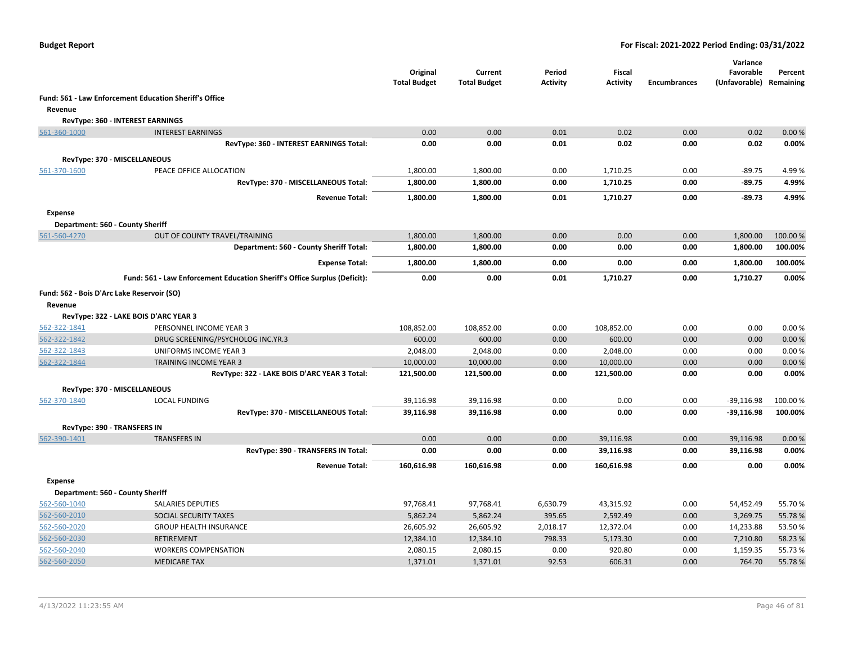|                                                       |                                                                           | Original<br><b>Total Budget</b> | Current<br><b>Total Budget</b> | Period<br><b>Activity</b> | <b>Fiscal</b><br><b>Activity</b> | <b>Encumbrances</b> | Variance<br>Favorable<br>(Unfavorable) | Percent<br>Remaining |
|-------------------------------------------------------|---------------------------------------------------------------------------|---------------------------------|--------------------------------|---------------------------|----------------------------------|---------------------|----------------------------------------|----------------------|
|                                                       | <b>Fund: 561 - Law Enforcement Education Sheriff's Office</b>             |                                 |                                |                           |                                  |                     |                                        |                      |
| Revenue                                               |                                                                           |                                 |                                |                           |                                  |                     |                                        |                      |
|                                                       | RevType: 360 - INTEREST EARNINGS                                          |                                 |                                |                           |                                  |                     |                                        |                      |
| 561-360-1000                                          | <b>INTEREST EARNINGS</b>                                                  | 0.00                            | 0.00                           | 0.01                      | 0.02                             | 0.00                | 0.02                                   | 0.00%                |
|                                                       | RevType: 360 - INTEREST EARNINGS Total:                                   | 0.00                            | 0.00                           | 0.01                      | 0.02                             | 0.00                | 0.02                                   | 0.00%                |
|                                                       |                                                                           |                                 |                                |                           |                                  |                     |                                        |                      |
| RevType: 370 - MISCELLANEOUS                          |                                                                           |                                 |                                |                           |                                  |                     |                                        |                      |
| 561-370-1600                                          | PEACE OFFICE ALLOCATION                                                   | 1,800.00                        | 1,800.00                       | 0.00                      | 1,710.25                         | 0.00                | $-89.75$                               | 4.99%                |
|                                                       | RevType: 370 - MISCELLANEOUS Total:                                       | 1,800.00                        | 1,800.00                       | 0.00                      | 1,710.25                         | 0.00                | $-89.75$                               | 4.99%                |
|                                                       | <b>Revenue Total:</b>                                                     | 1,800.00                        | 1,800.00                       | 0.01                      | 1,710.27                         | 0.00                | $-89.73$                               | 4.99%                |
| <b>Expense</b>                                        |                                                                           |                                 |                                |                           |                                  |                     |                                        |                      |
| Department: 560 - County Sheriff                      |                                                                           |                                 |                                |                           |                                  |                     |                                        |                      |
| 561-560-4270                                          | OUT OF COUNTY TRAVEL/TRAINING                                             | 1,800.00                        | 1,800.00                       | 0.00                      | 0.00                             | 0.00                | 1,800.00                               | 100.00 %             |
|                                                       | Department: 560 - County Sheriff Total:                                   | 1,800.00                        | 1,800.00                       | 0.00                      | 0.00                             | 0.00                | 1,800.00                               | 100.00%              |
|                                                       | <b>Expense Total:</b>                                                     | 1,800.00                        | 1,800.00                       | 0.00                      | 0.00                             | 0.00                | 1,800.00                               | 100.00%              |
|                                                       | Fund: 561 - Law Enforcement Education Sheriff's Office Surplus (Deficit): | 0.00                            | 0.00                           | 0.01                      | 1,710.27                         | 0.00                | 1,710.27                               | 0.00%                |
| Fund: 562 - Bois D'Arc Lake Reservoir (SO)<br>Revenue |                                                                           |                                 |                                |                           |                                  |                     |                                        |                      |
|                                                       | RevType: 322 - LAKE BOIS D'ARC YEAR 3                                     |                                 |                                |                           |                                  |                     |                                        |                      |
| 562-322-1841                                          | PERSONNEL INCOME YEAR 3                                                   | 108,852.00                      | 108,852.00                     | 0.00                      | 108,852.00                       | 0.00                | 0.00                                   | 0.00%                |
| 562-322-1842                                          | DRUG SCREENING/PSYCHOLOG INC.YR.3                                         | 600.00                          | 600.00                         | 0.00                      | 600.00                           | 0.00                | 0.00                                   | 0.00%                |
| 562-322-1843                                          | UNIFORMS INCOME YEAR 3                                                    | 2,048.00                        | 2,048.00                       | 0.00                      | 2,048.00                         | 0.00                | 0.00                                   | 0.00%                |
| 562-322-1844                                          | TRAINING INCOME YEAR 3                                                    | 10,000.00                       | 10,000.00                      | 0.00                      | 10,000.00                        | 0.00                | 0.00                                   | 0.00%                |
|                                                       | RevType: 322 - LAKE BOIS D'ARC YEAR 3 Total:                              | 121,500.00                      | 121,500.00                     | 0.00                      | 121,500.00                       | 0.00                | 0.00                                   | 0.00%                |
| RevType: 370 - MISCELLANEOUS                          |                                                                           |                                 |                                |                           |                                  |                     |                                        |                      |
| 562-370-1840                                          | <b>LOCAL FUNDING</b>                                                      | 39,116.98                       | 39,116.98                      | 0.00                      | 0.00                             | 0.00                | $-39,116.98$                           | 100.00 %             |
|                                                       | RevType: 370 - MISCELLANEOUS Total:                                       | 39,116.98                       | 39,116.98                      | 0.00                      | 0.00                             | 0.00                | $-39,116.98$                           | 100.00%              |
| RevType: 390 - TRANSFERS IN                           |                                                                           |                                 |                                |                           |                                  |                     |                                        |                      |
| 562-390-1401                                          | <b>TRANSFERS IN</b>                                                       | 0.00                            | 0.00                           | 0.00                      | 39,116.98                        | 0.00                | 39,116.98                              | 0.00%                |
|                                                       | RevType: 390 - TRANSFERS IN Total:                                        | 0.00                            | 0.00                           | 0.00                      | 39,116.98                        | 0.00                | 39,116.98                              | 0.00%                |
|                                                       | <b>Revenue Total:</b>                                                     | 160,616.98                      | 160,616.98                     | 0.00                      | 160,616.98                       | 0.00                | 0.00                                   | 0.00%                |
| <b>Expense</b>                                        |                                                                           |                                 |                                |                           |                                  |                     |                                        |                      |
| Department: 560 - County Sheriff                      |                                                                           |                                 |                                |                           |                                  |                     |                                        |                      |
| 562-560-1040                                          | <b>SALARIES DEPUTIES</b>                                                  | 97,768.41                       | 97,768.41                      | 6,630.79                  | 43,315.92                        | 0.00                | 54,452.49                              | 55.70%               |
| 562-560-2010                                          | <b>SOCIAL SECURITY TAXES</b>                                              | 5,862.24                        | 5,862.24                       | 395.65                    | 2,592.49                         | 0.00                | 3,269.75                               | 55.78%               |
| 562-560-2020                                          | <b>GROUP HEALTH INSURANCE</b>                                             | 26,605.92                       | 26,605.92                      | 2,018.17                  | 12,372.04                        | 0.00                | 14,233.88                              | 53.50%               |
| 562-560-2030                                          | <b>RETIREMENT</b>                                                         | 12,384.10                       | 12,384.10                      | 798.33                    | 5,173.30                         | 0.00                | 7,210.80                               | 58.23 %              |
| 562-560-2040                                          | <b>WORKERS COMPENSATION</b>                                               | 2,080.15                        | 2,080.15                       | 0.00                      | 920.80                           | 0.00                | 1,159.35                               | 55.73 %              |
| 562-560-2050                                          | <b>MEDICARE TAX</b>                                                       | 1,371.01                        | 1,371.01                       | 92.53                     | 606.31                           | 0.00                | 764.70                                 | 55.78%               |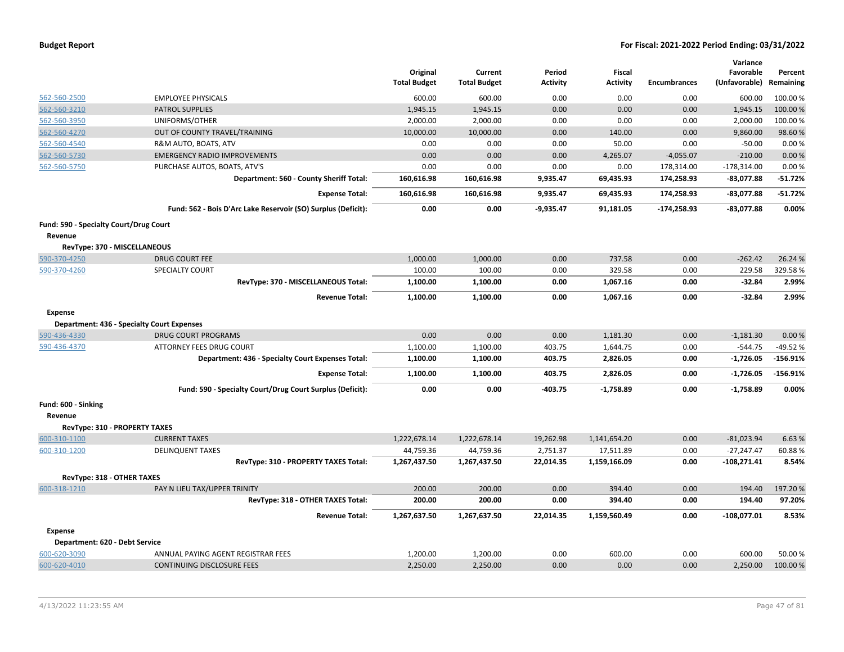|                                        |                                                               | Original<br><b>Total Budget</b> | Current<br><b>Total Budget</b> | Period<br><b>Activity</b> | <b>Fiscal</b><br><b>Activity</b> | <b>Encumbrances</b> | Variance<br>Favorable<br>(Unfavorable) | Percent<br>Remaining |
|----------------------------------------|---------------------------------------------------------------|---------------------------------|--------------------------------|---------------------------|----------------------------------|---------------------|----------------------------------------|----------------------|
| 562-560-2500                           | <b>EMPLOYEE PHYSICALS</b>                                     | 600.00                          | 600.00                         | 0.00                      | 0.00                             | 0.00                | 600.00                                 | 100.00%              |
| 562-560-3210                           | <b>PATROL SUPPLIES</b>                                        | 1,945.15                        | 1,945.15                       | 0.00                      | 0.00                             | 0.00                | 1,945.15                               | 100.00%              |
| 562-560-3950                           | UNIFORMS/OTHER                                                | 2,000.00                        | 2,000.00                       | 0.00                      | 0.00                             | 0.00                | 2,000.00                               | 100.00%              |
| 562-560-4270                           | OUT OF COUNTY TRAVEL/TRAINING                                 | 10,000.00                       | 10,000.00                      | 0.00                      | 140.00                           | 0.00                | 9,860.00                               | 98.60%               |
| 562-560-4540                           | R&M AUTO, BOATS, ATV                                          | 0.00                            | 0.00                           | 0.00                      | 50.00                            | 0.00                | $-50.00$                               | 0.00%                |
| 562-560-5730                           | <b>EMERGENCY RADIO IMPROVEMENTS</b>                           | 0.00                            | 0.00                           | 0.00                      | 4,265.07                         | $-4,055.07$         | $-210.00$                              | 0.00 %               |
| 562-560-5750                           | PURCHASE AUTOS, BOATS, ATV'S                                  | 0.00                            | 0.00                           | 0.00                      | 0.00                             | 178,314.00          | $-178,314.00$                          | 0.00%                |
|                                        | Department: 560 - County Sheriff Total:                       | 160,616.98                      | 160,616.98                     | 9,935.47                  | 69,435.93                        | 174,258.93          | $-83,077.88$                           | $-51.72%$            |
|                                        | <b>Expense Total:</b>                                         | 160,616.98                      | 160,616.98                     | 9,935.47                  | 69,435.93                        | 174,258.93          | $-83,077.88$                           | $-51.72%$            |
|                                        | Fund: 562 - Bois D'Arc Lake Reservoir (SO) Surplus (Deficit): | 0.00                            | 0.00                           | $-9,935.47$               | 91,181.05                        | $-174,258.93$       | $-83,077.88$                           | 0.00%                |
| Fund: 590 - Specialty Court/Drug Court |                                                               |                                 |                                |                           |                                  |                     |                                        |                      |
| Revenue                                |                                                               |                                 |                                |                           |                                  |                     |                                        |                      |
| RevType: 370 - MISCELLANEOUS           |                                                               |                                 |                                |                           |                                  |                     |                                        |                      |
| 590-370-4250                           | <b>DRUG COURT FEE</b>                                         | 1,000.00                        | 1,000.00                       | 0.00                      | 737.58                           | 0.00                | $-262.42$                              | 26.24 %              |
| 590-370-4260                           | SPECIALTY COURT                                               | 100.00                          | 100.00                         | 0.00                      | 329.58                           | 0.00                | 229.58                                 | 329.58%              |
|                                        | RevType: 370 - MISCELLANEOUS Total:                           | 1,100.00                        | 1,100.00                       | 0.00                      | 1,067.16                         | 0.00                | $-32.84$                               | 2.99%                |
|                                        | <b>Revenue Total:</b>                                         | 1,100.00                        | 1,100.00                       | 0.00                      | 1,067.16                         | 0.00                | $-32.84$                               | 2.99%                |
| Expense                                | <b>Department: 436 - Specialty Court Expenses</b>             |                                 |                                |                           |                                  |                     |                                        |                      |
| 590-436-4330                           | <b>DRUG COURT PROGRAMS</b>                                    | 0.00                            | 0.00                           | 0.00                      | 1,181.30                         | 0.00                | $-1,181.30$                            | 0.00 %               |
| 590-436-4370                           | <b>ATTORNEY FEES DRUG COURT</b>                               | 1,100.00                        | 1,100.00                       | 403.75                    | 1,644.75                         | 0.00                | $-544.75$                              | -49.52 %             |
|                                        | Department: 436 - Specialty Court Expenses Total:             | 1,100.00                        | 1,100.00                       | 403.75                    | 2,826.05                         | 0.00                | $-1,726.05$                            | $-156.91%$           |
|                                        |                                                               | 1,100.00                        | 1,100.00                       | 403.75                    | 2,826.05                         | 0.00                | $-1,726.05$                            | $-156.91%$           |
|                                        | <b>Expense Total:</b>                                         |                                 |                                |                           |                                  |                     |                                        | 0.00%                |
|                                        | Fund: 590 - Specialty Court/Drug Court Surplus (Deficit):     | 0.00                            | 0.00                           | $-403.75$                 | $-1,758.89$                      | 0.00                | $-1,758.89$                            |                      |
| Fund: 600 - Sinking                    |                                                               |                                 |                                |                           |                                  |                     |                                        |                      |
| Revenue                                |                                                               |                                 |                                |                           |                                  |                     |                                        |                      |
| RevType: 310 - PROPERTY TAXES          |                                                               |                                 |                                |                           |                                  |                     |                                        |                      |
| 600-310-1100                           | <b>CURRENT TAXES</b>                                          | 1,222,678.14                    | 1,222,678.14                   | 19,262.98                 | 1,141,654.20                     | 0.00                | $-81,023.94$                           | 6.63%                |
| 600-310-1200                           | <b>DELINQUENT TAXES</b>                                       | 44,759.36                       | 44,759.36                      | 2,751.37                  | 17,511.89                        | 0.00                | $-27,247.47$                           | 60.88%               |
|                                        | RevType: 310 - PROPERTY TAXES Total:                          | 1,267,437.50                    | 1,267,437.50                   | 22,014.35                 | 1,159,166.09                     | 0.00                | $-108,271.41$                          | 8.54%                |
| RevType: 318 - OTHER TAXES             |                                                               |                                 |                                |                           |                                  |                     |                                        |                      |
| 600-318-1210                           | PAY N LIEU TAX/UPPER TRINITY                                  | 200.00                          | 200.00                         | 0.00                      | 394.40                           | 0.00                | 194.40                                 | 197.20%              |
|                                        | RevType: 318 - OTHER TAXES Total:                             | 200.00                          | 200.00                         | 0.00                      | 394.40                           | 0.00                | 194.40                                 | 97.20%               |
|                                        | <b>Revenue Total:</b>                                         | 1,267,637.50                    | 1,267,637.50                   | 22,014.35                 | 1,159,560.49                     | 0.00                | $-108,077.01$                          | 8.53%                |
| <b>Expense</b>                         |                                                               |                                 |                                |                           |                                  |                     |                                        |                      |
| Department: 620 - Debt Service         |                                                               |                                 |                                |                           |                                  |                     |                                        |                      |
| 600-620-3090                           | ANNUAL PAYING AGENT REGISTRAR FEES                            | 1,200.00                        | 1,200.00                       | 0.00                      | 600.00                           | 0.00                | 600.00                                 | 50.00 %              |
| 600-620-4010                           | <b>CONTINUING DISCLOSURE FEES</b>                             | 2,250.00                        | 2,250.00                       | 0.00                      | 0.00                             | 0.00                | 2,250.00                               | 100.00 %             |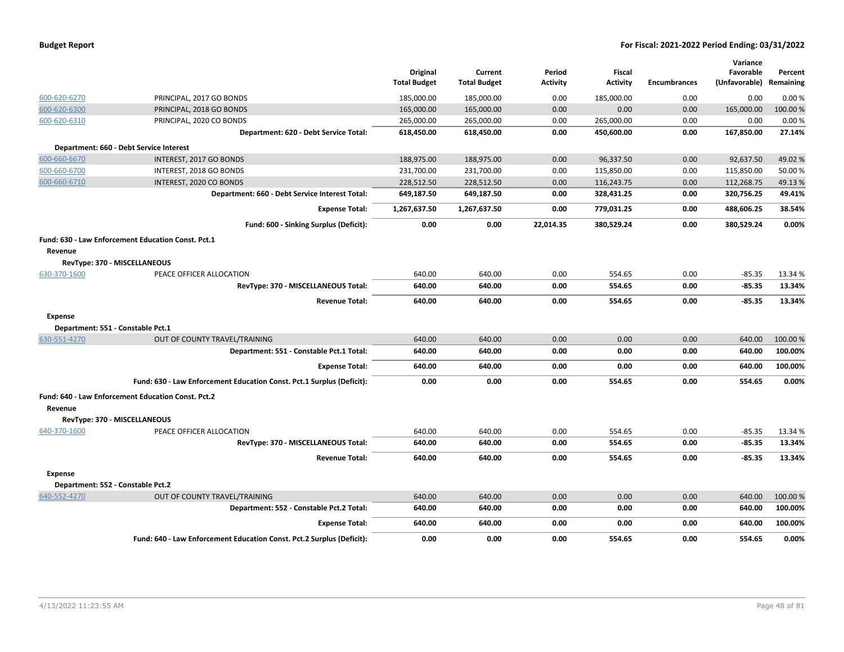|                |                                                                       | Original<br><b>Total Budget</b> | Current<br><b>Total Budget</b> | Period<br><b>Activity</b> | <b>Fiscal</b><br><b>Activity</b> | <b>Encumbrances</b> | Variance<br>Favorable<br>(Unfavorable) | Percent<br>Remaining |
|----------------|-----------------------------------------------------------------------|---------------------------------|--------------------------------|---------------------------|----------------------------------|---------------------|----------------------------------------|----------------------|
| 600-620-6270   | PRINCIPAL, 2017 GO BONDS                                              | 185,000.00                      | 185,000.00                     | 0.00                      | 185,000.00                       | 0.00                | 0.00                                   | 0.00%                |
| 600-620-6300   | PRINCIPAL, 2018 GO BONDS                                              | 165,000.00                      | 165,000.00                     | 0.00                      | 0.00                             | 0.00                | 165,000.00                             | 100.00%              |
| 600-620-6310   | PRINCIPAL, 2020 CO BONDS                                              | 265,000.00                      | 265,000.00                     | 0.00                      | 265,000.00                       | 0.00                | 0.00                                   | 0.00%                |
|                | Department: 620 - Debt Service Total:                                 | 618,450.00                      | 618,450.00                     | 0.00                      | 450,600.00                       | 0.00                | 167,850.00                             | 27.14%               |
|                | Department: 660 - Debt Service Interest                               |                                 |                                |                           |                                  |                     |                                        |                      |
| 600-660-6670   | INTEREST, 2017 GO BONDS                                               | 188,975.00                      | 188,975.00                     | 0.00                      | 96,337.50                        | 0.00                | 92,637.50                              | 49.02%               |
| 600-660-6700   | INTEREST, 2018 GO BONDS                                               | 231,700.00                      | 231,700.00                     | 0.00                      | 115,850.00                       | 0.00                | 115,850.00                             | 50.00 %              |
| 600-660-6710   | INTEREST, 2020 CO BONDS                                               | 228,512.50                      | 228,512.50                     | 0.00                      | 116,243.75                       | 0.00                | 112,268.75                             | 49.13%               |
|                | Department: 660 - Debt Service Interest Total:                        | 649,187.50                      | 649,187.50                     | 0.00                      | 328,431.25                       | 0.00                | 320,756.25                             | 49.41%               |
|                | <b>Expense Total:</b>                                                 | 1,267,637.50                    | 1,267,637.50                   | 0.00                      | 779,031.25                       | 0.00                | 488,606.25                             | 38.54%               |
|                | Fund: 600 - Sinking Surplus (Deficit):                                | 0.00                            | 0.00                           | 22,014.35                 | 380,529.24                       | 0.00                | 380,529.24                             | 0.00%                |
|                | Fund: 630 - Law Enforcement Education Const. Pct.1                    |                                 |                                |                           |                                  |                     |                                        |                      |
| Revenue        | RevType: 370 - MISCELLANEOUS                                          |                                 |                                |                           |                                  |                     |                                        |                      |
| 630-370-1600   | PEACE OFFICER ALLOCATION                                              | 640.00                          | 640.00                         | 0.00                      | 554.65                           | 0.00                | $-85.35$                               | 13.34 %              |
|                | RevType: 370 - MISCELLANEOUS Total:                                   | 640.00                          | 640.00                         | 0.00                      | 554.65                           | 0.00                | $-85.35$                               | 13.34%               |
|                | <b>Revenue Total:</b>                                                 | 640.00                          | 640.00                         | 0.00                      | 554.65                           | 0.00                | $-85.35$                               | 13.34%               |
| <b>Expense</b> |                                                                       |                                 |                                |                           |                                  |                     |                                        |                      |
|                | Department: 551 - Constable Pct.1                                     |                                 |                                |                           |                                  |                     |                                        |                      |
| 630-551-4270   | OUT OF COUNTY TRAVEL/TRAINING                                         | 640.00                          | 640.00                         | 0.00                      | 0.00                             | 0.00                | 640.00                                 | 100.00 %             |
|                | Department: 551 - Constable Pct.1 Total:                              | 640.00                          | 640.00                         | 0.00                      | 0.00                             | 0.00                | 640.00                                 | 100.00%              |
|                | <b>Expense Total:</b>                                                 | 640.00                          | 640.00                         | 0.00                      | 0.00                             | 0.00                | 640.00                                 | 100.00%              |
|                | Fund: 630 - Law Enforcement Education Const. Pct.1 Surplus (Deficit): | 0.00                            | 0.00                           | 0.00                      | 554.65                           | 0.00                | 554.65                                 | 0.00%                |
|                | Fund: 640 - Law Enforcement Education Const. Pct.2                    |                                 |                                |                           |                                  |                     |                                        |                      |
| Revenue        |                                                                       |                                 |                                |                           |                                  |                     |                                        |                      |
|                | RevType: 370 - MISCELLANEOUS                                          |                                 |                                |                           |                                  |                     |                                        |                      |
| 640-370-1600   | PEACE OFFICER ALLOCATION                                              | 640.00                          | 640.00                         | 0.00                      | 554.65                           | 0.00                | $-85.35$                               | 13.34 %              |
|                | RevType: 370 - MISCELLANEOUS Total:                                   | 640.00                          | 640.00                         | 0.00                      | 554.65                           | 0.00                | $-85.35$                               | 13.34%               |
|                | <b>Revenue Total:</b>                                                 | 640.00                          | 640.00                         | 0.00                      | 554.65                           | 0.00                | $-85.35$                               | 13.34%               |
| <b>Expense</b> |                                                                       |                                 |                                |                           |                                  |                     |                                        |                      |
|                | Department: 552 - Constable Pct.2                                     |                                 |                                |                           |                                  |                     |                                        |                      |
| 640-552-4270   | OUT OF COUNTY TRAVEL/TRAINING                                         | 640.00                          | 640.00                         | 0.00                      | 0.00                             | 0.00                | 640.00                                 | 100.00 %             |
|                | Department: 552 - Constable Pct.2 Total:                              | 640.00                          | 640.00                         | 0.00                      | 0.00                             | 0.00                | 640.00                                 | 100.00%              |
|                | <b>Expense Total:</b>                                                 | 640.00                          | 640.00                         | 0.00                      | 0.00                             | 0.00                | 640.00                                 | 100.00%              |
|                | Fund: 640 - Law Enforcement Education Const. Pct.2 Surplus (Deficit): | 0.00                            | 0.00                           | 0.00                      | 554.65                           | 0.00                | 554.65                                 | 0.00%                |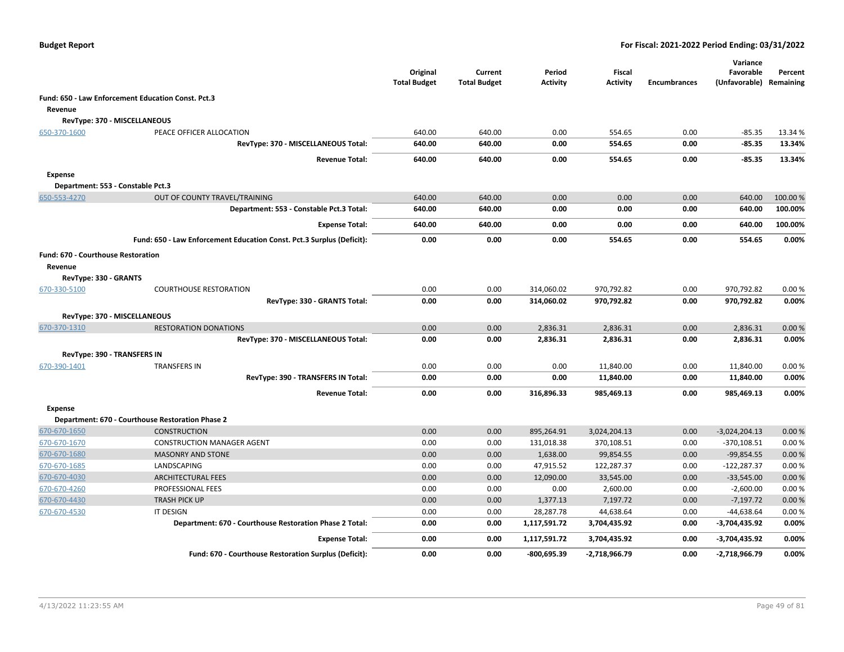|                                    |                                                                       | Original<br><b>Total Budget</b> | Current<br><b>Total Budget</b> | Period<br>Activity | <b>Fiscal</b><br><b>Activity</b> | <b>Encumbrances</b> | Variance<br>Favorable<br>(Unfavorable) | Percent<br>Remaining |
|------------------------------------|-----------------------------------------------------------------------|---------------------------------|--------------------------------|--------------------|----------------------------------|---------------------|----------------------------------------|----------------------|
|                                    | Fund: 650 - Law Enforcement Education Const. Pct.3                    |                                 |                                |                    |                                  |                     |                                        |                      |
| Revenue                            |                                                                       |                                 |                                |                    |                                  |                     |                                        |                      |
|                                    | RevType: 370 - MISCELLANEOUS                                          |                                 |                                |                    |                                  |                     |                                        |                      |
| 650-370-1600                       | PEACE OFFICER ALLOCATION                                              | 640.00                          | 640.00                         | 0.00               | 554.65                           | 0.00                | $-85.35$                               | 13.34 %              |
|                                    | RevType: 370 - MISCELLANEOUS Total:                                   | 640.00                          | 640.00                         | 0.00               | 554.65                           | 0.00                | $-85.35$                               | 13.34%               |
|                                    | <b>Revenue Total:</b>                                                 | 640.00                          | 640.00                         | 0.00               | 554.65                           | 0.00                | $-85.35$                               | 13.34%               |
| <b>Expense</b>                     |                                                                       |                                 |                                |                    |                                  |                     |                                        |                      |
|                                    | Department: 553 - Constable Pct.3                                     |                                 |                                |                    |                                  |                     |                                        |                      |
| 650-553-4270                       | OUT OF COUNTY TRAVEL/TRAINING                                         | 640.00                          | 640.00                         | 0.00               | 0.00                             | 0.00                | 640.00                                 | 100.00 %             |
|                                    | Department: 553 - Constable Pct.3 Total:                              | 640.00                          | 640.00                         | 0.00               | 0.00                             | 0.00                | 640.00                                 | 100.00%              |
|                                    | <b>Expense Total:</b>                                                 | 640.00                          | 640.00                         | 0.00               | 0.00                             | 0.00                | 640.00                                 | 100.00%              |
|                                    | Fund: 650 - Law Enforcement Education Const. Pct.3 Surplus (Deficit): | 0.00                            | 0.00                           | 0.00               | 554.65                           | 0.00                | 554.65                                 | 0.00%                |
| Fund: 670 - Courthouse Restoration |                                                                       |                                 |                                |                    |                                  |                     |                                        |                      |
| Revenue                            |                                                                       |                                 |                                |                    |                                  |                     |                                        |                      |
| RevType: 330 - GRANTS              |                                                                       |                                 |                                |                    |                                  |                     |                                        |                      |
| 670-330-5100                       | <b>COURTHOUSE RESTORATION</b>                                         | 0.00                            | 0.00                           | 314,060.02         | 970,792.82                       | 0.00                | 970,792.82                             | 0.00%                |
|                                    | RevType: 330 - GRANTS Total:                                          | 0.00                            | 0.00                           | 314,060.02         | 970,792.82                       | 0.00                | 970,792.82                             | 0.00%                |
|                                    | RevType: 370 - MISCELLANEOUS                                          |                                 |                                |                    |                                  |                     |                                        |                      |
| 670-370-1310                       | <b>RESTORATION DONATIONS</b>                                          | 0.00                            | 0.00                           | 2,836.31           | 2,836.31                         | 0.00                | 2,836.31                               | 0.00%                |
|                                    | RevType: 370 - MISCELLANEOUS Total:                                   | 0.00                            | 0.00                           | 2,836.31           | 2,836.31                         | 0.00                | 2,836.31                               | 0.00%                |
|                                    | RevType: 390 - TRANSFERS IN                                           |                                 |                                |                    |                                  |                     |                                        |                      |
| 670-390-1401                       | <b>TRANSFERS IN</b>                                                   | 0.00                            | 0.00                           | 0.00               | 11,840.00                        | 0.00                | 11,840.00                              | 0.00%                |
|                                    | RevType: 390 - TRANSFERS IN Total:                                    | 0.00                            | 0.00                           | 0.00               | 11,840.00                        | 0.00                | 11,840.00                              | 0.00%                |
|                                    | <b>Revenue Total:</b>                                                 | 0.00                            | 0.00                           | 316,896.33         | 985,469.13                       | 0.00                | 985,469.13                             | 0.00%                |
| Expense                            |                                                                       |                                 |                                |                    |                                  |                     |                                        |                      |
|                                    | Department: 670 - Courthouse Restoration Phase 2                      |                                 |                                |                    |                                  |                     |                                        |                      |
| 670-670-1650                       | <b>CONSTRUCTION</b>                                                   | 0.00                            | 0.00                           | 895,264.91         | 3,024,204.13                     | 0.00                | $-3,024,204.13$                        | 0.00%                |
| 670-670-1670                       | <b>CONSTRUCTION MANAGER AGENT</b>                                     | 0.00                            | 0.00                           | 131,018.38         | 370,108.51                       | 0.00                | $-370,108.51$                          | 0.00%                |
| 670-670-1680                       | <b>MASONRY AND STONE</b>                                              | 0.00                            | 0.00                           | 1,638.00           | 99,854.55                        | 0.00                | $-99,854.55$                           | 0.00%                |
| 670-670-1685                       | LANDSCAPING                                                           | 0.00                            | 0.00                           | 47,915.52          | 122,287.37                       | 0.00                | $-122,287.37$                          | 0.00%                |
| 670-670-4030                       | <b>ARCHITECTURAL FEES</b>                                             | 0.00                            | 0.00                           | 12,090.00          | 33,545.00                        | 0.00                | $-33,545.00$                           | 0.00%                |
| 670-670-4260                       | PROFESSIONAL FEES                                                     | 0.00                            | 0.00                           | 0.00               | 2,600.00                         | 0.00                | $-2,600.00$                            | 0.00%                |
| 670-670-4430                       | <b>TRASH PICK UP</b>                                                  | 0.00                            | 0.00                           | 1,377.13           | 7,197.72                         | 0.00                | $-7,197.72$                            | 0.00%                |
| 670-670-4530                       | <b>IT DESIGN</b>                                                      | 0.00                            | 0.00                           | 28,287.78          | 44,638.64                        | 0.00                | -44,638.64                             | 0.00%                |
|                                    | Department: 670 - Courthouse Restoration Phase 2 Total:               | 0.00                            | 0.00                           | 1,117,591.72       | 3,704,435.92                     | 0.00                | -3,704,435.92                          | 0.00%                |
|                                    | <b>Expense Total:</b>                                                 | 0.00                            | 0.00                           | 1,117,591.72       | 3,704,435.92                     | 0.00                | -3,704,435.92                          | 0.00%                |
|                                    | Fund: 670 - Courthouse Restoration Surplus (Deficit):                 | 0.00                            | 0.00                           | $-800,695.39$      | $-2,718,966.79$                  | 0.00                | -2,718,966.79                          | 0.00%                |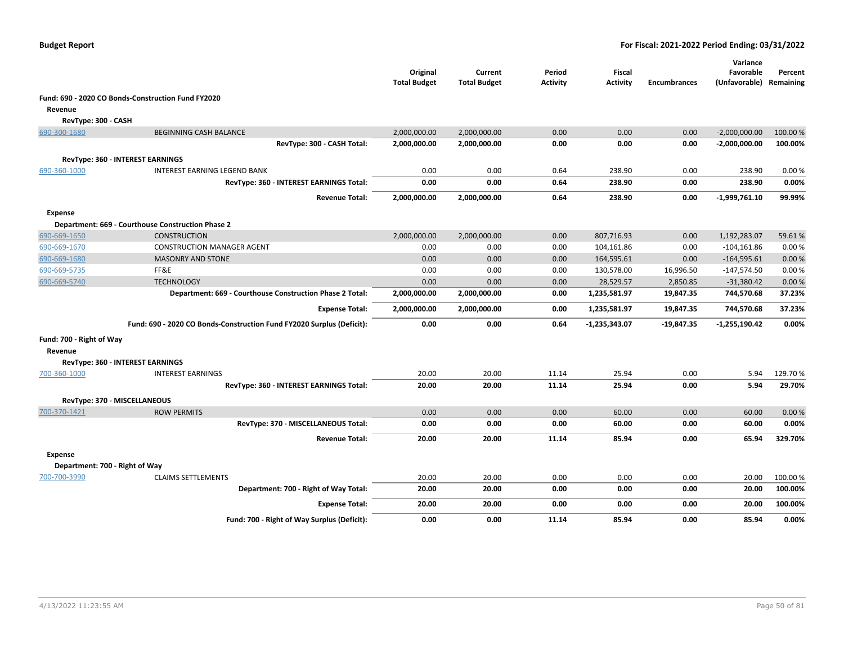|                                |                                                                       | Original<br><b>Total Budget</b> | Current<br><b>Total Budget</b> | Period<br><b>Activity</b> | <b>Fiscal</b><br><b>Activity</b> | <b>Encumbrances</b> | Variance<br>Favorable<br>(Unfavorable) Remaining | Percent  |
|--------------------------------|-----------------------------------------------------------------------|---------------------------------|--------------------------------|---------------------------|----------------------------------|---------------------|--------------------------------------------------|----------|
|                                | Fund: 690 - 2020 CO Bonds-Construction Fund FY2020                    |                                 |                                |                           |                                  |                     |                                                  |          |
| Revenue                        |                                                                       |                                 |                                |                           |                                  |                     |                                                  |          |
| RevType: 300 - CASH            |                                                                       |                                 |                                |                           |                                  |                     |                                                  |          |
| 690-300-1680                   | <b>BEGINNING CASH BALANCE</b>                                         | 2,000,000.00                    | 2,000,000.00                   | 0.00                      | 0.00                             | 0.00                | $-2,000,000.00$                                  | 100.00%  |
|                                | RevType: 300 - CASH Total:                                            | 2,000,000.00                    | 2,000,000.00                   | 0.00                      | 0.00                             | 0.00                | $-2,000,000.00$                                  | 100.00%  |
|                                | <b>RevType: 360 - INTEREST EARNINGS</b>                               |                                 |                                |                           |                                  |                     |                                                  |          |
| 690-360-1000                   | INTEREST EARNING LEGEND BANK                                          | 0.00                            | 0.00                           | 0.64                      | 238.90                           | 0.00                | 238.90                                           | 0.00%    |
|                                | RevType: 360 - INTEREST EARNINGS Total:                               | 0.00                            | 0.00                           | 0.64                      | 238.90                           | 0.00                | 238.90                                           | 0.00%    |
|                                | <b>Revenue Total:</b>                                                 | 2,000,000.00                    | 2,000,000.00                   | 0.64                      | 238.90                           | 0.00                | $-1,999,761.10$                                  | 99.99%   |
| <b>Expense</b>                 |                                                                       |                                 |                                |                           |                                  |                     |                                                  |          |
|                                | Department: 669 - Courthouse Construction Phase 2                     |                                 |                                |                           |                                  |                     |                                                  |          |
| 690-669-1650                   | <b>CONSTRUCTION</b>                                                   | 2,000,000.00                    | 2,000,000.00                   | 0.00                      | 807,716.93                       | 0.00                | 1,192,283.07                                     | 59.61%   |
| 690-669-1670                   | <b>CONSTRUCTION MANAGER AGENT</b>                                     | 0.00                            | 0.00                           | 0.00                      | 104,161.86                       | 0.00                | $-104, 161.86$                                   | 0.00%    |
| 690-669-1680                   | <b>MASONRY AND STONE</b>                                              | 0.00                            | 0.00                           | 0.00                      | 164,595.61                       | 0.00                | $-164,595.61$                                    | 0.00%    |
| 690-669-5735                   | FF&E                                                                  | 0.00                            | 0.00                           | 0.00                      | 130,578.00                       | 16,996.50           | $-147,574.50$                                    | 0.00%    |
| 690-669-5740                   | <b>TECHNOLOGY</b>                                                     | 0.00                            | 0.00                           | 0.00                      | 28,529.57                        | 2,850.85            | $-31,380.42$                                     | 0.00%    |
|                                | Department: 669 - Courthouse Construction Phase 2 Total:              | 2,000,000.00                    | 2,000,000.00                   | 0.00                      | 1,235,581.97                     | 19,847.35           | 744,570.68                                       | 37.23%   |
|                                | <b>Expense Total:</b>                                                 | 2,000,000.00                    | 2,000,000.00                   | 0.00                      | 1,235,581.97                     | 19,847.35           | 744,570.68                                       | 37.23%   |
|                                | Fund: 690 - 2020 CO Bonds-Construction Fund FY2020 Surplus (Deficit): | 0.00                            | 0.00                           | 0.64                      | -1,235,343.07                    | $-19,847.35$        | -1,255,190.42                                    | 0.00%    |
| Fund: 700 - Right of Way       |                                                                       |                                 |                                |                           |                                  |                     |                                                  |          |
| Revenue                        | RevType: 360 - INTEREST EARNINGS                                      |                                 |                                |                           |                                  |                     |                                                  |          |
| 700-360-1000                   | <b>INTEREST EARNINGS</b>                                              | 20.00                           | 20.00                          | 11.14                     | 25.94                            | 0.00                | 5.94                                             | 129.70%  |
|                                | RevType: 360 - INTEREST EARNINGS Total:                               | 20.00                           | 20.00                          | 11.14                     | 25.94                            | 0.00                | 5.94                                             | 29.70%   |
|                                | RevType: 370 - MISCELLANEOUS                                          |                                 |                                |                           |                                  |                     |                                                  |          |
| 700-370-1421                   | <b>ROW PERMITS</b>                                                    | 0.00                            | 0.00                           | 0.00                      | 60.00                            | 0.00                | 60.00                                            | 0.00%    |
|                                | RevType: 370 - MISCELLANEOUS Total:                                   | 0.00                            | 0.00                           | 0.00                      | 60.00                            | 0.00                | 60.00                                            | 0.00%    |
|                                | <b>Revenue Total:</b>                                                 | 20.00                           | 20.00                          | 11.14                     | 85.94                            | 0.00                | 65.94                                            | 329.70%  |
| <b>Expense</b>                 |                                                                       |                                 |                                |                           |                                  |                     |                                                  |          |
| Department: 700 - Right of Way |                                                                       |                                 |                                |                           |                                  |                     |                                                  |          |
| 700-700-3990                   | <b>CLAIMS SETTLEMENTS</b>                                             | 20.00                           | 20.00                          | 0.00                      | 0.00                             | 0.00                | 20.00                                            | 100.00 % |
|                                | Department: 700 - Right of Way Total:                                 | 20.00                           | 20.00                          | 0.00                      | 0.00                             | 0.00                | 20.00                                            | 100.00%  |
|                                | <b>Expense Total:</b>                                                 | 20.00                           | 20.00                          | 0.00                      | 0.00                             | 0.00                | 20.00                                            | 100.00%  |
|                                | Fund: 700 - Right of Way Surplus (Deficit):                           | 0.00                            | 0.00                           | 11.14                     | 85.94                            | 0.00                | 85.94                                            | 0.00%    |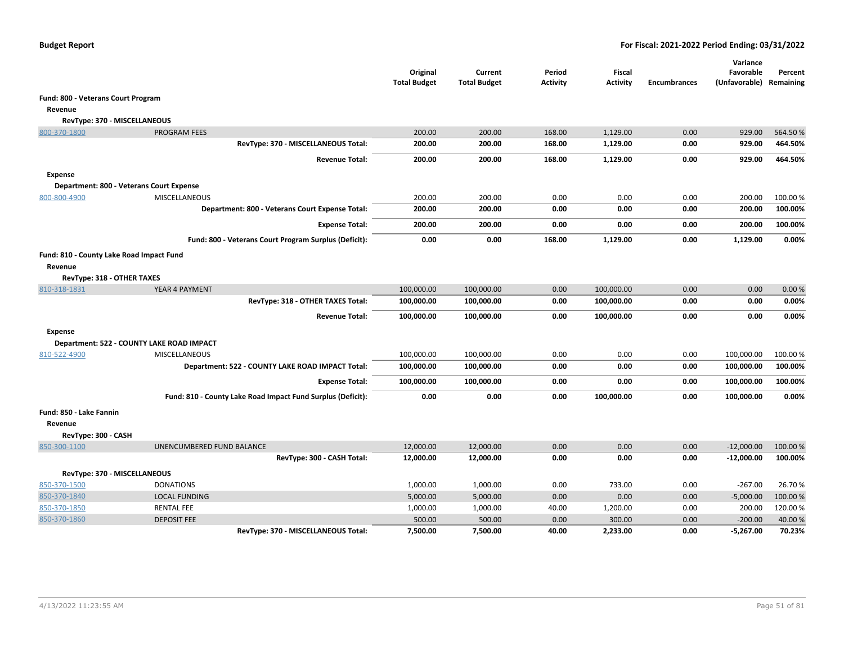|                                                     |                                                             | Original<br><b>Total Budget</b> | Current<br><b>Total Budget</b> | Period<br><b>Activity</b> | Fiscal<br><b>Activity</b> | <b>Encumbrances</b> | Variance<br>Favorable<br>(Unfavorable) Remaining | Percent  |
|-----------------------------------------------------|-------------------------------------------------------------|---------------------------------|--------------------------------|---------------------------|---------------------------|---------------------|--------------------------------------------------|----------|
| Fund: 800 - Veterans Court Program                  |                                                             |                                 |                                |                           |                           |                     |                                                  |          |
| Revenue                                             |                                                             |                                 |                                |                           |                           |                     |                                                  |          |
| RevType: 370 - MISCELLANEOUS                        |                                                             |                                 |                                |                           |                           |                     |                                                  |          |
| 800-370-1800                                        | <b>PROGRAM FEES</b>                                         | 200.00                          | 200.00                         | 168.00                    | 1,129.00                  | 0.00                | 929.00                                           | 564.50%  |
|                                                     | RevType: 370 - MISCELLANEOUS Total:                         | 200.00                          | 200.00                         | 168.00                    | 1,129.00                  | 0.00                | 929.00                                           | 464.50%  |
|                                                     | <b>Revenue Total:</b>                                       | 200.00                          | 200.00                         | 168.00                    | 1,129.00                  | 0.00                | 929.00                                           | 464.50%  |
| <b>Expense</b>                                      |                                                             |                                 |                                |                           |                           |                     |                                                  |          |
|                                                     | Department: 800 - Veterans Court Expense                    |                                 |                                |                           |                           |                     |                                                  |          |
| 800-800-4900                                        | <b>MISCELLANEOUS</b>                                        | 200.00                          | 200.00                         | 0.00                      | 0.00                      | 0.00                | 200.00                                           | 100.00 % |
|                                                     | Department: 800 - Veterans Court Expense Total:             | 200.00                          | 200.00                         | 0.00                      | 0.00                      | 0.00                | 200.00                                           | 100.00%  |
|                                                     | <b>Expense Total:</b>                                       | 200.00                          | 200.00                         | 0.00                      | 0.00                      | 0.00                | 200.00                                           | 100.00%  |
|                                                     | Fund: 800 - Veterans Court Program Surplus (Deficit):       | 0.00                            | 0.00                           | 168.00                    | 1,129.00                  | 0.00                | 1,129.00                                         | 0.00%    |
| Fund: 810 - County Lake Road Impact Fund<br>Revenue |                                                             |                                 |                                |                           |                           |                     |                                                  |          |
| RevType: 318 - OTHER TAXES                          |                                                             |                                 |                                |                           |                           |                     |                                                  |          |
| 810-318-1831                                        | YEAR 4 PAYMENT                                              | 100,000.00                      | 100,000.00                     | 0.00                      | 100,000.00                | 0.00                | 0.00                                             | 0.00%    |
|                                                     | RevType: 318 - OTHER TAXES Total:                           | 100,000.00                      | 100,000.00                     | 0.00                      | 100,000.00                | 0.00                | 0.00                                             | 0.00%    |
|                                                     | <b>Revenue Total:</b>                                       | 100,000.00                      | 100,000.00                     | 0.00                      | 100,000.00                | 0.00                | 0.00                                             | 0.00%    |
| <b>Expense</b>                                      |                                                             |                                 |                                |                           |                           |                     |                                                  |          |
|                                                     | Department: 522 - COUNTY LAKE ROAD IMPACT                   |                                 |                                |                           |                           |                     |                                                  |          |
| 810-522-4900                                        | <b>MISCELLANEOUS</b>                                        | 100,000.00                      | 100,000.00                     | 0.00                      | 0.00                      | 0.00                | 100,000.00                                       | 100.00 % |
|                                                     | Department: 522 - COUNTY LAKE ROAD IMPACT Total:            | 100,000.00                      | 100,000.00                     | 0.00                      | 0.00                      | 0.00                | 100,000.00                                       | 100.00%  |
|                                                     | <b>Expense Total:</b>                                       | 100,000.00                      | 100,000.00                     | 0.00                      | 0.00                      | 0.00                | 100,000.00                                       | 100.00%  |
|                                                     | Fund: 810 - County Lake Road Impact Fund Surplus (Deficit): | 0.00                            | 0.00                           | 0.00                      | 100,000.00                | 0.00                | 100,000.00                                       | 0.00%    |
| Fund: 850 - Lake Fannin                             |                                                             |                                 |                                |                           |                           |                     |                                                  |          |
| Revenue                                             |                                                             |                                 |                                |                           |                           |                     |                                                  |          |
| RevType: 300 - CASH                                 |                                                             |                                 |                                |                           |                           |                     |                                                  |          |
| 850-300-1100                                        | UNENCUMBERED FUND BALANCE                                   | 12,000.00                       | 12,000.00                      | 0.00                      | 0.00                      | 0.00                | $-12,000.00$                                     | 100.00%  |
|                                                     | RevType: 300 - CASH Total:                                  | 12,000.00                       | 12,000.00                      | 0.00                      | 0.00                      | 0.00                | $-12,000.00$                                     | 100.00%  |
| RevType: 370 - MISCELLANEOUS                        |                                                             |                                 |                                |                           |                           |                     |                                                  |          |
| 850-370-1500                                        | <b>DONATIONS</b>                                            | 1,000.00                        | 1,000.00                       | 0.00                      | 733.00                    | 0.00                | $-267.00$                                        | 26.70%   |
| 850-370-1840                                        | <b>LOCAL FUNDING</b>                                        | 5,000.00                        | 5,000.00                       | 0.00                      | 0.00                      | 0.00                | $-5,000.00$                                      | 100.00 % |
| 850-370-1850                                        | <b>RENTAL FEE</b>                                           | 1,000.00                        | 1,000.00                       | 40.00                     | 1,200.00                  | 0.00                | 200.00                                           | 120.00%  |
| 850-370-1860                                        | <b>DEPOSIT FEE</b>                                          | 500.00                          | 500.00                         | 0.00                      | 300.00                    | 0.00                | $-200.00$                                        | 40.00 %  |
|                                                     | RevType: 370 - MISCELLANEOUS Total:                         | 7,500.00                        | 7,500.00                       | 40.00                     | 2.233.00                  | 0.00                | $-5,267.00$                                      | 70.23%   |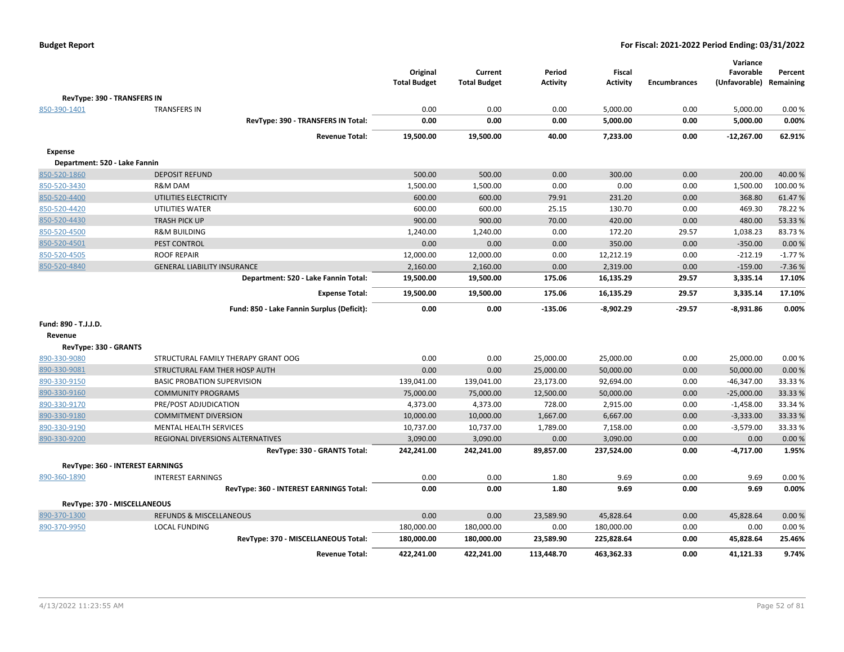|                               |                                            | Original<br><b>Total Budget</b> | Current<br><b>Total Budget</b> | Period<br><b>Activity</b> | <b>Fiscal</b><br><b>Activity</b> | <b>Encumbrances</b> | Variance<br>Favorable<br>(Unfavorable) | Percent<br>Remaining |
|-------------------------------|--------------------------------------------|---------------------------------|--------------------------------|---------------------------|----------------------------------|---------------------|----------------------------------------|----------------------|
| RevType: 390 - TRANSFERS IN   |                                            |                                 |                                |                           |                                  |                     |                                        |                      |
| 850-390-1401                  | <b>TRANSFERS IN</b>                        | 0.00                            | 0.00                           | 0.00                      | 5,000.00                         | 0.00                | 5,000.00                               | 0.00%                |
|                               | RevType: 390 - TRANSFERS IN Total:         | 0.00                            | 0.00                           | 0.00                      | 5,000.00                         | 0.00                | 5,000.00                               | 0.00%                |
|                               | <b>Revenue Total:</b>                      | 19,500.00                       | 19,500.00                      | 40.00                     | 7,233.00                         | 0.00                | -12,267.00                             | 62.91%               |
| <b>Expense</b>                |                                            |                                 |                                |                           |                                  |                     |                                        |                      |
| Department: 520 - Lake Fannin |                                            |                                 |                                |                           |                                  |                     |                                        |                      |
| 850-520-1860                  | <b>DEPOSIT REFUND</b>                      | 500.00                          | 500.00                         | 0.00                      | 300.00                           | 0.00                | 200.00                                 | 40.00%               |
| 850-520-3430                  | R&M DAM                                    | 1,500.00                        | 1,500.00                       | 0.00                      | 0.00                             | 0.00                | 1,500.00                               | 100.00%              |
| 850-520-4400                  | UTILITIES ELECTRICITY                      | 600.00                          | 600.00                         | 79.91                     | 231.20                           | 0.00                | 368.80                                 | 61.47%               |
| 850-520-4420                  | UTILITIES WATER                            | 600.00                          | 600.00                         | 25.15                     | 130.70                           | 0.00                | 469.30                                 | 78.22 %              |
| 850-520-4430                  | <b>TRASH PICK UP</b>                       | 900.00                          | 900.00                         | 70.00                     | 420.00                           | 0.00                | 480.00                                 | 53.33 %              |
| 850-520-4500                  | <b>R&amp;M BUILDING</b>                    | 1,240.00                        | 1,240.00                       | 0.00                      | 172.20                           | 29.57               | 1,038.23                               | 83.73%               |
| 850-520-4501                  | PEST CONTROL                               | 0.00                            | 0.00                           | 0.00                      | 350.00                           | 0.00                | $-350.00$                              | 0.00 %               |
| 850-520-4505                  | <b>ROOF REPAIR</b>                         | 12,000.00                       | 12,000.00                      | 0.00                      | 12,212.19                        | 0.00                | $-212.19$                              | $-1.77%$             |
| 850-520-4840                  | <b>GENERAL LIABILITY INSURANCE</b>         | 2,160.00                        | 2,160.00                       | 0.00                      | 2,319.00                         | 0.00                | $-159.00$                              | $-7.36%$             |
|                               | Department: 520 - Lake Fannin Total:       | 19,500.00                       | 19,500.00                      | 175.06                    | 16,135.29                        | 29.57               | 3,335.14                               | 17.10%               |
|                               | <b>Expense Total:</b>                      | 19,500.00                       | 19,500.00                      | 175.06                    | 16,135.29                        | 29.57               | 3,335.14                               | 17.10%               |
|                               | Fund: 850 - Lake Fannin Surplus (Deficit): | 0.00                            | 0.00                           | $-135.06$                 | $-8,902.29$                      | $-29.57$            | $-8,931.86$                            | 0.00%                |
| Fund: 890 - T.J.J.D.          |                                            |                                 |                                |                           |                                  |                     |                                        |                      |
| Revenue                       |                                            |                                 |                                |                           |                                  |                     |                                        |                      |
| RevType: 330 - GRANTS         |                                            |                                 |                                |                           |                                  |                     |                                        |                      |
| 890-330-9080                  | STRUCTURAL FAMILY THERAPY GRANT OOG        | 0.00                            | 0.00                           | 25,000.00                 | 25,000.00                        | 0.00                | 25,000.00                              | 0.00%                |
| 890-330-9081                  | STRUCTURAL FAM THER HOSP AUTH              | 0.00                            | 0.00                           | 25,000.00                 | 50,000.00                        | 0.00                | 50,000.00                              | 0.00%                |
| 890-330-9150                  | <b>BASIC PROBATION SUPERVISION</b>         | 139,041.00                      | 139,041.00                     | 23,173.00                 | 92,694.00                        | 0.00                | $-46,347.00$                           | 33.33%               |
| 890-330-9160                  | <b>COMMUNITY PROGRAMS</b>                  | 75,000.00                       | 75,000.00                      | 12,500.00                 | 50,000.00                        | 0.00                | $-25,000.00$                           | 33.33 %              |
| 890-330-9170                  | PRE/POST ADJUDICATION                      | 4,373.00                        | 4,373.00                       | 728.00                    | 2,915.00                         | 0.00                | $-1,458.00$                            | 33.34 %              |
| 890-330-9180                  | <b>COMMITMENT DIVERSION</b>                | 10,000.00                       | 10,000.00                      | 1,667.00                  | 6,667.00                         | 0.00                | $-3,333.00$                            | 33.33 %              |
| 890-330-9190                  | <b>MENTAL HEALTH SERVICES</b>              | 10,737.00                       | 10,737.00                      | 1,789.00                  | 7,158.00                         | 0.00                | $-3,579.00$                            | 33.33 %              |
| 890-330-9200                  | REGIONAL DIVERSIONS ALTERNATIVES           | 3,090.00                        | 3,090.00                       | 0.00                      | 3,090.00                         | 0.00                | 0.00                                   | 0.00%                |
|                               | RevType: 330 - GRANTS Total:               | 242,241.00                      | 242,241.00                     | 89,857.00                 | 237,524.00                       | 0.00                | $-4,717.00$                            | 1.95%                |
|                               | <b>RevType: 360 - INTEREST EARNINGS</b>    |                                 |                                |                           |                                  |                     |                                        |                      |
| 890-360-1890                  | <b>INTEREST EARNINGS</b>                   | 0.00                            | 0.00                           | 1.80                      | 9.69                             | 0.00                | 9.69                                   | 0.00%                |
|                               | RevType: 360 - INTEREST EARNINGS Total:    | 0.00                            | 0.00                           | 1.80                      | 9.69                             | 0.00                | 9.69                                   | 0.00%                |
| RevType: 370 - MISCELLANEOUS  |                                            |                                 |                                |                           |                                  |                     |                                        |                      |
| 890-370-1300                  | <b>REFUNDS &amp; MISCELLANEOUS</b>         | 0.00                            | 0.00                           | 23,589.90                 | 45,828.64                        | 0.00                | 45,828.64                              | 0.00%                |
| 890-370-9950                  | <b>LOCAL FUNDING</b>                       | 180,000.00                      | 180,000.00                     | 0.00                      | 180,000.00                       | 0.00                | 0.00                                   | 0.00%                |
|                               | RevType: 370 - MISCELLANEOUS Total:        | 180,000.00                      | 180,000.00                     | 23,589.90                 | 225,828.64                       | 0.00                | 45,828.64                              | 25.46%               |
|                               | <b>Revenue Total:</b>                      | 422,241.00                      | 422,241.00                     | 113,448.70                | 463,362.33                       | 0.00                | 41,121.33                              | 9.74%                |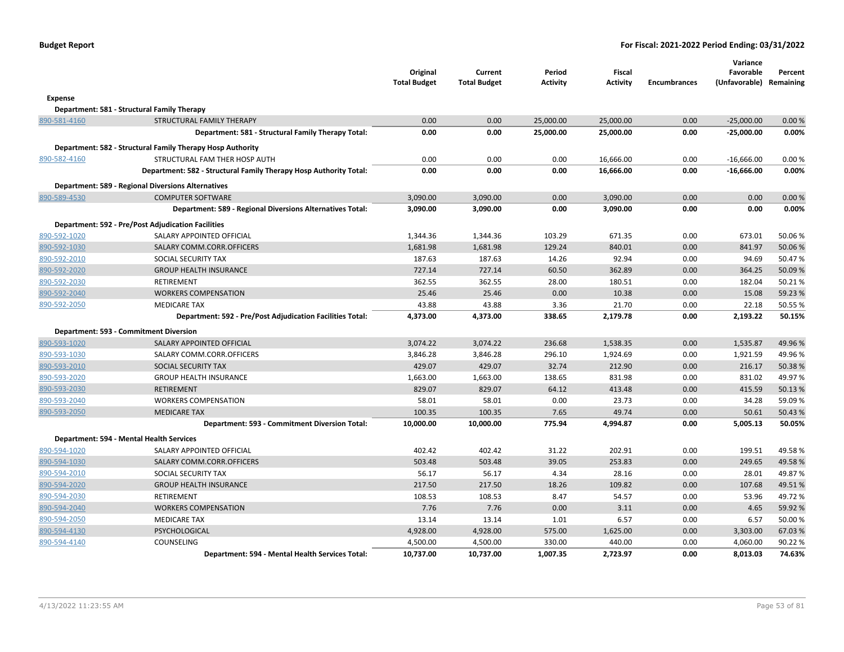| <b>Budget Report</b> |  |
|----------------------|--|
|----------------------|--|

|              |                                                                   | Original<br><b>Total Budget</b> | Current<br><b>Total Budget</b> | Period<br><b>Activity</b> | Fiscal<br><b>Activity</b> | <b>Encumbrances</b> | Variance<br>Favorable<br>(Unfavorable) | Percent<br>Remaining |
|--------------|-------------------------------------------------------------------|---------------------------------|--------------------------------|---------------------------|---------------------------|---------------------|----------------------------------------|----------------------|
| Expense      |                                                                   |                                 |                                |                           |                           |                     |                                        |                      |
|              | Department: 581 - Structural Family Therapy                       |                                 |                                |                           |                           |                     |                                        |                      |
| 890-581-4160 | STRUCTURAL FAMILY THERAPY                                         | 0.00                            | 0.00                           | 25,000.00                 | 25,000.00                 | 0.00                | $-25,000.00$                           | 0.00%                |
|              | Department: 581 - Structural Family Therapy Total:                | 0.00                            | 0.00                           | 25,000.00                 | 25,000.00                 | 0.00                | $-25,000.00$                           | 0.00%                |
|              | Department: 582 - Structural Family Therapy Hosp Authority        |                                 |                                |                           |                           |                     |                                        |                      |
| 890-582-4160 | STRUCTURAL FAM THER HOSP AUTH                                     | 0.00                            | 0.00                           | 0.00                      | 16,666.00                 | 0.00                | $-16,666.00$                           | 0.00%                |
|              | Department: 582 - Structural Family Therapy Hosp Authority Total: | 0.00                            | 0.00                           | 0.00                      | 16,666.00                 | 0.00                | $-16,666.00$                           | 0.00%                |
|              | <b>Department: 589 - Regional Diversions Alternatives</b>         |                                 |                                |                           |                           |                     |                                        |                      |
| 890-589-4530 | <b>COMPUTER SOFTWARE</b>                                          | 3,090.00                        | 3,090.00                       | 0.00                      | 3,090.00                  | 0.00                | 0.00                                   | 0.00%                |
|              | Department: 589 - Regional Diversions Alternatives Total:         | 3,090.00                        | 3,090.00                       | 0.00                      | 3,090.00                  | 0.00                | 0.00                                   | 0.00%                |
|              | Department: 592 - Pre/Post Adjudication Facilities                |                                 |                                |                           |                           |                     |                                        |                      |
| 890-592-1020 | SALARY APPOINTED OFFICIAL                                         | 1,344.36                        | 1,344.36                       | 103.29                    | 671.35                    | 0.00                | 673.01                                 | 50.06%               |
| 890-592-1030 | SALARY COMM.CORR.OFFICERS                                         | 1,681.98                        | 1,681.98                       | 129.24                    | 840.01                    | 0.00                | 841.97                                 | 50.06%               |
| 890-592-2010 | SOCIAL SECURITY TAX                                               | 187.63                          | 187.63                         | 14.26                     | 92.94                     | 0.00                | 94.69                                  | 50.47%               |
| 890-592-2020 | <b>GROUP HEALTH INSURANCE</b>                                     | 727.14                          | 727.14                         | 60.50                     | 362.89                    | 0.00                | 364.25                                 | 50.09%               |
| 890-592-2030 | RETIREMENT                                                        | 362.55                          | 362.55                         | 28.00                     | 180.51                    | 0.00                | 182.04                                 | 50.21%               |
| 890-592-2040 | <b>WORKERS COMPENSATION</b>                                       | 25.46                           | 25.46                          | 0.00                      | 10.38                     | 0.00                | 15.08                                  | 59.23 %              |
| 890-592-2050 | <b>MEDICARE TAX</b>                                               | 43.88                           | 43.88                          | 3.36                      | 21.70                     | 0.00                | 22.18                                  | 50.55 %              |
|              | Department: 592 - Pre/Post Adjudication Facilities Total:         | 4,373.00                        | 4,373.00                       | 338.65                    | 2,179.78                  | 0.00                | 2,193.22                               | 50.15%               |
|              | Department: 593 - Commitment Diversion                            |                                 |                                |                           |                           |                     |                                        |                      |
| 890-593-1020 | SALARY APPOINTED OFFICIAL                                         | 3,074.22                        | 3,074.22                       | 236.68                    | 1,538.35                  | 0.00                | 1,535.87                               | 49.96%               |
| 890-593-1030 | SALARY COMM.CORR.OFFICERS                                         | 3,846.28                        | 3,846.28                       | 296.10                    | 1,924.69                  | 0.00                | 1,921.59                               | 49.96%               |
| 890-593-2010 | SOCIAL SECURITY TAX                                               | 429.07                          | 429.07                         | 32.74                     | 212.90                    | 0.00                | 216.17                                 | 50.38%               |
| 890-593-2020 | <b>GROUP HEALTH INSURANCE</b>                                     | 1,663.00                        | 1,663.00                       | 138.65                    | 831.98                    | 0.00                | 831.02                                 | 49.97%               |
| 890-593-2030 | <b>RETIREMENT</b>                                                 | 829.07                          | 829.07                         | 64.12                     | 413.48                    | 0.00                | 415.59                                 | 50.13%               |
| 890-593-2040 | <b>WORKERS COMPENSATION</b>                                       | 58.01                           | 58.01                          | 0.00                      | 23.73                     | 0.00                | 34.28                                  | 59.09%               |
| 890-593-2050 | <b>MEDICARE TAX</b>                                               | 100.35                          | 100.35                         | 7.65                      | 49.74                     | 0.00                | 50.61                                  | 50.43 %              |
|              | Department: 593 - Commitment Diversion Total:                     | 10,000.00                       | 10,000.00                      | 775.94                    | 4,994.87                  | 0.00                | 5,005.13                               | 50.05%               |
|              | Department: 594 - Mental Health Services                          |                                 |                                |                           |                           |                     |                                        |                      |
| 890-594-1020 | SALARY APPOINTED OFFICIAL                                         | 402.42                          | 402.42                         | 31.22                     | 202.91                    | 0.00                | 199.51                                 | 49.58%               |
| 890-594-1030 | SALARY COMM.CORR.OFFICERS                                         | 503.48                          | 503.48                         | 39.05                     | 253.83                    | 0.00                | 249.65                                 | 49.58%               |
| 890-594-2010 | SOCIAL SECURITY TAX                                               | 56.17                           | 56.17                          | 4.34                      | 28.16                     | 0.00                | 28.01                                  | 49.87%               |
| 890-594-2020 | <b>GROUP HEALTH INSURANCE</b>                                     | 217.50                          | 217.50                         | 18.26                     | 109.82                    | 0.00                | 107.68                                 | 49.51%               |
| 890-594-2030 | RETIREMENT                                                        | 108.53                          | 108.53                         | 8.47                      | 54.57                     | 0.00                | 53.96                                  | 49.72%               |
| 890-594-2040 | <b>WORKERS COMPENSATION</b>                                       | 7.76                            | 7.76                           | 0.00                      | 3.11                      | 0.00                | 4.65                                   | 59.92 %              |
| 890-594-2050 | <b>MEDICARE TAX</b>                                               | 13.14                           | 13.14                          | 1.01                      | 6.57                      | 0.00                | 6.57                                   | 50.00%               |
| 890-594-4130 | PSYCHOLOGICAL                                                     | 4,928.00                        | 4,928.00                       | 575.00                    | 1,625.00                  | 0.00                | 3,303.00                               | 67.03%               |
| 890-594-4140 | COUNSELING                                                        | 4,500.00                        | 4,500.00                       | 330.00                    | 440.00                    | 0.00                | 4,060.00                               | 90.22%               |
|              | Department: 594 - Mental Health Services Total:                   | 10,737.00                       | 10,737.00                      | 1,007.35                  | 2,723.97                  | 0.00                | 8.013.03                               | 74.63%               |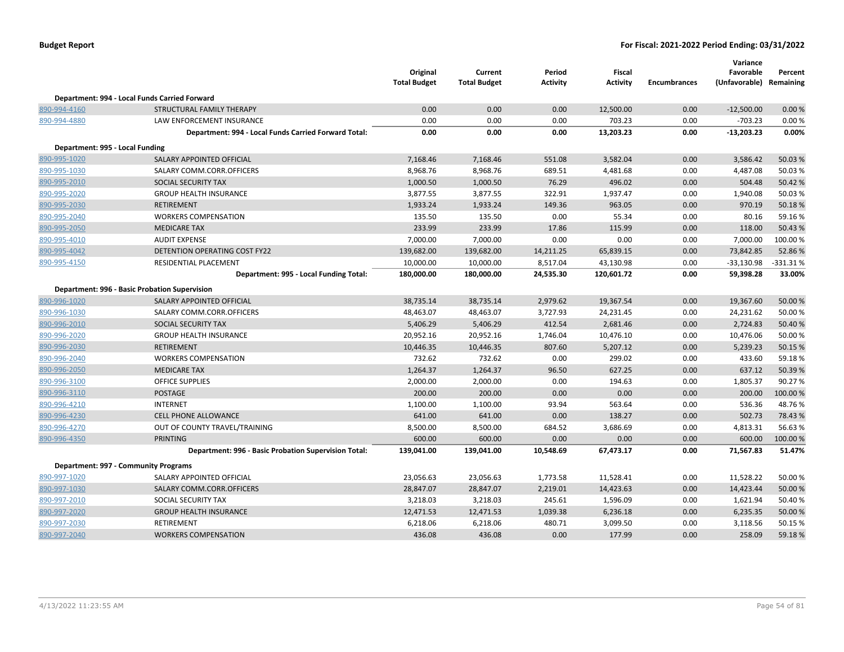|                                 |                                                      | Original<br><b>Total Budget</b> | Current<br><b>Total Budget</b> | Period<br>Activity | Fiscal<br><b>Activity</b> | <b>Encumbrances</b> | Variance<br>Favorable<br>(Unfavorable) Remaining | Percent   |
|---------------------------------|------------------------------------------------------|---------------------------------|--------------------------------|--------------------|---------------------------|---------------------|--------------------------------------------------|-----------|
|                                 | Department: 994 - Local Funds Carried Forward        |                                 |                                |                    |                           |                     |                                                  |           |
| 890-994-4160                    | STRUCTURAL FAMILY THERAPY                            | 0.00                            | 0.00                           | 0.00               | 12,500.00                 | 0.00                | $-12,500.00$                                     | 0.00%     |
| 890-994-4880                    | <b>LAW ENFORCEMENT INSURANCE</b>                     | 0.00                            | 0.00                           | 0.00               | 703.23                    | 0.00                | $-703.23$                                        | 0.00%     |
|                                 | Department: 994 - Local Funds Carried Forward Total: | 0.00                            | 0.00                           | 0.00               | 13,203.23                 | 0.00                | $-13,203.23$                                     | 0.00%     |
| Department: 995 - Local Funding |                                                      |                                 |                                |                    |                           |                     |                                                  |           |
| 890-995-1020                    | SALARY APPOINTED OFFICIAL                            | 7,168.46                        | 7,168.46                       | 551.08             | 3,582.04                  | 0.00                | 3,586.42                                         | 50.03%    |
| 890-995-1030                    | SALARY COMM.CORR.OFFICERS                            | 8,968.76                        | 8,968.76                       | 689.51             | 4,481.68                  | 0.00                | 4,487.08                                         | 50.03%    |
| 890-995-2010                    | SOCIAL SECURITY TAX                                  | 1,000.50                        | 1,000.50                       | 76.29              | 496.02                    | 0.00                | 504.48                                           | 50.42%    |
| 890-995-2020                    | <b>GROUP HEALTH INSURANCE</b>                        | 3,877.55                        | 3,877.55                       | 322.91             | 1,937.47                  | 0.00                | 1,940.08                                         | 50.03%    |
| 890-995-2030                    | <b>RETIREMENT</b>                                    | 1,933.24                        | 1,933.24                       | 149.36             | 963.05                    | 0.00                | 970.19                                           | 50.18%    |
| 890-995-2040                    | <b>WORKERS COMPENSATION</b>                          | 135.50                          | 135.50                         | 0.00               | 55.34                     | 0.00                | 80.16                                            | 59.16%    |
| 890-995-2050                    | <b>MEDICARE TAX</b>                                  | 233.99                          | 233.99                         | 17.86              | 115.99                    | 0.00                | 118.00                                           | 50.43 %   |
| 890-995-4010                    | <b>AUDIT EXPENSE</b>                                 | 7,000.00                        | 7,000.00                       | 0.00               | 0.00                      | 0.00                | 7,000.00                                         | 100.00%   |
| 890-995-4042                    | DETENTION OPERATING COST FY22                        | 139,682.00                      | 139,682.00                     | 14,211.25          | 65,839.15                 | 0.00                | 73,842.85                                        | 52.86%    |
| 890-995-4150                    | RESIDENTIAL PLACEMENT                                | 10,000.00                       | 10,000.00                      | 8,517.04           | 43,130.98                 | 0.00                | $-33,130.98$                                     | -331.31 % |
|                                 | Department: 995 - Local Funding Total:               | 180,000.00                      | 180,000.00                     | 24,535.30          | 120,601.72                | 0.00                | 59,398.28                                        | 33.00%    |
|                                 | Department: 996 - Basic Probation Supervision        |                                 |                                |                    |                           |                     |                                                  |           |
| 890-996-1020                    | SALARY APPOINTED OFFICIAL                            | 38,735.14                       | 38,735.14                      | 2,979.62           | 19,367.54                 | 0.00                | 19,367.60                                        | 50.00 %   |
| 890-996-1030                    | SALARY COMM.CORR.OFFICERS                            | 48,463.07                       | 48,463.07                      | 3,727.93           | 24,231.45                 | 0.00                | 24,231.62                                        | 50.00%    |
| 890-996-2010                    | SOCIAL SECURITY TAX                                  | 5,406.29                        | 5,406.29                       | 412.54             | 2,681.46                  | 0.00                | 2,724.83                                         | 50.40%    |
| 890-996-2020                    | <b>GROUP HEALTH INSURANCE</b>                        | 20,952.16                       | 20,952.16                      | 1,746.04           | 10,476.10                 | 0.00                | 10,476.06                                        | 50.00 %   |
| 890-996-2030                    | <b>RETIREMENT</b>                                    | 10,446.35                       | 10,446.35                      | 807.60             | 5,207.12                  | 0.00                | 5,239.23                                         | 50.15 %   |
| 890-996-2040                    | <b>WORKERS COMPENSATION</b>                          | 732.62                          | 732.62                         | 0.00               | 299.02                    | 0.00                | 433.60                                           | 59.18%    |
| 890-996-2050                    | <b>MEDICARE TAX</b>                                  | 1,264.37                        | 1,264.37                       | 96.50              | 627.25                    | 0.00                | 637.12                                           | 50.39%    |
| 890-996-3100                    | OFFICE SUPPLIES                                      | 2,000.00                        | 2,000.00                       | 0.00               | 194.63                    | 0.00                | 1,805.37                                         | 90.27%    |
| 890-996-3110                    | <b>POSTAGE</b>                                       | 200.00                          | 200.00                         | 0.00               | 0.00                      | 0.00                | 200.00                                           | 100.00%   |
| 890-996-4210                    | <b>INTERNET</b>                                      | 1,100.00                        | 1,100.00                       | 93.94              | 563.64                    | 0.00                | 536.36                                           | 48.76%    |
| 890-996-4230                    | <b>CELL PHONE ALLOWANCE</b>                          | 641.00                          | 641.00                         | 0.00               | 138.27                    | 0.00                | 502.73                                           | 78.43%    |
| 890-996-4270                    | OUT OF COUNTY TRAVEL/TRAINING                        | 8,500.00                        | 8,500.00                       | 684.52             | 3,686.69                  | 0.00                | 4,813.31                                         | 56.63%    |
| 890-996-4350                    | <b>PRINTING</b>                                      | 600.00                          | 600.00                         | 0.00               | 0.00                      | 0.00                | 600.00                                           | 100.00%   |
|                                 | Department: 996 - Basic Probation Supervision Total: | 139,041.00                      | 139,041.00                     | 10,548.69          | 67,473.17                 | 0.00                | 71,567.83                                        | 51.47%    |
|                                 | Department: 997 - Community Programs                 |                                 |                                |                    |                           |                     |                                                  |           |
| 890-997-1020                    | SALARY APPOINTED OFFICIAL                            | 23,056.63                       | 23,056.63                      | 1,773.58           | 11,528.41                 | 0.00                | 11,528.22                                        | 50.00%    |
| 890-997-1030                    | SALARY COMM.CORR.OFFICERS                            | 28,847.07                       | 28,847.07                      | 2,219.01           | 14,423.63                 | 0.00                | 14,423.44                                        | 50.00 %   |
| 890-997-2010                    | SOCIAL SECURITY TAX                                  | 3,218.03                        | 3,218.03                       | 245.61             | 1,596.09                  | 0.00                | 1,621.94                                         | 50.40%    |
| 890-997-2020                    | <b>GROUP HEALTH INSURANCE</b>                        | 12,471.53                       | 12,471.53                      | 1,039.38           | 6,236.18                  | 0.00                | 6,235.35                                         | 50.00 %   |
| 890-997-2030                    | <b>RETIREMENT</b>                                    | 6,218.06                        | 6,218.06                       | 480.71             | 3,099.50                  | 0.00                | 3,118.56                                         | 50.15 %   |
| 890-997-2040                    | <b>WORKERS COMPENSATION</b>                          | 436.08                          | 436.08                         | 0.00               | 177.99                    | 0.00                | 258.09                                           | 59.18%    |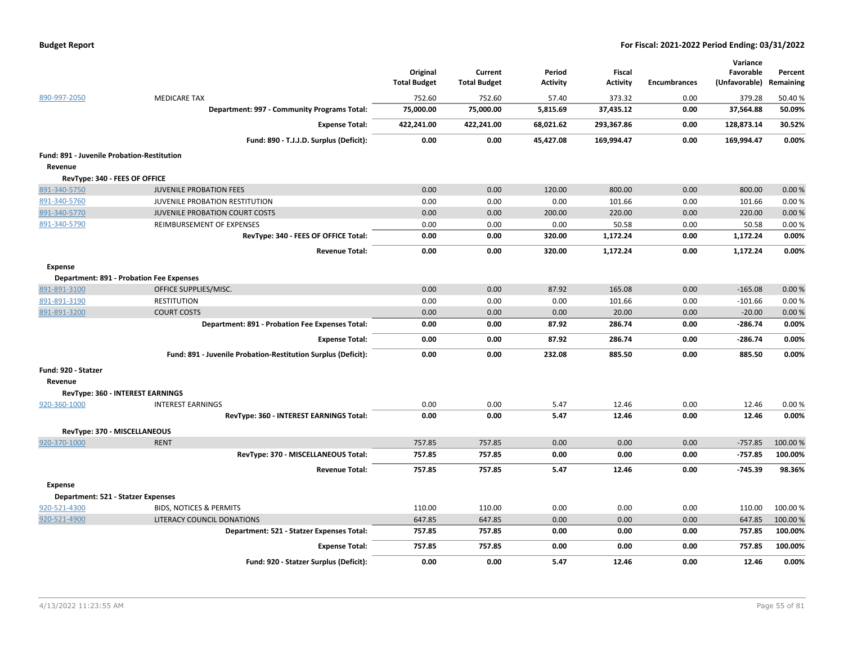|  | <b>Budget Report</b> |
|--|----------------------|
|--|----------------------|

|                                                 |                                                               | Original<br><b>Total Budget</b> | Current<br><b>Total Budget</b> | Period<br><b>Activity</b> | <b>Fiscal</b><br><b>Activity</b> | <b>Encumbrances</b> | Variance<br>Favorable<br>(Unfavorable) | Percent<br>Remaining |
|-------------------------------------------------|---------------------------------------------------------------|---------------------------------|--------------------------------|---------------------------|----------------------------------|---------------------|----------------------------------------|----------------------|
| 890-997-2050                                    | <b>MEDICARE TAX</b>                                           | 752.60                          | 752.60                         | 57.40                     | 373.32                           | 0.00                | 379.28                                 | 50.40%               |
|                                                 | Department: 997 - Community Programs Total:                   | 75,000.00                       | 75,000.00                      | 5,815.69                  | 37,435.12                        | 0.00                | 37,564.88                              | 50.09%               |
|                                                 | <b>Expense Total:</b>                                         | 422,241.00                      | 422,241.00                     | 68,021.62                 | 293,367.86                       | 0.00                | 128,873.14                             | 30.52%               |
|                                                 | Fund: 890 - T.J.J.D. Surplus (Deficit):                       | 0.00                            | 0.00                           | 45,427.08                 | 169,994.47                       | 0.00                | 169,994.47                             | 0.00%                |
| Fund: 891 - Juvenile Probation-Restitution      |                                                               |                                 |                                |                           |                                  |                     |                                        |                      |
| Revenue                                         |                                                               |                                 |                                |                           |                                  |                     |                                        |                      |
| RevType: 340 - FEES OF OFFICE                   |                                                               |                                 |                                |                           |                                  |                     |                                        |                      |
| 891-340-5750                                    | <b>JUVENILE PROBATION FEES</b>                                | 0.00                            | 0.00                           | 120.00                    | 800.00                           | 0.00                | 800.00                                 | 0.00%                |
| 891-340-5760                                    | JUVENILE PROBATION RESTITUTION                                | 0.00                            | 0.00                           | 0.00                      | 101.66                           | 0.00                | 101.66                                 | 0.00%                |
| 891-340-5770                                    | <b>JUVENILE PROBATION COURT COSTS</b>                         | 0.00                            | 0.00                           | 200.00                    | 220.00                           | 0.00                | 220.00                                 | 0.00%                |
| 891-340-5790                                    | REIMBURSEMENT OF EXPENSES                                     | 0.00                            | 0.00                           | 0.00                      | 50.58                            | 0.00                | 50.58                                  | 0.00%                |
|                                                 | RevType: 340 - FEES OF OFFICE Total:                          | 0.00                            | 0.00                           | 320.00                    | 1,172.24                         | 0.00                | 1,172.24                               | 0.00%                |
|                                                 | <b>Revenue Total:</b>                                         | 0.00                            | 0.00                           | 320.00                    | 1,172.24                         | 0.00                | 1,172.24                               | 0.00%                |
| <b>Expense</b>                                  |                                                               |                                 |                                |                           |                                  |                     |                                        |                      |
| <b>Department: 891 - Probation Fee Expenses</b> |                                                               |                                 |                                |                           |                                  |                     |                                        |                      |
| 891-891-3100                                    | OFFICE SUPPLIES/MISC.                                         | 0.00                            | 0.00                           | 87.92                     | 165.08                           | 0.00                | $-165.08$                              | 0.00%                |
| 891-891-3190                                    | <b>RESTITUTION</b>                                            | 0.00                            | 0.00                           | 0.00                      | 101.66                           | 0.00                | $-101.66$                              | 0.00%                |
| 891-891-3200                                    | <b>COURT COSTS</b>                                            | 0.00                            | 0.00                           | 0.00                      | 20.00                            | 0.00                | $-20.00$                               | 0.00%                |
|                                                 | Department: 891 - Probation Fee Expenses Total:               | 0.00                            | 0.00                           | 87.92                     | 286.74                           | 0.00                | $-286.74$                              | 0.00%                |
|                                                 | <b>Expense Total:</b>                                         | 0.00                            | 0.00                           | 87.92                     | 286.74                           | 0.00                | $-286.74$                              | 0.00%                |
|                                                 | Fund: 891 - Juvenile Probation-Restitution Surplus (Deficit): | 0.00                            | 0.00                           | 232.08                    | 885.50                           | 0.00                | 885.50                                 | 0.00%                |
| Fund: 920 - Statzer                             |                                                               |                                 |                                |                           |                                  |                     |                                        |                      |
| Revenue                                         |                                                               |                                 |                                |                           |                                  |                     |                                        |                      |
| RevType: 360 - INTEREST EARNINGS                |                                                               |                                 |                                |                           |                                  |                     |                                        |                      |
| 920-360-1000                                    | <b>INTEREST EARNINGS</b>                                      | 0.00                            | 0.00                           | 5.47                      | 12.46                            | 0.00                | 12.46                                  | 0.00%                |
|                                                 | RevType: 360 - INTEREST EARNINGS Total:                       | 0.00                            | 0.00                           | 5.47                      | 12.46                            | 0.00                | 12.46                                  | 0.00%                |
| RevType: 370 - MISCELLANEOUS                    |                                                               |                                 |                                |                           |                                  |                     |                                        |                      |
| 920-370-1000                                    | <b>RENT</b>                                                   | 757.85                          | 757.85                         | 0.00                      | 0.00                             | 0.00                | $-757.85$                              | 100.00%              |
|                                                 | RevType: 370 - MISCELLANEOUS Total:                           | 757.85                          | 757.85                         | 0.00                      | 0.00                             | 0.00                | $-757.85$                              | 100.00%              |
|                                                 | <b>Revenue Total:</b>                                         | 757.85                          | 757.85                         | 5.47                      | 12.46                            | 0.00                | $-745.39$                              | 98.36%               |
| <b>Expense</b>                                  |                                                               |                                 |                                |                           |                                  |                     |                                        |                      |
| Department: 521 - Statzer Expenses              |                                                               |                                 |                                |                           |                                  |                     |                                        |                      |
| 920-521-4300                                    | <b>BIDS, NOTICES &amp; PERMITS</b>                            | 110.00                          | 110.00                         | 0.00                      | 0.00                             | 0.00                | 110.00                                 | 100.00%              |
| 920-521-4900                                    | LITERACY COUNCIL DONATIONS                                    | 647.85                          | 647.85                         | 0.00                      | 0.00                             | 0.00                | 647.85                                 | 100.00%              |
|                                                 | Department: 521 - Statzer Expenses Total:                     | 757.85                          | 757.85                         | 0.00                      | 0.00                             | 0.00                | 757.85                                 | 100.00%              |
|                                                 | <b>Expense Total:</b>                                         | 757.85                          | 757.85                         | 0.00                      | 0.00                             | 0.00                | 757.85                                 | 100.00%              |
|                                                 | Fund: 920 - Statzer Surplus (Deficit):                        | 0.00                            | 0.00                           | 5.47                      | 12.46                            | 0.00                | 12.46                                  | 0.00%                |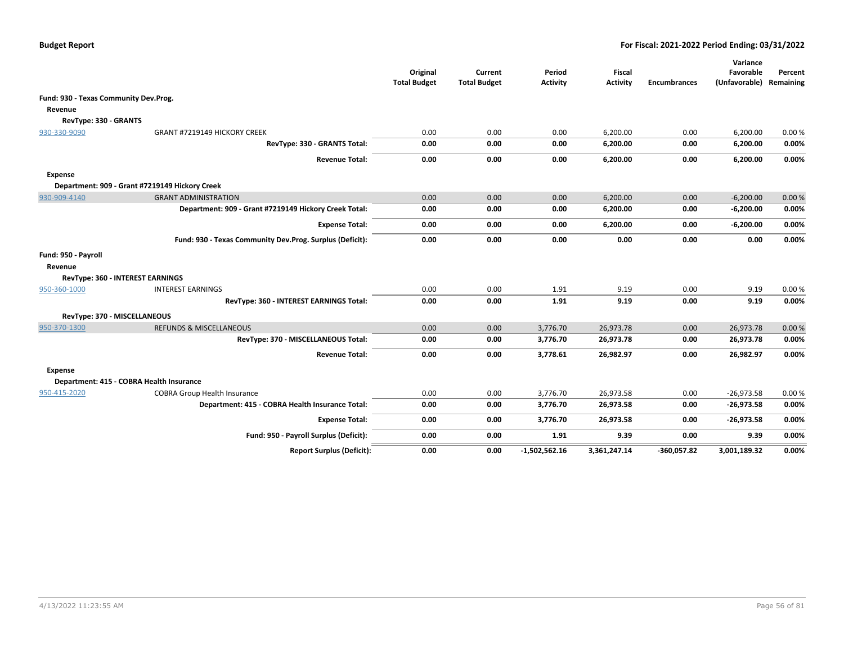|                                       |                                                          | Original<br><b>Total Budget</b> | Current<br><b>Total Budget</b> | Period<br><b>Activity</b> | <b>Fiscal</b><br><b>Activity</b> | <b>Encumbrances</b> | Variance<br>Favorable<br>(Unfavorable) | Percent<br>Remaining |
|---------------------------------------|----------------------------------------------------------|---------------------------------|--------------------------------|---------------------------|----------------------------------|---------------------|----------------------------------------|----------------------|
| Fund: 930 - Texas Community Dev.Prog. |                                                          |                                 |                                |                           |                                  |                     |                                        |                      |
| Revenue                               |                                                          |                                 |                                |                           |                                  |                     |                                        |                      |
| RevType: 330 - GRANTS                 |                                                          |                                 |                                |                           |                                  |                     |                                        |                      |
| 930-330-9090                          | <b>GRANT #7219149 HICKORY CREEK</b>                      | 0.00                            | 0.00                           | 0.00                      | 6,200.00                         | 0.00                | 6,200.00                               | 0.00%                |
|                                       | RevType: 330 - GRANTS Total:                             | 0.00                            | 0.00                           | 0.00                      | 6,200.00                         | 0.00                | 6,200.00                               | 0.00%                |
|                                       | <b>Revenue Total:</b>                                    | 0.00                            | 0.00                           | 0.00                      | 6,200.00                         | 0.00                | 6,200.00                               | 0.00%                |
| <b>Expense</b>                        |                                                          |                                 |                                |                           |                                  |                     |                                        |                      |
|                                       | Department: 909 - Grant #7219149 Hickory Creek           |                                 |                                |                           |                                  |                     |                                        |                      |
| 930-909-4140                          | <b>GRANT ADMINISTRATION</b>                              | 0.00                            | 0.00                           | 0.00                      | 6,200.00                         | 0.00                | $-6,200.00$                            | 0.00%                |
|                                       | Department: 909 - Grant #7219149 Hickory Creek Total:    | 0.00                            | 0.00                           | 0.00                      | 6,200.00                         | 0.00                | $-6,200.00$                            | 0.00%                |
|                                       | <b>Expense Total:</b>                                    | 0.00                            | 0.00                           | 0.00                      | 6,200.00                         | 0.00                | $-6,200.00$                            | 0.00%                |
|                                       | Fund: 930 - Texas Community Dev.Prog. Surplus (Deficit): | 0.00                            | 0.00                           | 0.00                      | 0.00                             | 0.00                | 0.00                                   | 0.00%                |
| Fund: 950 - Payroll                   |                                                          |                                 |                                |                           |                                  |                     |                                        |                      |
| Revenue                               |                                                          |                                 |                                |                           |                                  |                     |                                        |                      |
| RevType: 360 - INTEREST EARNINGS      |                                                          |                                 |                                |                           |                                  |                     |                                        |                      |
| 950-360-1000                          | <b>INTEREST EARNINGS</b>                                 | 0.00                            | 0.00                           | 1.91                      | 9.19                             | 0.00                | 9.19                                   | 0.00%                |
|                                       | RevType: 360 - INTEREST EARNINGS Total:                  | 0.00                            | 0.00                           | 1.91                      | 9.19                             | 0.00                | 9.19                                   | 0.00%                |
| RevType: 370 - MISCELLANEOUS          |                                                          |                                 |                                |                           |                                  |                     |                                        |                      |
| 950-370-1300                          | <b>REFUNDS &amp; MISCELLANEOUS</b>                       | 0.00                            | 0.00                           | 3,776.70                  | 26,973.78                        | 0.00                | 26,973.78                              | 0.00%                |
|                                       | RevType: 370 - MISCELLANEOUS Total:                      | 0.00                            | 0.00                           | 3,776.70                  | 26,973.78                        | 0.00                | 26,973.78                              | 0.00%                |
|                                       | <b>Revenue Total:</b>                                    | 0.00                            | 0.00                           | 3,778.61                  | 26,982.97                        | 0.00                | 26,982.97                              | 0.00%                |
| <b>Expense</b>                        |                                                          |                                 |                                |                           |                                  |                     |                                        |                      |
|                                       | Department: 415 - COBRA Health Insurance                 |                                 |                                |                           |                                  |                     |                                        |                      |
| 950-415-2020                          | <b>COBRA Group Health Insurance</b>                      | 0.00                            | 0.00                           | 3,776.70                  | 26,973.58                        | 0.00                | $-26,973.58$                           | 0.00%                |
|                                       | Department: 415 - COBRA Health Insurance Total:          | 0.00                            | 0.00                           | 3,776.70                  | 26,973.58                        | 0.00                | $-26,973.58$                           | 0.00%                |
|                                       | <b>Expense Total:</b>                                    | 0.00                            | 0.00                           | 3,776.70                  | 26,973.58                        | 0.00                | $-26,973.58$                           | 0.00%                |
|                                       | Fund: 950 - Payroll Surplus (Deficit):                   | 0.00                            | 0.00                           | 1.91                      | 9.39                             | 0.00                | 9.39                                   | 0.00%                |
|                                       | <b>Report Surplus (Deficit):</b>                         | 0.00                            | 0.00                           | $-1,502,562.16$           | 3,361,247.14                     | $-360,057.82$       | 3,001,189.32                           | 0.00%                |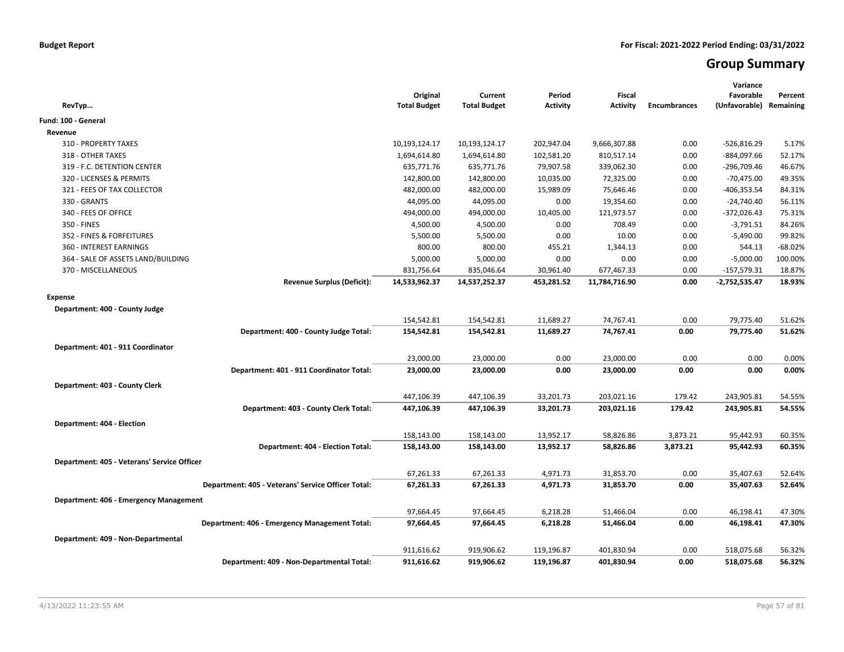# **Group Summary**

| Revenue<br>310 - PROPERTY TAXES<br>9,666,307.88<br>0.00<br>$-526,816.29$<br>5.17%<br>10,193,124.17<br>10,193,124.17<br>202,947.04<br>318 - OTHER TAXES<br>1,694,614.80<br>102,581.20<br>810,517.14<br>0.00<br>$-884,097.66$<br>52.17%<br>1,694,614.80<br>635,771.76<br>635,771.76<br>79,907.58<br>339,062.30<br>0.00<br>$-296,709.46$<br>46.67%<br>319 - F.C. DETENTION CENTER<br>142,800.00<br>142,800.00<br>10,035.00<br>72,325.00<br>320 - LICENSES & PERMITS<br>0.00<br>$-70,475.00$<br>49.35%<br>321 - FEES OF TAX COLLECTOR<br>482,000.00<br>482,000.00<br>15,989.09<br>75,646.46<br>0.00<br>$-406,353.54$<br>84.31%<br>330 - GRANTS<br>44,095.00<br>44,095.00<br>0.00<br>19,354.60<br>0.00<br>$-24,740.40$<br>56.11%<br>340 - FEES OF OFFICE<br>494,000.00<br>494,000.00<br>10,405.00<br>121,973.57<br>0.00<br>$-372,026.43$<br>75.31%<br>350 - FINES<br>4,500.00<br>4,500.00<br>708.49<br>0.00<br>$-3,791.51$<br>84.26%<br>0.00<br>5,500.00<br>5,500.00<br>10.00<br>$-5,490.00$<br>99.82%<br>352 - FINES & FORFEITURES<br>0.00<br>0.00<br>360 - INTEREST EARNINGS<br>800.00<br>800.00<br>0.00<br>544.13<br>$-68.02%$<br>455.21<br>1,344.13<br>5,000.00<br>0.00<br>$-5,000.00$<br>100.00%<br>364 - SALE OF ASSETS LAND/BUILDING<br>5,000.00<br>0.00<br>0.00<br>370 - MISCELLANEOUS<br>831,756.64<br>835,046.64<br>30,961.40<br>677,467.33<br>0.00<br>$-157,579.31$<br>18.87%<br><b>Revenue Surplus (Deficit):</b><br>14,533,962.37<br>14,537,252.37<br>453,281.52<br>$-2,752,535.47$<br>18.93%<br>11,784,716.90<br>0.00<br><b>Expense</b><br>Department: 400 - County Judge<br>74,767.41<br>0.00<br>79,775.40<br>154,542.81<br>154,542.81<br>11,689.27<br>51.62%<br>Department: 400 - County Judge Total:<br>154,542.81<br>154,542.81<br>11,689.27<br>74,767.41<br>0.00<br>79,775.40<br>51.62%<br>Department: 401 - 911 Coordinator<br>23,000.00<br>0.00<br>23,000.00<br>23,000.00<br>0.00<br>0.00<br>0.00%<br>0.00<br>Department: 401 - 911 Coordinator Total:<br>23,000.00<br>23,000.00<br>0.00<br>23,000.00<br>0.00<br>0.00%<br>Department: 403 - County Clerk<br>447,106.39<br>33,201.73<br>203,021.16<br>179.42<br>243,905.81<br>447,106.39<br>54.55%<br>Department: 403 - County Clerk Total:<br>447,106.39<br>447,106.39<br>33,201.73<br>203,021.16<br>179.42<br>243,905.81<br>54.55%<br>Department: 404 - Election<br>158,143.00<br>158,143.00<br>13,952.17<br>58,826.86<br>3,873.21<br>95,442.93<br>60.35%<br>Department: 404 - Election Total:<br>158,143.00<br>13,952.17<br>3,873.21<br>95,442.93<br>60.35%<br>158,143.00<br>58,826.86<br>Department: 405 - Veterans' Service Officer<br>67,261.33<br>67,261.33<br>4,971.73<br>31,853.70<br>0.00<br>35,407.63<br>52.64%<br>Department: 405 - Veterans' Service Officer Total:<br>0.00<br>52.64%<br>67,261.33<br>67,261.33<br>4,971.73<br>31,853.70<br>35,407.63<br>Department: 406 - Emergency Management<br>97,664.45<br>6,218.28<br>51,466.04<br>0.00<br>46,198.41<br>97,664.45<br>47.30%<br>6,218.28<br>0.00<br>46,198.41<br>47.30%<br>Department: 406 - Emergency Management Total:<br>97,664.45<br>97,664.45<br>51,466.04<br>Department: 409 - Non-Departmental<br>911,616.62<br>919,906.62<br>119,196.87<br>401,830.94<br>0.00<br>518,075.68<br>56.32%<br>911,616.62<br>919,906.62<br>119,196.87<br>401,830.94<br>0.00<br>518,075.68<br>56.32% | RevTyp                                    | Original<br><b>Total Budget</b> | Current<br><b>Total Budget</b> | Period<br><b>Activity</b> | <b>Fiscal</b><br>Activity | <b>Encumbrances</b> | Variance<br>Favorable<br>(Unfavorable) | Percent<br>Remaining |
|------------------------------------------------------------------------------------------------------------------------------------------------------------------------------------------------------------------------------------------------------------------------------------------------------------------------------------------------------------------------------------------------------------------------------------------------------------------------------------------------------------------------------------------------------------------------------------------------------------------------------------------------------------------------------------------------------------------------------------------------------------------------------------------------------------------------------------------------------------------------------------------------------------------------------------------------------------------------------------------------------------------------------------------------------------------------------------------------------------------------------------------------------------------------------------------------------------------------------------------------------------------------------------------------------------------------------------------------------------------------------------------------------------------------------------------------------------------------------------------------------------------------------------------------------------------------------------------------------------------------------------------------------------------------------------------------------------------------------------------------------------------------------------------------------------------------------------------------------------------------------------------------------------------------------------------------------------------------------------------------------------------------------------------------------------------------------------------------------------------------------------------------------------------------------------------------------------------------------------------------------------------------------------------------------------------------------------------------------------------------------------------------------------------------------------------------------------------------------------------------------------------------------------------------------------------------------------------------------------------------------------------------------------------------------------------------------------------------------------------------------------------------------------------------------------------------------------------------------------------------------------------------------------------------------------------------------------------------------------------------------------------------------------------------------------------------------------------------------------------------------------------------------------------------------------------------------------------------------------------------------------------------------------------------------------------------|-------------------------------------------|---------------------------------|--------------------------------|---------------------------|---------------------------|---------------------|----------------------------------------|----------------------|
|                                                                                                                                                                                                                                                                                                                                                                                                                                                                                                                                                                                                                                                                                                                                                                                                                                                                                                                                                                                                                                                                                                                                                                                                                                                                                                                                                                                                                                                                                                                                                                                                                                                                                                                                                                                                                                                                                                                                                                                                                                                                                                                                                                                                                                                                                                                                                                                                                                                                                                                                                                                                                                                                                                                                                                                                                                                                                                                                                                                                                                                                                                                                                                                                                                                                                                                        | Fund: 100 - General                       |                                 |                                |                           |                           |                     |                                        |                      |
|                                                                                                                                                                                                                                                                                                                                                                                                                                                                                                                                                                                                                                                                                                                                                                                                                                                                                                                                                                                                                                                                                                                                                                                                                                                                                                                                                                                                                                                                                                                                                                                                                                                                                                                                                                                                                                                                                                                                                                                                                                                                                                                                                                                                                                                                                                                                                                                                                                                                                                                                                                                                                                                                                                                                                                                                                                                                                                                                                                                                                                                                                                                                                                                                                                                                                                                        |                                           |                                 |                                |                           |                           |                     |                                        |                      |
|                                                                                                                                                                                                                                                                                                                                                                                                                                                                                                                                                                                                                                                                                                                                                                                                                                                                                                                                                                                                                                                                                                                                                                                                                                                                                                                                                                                                                                                                                                                                                                                                                                                                                                                                                                                                                                                                                                                                                                                                                                                                                                                                                                                                                                                                                                                                                                                                                                                                                                                                                                                                                                                                                                                                                                                                                                                                                                                                                                                                                                                                                                                                                                                                                                                                                                                        |                                           |                                 |                                |                           |                           |                     |                                        |                      |
|                                                                                                                                                                                                                                                                                                                                                                                                                                                                                                                                                                                                                                                                                                                                                                                                                                                                                                                                                                                                                                                                                                                                                                                                                                                                                                                                                                                                                                                                                                                                                                                                                                                                                                                                                                                                                                                                                                                                                                                                                                                                                                                                                                                                                                                                                                                                                                                                                                                                                                                                                                                                                                                                                                                                                                                                                                                                                                                                                                                                                                                                                                                                                                                                                                                                                                                        |                                           |                                 |                                |                           |                           |                     |                                        |                      |
|                                                                                                                                                                                                                                                                                                                                                                                                                                                                                                                                                                                                                                                                                                                                                                                                                                                                                                                                                                                                                                                                                                                                                                                                                                                                                                                                                                                                                                                                                                                                                                                                                                                                                                                                                                                                                                                                                                                                                                                                                                                                                                                                                                                                                                                                                                                                                                                                                                                                                                                                                                                                                                                                                                                                                                                                                                                                                                                                                                                                                                                                                                                                                                                                                                                                                                                        |                                           |                                 |                                |                           |                           |                     |                                        |                      |
|                                                                                                                                                                                                                                                                                                                                                                                                                                                                                                                                                                                                                                                                                                                                                                                                                                                                                                                                                                                                                                                                                                                                                                                                                                                                                                                                                                                                                                                                                                                                                                                                                                                                                                                                                                                                                                                                                                                                                                                                                                                                                                                                                                                                                                                                                                                                                                                                                                                                                                                                                                                                                                                                                                                                                                                                                                                                                                                                                                                                                                                                                                                                                                                                                                                                                                                        |                                           |                                 |                                |                           |                           |                     |                                        |                      |
|                                                                                                                                                                                                                                                                                                                                                                                                                                                                                                                                                                                                                                                                                                                                                                                                                                                                                                                                                                                                                                                                                                                                                                                                                                                                                                                                                                                                                                                                                                                                                                                                                                                                                                                                                                                                                                                                                                                                                                                                                                                                                                                                                                                                                                                                                                                                                                                                                                                                                                                                                                                                                                                                                                                                                                                                                                                                                                                                                                                                                                                                                                                                                                                                                                                                                                                        |                                           |                                 |                                |                           |                           |                     |                                        |                      |
|                                                                                                                                                                                                                                                                                                                                                                                                                                                                                                                                                                                                                                                                                                                                                                                                                                                                                                                                                                                                                                                                                                                                                                                                                                                                                                                                                                                                                                                                                                                                                                                                                                                                                                                                                                                                                                                                                                                                                                                                                                                                                                                                                                                                                                                                                                                                                                                                                                                                                                                                                                                                                                                                                                                                                                                                                                                                                                                                                                                                                                                                                                                                                                                                                                                                                                                        |                                           |                                 |                                |                           |                           |                     |                                        |                      |
|                                                                                                                                                                                                                                                                                                                                                                                                                                                                                                                                                                                                                                                                                                                                                                                                                                                                                                                                                                                                                                                                                                                                                                                                                                                                                                                                                                                                                                                                                                                                                                                                                                                                                                                                                                                                                                                                                                                                                                                                                                                                                                                                                                                                                                                                                                                                                                                                                                                                                                                                                                                                                                                                                                                                                                                                                                                                                                                                                                                                                                                                                                                                                                                                                                                                                                                        |                                           |                                 |                                |                           |                           |                     |                                        |                      |
|                                                                                                                                                                                                                                                                                                                                                                                                                                                                                                                                                                                                                                                                                                                                                                                                                                                                                                                                                                                                                                                                                                                                                                                                                                                                                                                                                                                                                                                                                                                                                                                                                                                                                                                                                                                                                                                                                                                                                                                                                                                                                                                                                                                                                                                                                                                                                                                                                                                                                                                                                                                                                                                                                                                                                                                                                                                                                                                                                                                                                                                                                                                                                                                                                                                                                                                        |                                           |                                 |                                |                           |                           |                     |                                        |                      |
|                                                                                                                                                                                                                                                                                                                                                                                                                                                                                                                                                                                                                                                                                                                                                                                                                                                                                                                                                                                                                                                                                                                                                                                                                                                                                                                                                                                                                                                                                                                                                                                                                                                                                                                                                                                                                                                                                                                                                                                                                                                                                                                                                                                                                                                                                                                                                                                                                                                                                                                                                                                                                                                                                                                                                                                                                                                                                                                                                                                                                                                                                                                                                                                                                                                                                                                        |                                           |                                 |                                |                           |                           |                     |                                        |                      |
|                                                                                                                                                                                                                                                                                                                                                                                                                                                                                                                                                                                                                                                                                                                                                                                                                                                                                                                                                                                                                                                                                                                                                                                                                                                                                                                                                                                                                                                                                                                                                                                                                                                                                                                                                                                                                                                                                                                                                                                                                                                                                                                                                                                                                                                                                                                                                                                                                                                                                                                                                                                                                                                                                                                                                                                                                                                                                                                                                                                                                                                                                                                                                                                                                                                                                                                        |                                           |                                 |                                |                           |                           |                     |                                        |                      |
|                                                                                                                                                                                                                                                                                                                                                                                                                                                                                                                                                                                                                                                                                                                                                                                                                                                                                                                                                                                                                                                                                                                                                                                                                                                                                                                                                                                                                                                                                                                                                                                                                                                                                                                                                                                                                                                                                                                                                                                                                                                                                                                                                                                                                                                                                                                                                                                                                                                                                                                                                                                                                                                                                                                                                                                                                                                                                                                                                                                                                                                                                                                                                                                                                                                                                                                        |                                           |                                 |                                |                           |                           |                     |                                        |                      |
|                                                                                                                                                                                                                                                                                                                                                                                                                                                                                                                                                                                                                                                                                                                                                                                                                                                                                                                                                                                                                                                                                                                                                                                                                                                                                                                                                                                                                                                                                                                                                                                                                                                                                                                                                                                                                                                                                                                                                                                                                                                                                                                                                                                                                                                                                                                                                                                                                                                                                                                                                                                                                                                                                                                                                                                                                                                                                                                                                                                                                                                                                                                                                                                                                                                                                                                        |                                           |                                 |                                |                           |                           |                     |                                        |                      |
|                                                                                                                                                                                                                                                                                                                                                                                                                                                                                                                                                                                                                                                                                                                                                                                                                                                                                                                                                                                                                                                                                                                                                                                                                                                                                                                                                                                                                                                                                                                                                                                                                                                                                                                                                                                                                                                                                                                                                                                                                                                                                                                                                                                                                                                                                                                                                                                                                                                                                                                                                                                                                                                                                                                                                                                                                                                                                                                                                                                                                                                                                                                                                                                                                                                                                                                        |                                           |                                 |                                |                           |                           |                     |                                        |                      |
|                                                                                                                                                                                                                                                                                                                                                                                                                                                                                                                                                                                                                                                                                                                                                                                                                                                                                                                                                                                                                                                                                                                                                                                                                                                                                                                                                                                                                                                                                                                                                                                                                                                                                                                                                                                                                                                                                                                                                                                                                                                                                                                                                                                                                                                                                                                                                                                                                                                                                                                                                                                                                                                                                                                                                                                                                                                                                                                                                                                                                                                                                                                                                                                                                                                                                                                        |                                           |                                 |                                |                           |                           |                     |                                        |                      |
|                                                                                                                                                                                                                                                                                                                                                                                                                                                                                                                                                                                                                                                                                                                                                                                                                                                                                                                                                                                                                                                                                                                                                                                                                                                                                                                                                                                                                                                                                                                                                                                                                                                                                                                                                                                                                                                                                                                                                                                                                                                                                                                                                                                                                                                                                                                                                                                                                                                                                                                                                                                                                                                                                                                                                                                                                                                                                                                                                                                                                                                                                                                                                                                                                                                                                                                        |                                           |                                 |                                |                           |                           |                     |                                        |                      |
|                                                                                                                                                                                                                                                                                                                                                                                                                                                                                                                                                                                                                                                                                                                                                                                                                                                                                                                                                                                                                                                                                                                                                                                                                                                                                                                                                                                                                                                                                                                                                                                                                                                                                                                                                                                                                                                                                                                                                                                                                                                                                                                                                                                                                                                                                                                                                                                                                                                                                                                                                                                                                                                                                                                                                                                                                                                                                                                                                                                                                                                                                                                                                                                                                                                                                                                        |                                           |                                 |                                |                           |                           |                     |                                        |                      |
|                                                                                                                                                                                                                                                                                                                                                                                                                                                                                                                                                                                                                                                                                                                                                                                                                                                                                                                                                                                                                                                                                                                                                                                                                                                                                                                                                                                                                                                                                                                                                                                                                                                                                                                                                                                                                                                                                                                                                                                                                                                                                                                                                                                                                                                                                                                                                                                                                                                                                                                                                                                                                                                                                                                                                                                                                                                                                                                                                                                                                                                                                                                                                                                                                                                                                                                        |                                           |                                 |                                |                           |                           |                     |                                        |                      |
|                                                                                                                                                                                                                                                                                                                                                                                                                                                                                                                                                                                                                                                                                                                                                                                                                                                                                                                                                                                                                                                                                                                                                                                                                                                                                                                                                                                                                                                                                                                                                                                                                                                                                                                                                                                                                                                                                                                                                                                                                                                                                                                                                                                                                                                                                                                                                                                                                                                                                                                                                                                                                                                                                                                                                                                                                                                                                                                                                                                                                                                                                                                                                                                                                                                                                                                        |                                           |                                 |                                |                           |                           |                     |                                        |                      |
|                                                                                                                                                                                                                                                                                                                                                                                                                                                                                                                                                                                                                                                                                                                                                                                                                                                                                                                                                                                                                                                                                                                                                                                                                                                                                                                                                                                                                                                                                                                                                                                                                                                                                                                                                                                                                                                                                                                                                                                                                                                                                                                                                                                                                                                                                                                                                                                                                                                                                                                                                                                                                                                                                                                                                                                                                                                                                                                                                                                                                                                                                                                                                                                                                                                                                                                        |                                           |                                 |                                |                           |                           |                     |                                        |                      |
|                                                                                                                                                                                                                                                                                                                                                                                                                                                                                                                                                                                                                                                                                                                                                                                                                                                                                                                                                                                                                                                                                                                                                                                                                                                                                                                                                                                                                                                                                                                                                                                                                                                                                                                                                                                                                                                                                                                                                                                                                                                                                                                                                                                                                                                                                                                                                                                                                                                                                                                                                                                                                                                                                                                                                                                                                                                                                                                                                                                                                                                                                                                                                                                                                                                                                                                        |                                           |                                 |                                |                           |                           |                     |                                        |                      |
|                                                                                                                                                                                                                                                                                                                                                                                                                                                                                                                                                                                                                                                                                                                                                                                                                                                                                                                                                                                                                                                                                                                                                                                                                                                                                                                                                                                                                                                                                                                                                                                                                                                                                                                                                                                                                                                                                                                                                                                                                                                                                                                                                                                                                                                                                                                                                                                                                                                                                                                                                                                                                                                                                                                                                                                                                                                                                                                                                                                                                                                                                                                                                                                                                                                                                                                        |                                           |                                 |                                |                           |                           |                     |                                        |                      |
|                                                                                                                                                                                                                                                                                                                                                                                                                                                                                                                                                                                                                                                                                                                                                                                                                                                                                                                                                                                                                                                                                                                                                                                                                                                                                                                                                                                                                                                                                                                                                                                                                                                                                                                                                                                                                                                                                                                                                                                                                                                                                                                                                                                                                                                                                                                                                                                                                                                                                                                                                                                                                                                                                                                                                                                                                                                                                                                                                                                                                                                                                                                                                                                                                                                                                                                        |                                           |                                 |                                |                           |                           |                     |                                        |                      |
|                                                                                                                                                                                                                                                                                                                                                                                                                                                                                                                                                                                                                                                                                                                                                                                                                                                                                                                                                                                                                                                                                                                                                                                                                                                                                                                                                                                                                                                                                                                                                                                                                                                                                                                                                                                                                                                                                                                                                                                                                                                                                                                                                                                                                                                                                                                                                                                                                                                                                                                                                                                                                                                                                                                                                                                                                                                                                                                                                                                                                                                                                                                                                                                                                                                                                                                        |                                           |                                 |                                |                           |                           |                     |                                        |                      |
|                                                                                                                                                                                                                                                                                                                                                                                                                                                                                                                                                                                                                                                                                                                                                                                                                                                                                                                                                                                                                                                                                                                                                                                                                                                                                                                                                                                                                                                                                                                                                                                                                                                                                                                                                                                                                                                                                                                                                                                                                                                                                                                                                                                                                                                                                                                                                                                                                                                                                                                                                                                                                                                                                                                                                                                                                                                                                                                                                                                                                                                                                                                                                                                                                                                                                                                        |                                           |                                 |                                |                           |                           |                     |                                        |                      |
|                                                                                                                                                                                                                                                                                                                                                                                                                                                                                                                                                                                                                                                                                                                                                                                                                                                                                                                                                                                                                                                                                                                                                                                                                                                                                                                                                                                                                                                                                                                                                                                                                                                                                                                                                                                                                                                                                                                                                                                                                                                                                                                                                                                                                                                                                                                                                                                                                                                                                                                                                                                                                                                                                                                                                                                                                                                                                                                                                                                                                                                                                                                                                                                                                                                                                                                        |                                           |                                 |                                |                           |                           |                     |                                        |                      |
|                                                                                                                                                                                                                                                                                                                                                                                                                                                                                                                                                                                                                                                                                                                                                                                                                                                                                                                                                                                                                                                                                                                                                                                                                                                                                                                                                                                                                                                                                                                                                                                                                                                                                                                                                                                                                                                                                                                                                                                                                                                                                                                                                                                                                                                                                                                                                                                                                                                                                                                                                                                                                                                                                                                                                                                                                                                                                                                                                                                                                                                                                                                                                                                                                                                                                                                        |                                           |                                 |                                |                           |                           |                     |                                        |                      |
|                                                                                                                                                                                                                                                                                                                                                                                                                                                                                                                                                                                                                                                                                                                                                                                                                                                                                                                                                                                                                                                                                                                                                                                                                                                                                                                                                                                                                                                                                                                                                                                                                                                                                                                                                                                                                                                                                                                                                                                                                                                                                                                                                                                                                                                                                                                                                                                                                                                                                                                                                                                                                                                                                                                                                                                                                                                                                                                                                                                                                                                                                                                                                                                                                                                                                                                        |                                           |                                 |                                |                           |                           |                     |                                        |                      |
|                                                                                                                                                                                                                                                                                                                                                                                                                                                                                                                                                                                                                                                                                                                                                                                                                                                                                                                                                                                                                                                                                                                                                                                                                                                                                                                                                                                                                                                                                                                                                                                                                                                                                                                                                                                                                                                                                                                                                                                                                                                                                                                                                                                                                                                                                                                                                                                                                                                                                                                                                                                                                                                                                                                                                                                                                                                                                                                                                                                                                                                                                                                                                                                                                                                                                                                        |                                           |                                 |                                |                           |                           |                     |                                        |                      |
|                                                                                                                                                                                                                                                                                                                                                                                                                                                                                                                                                                                                                                                                                                                                                                                                                                                                                                                                                                                                                                                                                                                                                                                                                                                                                                                                                                                                                                                                                                                                                                                                                                                                                                                                                                                                                                                                                                                                                                                                                                                                                                                                                                                                                                                                                                                                                                                                                                                                                                                                                                                                                                                                                                                                                                                                                                                                                                                                                                                                                                                                                                                                                                                                                                                                                                                        |                                           |                                 |                                |                           |                           |                     |                                        |                      |
|                                                                                                                                                                                                                                                                                                                                                                                                                                                                                                                                                                                                                                                                                                                                                                                                                                                                                                                                                                                                                                                                                                                                                                                                                                                                                                                                                                                                                                                                                                                                                                                                                                                                                                                                                                                                                                                                                                                                                                                                                                                                                                                                                                                                                                                                                                                                                                                                                                                                                                                                                                                                                                                                                                                                                                                                                                                                                                                                                                                                                                                                                                                                                                                                                                                                                                                        |                                           |                                 |                                |                           |                           |                     |                                        |                      |
|                                                                                                                                                                                                                                                                                                                                                                                                                                                                                                                                                                                                                                                                                                                                                                                                                                                                                                                                                                                                                                                                                                                                                                                                                                                                                                                                                                                                                                                                                                                                                                                                                                                                                                                                                                                                                                                                                                                                                                                                                                                                                                                                                                                                                                                                                                                                                                                                                                                                                                                                                                                                                                                                                                                                                                                                                                                                                                                                                                                                                                                                                                                                                                                                                                                                                                                        |                                           |                                 |                                |                           |                           |                     |                                        |                      |
|                                                                                                                                                                                                                                                                                                                                                                                                                                                                                                                                                                                                                                                                                                                                                                                                                                                                                                                                                                                                                                                                                                                                                                                                                                                                                                                                                                                                                                                                                                                                                                                                                                                                                                                                                                                                                                                                                                                                                                                                                                                                                                                                                                                                                                                                                                                                                                                                                                                                                                                                                                                                                                                                                                                                                                                                                                                                                                                                                                                                                                                                                                                                                                                                                                                                                                                        |                                           |                                 |                                |                           |                           |                     |                                        |                      |
|                                                                                                                                                                                                                                                                                                                                                                                                                                                                                                                                                                                                                                                                                                                                                                                                                                                                                                                                                                                                                                                                                                                                                                                                                                                                                                                                                                                                                                                                                                                                                                                                                                                                                                                                                                                                                                                                                                                                                                                                                                                                                                                                                                                                                                                                                                                                                                                                                                                                                                                                                                                                                                                                                                                                                                                                                                                                                                                                                                                                                                                                                                                                                                                                                                                                                                                        |                                           |                                 |                                |                           |                           |                     |                                        |                      |
|                                                                                                                                                                                                                                                                                                                                                                                                                                                                                                                                                                                                                                                                                                                                                                                                                                                                                                                                                                                                                                                                                                                                                                                                                                                                                                                                                                                                                                                                                                                                                                                                                                                                                                                                                                                                                                                                                                                                                                                                                                                                                                                                                                                                                                                                                                                                                                                                                                                                                                                                                                                                                                                                                                                                                                                                                                                                                                                                                                                                                                                                                                                                                                                                                                                                                                                        |                                           |                                 |                                |                           |                           |                     |                                        |                      |
|                                                                                                                                                                                                                                                                                                                                                                                                                                                                                                                                                                                                                                                                                                                                                                                                                                                                                                                                                                                                                                                                                                                                                                                                                                                                                                                                                                                                                                                                                                                                                                                                                                                                                                                                                                                                                                                                                                                                                                                                                                                                                                                                                                                                                                                                                                                                                                                                                                                                                                                                                                                                                                                                                                                                                                                                                                                                                                                                                                                                                                                                                                                                                                                                                                                                                                                        |                                           |                                 |                                |                           |                           |                     |                                        |                      |
|                                                                                                                                                                                                                                                                                                                                                                                                                                                                                                                                                                                                                                                                                                                                                                                                                                                                                                                                                                                                                                                                                                                                                                                                                                                                                                                                                                                                                                                                                                                                                                                                                                                                                                                                                                                                                                                                                                                                                                                                                                                                                                                                                                                                                                                                                                                                                                                                                                                                                                                                                                                                                                                                                                                                                                                                                                                                                                                                                                                                                                                                                                                                                                                                                                                                                                                        |                                           |                                 |                                |                           |                           |                     |                                        |                      |
|                                                                                                                                                                                                                                                                                                                                                                                                                                                                                                                                                                                                                                                                                                                                                                                                                                                                                                                                                                                                                                                                                                                                                                                                                                                                                                                                                                                                                                                                                                                                                                                                                                                                                                                                                                                                                                                                                                                                                                                                                                                                                                                                                                                                                                                                                                                                                                                                                                                                                                                                                                                                                                                                                                                                                                                                                                                                                                                                                                                                                                                                                                                                                                                                                                                                                                                        | Department: 409 - Non-Departmental Total: |                                 |                                |                           |                           |                     |                                        |                      |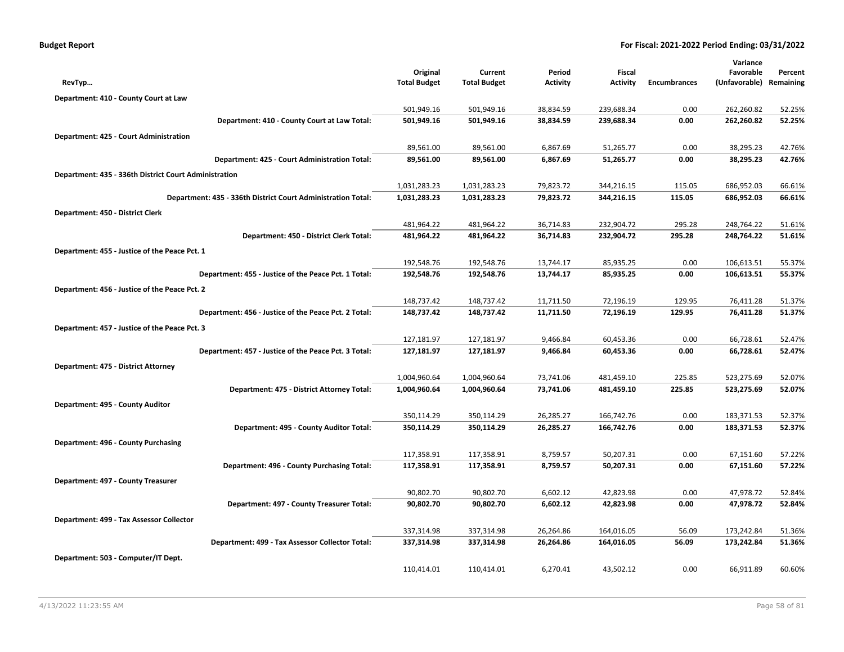|  | <b>Budget Report</b> |
|--|----------------------|
|--|----------------------|

|                                                              |                     |                     |                 |            |                     | Variance      |           |
|--------------------------------------------------------------|---------------------|---------------------|-----------------|------------|---------------------|---------------|-----------|
|                                                              | Original            | Current             | Period          | Fiscal     |                     | Favorable     | Percent   |
| RevTyp                                                       | <b>Total Budget</b> | <b>Total Budget</b> | <b>Activity</b> | Activity   | <b>Encumbrances</b> | (Unfavorable) | Remaining |
| Department: 410 - County Court at Law                        |                     |                     |                 |            |                     |               |           |
|                                                              | 501,949.16          | 501,949.16          | 38,834.59       | 239,688.34 | 0.00                | 262,260.82    | 52.25%    |
| Department: 410 - County Court at Law Total:                 | 501,949.16          | 501,949.16          | 38,834.59       | 239,688.34 | 0.00                | 262,260.82    | 52.25%    |
| Department: 425 - Court Administration                       |                     |                     |                 |            |                     |               |           |
|                                                              | 89,561.00           | 89,561.00           | 6,867.69        | 51,265.77  | 0.00                | 38,295.23     | 42.76%    |
| Department: 425 - Court Administration Total:                | 89,561.00           | 89,561.00           | 6,867.69        | 51,265.77  | 0.00                | 38,295.23     | 42.76%    |
| Department: 435 - 336th District Court Administration        |                     |                     |                 |            |                     |               |           |
|                                                              | 1,031,283.23        | 1,031,283.23        | 79,823.72       | 344,216.15 | 115.05              | 686,952.03    | 66.61%    |
| Department: 435 - 336th District Court Administration Total: | 1,031,283.23        | 1,031,283.23        | 79,823.72       | 344,216.15 | 115.05              | 686,952.03    | 66.61%    |
| Department: 450 - District Clerk                             |                     |                     |                 |            |                     |               |           |
|                                                              | 481,964.22          | 481,964.22          | 36,714.83       | 232,904.72 | 295.28              | 248,764.22    | 51.61%    |
| Department: 450 - District Clerk Total:                      | 481,964.22          | 481,964.22          | 36,714.83       | 232,904.72 | 295.28              | 248,764.22    | 51.61%    |
| Department: 455 - Justice of the Peace Pct. 1                |                     |                     |                 |            |                     |               |           |
|                                                              | 192,548.76          | 192,548.76          | 13,744.17       | 85,935.25  | 0.00                | 106,613.51    | 55.37%    |
| Department: 455 - Justice of the Peace Pct. 1 Total:         | 192,548.76          | 192,548.76          | 13,744.17       | 85,935.25  | 0.00                | 106,613.51    | 55.37%    |
| Department: 456 - Justice of the Peace Pct. 2                |                     |                     |                 |            |                     |               |           |
|                                                              | 148,737.42          | 148,737.42          | 11,711.50       | 72,196.19  | 129.95              | 76,411.28     | 51.37%    |
| Department: 456 - Justice of the Peace Pct. 2 Total:         | 148,737.42          | 148,737.42          | 11,711.50       | 72,196.19  | 129.95              | 76,411.28     | 51.37%    |
| Department: 457 - Justice of the Peace Pct. 3                |                     |                     |                 |            |                     |               |           |
|                                                              | 127,181.97          | 127,181.97          | 9,466.84        | 60,453.36  | 0.00                | 66,728.61     | 52.47%    |
| Department: 457 - Justice of the Peace Pct. 3 Total:         | 127,181.97          | 127,181.97          | 9,466.84        | 60,453.36  | 0.00                | 66,728.61     | 52.47%    |
| Department: 475 - District Attorney                          |                     |                     |                 |            |                     |               |           |
|                                                              | 1,004,960.64        | 1,004,960.64        | 73,741.06       | 481,459.10 | 225.85              | 523,275.69    | 52.07%    |
| Department: 475 - District Attorney Total:                   | 1,004,960.64        | 1,004,960.64        | 73,741.06       | 481,459.10 | 225.85              | 523,275.69    | 52.07%    |
| Department: 495 - County Auditor                             |                     |                     |                 |            |                     |               |           |
|                                                              | 350,114.29          | 350,114.29          | 26,285.27       | 166,742.76 | 0.00                | 183,371.53    | 52.37%    |
| Department: 495 - County Auditor Total:                      | 350,114.29          | 350,114.29          | 26,285.27       | 166,742.76 | 0.00                | 183,371.53    | 52.37%    |
| Department: 496 - County Purchasing                          |                     |                     |                 |            |                     |               |           |
|                                                              | 117,358.91          | 117,358.91          | 8,759.57        | 50,207.31  | 0.00                | 67,151.60     | 57.22%    |
| Department: 496 - County Purchasing Total:                   | 117,358.91          | 117,358.91          | 8,759.57        | 50,207.31  | 0.00                | 67,151.60     | 57.22%    |
| Department: 497 - County Treasurer                           |                     |                     |                 |            |                     |               |           |
|                                                              | 90,802.70           | 90,802.70           | 6,602.12        | 42,823.98  | 0.00                | 47,978.72     | 52.84%    |
| Department: 497 - County Treasurer Total:                    | 90,802.70           | 90,802.70           | 6,602.12        | 42,823.98  | 0.00                | 47,978.72     | 52.84%    |
| Department: 499 - Tax Assessor Collector                     |                     |                     |                 |            |                     |               |           |
|                                                              | 337,314.98          | 337,314.98          | 26,264.86       | 164,016.05 | 56.09               | 173,242.84    | 51.36%    |
| Department: 499 - Tax Assessor Collector Total:              | 337,314.98          | 337,314.98          | 26,264.86       | 164,016.05 | 56.09               | 173,242.84    | 51.36%    |
| Department: 503 - Computer/IT Dept.                          |                     |                     |                 |            |                     |               |           |
|                                                              | 110,414.01          | 110,414.01          | 6,270.41        | 43,502.12  | 0.00                | 66,911.89     | 60.60%    |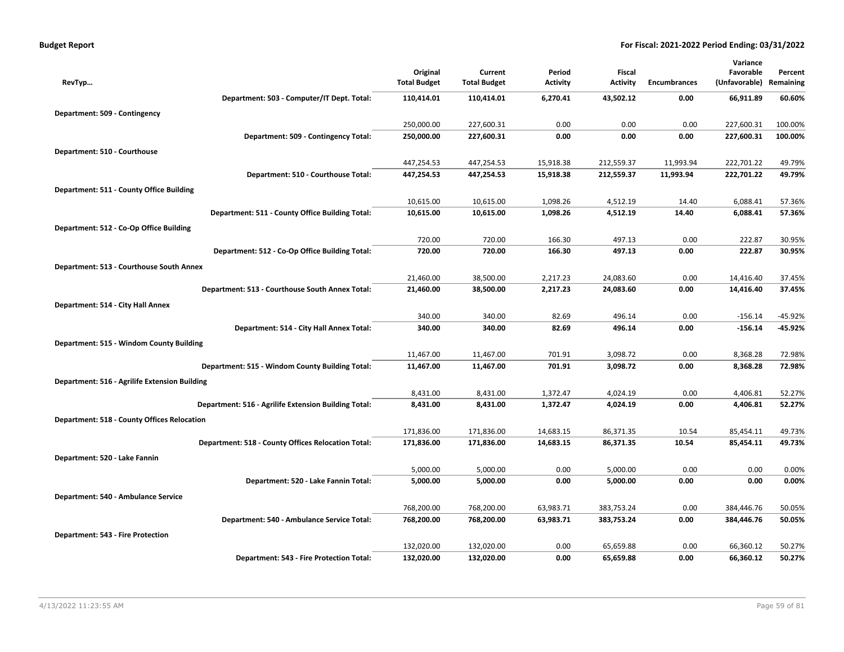| <b>Budget Report</b> |  |
|----------------------|--|
|----------------------|--|

| Original<br>Current<br>Period<br>Fiscal<br>Favorable<br><b>Total Budget</b><br><b>Total Budget</b><br><b>Activity</b><br><b>Activity</b><br><b>Encumbrances</b><br>(Unfavorable)<br>Remaining<br>RevTyp<br>Department: 503 - Computer/IT Dept. Total:<br>110,414.01<br>110,414.01<br>6,270.41<br>43,502.12<br>0.00<br>66,911.89<br>Department: 509 - Contingency |  |  |  |  |         |
|------------------------------------------------------------------------------------------------------------------------------------------------------------------------------------------------------------------------------------------------------------------------------------------------------------------------------------------------------------------|--|--|--|--|---------|
|                                                                                                                                                                                                                                                                                                                                                                  |  |  |  |  | Percent |
|                                                                                                                                                                                                                                                                                                                                                                  |  |  |  |  |         |
|                                                                                                                                                                                                                                                                                                                                                                  |  |  |  |  | 60.60%  |
|                                                                                                                                                                                                                                                                                                                                                                  |  |  |  |  |         |
| 250,000.00<br>227,600.31<br>0.00<br>0.00<br>227,600.31<br>0.00                                                                                                                                                                                                                                                                                                   |  |  |  |  | 100.00% |
| 250,000.00<br>0.00<br>0.00<br>0.00<br>227,600.31<br>Department: 509 - Contingency Total:<br>227,600.31                                                                                                                                                                                                                                                           |  |  |  |  | 100.00% |
| Department: 510 - Courthouse                                                                                                                                                                                                                                                                                                                                     |  |  |  |  |         |
| 447,254.53<br>447,254.53<br>15,918.38<br>212,559.37<br>11,993.94<br>222,701.22                                                                                                                                                                                                                                                                                   |  |  |  |  | 49.79%  |
| Department: 510 - Courthouse Total:<br>447,254.53<br>447,254.53<br>15,918.38<br>212,559.37<br>11,993.94<br>222,701.22                                                                                                                                                                                                                                            |  |  |  |  | 49.79%  |
| Department: 511 - County Office Building                                                                                                                                                                                                                                                                                                                         |  |  |  |  |         |
| 10,615.00<br>10,615.00<br>1,098.26<br>4,512.19<br>14.40<br>6,088.41                                                                                                                                                                                                                                                                                              |  |  |  |  | 57.36%  |
| Department: 511 - County Office Building Total:<br>10,615.00<br>10,615.00<br>1,098.26<br>4,512.19<br>14.40<br>6,088.41                                                                                                                                                                                                                                           |  |  |  |  | 57.36%  |
| Department: 512 - Co-Op Office Building                                                                                                                                                                                                                                                                                                                          |  |  |  |  |         |
| 720.00<br>720.00<br>166.30<br>497.13<br>0.00<br>222.87                                                                                                                                                                                                                                                                                                           |  |  |  |  | 30.95%  |
| Department: 512 - Co-Op Office Building Total:<br>720.00<br>720.00<br>166.30<br>497.13<br>0.00<br>222.87                                                                                                                                                                                                                                                         |  |  |  |  | 30.95%  |
| Department: 513 - Courthouse South Annex                                                                                                                                                                                                                                                                                                                         |  |  |  |  |         |
| 21,460.00<br>38,500.00<br>2,217.23<br>24,083.60<br>0.00<br>14,416.40                                                                                                                                                                                                                                                                                             |  |  |  |  | 37.45%  |
| Department: 513 - Courthouse South Annex Total:<br>21,460.00<br>38,500.00<br>2,217.23<br>24,083.60<br>0.00<br>14,416.40                                                                                                                                                                                                                                          |  |  |  |  | 37.45%  |
| Department: 514 - City Hall Annex                                                                                                                                                                                                                                                                                                                                |  |  |  |  |         |
| 340.00<br>340.00<br>496.14<br>82.69<br>0.00<br>$-156.14$                                                                                                                                                                                                                                                                                                         |  |  |  |  | -45.92% |
| Department: 514 - City Hall Annex Total:<br>340.00<br>340.00<br>82.69<br>496.14<br>0.00<br>$-156.14$                                                                                                                                                                                                                                                             |  |  |  |  | -45.92% |
| Department: 515 - Windom County Building                                                                                                                                                                                                                                                                                                                         |  |  |  |  |         |
| 701.91<br>3,098.72<br>0.00<br>11,467.00<br>11,467.00<br>8,368.28                                                                                                                                                                                                                                                                                                 |  |  |  |  | 72.98%  |
| 3,098.72<br>Department: 515 - Windom County Building Total:<br>11,467.00<br>11,467.00<br>701.91<br>0.00<br>8,368.28                                                                                                                                                                                                                                              |  |  |  |  | 72.98%  |
| Department: 516 - Agrilife Extension Building                                                                                                                                                                                                                                                                                                                    |  |  |  |  |         |
| 4,024.19<br>8,431.00<br>8,431.00<br>1,372.47<br>0.00<br>4,406.81                                                                                                                                                                                                                                                                                                 |  |  |  |  | 52.27%  |
| Department: 516 - Agrilife Extension Building Total:<br>8,431.00<br>8,431.00<br>1,372.47<br>4,024.19<br>0.00<br>4,406.81                                                                                                                                                                                                                                         |  |  |  |  | 52.27%  |
| <b>Department: 518 - County Offices Relocation</b>                                                                                                                                                                                                                                                                                                               |  |  |  |  |         |
| 171,836.00<br>86,371.35<br>171,836.00<br>14,683.15<br>10.54<br>85,454.11                                                                                                                                                                                                                                                                                         |  |  |  |  | 49.73%  |
| Department: 518 - County Offices Relocation Total:<br>171,836.00<br>171,836.00<br>14,683.15<br>86,371.35<br>10.54<br>85,454.11                                                                                                                                                                                                                                   |  |  |  |  | 49.73%  |
| Department: 520 - Lake Fannin                                                                                                                                                                                                                                                                                                                                    |  |  |  |  |         |
| 5,000.00<br>5,000.00<br>5,000.00<br>0.00<br>0.00<br>0.00                                                                                                                                                                                                                                                                                                         |  |  |  |  | 0.00%   |
| Department: 520 - Lake Fannin Total:<br>5,000.00<br>5,000.00<br>0.00<br>5,000.00<br>0.00<br>0.00                                                                                                                                                                                                                                                                 |  |  |  |  | 0.00%   |
| Department: 540 - Ambulance Service                                                                                                                                                                                                                                                                                                                              |  |  |  |  |         |
| 768,200.00<br>768,200.00<br>63,983.71<br>383,753.24<br>0.00<br>384,446.76                                                                                                                                                                                                                                                                                        |  |  |  |  | 50.05%  |
| Department: 540 - Ambulance Service Total:<br>768,200.00<br>768,200.00<br>63,983.71<br>383,753.24<br>0.00<br>384,446.76                                                                                                                                                                                                                                          |  |  |  |  | 50.05%  |
| Department: 543 - Fire Protection                                                                                                                                                                                                                                                                                                                                |  |  |  |  |         |
| 132,020.00<br>132,020.00<br>0.00<br>65,659.88<br>0.00<br>66,360.12                                                                                                                                                                                                                                                                                               |  |  |  |  | 50.27%  |
| 132,020.00<br>132,020.00<br>0.00<br>65,659.88<br>0.00<br>66,360.12<br>Department: 543 - Fire Protection Total:                                                                                                                                                                                                                                                   |  |  |  |  | 50.27%  |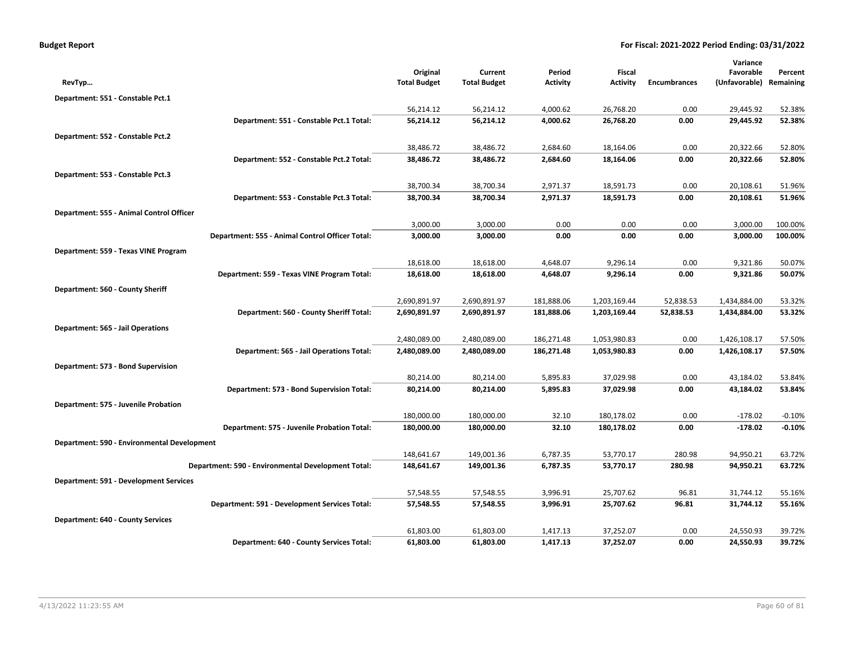|                                               |                                                    |                                 |                                |                           |                                  |                     | Variance                   |                      |
|-----------------------------------------------|----------------------------------------------------|---------------------------------|--------------------------------|---------------------------|----------------------------------|---------------------|----------------------------|----------------------|
| RevTyp                                        |                                                    | Original<br><b>Total Budget</b> | Current<br><b>Total Budget</b> | Period<br><b>Activity</b> | <b>Fiscal</b><br><b>Activity</b> | <b>Encumbrances</b> | Favorable<br>(Unfavorable) | Percent<br>Remaining |
|                                               |                                                    |                                 |                                |                           |                                  |                     |                            |                      |
| Department: 551 - Constable Pct.1             |                                                    | 56,214.12                       | 56,214.12                      | 4,000.62                  | 26,768.20                        | 0.00                | 29,445.92                  | 52.38%               |
|                                               | Department: 551 - Constable Pct.1 Total:           | 56,214.12                       | 56,214.12                      | 4,000.62                  | 26,768.20                        | 0.00                | 29,445.92                  | 52.38%               |
|                                               |                                                    |                                 |                                |                           |                                  |                     |                            |                      |
| Department: 552 - Constable Pct.2             |                                                    | 38,486.72                       | 38,486.72                      | 2,684.60                  | 18,164.06                        | 0.00                | 20,322.66                  | 52.80%               |
|                                               | Department: 552 - Constable Pct.2 Total:           | 38,486.72                       | 38,486.72                      | 2,684.60                  | 18,164.06                        | 0.00                | 20,322.66                  | 52.80%               |
| Department: 553 - Constable Pct.3             |                                                    |                                 |                                |                           |                                  |                     |                            |                      |
|                                               |                                                    | 38,700.34                       | 38,700.34                      | 2,971.37                  | 18,591.73                        | 0.00                | 20,108.61                  | 51.96%               |
|                                               | Department: 553 - Constable Pct.3 Total:           | 38,700.34                       | 38,700.34                      | 2,971.37                  | 18,591.73                        | 0.00                | 20,108.61                  | 51.96%               |
| Department: 555 - Animal Control Officer      |                                                    |                                 |                                |                           |                                  |                     |                            |                      |
|                                               |                                                    | 3,000.00                        | 3,000.00                       | 0.00                      | 0.00                             | 0.00                | 3,000.00                   | 100.00%              |
|                                               | Department: 555 - Animal Control Officer Total:    | 3,000.00                        | 3,000.00                       | 0.00                      | 0.00                             | 0.00                | 3,000.00                   | 100.00%              |
| Department: 559 - Texas VINE Program          |                                                    |                                 |                                |                           |                                  |                     |                            |                      |
|                                               |                                                    | 18,618.00                       | 18,618.00                      | 4,648.07                  | 9,296.14                         | 0.00                | 9,321.86                   | 50.07%               |
|                                               | Department: 559 - Texas VINE Program Total:        | 18,618.00                       | 18,618.00                      | 4,648.07                  | 9,296.14                         | 0.00                | 9,321.86                   | 50.07%               |
| Department: 560 - County Sheriff              |                                                    |                                 |                                |                           |                                  |                     |                            |                      |
|                                               |                                                    | 2,690,891.97                    | 2,690,891.97                   | 181,888.06                | 1,203,169.44                     | 52,838.53           | 1,434,884.00               | 53.32%               |
|                                               | Department: 560 - County Sheriff Total:            | 2,690,891.97                    | 2,690,891.97                   | 181,888.06                | 1,203,169.44                     | 52,838.53           | 1,434,884.00               | 53.32%               |
| Department: 565 - Jail Operations             |                                                    |                                 |                                |                           |                                  |                     |                            |                      |
|                                               |                                                    | 2,480,089.00                    | 2,480,089.00                   | 186,271.48                | 1,053,980.83                     | 0.00                | 1,426,108.17               | 57.50%               |
|                                               | Department: 565 - Jail Operations Total:           | 2,480,089.00                    | 2,480,089.00                   | 186,271.48                | 1,053,980.83                     | 0.00                | 1,426,108.17               | 57.50%               |
| Department: 573 - Bond Supervision            |                                                    |                                 |                                |                           |                                  |                     |                            |                      |
|                                               |                                                    | 80,214.00                       | 80,214.00                      | 5,895.83                  | 37,029.98                        | 0.00                | 43,184.02                  | 53.84%               |
|                                               | Department: 573 - Bond Supervision Total:          | 80,214.00                       | 80,214.00                      | 5,895.83                  | 37,029.98                        | 0.00                | 43,184.02                  | 53.84%               |
| Department: 575 - Juvenile Probation          |                                                    |                                 |                                |                           |                                  |                     |                            |                      |
|                                               |                                                    | 180,000.00                      | 180,000.00                     | 32.10                     | 180,178.02                       | 0.00                | $-178.02$                  | $-0.10%$             |
|                                               | Department: 575 - Juvenile Probation Total:        | 180,000.00                      | 180,000.00                     | 32.10                     | 180,178.02                       | 0.00                | $-178.02$                  | $-0.10%$             |
| Department: 590 - Environmental Development   |                                                    |                                 |                                |                           |                                  |                     |                            |                      |
|                                               |                                                    | 148,641.67                      | 149,001.36                     | 6,787.35                  | 53,770.17                        | 280.98              | 94,950.21                  | 63.72%               |
|                                               | Department: 590 - Environmental Development Total: | 148,641.67                      | 149,001.36                     | 6,787.35                  | 53,770.17                        | 280.98              | 94,950.21                  | 63.72%               |
| <b>Department: 591 - Development Services</b> |                                                    |                                 |                                |                           |                                  |                     |                            |                      |
|                                               |                                                    | 57,548.55                       | 57,548.55                      | 3,996.91                  | 25,707.62                        | 96.81               | 31,744.12                  | 55.16%               |
|                                               | Department: 591 - Development Services Total:      | 57,548.55                       | 57,548.55                      | 3,996.91                  | 25,707.62                        | 96.81               | 31,744.12                  | 55.16%               |
| Department: 640 - County Services             |                                                    |                                 |                                |                           |                                  |                     |                            |                      |
|                                               |                                                    | 61,803.00                       | 61,803.00                      | 1,417.13                  | 37,252.07                        | 0.00                | 24,550.93                  | 39.72%               |
|                                               | Department: 640 - County Services Total:           | 61,803.00                       | 61,803.00                      | 1,417.13                  | 37,252.07                        | 0.00                | 24,550.93                  | 39.72%               |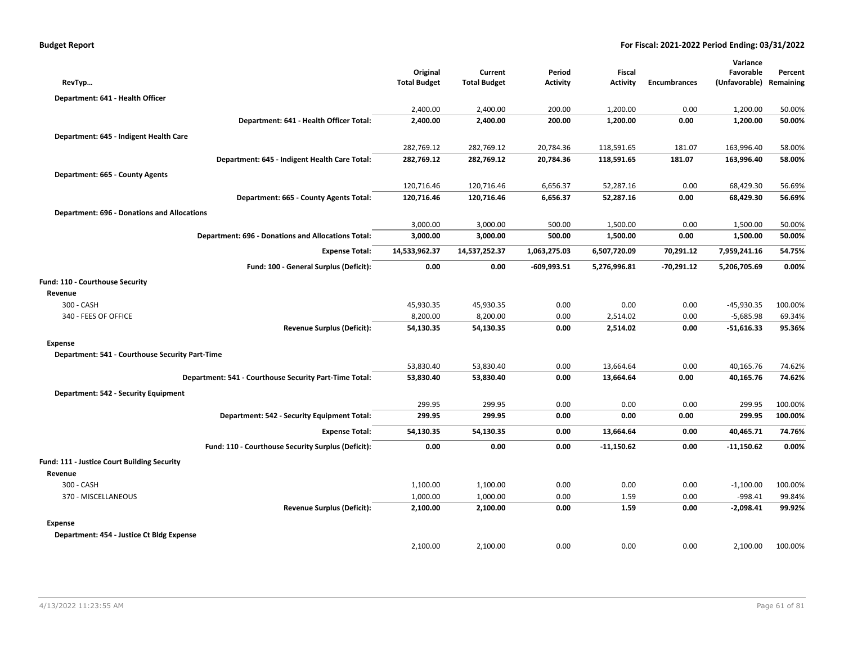| RevTyp                                             |                                                        | Original<br><b>Total Budget</b> | Current<br><b>Total Budget</b> | Period<br><b>Activity</b> | Fiscal<br><b>Activity</b> | <b>Encumbrances</b> | Variance<br>Favorable<br>(Unfavorable) Remaining | Percent |
|----------------------------------------------------|--------------------------------------------------------|---------------------------------|--------------------------------|---------------------------|---------------------------|---------------------|--------------------------------------------------|---------|
| Department: 641 - Health Officer                   |                                                        |                                 |                                |                           |                           |                     |                                                  |         |
|                                                    |                                                        | 2,400.00                        | 2,400.00                       | 200.00                    | 1,200.00                  | 0.00                | 1,200.00                                         | 50.00%  |
|                                                    | Department: 641 - Health Officer Total:                | 2,400.00                        | 2,400.00                       | 200.00                    | 1,200.00                  | 0.00                | 1,200.00                                         | 50.00%  |
| Department: 645 - Indigent Health Care             |                                                        |                                 |                                |                           |                           |                     |                                                  |         |
|                                                    |                                                        | 282,769.12                      | 282,769.12                     | 20,784.36                 | 118,591.65                | 181.07              | 163,996.40                                       | 58.00%  |
|                                                    | Department: 645 - Indigent Health Care Total:          | 282,769.12                      | 282,769.12                     | 20,784.36                 | 118,591.65                | 181.07              | 163,996.40                                       | 58.00%  |
| Department: 665 - County Agents                    |                                                        |                                 |                                |                           |                           |                     |                                                  |         |
|                                                    |                                                        | 120,716.46                      | 120,716.46                     | 6,656.37                  | 52,287.16                 | 0.00                | 68,429.30                                        | 56.69%  |
|                                                    | Department: 665 - County Agents Total:                 | 120,716.46                      | 120,716.46                     | 6,656.37                  | 52,287.16                 | 0.00                | 68,429.30                                        | 56.69%  |
| <b>Department: 696 - Donations and Allocations</b> |                                                        |                                 |                                |                           |                           |                     |                                                  |         |
|                                                    |                                                        | 3,000.00                        | 3,000.00                       | 500.00                    | 1,500.00                  | 0.00                | 1,500.00                                         | 50.00%  |
|                                                    | Department: 696 - Donations and Allocations Total:     | 3,000.00                        | 3,000.00                       | 500.00                    | 1,500.00                  | 0.00                | 1,500.00                                         | 50.00%  |
|                                                    | <b>Expense Total:</b>                                  | 14,533,962.37                   | 14,537,252.37                  | 1,063,275.03              | 6,507,720.09              | 70,291.12           | 7,959,241.16                                     | 54.75%  |
|                                                    | Fund: 100 - General Surplus (Deficit):                 | 0.00                            | 0.00                           | $-609,993.51$             | 5,276,996.81              | -70,291.12          | 5,206,705.69                                     | 0.00%   |
|                                                    |                                                        |                                 |                                |                           |                           |                     |                                                  |         |
| Fund: 110 - Courthouse Security                    |                                                        |                                 |                                |                           |                           |                     |                                                  |         |
| Revenue<br>300 - CASH                              |                                                        | 45,930.35                       | 45,930.35                      | 0.00                      | 0.00                      | 0.00                | -45,930.35                                       | 100.00% |
| 340 - FEES OF OFFICE                               |                                                        | 8,200.00                        | 8,200.00                       | 0.00                      | 2,514.02                  | 0.00                | $-5,685.98$                                      | 69.34%  |
|                                                    | <b>Revenue Surplus (Deficit):</b>                      | 54,130.35                       | 54,130.35                      | 0.00                      | 2,514.02                  | 0.00                | $-51,616.33$                                     | 95.36%  |
| <b>Expense</b>                                     |                                                        |                                 |                                |                           |                           |                     |                                                  |         |
| Department: 541 - Courthouse Security Part-Time    |                                                        |                                 |                                |                           |                           |                     |                                                  |         |
|                                                    |                                                        | 53,830.40                       | 53,830.40                      | 0.00                      | 13,664.64                 | 0.00                | 40,165.76                                        | 74.62%  |
|                                                    | Department: 541 - Courthouse Security Part-Time Total: | 53,830.40                       | 53,830.40                      | 0.00                      | 13,664.64                 | 0.00                | 40,165.76                                        | 74.62%  |
| Department: 542 - Security Equipment               |                                                        |                                 |                                |                           |                           |                     |                                                  |         |
|                                                    |                                                        | 299.95                          | 299.95                         | 0.00                      | 0.00                      | 0.00                | 299.95                                           | 100.00% |
|                                                    | Department: 542 - Security Equipment Total:            | 299.95                          | 299.95                         | 0.00                      | 0.00                      | 0.00                | 299.95                                           | 100.00% |
|                                                    | <b>Expense Total:</b>                                  | 54,130.35                       | 54,130.35                      | 0.00                      | 13,664.64                 | 0.00                | 40,465.71                                        | 74.76%  |
|                                                    | Fund: 110 - Courthouse Security Surplus (Deficit):     | 0.00                            | 0.00                           | 0.00                      | $-11,150.62$              | 0.00                | $-11,150.62$                                     | 0.00%   |
| Fund: 111 - Justice Court Building Security        |                                                        |                                 |                                |                           |                           |                     |                                                  |         |
| Revenue                                            |                                                        |                                 |                                |                           |                           |                     |                                                  |         |
| 300 - CASH                                         |                                                        | 1,100.00                        | 1,100.00                       | 0.00                      | 0.00                      | 0.00                | $-1,100.00$                                      | 100.00% |
| 370 - MISCELLANEOUS                                |                                                        | 1,000.00                        | 1,000.00                       | 0.00                      | 1.59                      | 0.00                | $-998.41$                                        | 99.84%  |
|                                                    | <b>Revenue Surplus (Deficit):</b>                      | 2,100.00                        | 2,100.00                       | 0.00                      | 1.59                      | 0.00                | $-2,098.41$                                      | 99.92%  |
| <b>Expense</b>                                     |                                                        |                                 |                                |                           |                           |                     |                                                  |         |
| Department: 454 - Justice Ct Bldg Expense          |                                                        |                                 |                                |                           |                           |                     |                                                  |         |
|                                                    |                                                        | 2,100.00                        | 2,100.00                       | 0.00                      | 0.00                      | 0.00                | 2,100.00                                         | 100.00% |
|                                                    |                                                        |                                 |                                |                           |                           |                     |                                                  |         |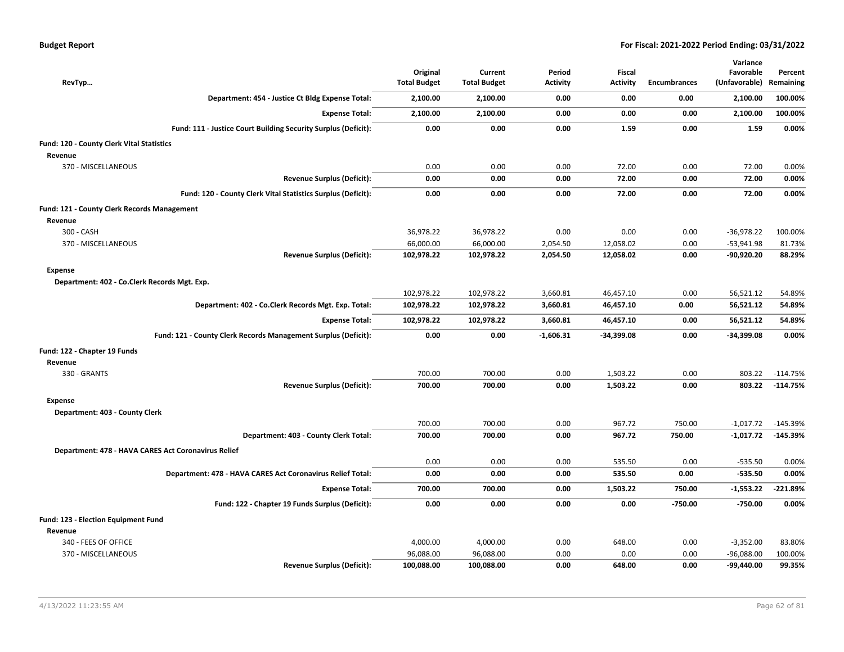| <b>Budget Report</b> |  |  |  |  |
|----------------------|--|--|--|--|
|----------------------|--|--|--|--|

| RevTyp                                              |                                                                | Original<br><b>Total Budget</b> | Current<br><b>Total Budget</b> | Period<br><b>Activity</b> | <b>Fiscal</b><br><b>Activity</b> | <b>Encumbrances</b> | Variance<br>Favorable<br>(Unfavorable) | Percent<br>Remaining |
|-----------------------------------------------------|----------------------------------------------------------------|---------------------------------|--------------------------------|---------------------------|----------------------------------|---------------------|----------------------------------------|----------------------|
|                                                     | Department: 454 - Justice Ct Bldg Expense Total:               | 2,100.00                        | 2,100.00                       | 0.00                      | 0.00                             | 0.00                | 2,100.00                               | 100.00%              |
|                                                     | <b>Expense Total:</b>                                          | 2,100.00                        | 2,100.00                       | 0.00                      | 0.00                             | 0.00                | 2,100.00                               | 100.00%              |
|                                                     | Fund: 111 - Justice Court Building Security Surplus (Deficit): | 0.00                            | 0.00                           | 0.00                      | 1.59                             | 0.00                | 1.59                                   | 0.00%                |
| Fund: 120 - County Clerk Vital Statistics           |                                                                |                                 |                                |                           |                                  |                     |                                        |                      |
| Revenue                                             |                                                                |                                 |                                |                           |                                  |                     |                                        |                      |
| 370 - MISCELLANEOUS                                 |                                                                | 0.00                            | 0.00                           | 0.00                      | 72.00                            | 0.00                | 72.00                                  | 0.00%                |
|                                                     | <b>Revenue Surplus (Deficit):</b>                              | 0.00                            | 0.00                           | 0.00                      | 72.00                            | 0.00                | 72.00                                  | 0.00%                |
|                                                     | Fund: 120 - County Clerk Vital Statistics Surplus (Deficit):   | 0.00                            | 0.00                           | 0.00                      | 72.00                            | 0.00                | 72.00                                  | 0.00%                |
| Fund: 121 - County Clerk Records Management         |                                                                |                                 |                                |                           |                                  |                     |                                        |                      |
| Revenue                                             |                                                                |                                 |                                |                           |                                  |                     |                                        |                      |
| 300 - CASH                                          |                                                                | 36,978.22                       | 36,978.22                      | 0.00                      | 0.00                             | 0.00                | $-36,978.22$                           | 100.00%              |
| 370 - MISCELLANEOUS                                 |                                                                | 66,000.00                       | 66,000.00                      | 2,054.50                  | 12,058.02                        | 0.00                | $-53,941.98$                           | 81.73%               |
|                                                     | <b>Revenue Surplus (Deficit):</b>                              | 102,978.22                      | 102,978.22                     | 2,054.50                  | 12,058.02                        | 0.00                | -90,920.20                             | 88.29%               |
| <b>Expense</b>                                      |                                                                |                                 |                                |                           |                                  |                     |                                        |                      |
| Department: 402 - Co.Clerk Records Mgt. Exp.        |                                                                |                                 |                                |                           |                                  |                     |                                        |                      |
|                                                     |                                                                | 102,978.22                      | 102,978.22                     | 3,660.81                  | 46,457.10                        | 0.00                | 56,521.12                              | 54.89%               |
|                                                     | Department: 402 - Co.Clerk Records Mgt. Exp. Total:            | 102,978.22                      | 102,978.22                     | 3,660.81                  | 46,457.10                        | 0.00                | 56,521.12                              | 54.89%               |
|                                                     | <b>Expense Total:</b>                                          | 102,978.22                      | 102,978.22                     | 3,660.81                  | 46,457.10                        | 0.00                | 56,521.12                              | 54.89%               |
|                                                     | Fund: 121 - County Clerk Records Management Surplus (Deficit): | 0.00                            | 0.00                           | $-1,606.31$               | $-34,399.08$                     | 0.00                | $-34,399.08$                           | 0.00%                |
| Fund: 122 - Chapter 19 Funds                        |                                                                |                                 |                                |                           |                                  |                     |                                        |                      |
| Revenue                                             |                                                                |                                 |                                |                           |                                  |                     |                                        |                      |
| 330 - GRANTS                                        |                                                                | 700.00                          | 700.00                         | 0.00                      | 1,503.22                         | 0.00                | 803.22                                 | $-114.75%$           |
|                                                     | <b>Revenue Surplus (Deficit):</b>                              | 700.00                          | 700.00                         | 0.00                      | 1,503.22                         | 0.00                | 803.22                                 | $-114.75%$           |
| <b>Expense</b>                                      |                                                                |                                 |                                |                           |                                  |                     |                                        |                      |
| Department: 403 - County Clerk                      |                                                                |                                 |                                |                           |                                  |                     |                                        |                      |
|                                                     |                                                                | 700.00                          | 700.00                         | 0.00                      | 967.72                           | 750.00              | $-1,017.72$                            | $-145.39%$           |
|                                                     | Department: 403 - County Clerk Total:                          | 700.00                          | 700.00                         | 0.00                      | 967.72                           | 750.00              | $-1,017.72$                            | $-145.39%$           |
| Department: 478 - HAVA CARES Act Coronavirus Relief |                                                                |                                 |                                |                           |                                  |                     |                                        |                      |
|                                                     |                                                                | 0.00                            | 0.00                           | 0.00                      | 535.50                           | 0.00                | $-535.50$                              | 0.00%                |
|                                                     | Department: 478 - HAVA CARES Act Coronavirus Relief Total:     | 0.00                            | 0.00                           | 0.00                      | 535.50                           | 0.00                | $-535.50$                              | 0.00%                |
|                                                     | <b>Expense Total:</b>                                          | 700.00                          | 700.00                         | 0.00                      | 1,503.22                         | 750.00              | $-1,553.22$                            | $-221.89%$           |
|                                                     | Fund: 122 - Chapter 19 Funds Surplus (Deficit):                | 0.00                            | 0.00                           | 0.00                      | 0.00                             | $-750.00$           | $-750.00$                              | 0.00%                |
| Fund: 123 - Election Equipment Fund                 |                                                                |                                 |                                |                           |                                  |                     |                                        |                      |
| Revenue                                             |                                                                |                                 |                                |                           |                                  |                     |                                        |                      |
| 340 - FEES OF OFFICE                                |                                                                | 4,000.00                        | 4,000.00                       | 0.00                      | 648.00                           | 0.00                | $-3,352.00$                            | 83.80%               |
| 370 - MISCELLANEOUS                                 |                                                                | 96,088.00                       | 96,088.00                      | 0.00                      | 0.00                             | 0.00                | $-96,088.00$                           | 100.00%              |
|                                                     | <b>Revenue Surplus (Deficit):</b>                              | 100,088.00                      | 100,088.00                     | 0.00                      | 648.00                           | 0.00                | -99,440.00                             | 99.35%               |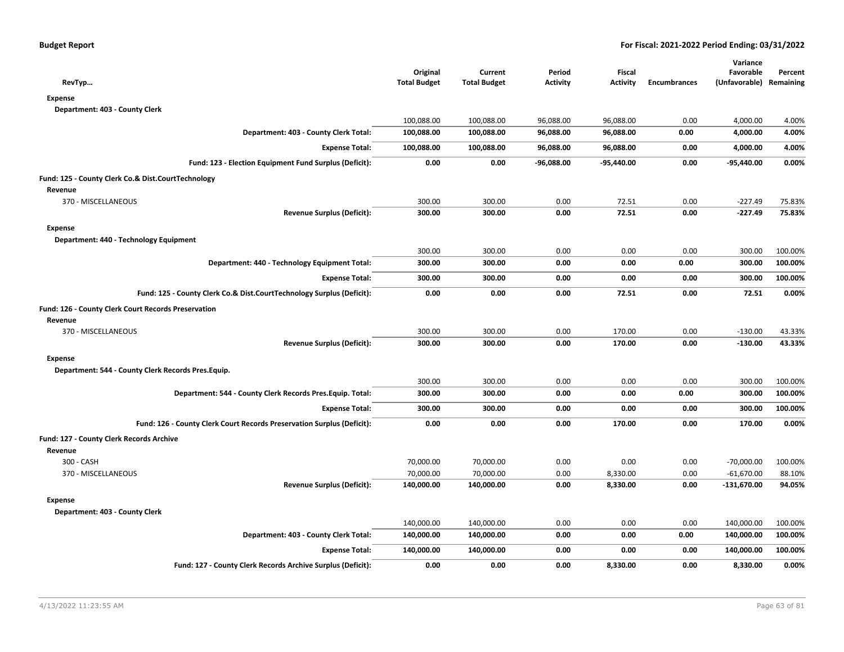| RevTyp                                                                 | Original<br><b>Total Budget</b> | Current<br><b>Total Budget</b> | Period<br><b>Activity</b> | Fiscal<br><b>Activity</b> | <b>Encumbrances</b> | Variance<br>Favorable<br>(Unfavorable) Remaining | Percent |
|------------------------------------------------------------------------|---------------------------------|--------------------------------|---------------------------|---------------------------|---------------------|--------------------------------------------------|---------|
| <b>Expense</b>                                                         |                                 |                                |                           |                           |                     |                                                  |         |
| Department: 403 - County Clerk                                         |                                 |                                |                           |                           |                     |                                                  |         |
|                                                                        | 100,088.00                      | 100,088.00                     | 96,088.00                 | 96,088.00                 | 0.00                | 4,000.00                                         | 4.00%   |
| Department: 403 - County Clerk Total:                                  | 100,088.00                      | 100,088.00                     | 96,088.00                 | 96,088.00                 | 0.00                | 4,000.00                                         | 4.00%   |
| <b>Expense Total:</b>                                                  | 100,088.00                      | 100,088.00                     | 96,088.00                 | 96,088.00                 | 0.00                | 4,000.00                                         | 4.00%   |
| Fund: 123 - Election Equipment Fund Surplus (Deficit):                 | 0.00                            | 0.00                           | -96,088.00                | $-95,440.00$              | 0.00                | -95,440.00                                       | 0.00%   |
| Fund: 125 - County Clerk Co.& Dist.CourtTechnology                     |                                 |                                |                           |                           |                     |                                                  |         |
| Revenue                                                                |                                 |                                |                           |                           |                     |                                                  |         |
| 370 - MISCELLANEOUS                                                    | 300.00                          | 300.00                         | 0.00                      | 72.51                     | 0.00                | $-227.49$                                        | 75.83%  |
| <b>Revenue Surplus (Deficit):</b>                                      | 300.00                          | 300.00                         | 0.00                      | 72.51                     | 0.00                | $-227.49$                                        | 75.83%  |
| <b>Expense</b>                                                         |                                 |                                |                           |                           |                     |                                                  |         |
| Department: 440 - Technology Equipment                                 |                                 |                                |                           |                           |                     |                                                  |         |
|                                                                        | 300.00                          | 300.00                         | 0.00                      | 0.00                      | 0.00                | 300.00                                           | 100.00% |
| Department: 440 - Technology Equipment Total:                          | 300.00                          | 300.00                         | 0.00                      | 0.00                      | 0.00                | 300.00                                           | 100.00% |
| <b>Expense Total:</b>                                                  | 300.00                          | 300.00                         | 0.00                      | 0.00                      | 0.00                | 300.00                                           | 100.00% |
| Fund: 125 - County Clerk Co.& Dist.CourtTechnology Surplus (Deficit):  | 0.00                            | 0.00                           | 0.00                      | 72.51                     | 0.00                | 72.51                                            | 0.00%   |
| Fund: 126 - County Clerk Court Records Preservation                    |                                 |                                |                           |                           |                     |                                                  |         |
| Revenue                                                                |                                 |                                |                           |                           |                     |                                                  |         |
| 370 - MISCELLANEOUS                                                    | 300.00                          | 300.00                         | 0.00                      | 170.00                    | 0.00                | $-130.00$                                        | 43.33%  |
| <b>Revenue Surplus (Deficit):</b>                                      | 300.00                          | 300.00                         | 0.00                      | 170.00                    | 0.00                | $-130.00$                                        | 43.33%  |
| <b>Expense</b>                                                         |                                 |                                |                           |                           |                     |                                                  |         |
| Department: 544 - County Clerk Records Pres. Equip.                    |                                 |                                |                           |                           |                     |                                                  |         |
|                                                                        | 300.00                          | 300.00                         | 0.00                      | 0.00                      | 0.00                | 300.00                                           | 100.00% |
| Department: 544 - County Clerk Records Pres. Equip. Total:             | 300.00                          | 300.00                         | 0.00                      | 0.00                      | 0.00                | 300.00                                           | 100.00% |
| <b>Expense Total:</b>                                                  | 300.00                          | 300.00                         | 0.00                      | 0.00                      | 0.00                | 300.00                                           | 100.00% |
| Fund: 126 - County Clerk Court Records Preservation Surplus (Deficit): | 0.00                            | 0.00                           | 0.00                      | 170.00                    | 0.00                | 170.00                                           | 0.00%   |
| Fund: 127 - County Clerk Records Archive                               |                                 |                                |                           |                           |                     |                                                  |         |
| Revenue                                                                |                                 |                                |                           |                           |                     |                                                  |         |
| 300 - CASH                                                             | 70,000.00                       | 70,000.00                      | 0.00                      | 0.00                      | 0.00                | $-70,000.00$                                     | 100.00% |
| 370 - MISCELLANEOUS                                                    | 70,000.00                       | 70,000.00                      | 0.00                      | 8,330.00                  | 0.00                | $-61,670.00$                                     | 88.10%  |
| <b>Revenue Surplus (Deficit):</b>                                      | 140,000.00                      | 140,000.00                     | 0.00                      | 8,330.00                  | 0.00                | $-131,670.00$                                    | 94.05%  |
| <b>Expense</b>                                                         |                                 |                                |                           |                           |                     |                                                  |         |
| Department: 403 - County Clerk                                         |                                 |                                |                           |                           |                     |                                                  |         |
|                                                                        | 140,000.00                      | 140,000.00                     | 0.00                      | 0.00                      | 0.00                | 140,000.00                                       | 100.00% |
| Department: 403 - County Clerk Total:                                  | 140,000.00                      | 140,000.00                     | 0.00                      | 0.00                      | 0.00                | 140,000.00                                       | 100.00% |
| <b>Expense Total:</b>                                                  | 140,000.00                      | 140,000.00                     | 0.00                      | 0.00                      | 0.00                | 140,000.00                                       | 100.00% |
| Fund: 127 - County Clerk Records Archive Surplus (Deficit):            | 0.00                            | 0.00                           | 0.00                      | 8,330.00                  | 0.00                | 8,330.00                                         | 0.00%   |
|                                                                        |                                 |                                |                           |                           |                     |                                                  |         |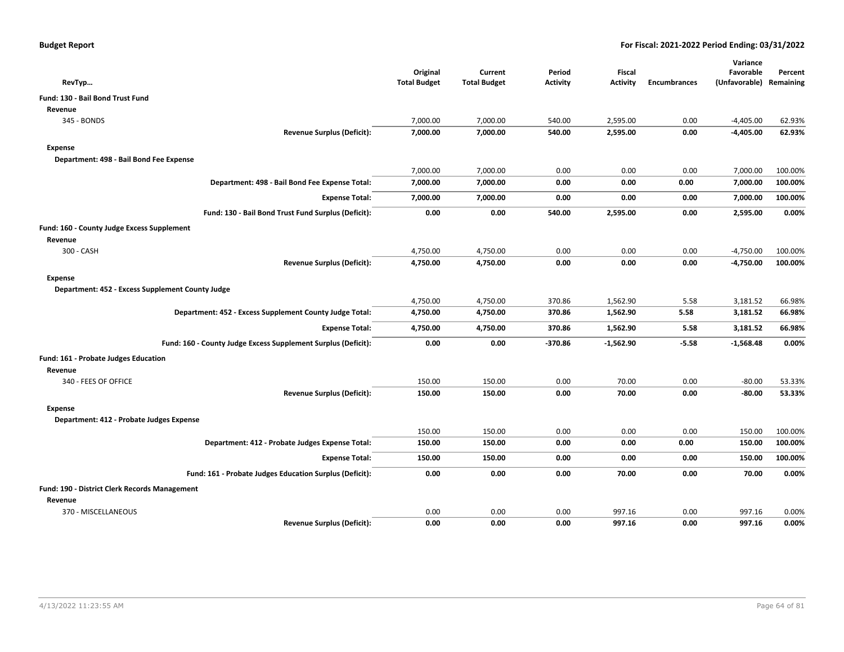|                                                               | Original            | Current             | Period          | <b>Fiscal</b>   |                     | Variance<br>Favorable | Percent   |
|---------------------------------------------------------------|---------------------|---------------------|-----------------|-----------------|---------------------|-----------------------|-----------|
| RevTyp                                                        | <b>Total Budget</b> | <b>Total Budget</b> | <b>Activity</b> | <b>Activity</b> | <b>Encumbrances</b> | (Unfavorable)         | Remaining |
| <b>Fund: 130 - Bail Bond Trust Fund</b>                       |                     |                     |                 |                 |                     |                       |           |
| Revenue                                                       |                     |                     |                 |                 |                     |                       |           |
| 345 - BONDS                                                   | 7,000.00            | 7,000.00            | 540.00          | 2,595.00        | 0.00                | $-4,405.00$           | 62.93%    |
| <b>Revenue Surplus (Deficit):</b>                             | 7,000.00            | 7,000.00            | 540.00          | 2,595.00        | 0.00                | $-4,405.00$           | 62.93%    |
| Expense                                                       |                     |                     |                 |                 |                     |                       |           |
| Department: 498 - Bail Bond Fee Expense                       |                     |                     |                 |                 |                     |                       |           |
|                                                               | 7,000.00            | 7,000.00            | 0.00            | 0.00            | 0.00                | 7,000.00              | 100.00%   |
| Department: 498 - Bail Bond Fee Expense Total:                | 7,000.00            | 7,000.00            | 0.00            | 0.00            | 0.00                | 7,000.00              | 100.00%   |
| <b>Expense Total:</b>                                         | 7,000.00            | 7,000.00            | 0.00            | 0.00            | 0.00                | 7,000.00              | 100.00%   |
| Fund: 130 - Bail Bond Trust Fund Surplus (Deficit):           | 0.00                | 0.00                | 540.00          | 2,595.00        | 0.00                | 2,595.00              | 0.00%     |
| Fund: 160 - County Judge Excess Supplement                    |                     |                     |                 |                 |                     |                       |           |
| Revenue                                                       |                     |                     |                 |                 |                     |                       |           |
| 300 - CASH                                                    | 4,750.00            | 4,750.00            | 0.00            | 0.00            | 0.00                | $-4,750.00$           | 100.00%   |
| <b>Revenue Surplus (Deficit):</b>                             | 4,750.00            | 4,750.00            | 0.00            | 0.00            | 0.00                | $-4,750.00$           | 100.00%   |
| Expense                                                       |                     |                     |                 |                 |                     |                       |           |
| Department: 452 - Excess Supplement County Judge              |                     |                     |                 |                 |                     |                       |           |
|                                                               | 4,750.00            | 4,750.00            | 370.86          | 1,562.90        | 5.58                | 3,181.52              | 66.98%    |
| Department: 452 - Excess Supplement County Judge Total:       | 4,750.00            | 4,750.00            | 370.86          | 1,562.90        | 5.58                | 3,181.52              | 66.98%    |
| <b>Expense Total:</b>                                         | 4,750.00            | 4,750.00            | 370.86          | 1,562.90        | 5.58                | 3,181.52              | 66.98%    |
| Fund: 160 - County Judge Excess Supplement Surplus (Deficit): | 0.00                | 0.00                | $-370.86$       | $-1,562.90$     | $-5.58$             | $-1,568.48$           | 0.00%     |
| Fund: 161 - Probate Judges Education                          |                     |                     |                 |                 |                     |                       |           |
| Revenue                                                       |                     |                     |                 |                 |                     |                       |           |
| 340 - FEES OF OFFICE                                          | 150.00              | 150.00              | 0.00            | 70.00           | 0.00                | $-80.00$              | 53.33%    |
| <b>Revenue Surplus (Deficit):</b>                             | 150.00              | 150.00              | 0.00            | 70.00           | 0.00                | $-80.00$              | 53.33%    |
| Expense                                                       |                     |                     |                 |                 |                     |                       |           |
| Department: 412 - Probate Judges Expense                      |                     |                     |                 |                 |                     |                       |           |
|                                                               | 150.00              | 150.00              | 0.00            | 0.00            | 0.00                | 150.00                | 100.00%   |
| Department: 412 - Probate Judges Expense Total:               | 150.00              | 150.00              | 0.00            | 0.00            | 0.00                | 150.00                | 100.00%   |
| <b>Expense Total:</b>                                         | 150.00              | 150.00              | 0.00            | 0.00            | 0.00                | 150.00                | 100.00%   |
| Fund: 161 - Probate Judges Education Surplus (Deficit):       | 0.00                | 0.00                | 0.00            | 70.00           | 0.00                | 70.00                 | 0.00%     |
| Fund: 190 - District Clerk Records Management                 |                     |                     |                 |                 |                     |                       |           |
| Revenue                                                       |                     |                     |                 |                 |                     |                       |           |
| 370 - MISCELLANEOUS                                           | 0.00                | 0.00                | 0.00            | 997.16          | 0.00                | 997.16                | 0.00%     |
| <b>Revenue Surplus (Deficit):</b>                             | 0.00                | 0.00                | 0.00            | 997.16          | 0.00                | 997.16                | 0.00%     |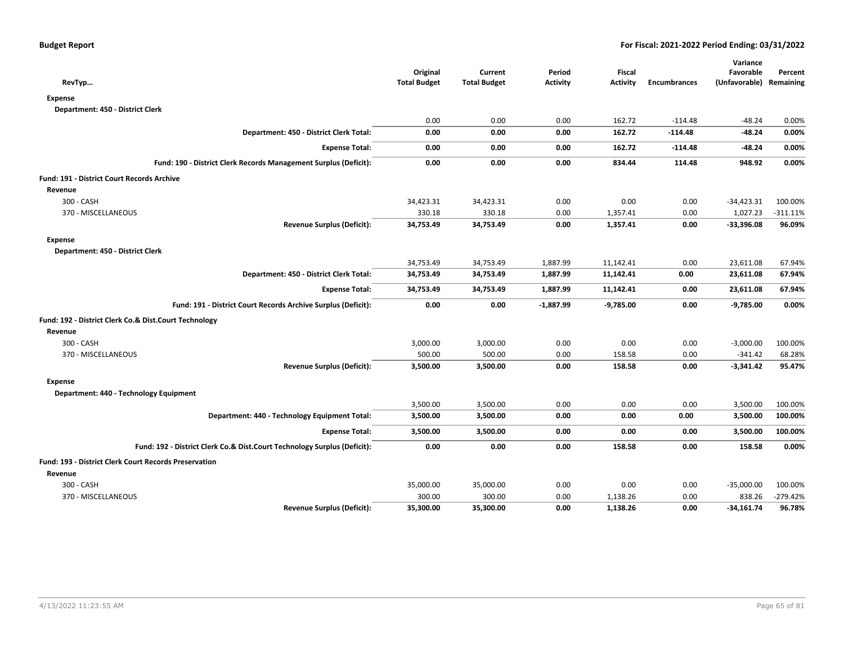| RevTyp                                                                   | Original<br><b>Total Budget</b> | Current<br><b>Total Budget</b> | Period<br>Activity | <b>Fiscal</b><br>Activity | <b>Encumbrances</b> | Variance<br>Favorable<br>(Unfavorable) Remaining | Percent     |
|--------------------------------------------------------------------------|---------------------------------|--------------------------------|--------------------|---------------------------|---------------------|--------------------------------------------------|-------------|
| <b>Expense</b>                                                           |                                 |                                |                    |                           |                     |                                                  |             |
| Department: 450 - District Clerk                                         |                                 |                                |                    |                           |                     |                                                  |             |
|                                                                          | 0.00                            | 0.00                           | 0.00               | 162.72                    | $-114.48$           | $-48.24$                                         | 0.00%       |
| Department: 450 - District Clerk Total:                                  | 0.00                            | 0.00                           | 0.00               | 162.72                    | $-114.48$           | $-48.24$                                         | 0.00%       |
| <b>Expense Total:</b>                                                    | 0.00                            | 0.00                           | 0.00               | 162.72                    | $-114.48$           | $-48.24$                                         | 0.00%       |
| Fund: 190 - District Clerk Records Management Surplus (Deficit):         | 0.00                            | 0.00                           | 0.00               | 834.44                    | 114.48              | 948.92                                           | 0.00%       |
| Fund: 191 - District Court Records Archive                               |                                 |                                |                    |                           |                     |                                                  |             |
| Revenue                                                                  |                                 |                                |                    |                           |                     |                                                  |             |
| 300 - CASH                                                               | 34,423.31                       | 34,423.31                      | 0.00               | 0.00                      | 0.00                | $-34,423.31$                                     | 100.00%     |
| 370 - MISCELLANEOUS                                                      | 330.18                          | 330.18                         | 0.00               | 1,357.41                  | 0.00                | 1,027.23                                         | $-311.11\%$ |
| <b>Revenue Surplus (Deficit):</b>                                        | 34,753.49                       | 34,753.49                      | 0.00               | 1,357.41                  | 0.00                | $-33,396.08$                                     | 96.09%      |
| <b>Expense</b>                                                           |                                 |                                |                    |                           |                     |                                                  |             |
| Department: 450 - District Clerk                                         |                                 |                                |                    |                           |                     |                                                  |             |
|                                                                          | 34,753.49                       | 34,753.49                      | 1,887.99           | 11,142.41                 | 0.00                | 23,611.08                                        | 67.94%      |
| Department: 450 - District Clerk Total:                                  | 34,753.49                       | 34,753.49                      | 1,887.99           | 11,142.41                 | 0.00                | 23,611.08                                        | 67.94%      |
| <b>Expense Total:</b>                                                    | 34,753.49                       | 34,753.49                      | 1,887.99           | 11,142.41                 | 0.00                | 23,611.08                                        | 67.94%      |
| Fund: 191 - District Court Records Archive Surplus (Deficit):            | 0.00                            | 0.00                           | $-1,887.99$        | $-9,785.00$               | 0.00                | $-9,785.00$                                      | 0.00%       |
| Fund: 192 - District Clerk Co.& Dist.Court Technology                    |                                 |                                |                    |                           |                     |                                                  |             |
| Revenue                                                                  |                                 |                                |                    |                           |                     |                                                  |             |
| 300 - CASH                                                               | 3,000.00                        | 3,000.00                       | 0.00               | 0.00                      | 0.00                | $-3,000.00$                                      | 100.00%     |
| 370 - MISCELLANEOUS                                                      | 500.00                          | 500.00                         | 0.00               | 158.58                    | 0.00                | $-341.42$                                        | 68.28%      |
| <b>Revenue Surplus (Deficit):</b>                                        | 3,500.00                        | 3,500.00                       | 0.00               | 158.58                    | 0.00                | $-3,341.42$                                      | 95.47%      |
| <b>Expense</b>                                                           |                                 |                                |                    |                           |                     |                                                  |             |
| Department: 440 - Technology Equipment                                   |                                 |                                |                    |                           |                     |                                                  |             |
|                                                                          | 3,500.00                        | 3,500.00                       | 0.00               | 0.00                      | 0.00                | 3,500.00                                         | 100.00%     |
| Department: 440 - Technology Equipment Total:                            | 3,500.00                        | 3,500.00                       | 0.00               | 0.00                      | 0.00                | 3,500.00                                         | 100.00%     |
| <b>Expense Total:</b>                                                    | 3,500.00                        | 3,500.00                       | 0.00               | 0.00                      | 0.00                | 3,500.00                                         | 100.00%     |
| Fund: 192 - District Clerk Co.& Dist.Court Technology Surplus (Deficit): | 0.00                            | 0.00                           | 0.00               | 158.58                    | 0.00                | 158.58                                           | 0.00%       |
| Fund: 193 - District Clerk Court Records Preservation                    |                                 |                                |                    |                           |                     |                                                  |             |
| Revenue                                                                  |                                 |                                |                    |                           |                     |                                                  |             |
| 300 - CASH                                                               | 35,000.00                       | 35,000.00                      | 0.00               | 0.00                      | 0.00                | $-35,000.00$                                     | 100.00%     |
| 370 - MISCELLANEOUS                                                      | 300.00                          | 300.00                         | 0.00               | 1,138.26                  | 0.00                | 838.26                                           | $-279.42%$  |
| <b>Revenue Surplus (Deficit):</b>                                        | 35,300.00                       | 35,300.00                      | 0.00               | 1,138.26                  | 0.00                | $-34,161.74$                                     | 96.78%      |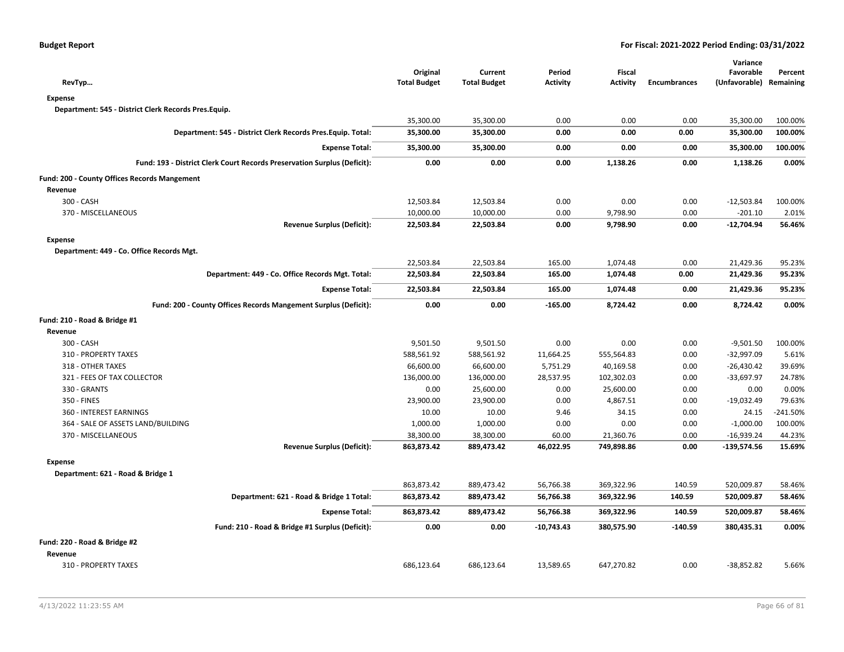| RevTyp                                                                   | Original<br><b>Total Budget</b> | Current<br><b>Total Budget</b> | Period<br><b>Activity</b> | Fiscal<br><b>Activity</b> | <b>Encumbrances</b> | Variance<br>Favorable<br>(Unfavorable) Remaining | Percent    |
|--------------------------------------------------------------------------|---------------------------------|--------------------------------|---------------------------|---------------------------|---------------------|--------------------------------------------------|------------|
| <b>Expense</b>                                                           |                                 |                                |                           |                           |                     |                                                  |            |
| Department: 545 - District Clerk Records Pres.Equip.                     |                                 |                                |                           |                           |                     |                                                  |            |
|                                                                          | 35,300.00                       | 35,300.00                      | 0.00                      | 0.00                      | 0.00                | 35,300.00                                        | 100.00%    |
| Department: 545 - District Clerk Records Pres. Equip. Total:             | 35,300.00                       | 35,300.00                      | 0.00                      | 0.00                      | 0.00                | 35,300.00                                        | 100.00%    |
|                                                                          |                                 |                                |                           |                           |                     |                                                  |            |
| <b>Expense Total:</b>                                                    | 35,300.00                       | 35,300.00                      | 0.00                      | 0.00                      | 0.00                | 35,300.00                                        | 100.00%    |
| Fund: 193 - District Clerk Court Records Preservation Surplus (Deficit): | 0.00                            | 0.00                           | 0.00                      | 1,138.26                  | 0.00                | 1,138.26                                         | 0.00%      |
| Fund: 200 - County Offices Records Mangement                             |                                 |                                |                           |                           |                     |                                                  |            |
| Revenue                                                                  |                                 |                                |                           |                           |                     |                                                  |            |
| 300 - CASH                                                               | 12,503.84                       | 12,503.84                      | 0.00                      | 0.00                      | 0.00                | $-12,503.84$                                     | 100.00%    |
| 370 - MISCELLANEOUS                                                      | 10,000.00                       | 10,000.00                      | 0.00                      | 9,798.90                  | 0.00                | $-201.10$                                        | 2.01%      |
| <b>Revenue Surplus (Deficit):</b>                                        | 22,503.84                       | 22,503.84                      | 0.00                      | 9,798.90                  | 0.00                | $-12,704.94$                                     | 56.46%     |
| <b>Expense</b>                                                           |                                 |                                |                           |                           |                     |                                                  |            |
| Department: 449 - Co. Office Records Mgt.                                |                                 |                                |                           |                           |                     |                                                  |            |
|                                                                          | 22,503.84                       | 22,503.84                      | 165.00                    | 1,074.48                  | 0.00                | 21,429.36                                        | 95.23%     |
| Department: 449 - Co. Office Records Mgt. Total:                         | 22,503.84                       | 22,503.84                      | 165.00                    | 1,074.48                  | 0.00                | 21,429.36                                        | 95.23%     |
| <b>Expense Total:</b>                                                    | 22,503.84                       | 22,503.84                      | 165.00                    | 1,074.48                  | 0.00                | 21,429.36                                        | 95.23%     |
| Fund: 200 - County Offices Records Mangement Surplus (Deficit):          | 0.00                            | 0.00                           | $-165.00$                 | 8,724.42                  | 0.00                | 8,724.42                                         | 0.00%      |
| Fund: 210 - Road & Bridge #1                                             |                                 |                                |                           |                           |                     |                                                  |            |
| Revenue                                                                  |                                 |                                |                           |                           |                     |                                                  |            |
| 300 - CASH                                                               | 9,501.50                        | 9,501.50                       | 0.00                      | 0.00                      | 0.00                | $-9,501.50$                                      | 100.00%    |
| 310 - PROPERTY TAXES                                                     | 588,561.92                      | 588,561.92                     | 11,664.25                 | 555,564.83                | 0.00                | $-32,997.09$                                     | 5.61%      |
| 318 - OTHER TAXES                                                        | 66,600.00                       | 66,600.00                      | 5,751.29                  | 40,169.58                 | 0.00                | $-26,430.42$                                     | 39.69%     |
| 321 - FEES OF TAX COLLECTOR                                              | 136,000.00                      | 136,000.00                     | 28,537.95                 | 102,302.03                | 0.00                | -33,697.97                                       | 24.78%     |
| 330 - GRANTS                                                             | 0.00                            | 25,600.00                      | 0.00                      | 25,600.00                 | 0.00                | 0.00                                             | 0.00%      |
| 350 - FINES                                                              | 23,900.00                       | 23,900.00                      | 0.00                      | 4,867.51                  | 0.00                | -19,032.49                                       | 79.63%     |
| 360 - INTEREST EARNINGS                                                  | 10.00                           | 10.00                          | 9.46                      | 34.15                     | 0.00                | 24.15                                            | $-241.50%$ |
| 364 - SALE OF ASSETS LAND/BUILDING                                       | 1,000.00                        | 1,000.00                       | 0.00                      | 0.00                      | 0.00                | $-1,000.00$                                      | 100.00%    |
| 370 - MISCELLANEOUS                                                      | 38,300.00                       | 38,300.00                      | 60.00                     | 21,360.76                 | 0.00                | $-16,939.24$                                     | 44.23%     |
| <b>Revenue Surplus (Deficit):</b>                                        | 863,873.42                      | 889,473.42                     | 46,022.95                 | 749,898.86                | 0.00                | $-139,574.56$                                    | 15.69%     |
| <b>Expense</b>                                                           |                                 |                                |                           |                           |                     |                                                  |            |
| Department: 621 - Road & Bridge 1                                        |                                 |                                |                           |                           |                     |                                                  |            |
|                                                                          | 863,873.42                      | 889,473.42                     | 56,766.38                 | 369,322.96                | 140.59              | 520,009.87                                       | 58.46%     |
| Department: 621 - Road & Bridge 1 Total:                                 | 863,873.42                      | 889,473.42                     | 56,766.38                 | 369,322.96                | 140.59              | 520,009.87                                       | 58.46%     |
| <b>Expense Total:</b>                                                    | 863,873.42                      | 889,473.42                     | 56,766.38                 | 369,322.96                | 140.59              | 520,009.87                                       | 58.46%     |
| Fund: 210 - Road & Bridge #1 Surplus (Deficit):                          | 0.00                            | 0.00                           | -10,743.43                | 380,575.90                | $-140.59$           | 380,435.31                                       | 0.00%      |
| Fund: 220 - Road & Bridge #2                                             |                                 |                                |                           |                           |                     |                                                  |            |
| Revenue                                                                  |                                 |                                |                           |                           |                     |                                                  |            |
| 310 - PROPERTY TAXES                                                     | 686,123.64                      | 686,123.64                     | 13,589.65                 | 647,270.82                | 0.00                | -38,852.82                                       | 5.66%      |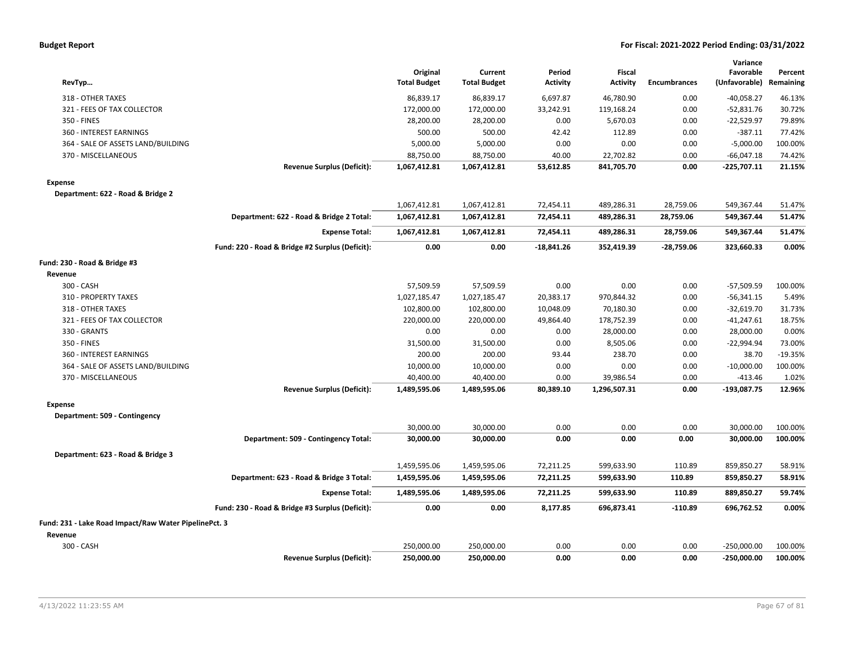|  |  |  | <b>Budget Report</b> |
|--|--|--|----------------------|
|--|--|--|----------------------|

| RevTyp                                                |                                                 | Original<br><b>Total Budget</b> | Current<br><b>Total Budget</b> | Period<br><b>Activity</b> | Fiscal<br><b>Activity</b> | <b>Encumbrances</b> | Variance<br>Favorable<br>(Unfavorable) | Percent<br>Remaining |
|-------------------------------------------------------|-------------------------------------------------|---------------------------------|--------------------------------|---------------------------|---------------------------|---------------------|----------------------------------------|----------------------|
| 318 - OTHER TAXES                                     |                                                 | 86.839.17                       | 86,839.17                      | 6,697.87                  | 46,780.90                 | 0.00                | $-40,058.27$                           | 46.13%               |
| 321 - FEES OF TAX COLLECTOR                           |                                                 | 172,000.00                      | 172,000.00                     | 33,242.91                 | 119,168.24                | 0.00                | $-52,831.76$                           | 30.72%               |
| 350 - FINES                                           |                                                 | 28,200.00                       | 28,200.00                      | 0.00                      | 5,670.03                  | 0.00                | $-22,529.97$                           | 79.89%               |
| 360 - INTEREST EARNINGS                               |                                                 | 500.00                          | 500.00                         | 42.42                     | 112.89                    | 0.00                | $-387.11$                              | 77.42%               |
| 364 - SALE OF ASSETS LAND/BUILDING                    |                                                 | 5,000.00                        | 5,000.00                       | 0.00                      | 0.00                      | 0.00                | $-5,000.00$                            | 100.00%              |
| 370 - MISCELLANEOUS                                   |                                                 | 88,750.00                       | 88,750.00                      | 40.00                     | 22,702.82                 | 0.00                | $-66,047.18$                           | 74.42%               |
|                                                       | <b>Revenue Surplus (Deficit):</b>               | 1,067,412.81                    | 1,067,412.81                   | 53,612.85                 | 841,705.70                | 0.00                | $-225,707.11$                          | 21.15%               |
| <b>Expense</b>                                        |                                                 |                                 |                                |                           |                           |                     |                                        |                      |
| Department: 622 - Road & Bridge 2                     |                                                 |                                 |                                |                           |                           |                     |                                        |                      |
|                                                       |                                                 | 1,067,412.81                    | 1,067,412.81                   | 72,454.11                 | 489,286.31                | 28,759.06           | 549,367.44                             | 51.47%               |
|                                                       | Department: 622 - Road & Bridge 2 Total:        | 1,067,412.81                    | 1,067,412.81                   | 72,454.11                 | 489,286.31                | 28,759.06           | 549,367.44                             | 51.47%               |
|                                                       | <b>Expense Total:</b>                           | 1,067,412.81                    | 1,067,412.81                   | 72,454.11                 | 489,286.31                | 28,759.06           | 549,367.44                             | 51.47%               |
|                                                       | Fund: 220 - Road & Bridge #2 Surplus (Deficit): | 0.00                            | 0.00                           | -18,841.26                | 352,419.39                | $-28,759.06$        | 323,660.33                             | 0.00%                |
| Fund: 230 - Road & Bridge #3                          |                                                 |                                 |                                |                           |                           |                     |                                        |                      |
| Revenue                                               |                                                 |                                 |                                |                           |                           |                     |                                        |                      |
| 300 - CASH                                            |                                                 | 57,509.59                       | 57,509.59                      | 0.00                      | 0.00                      | 0.00                | -57,509.59                             | 100.00%              |
| 310 - PROPERTY TAXES                                  |                                                 | 1,027,185.47                    | 1,027,185.47                   | 20,383.17                 | 970,844.32                | 0.00                | $-56,341.15$                           | 5.49%                |
| 318 - OTHER TAXES                                     |                                                 | 102,800.00                      | 102,800.00                     | 10,048.09                 | 70,180.30                 | 0.00                | $-32,619.70$                           | 31.73%               |
| 321 - FEES OF TAX COLLECTOR                           |                                                 | 220,000.00                      | 220,000.00                     | 49,864.40                 | 178,752.39                | 0.00                | $-41,247.61$                           | 18.75%               |
| 330 - GRANTS                                          |                                                 | 0.00                            | 0.00                           | 0.00                      | 28,000.00                 | 0.00                | 28,000.00                              | 0.00%                |
| 350 - FINES                                           |                                                 | 31,500.00                       | 31,500.00                      | 0.00                      | 8,505.06                  | 0.00                | $-22,994.94$                           | 73.00%               |
| 360 - INTEREST EARNINGS                               |                                                 | 200.00                          | 200.00                         | 93.44                     | 238.70                    | 0.00                | 38.70                                  | $-19.35%$            |
| 364 - SALE OF ASSETS LAND/BUILDING                    |                                                 | 10,000.00                       | 10,000.00                      | 0.00                      | 0.00                      | 0.00                | $-10,000.00$                           | 100.00%              |
| 370 - MISCELLANEOUS                                   |                                                 | 40,400.00                       | 40,400.00                      | 0.00                      | 39,986.54                 | 0.00                | $-413.46$                              | 1.02%                |
|                                                       | <b>Revenue Surplus (Deficit):</b>               | 1,489,595.06                    | 1,489,595.06                   | 80,389.10                 | 1,296,507.31              | 0.00                | $-193,087.75$                          | 12.96%               |
| <b>Expense</b>                                        |                                                 |                                 |                                |                           |                           |                     |                                        |                      |
| Department: 509 - Contingency                         |                                                 |                                 |                                |                           |                           |                     |                                        |                      |
|                                                       |                                                 | 30,000.00                       | 30,000.00                      | 0.00                      | 0.00                      | 0.00                | 30,000.00                              | 100.00%              |
|                                                       | Department: 509 - Contingency Total:            | 30,000.00                       | 30,000.00                      | 0.00                      | 0.00                      | 0.00                | 30,000.00                              | 100.00%              |
| Department: 623 - Road & Bridge 3                     |                                                 |                                 |                                |                           |                           |                     |                                        |                      |
|                                                       |                                                 | 1,459,595.06                    | 1,459,595.06                   | 72,211.25                 | 599,633.90                | 110.89              | 859,850.27                             | 58.91%               |
|                                                       | Department: 623 - Road & Bridge 3 Total:        | 1,459,595.06                    | 1,459,595.06                   | 72,211.25                 | 599,633.90                | 110.89              | 859,850.27                             | 58.91%               |
|                                                       | <b>Expense Total:</b>                           | 1,489,595.06                    | 1,489,595.06                   | 72,211.25                 | 599,633.90                | 110.89              | 889,850.27                             | 59.74%               |
|                                                       | Fund: 230 - Road & Bridge #3 Surplus (Deficit): | 0.00                            | 0.00                           | 8,177.85                  | 696,873.41                | $-110.89$           | 696,762.52                             | 0.00%                |
| Fund: 231 - Lake Road Impact/Raw Water PipelinePct. 3 |                                                 |                                 |                                |                           |                           |                     |                                        |                      |
| Revenue                                               |                                                 |                                 |                                |                           |                           |                     |                                        |                      |
| 300 - CASH                                            |                                                 | 250,000.00                      | 250,000.00                     | 0.00                      | 0.00                      | 0.00                | $-250,000.00$                          | 100.00%              |
|                                                       | <b>Revenue Surplus (Deficit):</b>               | 250,000.00                      | 250,000.00                     | 0.00                      | 0.00                      | 0.00                | $-250,000.00$                          | 100.00%              |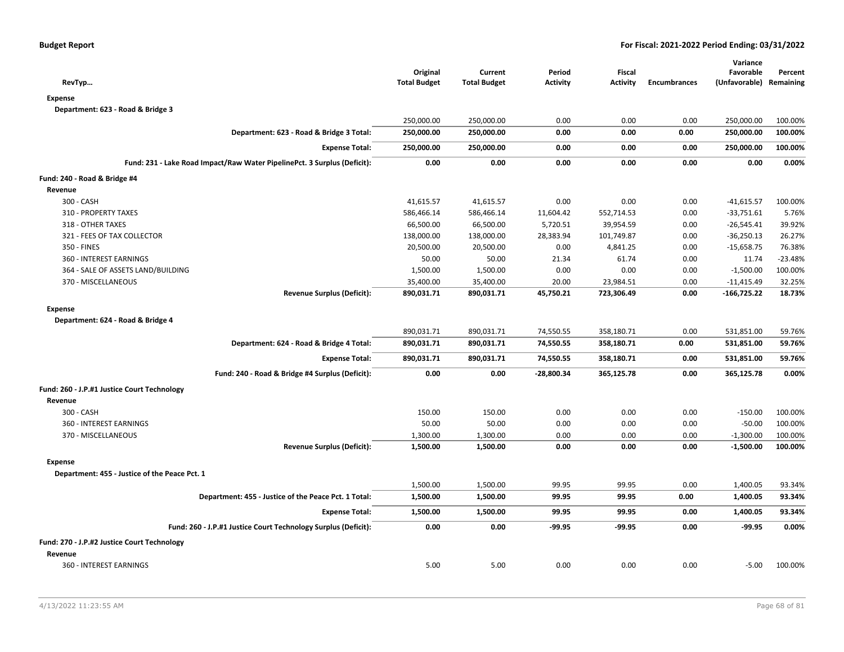| RevTyp                                                                   | Original<br><b>Total Budget</b> | Current<br><b>Total Budget</b> | Period<br><b>Activity</b> | <b>Fiscal</b><br><b>Activity</b> | <b>Encumbrances</b> | Variance<br>Favorable<br>(Unfavorable) Remaining | Percent   |
|--------------------------------------------------------------------------|---------------------------------|--------------------------------|---------------------------|----------------------------------|---------------------|--------------------------------------------------|-----------|
| <b>Expense</b>                                                           |                                 |                                |                           |                                  |                     |                                                  |           |
| Department: 623 - Road & Bridge 3                                        |                                 |                                |                           |                                  |                     |                                                  |           |
|                                                                          | 250,000.00                      | 250,000.00                     | 0.00                      | 0.00                             | 0.00                | 250,000.00                                       | 100.00%   |
| Department: 623 - Road & Bridge 3 Total:                                 | 250,000.00                      | 250,000.00                     | 0.00                      | 0.00                             | 0.00                | 250,000.00                                       | 100.00%   |
| <b>Expense Total:</b>                                                    | 250,000.00                      | 250,000.00                     | 0.00                      | 0.00                             | 0.00                | 250,000.00                                       | 100.00%   |
| Fund: 231 - Lake Road Impact/Raw Water PipelinePct. 3 Surplus (Deficit): | 0.00                            | 0.00                           | 0.00                      | 0.00                             | 0.00                | 0.00                                             | 0.00%     |
| Fund: 240 - Road & Bridge #4                                             |                                 |                                |                           |                                  |                     |                                                  |           |
| Revenue                                                                  |                                 |                                |                           |                                  |                     |                                                  |           |
| 300 - CASH                                                               | 41,615.57                       | 41,615.57                      | 0.00                      | 0.00                             | 0.00                | $-41,615.57$                                     | 100.00%   |
| 310 - PROPERTY TAXES                                                     | 586,466.14                      | 586,466.14                     | 11,604.42                 | 552,714.53                       | 0.00                | $-33,751.61$                                     | 5.76%     |
| 318 - OTHER TAXES                                                        | 66,500.00                       | 66,500.00                      | 5,720.51                  | 39,954.59                        | 0.00                | $-26,545.41$                                     | 39.92%    |
| 321 - FEES OF TAX COLLECTOR                                              | 138,000.00                      | 138,000.00                     | 28,383.94                 | 101,749.87                       | 0.00                | $-36,250.13$                                     | 26.27%    |
| 350 - FINES                                                              | 20,500.00                       | 20,500.00                      | 0.00                      | 4,841.25                         | 0.00                | $-15,658.75$                                     | 76.38%    |
| 360 - INTEREST EARNINGS                                                  | 50.00                           | 50.00                          | 21.34                     | 61.74                            | 0.00                | 11.74                                            | $-23.48%$ |
| 364 - SALE OF ASSETS LAND/BUILDING                                       | 1,500.00                        | 1,500.00                       | 0.00                      | 0.00                             | 0.00                | $-1,500.00$                                      | 100.00%   |
| 370 - MISCELLANEOUS                                                      | 35,400.00                       | 35,400.00                      | 20.00                     | 23,984.51                        | 0.00                | $-11,415.49$                                     | 32.25%    |
| <b>Revenue Surplus (Deficit):</b>                                        | 890,031.71                      | 890,031.71                     | 45,750.21                 | 723,306.49                       | 0.00                | $-166,725.22$                                    | 18.73%    |
| <b>Expense</b>                                                           |                                 |                                |                           |                                  |                     |                                                  |           |
| Department: 624 - Road & Bridge 4                                        |                                 |                                |                           |                                  |                     |                                                  |           |
|                                                                          | 890,031.71                      | 890,031.71                     | 74,550.55                 | 358,180.71                       | 0.00                | 531,851.00                                       | 59.76%    |
| Department: 624 - Road & Bridge 4 Total:                                 | 890,031.71                      | 890,031.71                     | 74,550.55                 | 358,180.71                       | 0.00                | 531,851.00                                       | 59.76%    |
| <b>Expense Total:</b>                                                    | 890,031.71                      | 890,031.71                     | 74,550.55                 | 358,180.71                       | 0.00                | 531,851.00                                       | 59.76%    |
| Fund: 240 - Road & Bridge #4 Surplus (Deficit):                          | 0.00                            | 0.00                           | $-28,800.34$              | 365,125.78                       | 0.00                | 365,125.78                                       | 0.00%     |
| Fund: 260 - J.P.#1 Justice Court Technology                              |                                 |                                |                           |                                  |                     |                                                  |           |
| Revenue                                                                  |                                 |                                |                           |                                  |                     |                                                  |           |
| 300 - CASH                                                               | 150.00                          | 150.00                         | 0.00                      | 0.00                             | 0.00                | $-150.00$                                        | 100.00%   |
| 360 - INTEREST EARNINGS                                                  | 50.00                           | 50.00                          | 0.00                      | 0.00                             | 0.00                | $-50.00$                                         | 100.00%   |
| 370 - MISCELLANEOUS                                                      | 1,300.00                        | 1,300.00                       | 0.00                      | 0.00                             | 0.00                | $-1,300.00$                                      | 100.00%   |
| <b>Revenue Surplus (Deficit):</b>                                        | 1,500.00                        | 1,500.00                       | 0.00                      | 0.00                             | 0.00                | $-1,500.00$                                      | 100.00%   |
| <b>Expense</b>                                                           |                                 |                                |                           |                                  |                     |                                                  |           |
| Department: 455 - Justice of the Peace Pct. 1                            |                                 |                                |                           |                                  |                     |                                                  |           |
|                                                                          | 1,500.00                        | 1,500.00                       | 99.95                     | 99.95                            | 0.00                | 1,400.05                                         | 93.34%    |
| Department: 455 - Justice of the Peace Pct. 1 Total:                     | 1,500.00                        | 1,500.00                       | 99.95                     | 99.95                            | 0.00                | 1,400.05                                         | 93.34%    |
| <b>Expense Total:</b>                                                    | 1,500.00                        | 1,500.00                       | 99.95                     | 99.95                            | 0.00                | 1,400.05                                         | 93.34%    |
| Fund: 260 - J.P.#1 Justice Court Technology Surplus (Deficit):           | 0.00                            | 0.00                           | -99.95                    | $-99.95$                         | 0.00                | $-99.95$                                         | 0.00%     |
| Fund: 270 - J.P.#2 Justice Court Technology                              |                                 |                                |                           |                                  |                     |                                                  |           |
| Revenue                                                                  |                                 |                                |                           |                                  |                     |                                                  |           |
| 360 - INTEREST EARNINGS                                                  | 5.00                            | 5.00                           | 0.00                      | 0.00                             | 0.00                | $-5.00$                                          | 100.00%   |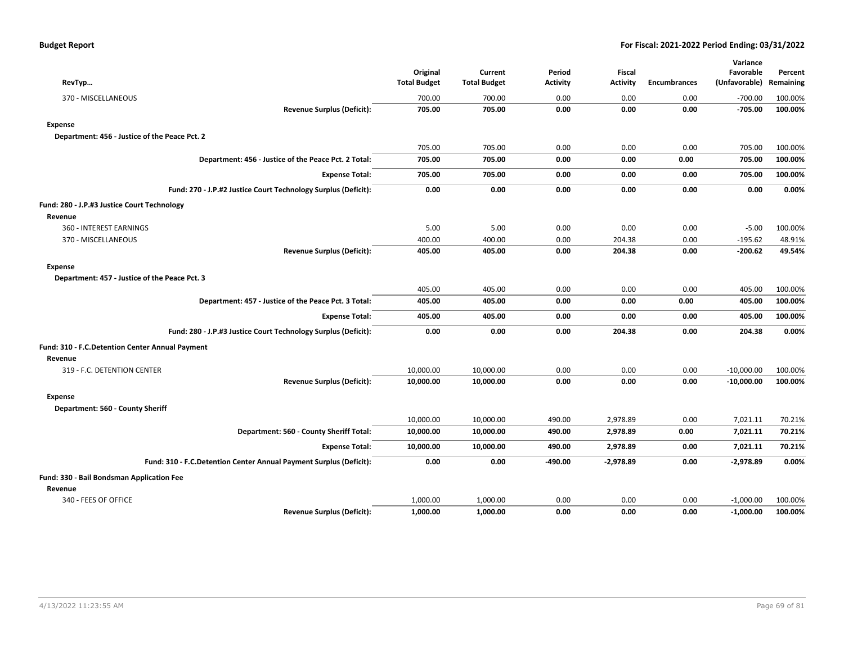| RevTyp                                                             | Original<br><b>Total Budget</b> | Current<br><b>Total Budget</b> | Period<br><b>Activity</b> | <b>Fiscal</b><br><b>Activity</b> | <b>Encumbrances</b> | Variance<br>Favorable<br>(Unfavorable) | Percent<br>Remaining |
|--------------------------------------------------------------------|---------------------------------|--------------------------------|---------------------------|----------------------------------|---------------------|----------------------------------------|----------------------|
| 370 - MISCELLANEOUS                                                | 700.00                          | 700.00                         | 0.00                      | 0.00                             | 0.00                | $-700.00$                              | 100.00%              |
| <b>Revenue Surplus (Deficit):</b>                                  | 705.00                          | 705.00                         | 0.00                      | 0.00                             | 0.00                | $-705.00$                              | 100.00%              |
| <b>Expense</b>                                                     |                                 |                                |                           |                                  |                     |                                        |                      |
| Department: 456 - Justice of the Peace Pct. 2                      |                                 |                                |                           |                                  |                     |                                        |                      |
|                                                                    | 705.00                          | 705.00                         | 0.00                      | 0.00                             | 0.00                | 705.00                                 | 100.00%              |
| Department: 456 - Justice of the Peace Pct. 2 Total:               | 705.00                          | 705.00                         | 0.00                      | 0.00                             | 0.00                | 705.00                                 | 100.00%              |
| <b>Expense Total:</b>                                              | 705.00                          | 705.00                         | 0.00                      | 0.00                             | 0.00                | 705.00                                 | 100.00%              |
| Fund: 270 - J.P.#2 Justice Court Technology Surplus (Deficit):     | 0.00                            | 0.00                           | 0.00                      | 0.00                             | 0.00                | 0.00                                   | 0.00%                |
| Fund: 280 - J.P.#3 Justice Court Technology                        |                                 |                                |                           |                                  |                     |                                        |                      |
| Revenue                                                            |                                 |                                |                           |                                  |                     |                                        |                      |
| 360 - INTEREST EARNINGS                                            | 5.00                            | 5.00                           | 0.00                      | 0.00                             | 0.00                | $-5.00$                                | 100.00%              |
| 370 - MISCELLANEOUS                                                | 400.00                          | 400.00                         | 0.00                      | 204.38                           | 0.00                | $-195.62$                              | 48.91%               |
| <b>Revenue Surplus (Deficit):</b>                                  | 405.00                          | 405.00                         | 0.00                      | 204.38                           | 0.00                | $-200.62$                              | 49.54%               |
| <b>Expense</b>                                                     |                                 |                                |                           |                                  |                     |                                        |                      |
| Department: 457 - Justice of the Peace Pct. 3                      |                                 |                                |                           |                                  |                     |                                        |                      |
|                                                                    | 405.00                          | 405.00                         | 0.00                      | 0.00                             | 0.00                | 405.00                                 | 100.00%              |
| Department: 457 - Justice of the Peace Pct. 3 Total:               | 405.00                          | 405.00                         | 0.00                      | 0.00                             | 0.00                | 405.00                                 | 100.00%              |
| <b>Expense Total:</b>                                              | 405.00                          | 405.00                         | 0.00                      | 0.00                             | 0.00                | 405.00                                 | 100.00%              |
| Fund: 280 - J.P.#3 Justice Court Technology Surplus (Deficit):     | 0.00                            | 0.00                           | 0.00                      | 204.38                           | 0.00                | 204.38                                 | 0.00%                |
| Fund: 310 - F.C.Detention Center Annual Payment                    |                                 |                                |                           |                                  |                     |                                        |                      |
| Revenue                                                            |                                 |                                |                           |                                  |                     |                                        |                      |
| 319 - F.C. DETENTION CENTER                                        | 10,000.00                       | 10,000.00                      | 0.00                      | 0.00                             | 0.00                | $-10,000.00$                           | 100.00%              |
| <b>Revenue Surplus (Deficit):</b>                                  | 10,000.00                       | 10,000.00                      | 0.00                      | 0.00                             | 0.00                | $-10,000.00$                           | 100.00%              |
| <b>Expense</b>                                                     |                                 |                                |                           |                                  |                     |                                        |                      |
| Department: 560 - County Sheriff                                   |                                 |                                |                           |                                  |                     |                                        |                      |
|                                                                    | 10,000.00                       | 10,000.00                      | 490.00                    | 2,978.89                         | 0.00                | 7,021.11                               | 70.21%               |
| Department: 560 - County Sheriff Total:                            | 10,000.00                       | 10,000.00                      | 490.00                    | 2,978.89                         | 0.00                | 7,021.11                               | 70.21%               |
| <b>Expense Total:</b>                                              | 10,000.00                       | 10,000.00                      | 490.00                    | 2,978.89                         | 0.00                | 7,021.11                               | 70.21%               |
| Fund: 310 - F.C.Detention Center Annual Payment Surplus (Deficit): | 0.00                            | 0.00                           | $-490.00$                 | $-2,978.89$                      | 0.00                | $-2,978.89$                            | 0.00%                |
| Fund: 330 - Bail Bondsman Application Fee                          |                                 |                                |                           |                                  |                     |                                        |                      |
| Revenue                                                            |                                 |                                |                           |                                  |                     |                                        |                      |
| 340 - FEES OF OFFICE                                               | 1,000.00                        | 1,000.00                       | 0.00                      | 0.00                             | 0.00                | $-1,000.00$                            | 100.00%              |
| <b>Revenue Surplus (Deficit):</b>                                  | 1,000.00                        | 1,000.00                       | 0.00                      | 0.00                             | 0.00                | $-1,000.00$                            | 100.00%              |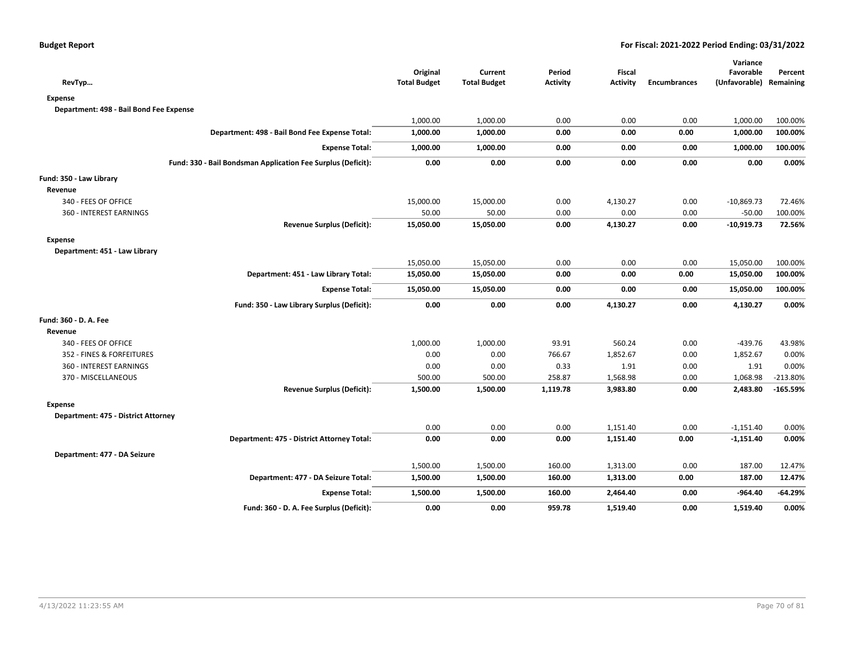|                                                              |                                 |                                |                           |                           |                     | Variance                             |            |
|--------------------------------------------------------------|---------------------------------|--------------------------------|---------------------------|---------------------------|---------------------|--------------------------------------|------------|
| RevTyp                                                       | Original<br><b>Total Budget</b> | Current<br><b>Total Budget</b> | Period<br><b>Activity</b> | Fiscal<br><b>Activity</b> | <b>Encumbrances</b> | Favorable<br>(Unfavorable) Remaining | Percent    |
| <b>Expense</b>                                               |                                 |                                |                           |                           |                     |                                      |            |
| Department: 498 - Bail Bond Fee Expense                      |                                 |                                |                           |                           |                     |                                      |            |
|                                                              | 1,000.00                        | 1,000.00                       | 0.00                      | 0.00                      | 0.00                | 1,000.00                             | 100.00%    |
| Department: 498 - Bail Bond Fee Expense Total:               | 1,000.00                        | 1,000.00                       | 0.00                      | 0.00                      | 0.00                | 1,000.00                             | 100.00%    |
| <b>Expense Total:</b>                                        | 1,000.00                        | 1,000.00                       | 0.00                      | 0.00                      | 0.00                | 1,000.00                             | 100.00%    |
| Fund: 330 - Bail Bondsman Application Fee Surplus (Deficit): | 0.00                            | 0.00                           | 0.00                      | 0.00                      | 0.00                | 0.00                                 | 0.00%      |
| Fund: 350 - Law Library                                      |                                 |                                |                           |                           |                     |                                      |            |
| Revenue                                                      |                                 |                                |                           |                           |                     |                                      |            |
| 340 - FEES OF OFFICE                                         | 15,000.00                       | 15,000.00                      | 0.00                      | 4,130.27                  | 0.00                | $-10,869.73$                         | 72.46%     |
| 360 - INTEREST EARNINGS                                      | 50.00                           | 50.00                          | 0.00                      | 0.00                      | 0.00                | $-50.00$                             | 100.00%    |
| <b>Revenue Surplus (Deficit):</b>                            | 15,050.00                       | 15,050.00                      | 0.00                      | 4,130.27                  | 0.00                | $-10,919.73$                         | 72.56%     |
| <b>Expense</b>                                               |                                 |                                |                           |                           |                     |                                      |            |
| Department: 451 - Law Library                                |                                 |                                |                           |                           |                     |                                      |            |
|                                                              | 15,050.00                       | 15,050.00                      | 0.00                      | 0.00                      | 0.00                | 15,050.00                            | 100.00%    |
| Department: 451 - Law Library Total:                         | 15,050.00                       | 15,050.00                      | 0.00                      | 0.00                      | 0.00                | 15,050.00                            | 100.00%    |
| <b>Expense Total:</b>                                        | 15,050.00                       | 15,050.00                      | 0.00                      | 0.00                      | 0.00                | 15,050.00                            | 100.00%    |
| Fund: 350 - Law Library Surplus (Deficit):                   | 0.00                            | 0.00                           | 0.00                      | 4,130.27                  | 0.00                | 4,130.27                             | 0.00%      |
| Fund: 360 - D. A. Fee                                        |                                 |                                |                           |                           |                     |                                      |            |
| Revenue                                                      |                                 |                                |                           |                           |                     |                                      |            |
| 340 - FEES OF OFFICE                                         | 1,000.00                        | 1,000.00                       | 93.91                     | 560.24                    | 0.00                | $-439.76$                            | 43.98%     |
| 352 - FINES & FORFEITURES                                    | 0.00                            | 0.00                           | 766.67                    | 1,852.67                  | 0.00                | 1,852.67                             | 0.00%      |
| 360 - INTEREST EARNINGS                                      | 0.00                            | 0.00                           | 0.33                      | 1.91                      | 0.00                | 1.91                                 | 0.00%      |
| 370 - MISCELLANEOUS                                          | 500.00                          | 500.00                         | 258.87                    | 1,568.98                  | 0.00                | 1,068.98                             | $-213.80%$ |
| <b>Revenue Surplus (Deficit):</b>                            | 1,500.00                        | 1,500.00                       | 1,119.78                  | 3,983.80                  | 0.00                | 2,483.80                             | $-165.59%$ |
| <b>Expense</b>                                               |                                 |                                |                           |                           |                     |                                      |            |
| Department: 475 - District Attorney                          |                                 |                                |                           |                           |                     |                                      |            |
|                                                              | 0.00                            | 0.00                           | 0.00                      | 1,151.40                  | 0.00                | $-1,151.40$                          | 0.00%      |
| Department: 475 - District Attorney Total:                   | 0.00                            | 0.00                           | 0.00                      | 1,151.40                  | 0.00                | $-1,151.40$                          | 0.00%      |
| Department: 477 - DA Seizure                                 |                                 |                                |                           |                           |                     |                                      |            |
|                                                              | 1,500.00                        | 1,500.00                       | 160.00                    | 1,313.00                  | 0.00                | 187.00                               | 12.47%     |
| Department: 477 - DA Seizure Total:                          | 1,500.00                        | 1,500.00                       | 160.00                    | 1,313.00                  | 0.00                | 187.00                               | 12.47%     |
| <b>Expense Total:</b>                                        | 1,500.00                        | 1,500.00                       | 160.00                    | 2,464.40                  | 0.00                | $-964.40$                            | $-64.29%$  |
| Fund: 360 - D. A. Fee Surplus (Deficit):                     | 0.00                            | 0.00                           | 959.78                    | 1,519.40                  | 0.00                | 1,519.40                             | 0.00%      |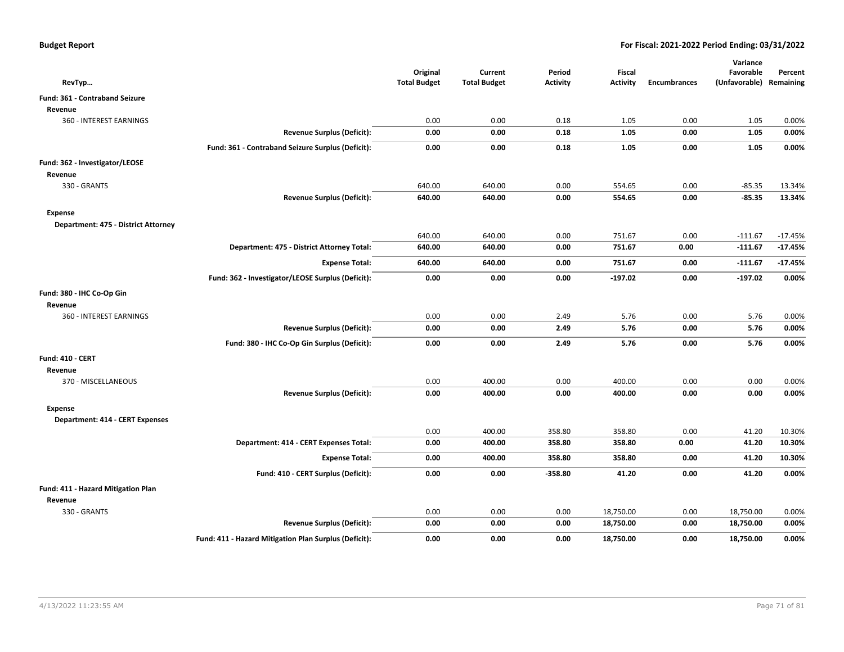| RevTyp                                 |                                                       | Original<br><b>Total Budget</b> | Current<br><b>Total Budget</b> | Period<br><b>Activity</b> | Fiscal<br><b>Activity</b> | <b>Encumbrances</b> | Variance<br>Favorable<br>(Unfavorable) Remaining | Percent   |
|----------------------------------------|-------------------------------------------------------|---------------------------------|--------------------------------|---------------------------|---------------------------|---------------------|--------------------------------------------------|-----------|
| Fund: 361 - Contraband Seizure         |                                                       |                                 |                                |                           |                           |                     |                                                  |           |
| Revenue                                |                                                       |                                 |                                |                           |                           |                     |                                                  |           |
| 360 - INTEREST EARNINGS                |                                                       | 0.00                            | 0.00                           | 0.18                      | 1.05                      | 0.00                | 1.05                                             | 0.00%     |
|                                        | <b>Revenue Surplus (Deficit):</b>                     | 0.00                            | 0.00                           | 0.18                      | 1.05                      | 0.00                | 1.05                                             | 0.00%     |
|                                        | Fund: 361 - Contraband Seizure Surplus (Deficit):     | 0.00                            | 0.00                           | 0.18                      | 1.05                      | 0.00                | 1.05                                             | 0.00%     |
| Fund: 362 - Investigator/LEOSE         |                                                       |                                 |                                |                           |                           |                     |                                                  |           |
| Revenue                                |                                                       |                                 |                                |                           |                           |                     |                                                  |           |
| 330 - GRANTS                           |                                                       | 640.00                          | 640.00                         | 0.00                      | 554.65                    | 0.00                | $-85.35$                                         | 13.34%    |
|                                        | <b>Revenue Surplus (Deficit):</b>                     | 640.00                          | 640.00                         | 0.00                      | 554.65                    | 0.00                | $-85.35$                                         | 13.34%    |
| Expense                                |                                                       |                                 |                                |                           |                           |                     |                                                  |           |
| Department: 475 - District Attorney    |                                                       |                                 |                                |                           |                           |                     |                                                  |           |
|                                        |                                                       | 640.00                          | 640.00                         | 0.00                      | 751.67                    | 0.00                | $-111.67$                                        | $-17.45%$ |
|                                        | Department: 475 - District Attorney Total:            | 640.00                          | 640.00                         | 0.00                      | 751.67                    | 0.00                | $-111.67$                                        | $-17.45%$ |
|                                        | <b>Expense Total:</b>                                 | 640.00                          | 640.00                         | 0.00                      | 751.67                    | 0.00                | $-111.67$                                        | $-17.45%$ |
|                                        | Fund: 362 - Investigator/LEOSE Surplus (Deficit):     | 0.00                            | 0.00                           | 0.00                      | $-197.02$                 | 0.00                | $-197.02$                                        | 0.00%     |
| Fund: 380 - IHC Co-Op Gin              |                                                       |                                 |                                |                           |                           |                     |                                                  |           |
| Revenue                                |                                                       |                                 |                                |                           |                           |                     |                                                  |           |
| 360 - INTEREST EARNINGS                |                                                       | 0.00                            | 0.00                           | 2.49                      | 5.76                      | 0.00                | 5.76                                             | 0.00%     |
|                                        | <b>Revenue Surplus (Deficit):</b>                     | 0.00                            | 0.00                           | 2.49                      | 5.76                      | 0.00                | 5.76                                             | 0.00%     |
|                                        | Fund: 380 - IHC Co-Op Gin Surplus (Deficit):          | 0.00                            | 0.00                           | 2.49                      | 5.76                      | 0.00                | 5.76                                             | 0.00%     |
| <b>Fund: 410 - CERT</b>                |                                                       |                                 |                                |                           |                           |                     |                                                  |           |
| Revenue                                |                                                       |                                 |                                |                           |                           |                     |                                                  |           |
| 370 - MISCELLANEOUS                    |                                                       | 0.00                            | 400.00                         | 0.00                      | 400.00                    | 0.00                | 0.00                                             | 0.00%     |
|                                        | <b>Revenue Surplus (Deficit):</b>                     | 0.00                            | 400.00                         | 0.00                      | 400.00                    | 0.00                | 0.00                                             | 0.00%     |
| <b>Expense</b>                         |                                                       |                                 |                                |                           |                           |                     |                                                  |           |
| <b>Department: 414 - CERT Expenses</b> |                                                       |                                 |                                |                           |                           |                     |                                                  |           |
|                                        |                                                       | 0.00                            | 400.00                         | 358.80                    | 358.80                    | 0.00                | 41.20                                            | 10.30%    |
|                                        | Department: 414 - CERT Expenses Total:                | 0.00                            | 400.00                         | 358.80                    | 358.80                    | 0.00                | 41.20                                            | 10.30%    |
|                                        | <b>Expense Total:</b>                                 | 0.00                            | 400.00                         | 358.80                    | 358.80                    | 0.00                | 41.20                                            | 10.30%    |
|                                        | Fund: 410 - CERT Surplus (Deficit):                   | 0.00                            | 0.00                           | $-358.80$                 | 41.20                     | 0.00                | 41.20                                            | 0.00%     |
| Fund: 411 - Hazard Mitigation Plan     |                                                       |                                 |                                |                           |                           |                     |                                                  |           |
| Revenue                                |                                                       |                                 |                                |                           |                           |                     |                                                  |           |
| 330 - GRANTS                           |                                                       | 0.00                            | 0.00                           | 0.00                      | 18,750.00                 | 0.00                | 18,750.00                                        | 0.00%     |
|                                        | <b>Revenue Surplus (Deficit):</b>                     | 0.00                            | 0.00                           | 0.00                      | 18,750.00                 | 0.00                | 18,750.00                                        | 0.00%     |
|                                        | Fund: 411 - Hazard Mitigation Plan Surplus (Deficit): | 0.00                            | 0.00                           | 0.00                      | 18,750.00                 | 0.00                | 18,750.00                                        | 0.00%     |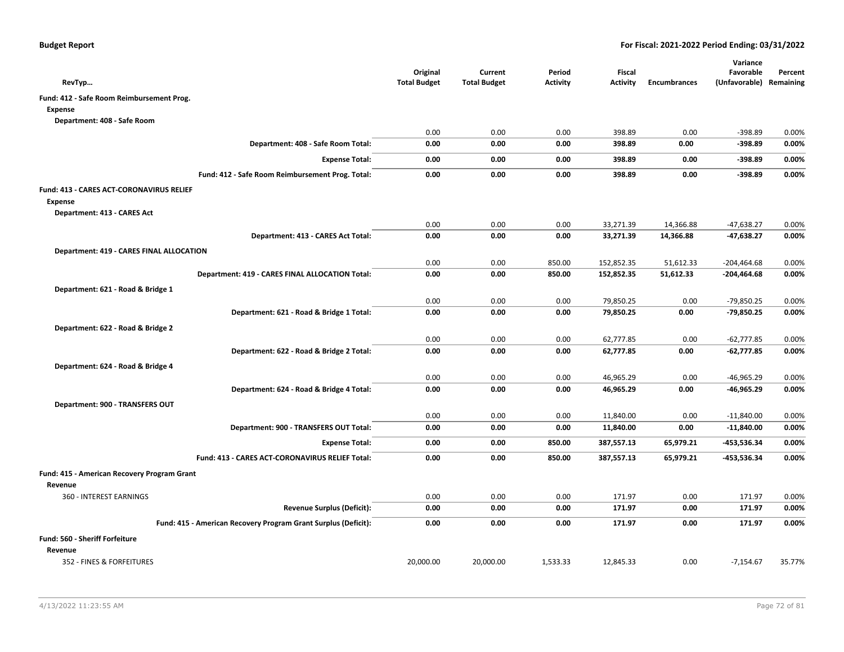| RevTyp                                                         | Original<br><b>Total Budget</b> | Current<br><b>Total Budget</b> | Period<br><b>Activity</b> | Fiscal<br><b>Activity</b> | <b>Encumbrances</b> | Variance<br>Favorable<br>(Unfavorable) Remaining | Percent |
|----------------------------------------------------------------|---------------------------------|--------------------------------|---------------------------|---------------------------|---------------------|--------------------------------------------------|---------|
| Fund: 412 - Safe Room Reimbursement Prog.                      |                                 |                                |                           |                           |                     |                                                  |         |
| Expense                                                        |                                 |                                |                           |                           |                     |                                                  |         |
| Department: 408 - Safe Room                                    |                                 |                                |                           |                           |                     |                                                  |         |
|                                                                | 0.00                            | 0.00                           | 0.00                      | 398.89                    | 0.00                | $-398.89$                                        | 0.00%   |
| Department: 408 - Safe Room Total:                             | 0.00                            | 0.00                           | 0.00                      | 398.89                    | 0.00                | $-398.89$                                        | 0.00%   |
| <b>Expense Total:</b>                                          | 0.00                            | 0.00                           | 0.00                      | 398.89                    | 0.00                | $-398.89$                                        | 0.00%   |
| Fund: 412 - Safe Room Reimbursement Prog. Total:               | 0.00                            | 0.00                           | 0.00                      | 398.89                    | 0.00                | $-398.89$                                        | 0.00%   |
| Fund: 413 - CARES ACT-CORONAVIRUS RELIEF                       |                                 |                                |                           |                           |                     |                                                  |         |
| <b>Expense</b>                                                 |                                 |                                |                           |                           |                     |                                                  |         |
| Department: 413 - CARES Act                                    |                                 |                                |                           |                           |                     |                                                  |         |
|                                                                | 0.00                            | 0.00                           | 0.00                      | 33,271.39                 | 14,366.88           | $-47,638.27$                                     | 0.00%   |
| Department: 413 - CARES Act Total:                             | 0.00                            | 0.00                           | 0.00                      | 33,271.39                 | 14,366.88           | $-47,638.27$                                     | 0.00%   |
| <b>Department: 419 - CARES FINAL ALLOCATION</b>                |                                 |                                |                           |                           |                     |                                                  |         |
|                                                                | 0.00                            | 0.00                           | 850.00                    | 152,852.35                | 51,612.33           | $-204,464.68$                                    | 0.00%   |
| Department: 419 - CARES FINAL ALLOCATION Total:                | 0.00                            | 0.00                           | 850.00                    | 152,852.35                | 51,612.33           | $-204,464.68$                                    | 0.00%   |
| Department: 621 - Road & Bridge 1                              |                                 |                                |                           |                           |                     |                                                  |         |
|                                                                | 0.00                            | 0.00                           | 0.00                      | 79,850.25                 | 0.00                | $-79,850.25$                                     | 0.00%   |
| Department: 621 - Road & Bridge 1 Total:                       | 0.00                            | 0.00                           | 0.00                      | 79,850.25                 | 0.00                | $-79,850.25$                                     | 0.00%   |
| Department: 622 - Road & Bridge 2                              |                                 |                                |                           |                           |                     |                                                  |         |
|                                                                | 0.00                            | 0.00                           | 0.00                      | 62,777.85                 | 0.00                | $-62,777.85$                                     | 0.00%   |
| Department: 622 - Road & Bridge 2 Total:                       | 0.00                            | 0.00                           | 0.00                      | 62,777.85                 | 0.00                | $-62,777.85$                                     | 0.00%   |
| Department: 624 - Road & Bridge 4                              |                                 |                                |                           |                           |                     |                                                  |         |
|                                                                | 0.00                            | 0.00                           | 0.00                      | 46,965.29                 | 0.00                | $-46,965.29$                                     | 0.00%   |
| Department: 624 - Road & Bridge 4 Total:                       | 0.00                            | 0.00                           | 0.00                      | 46,965.29                 | 0.00                | -46,965.29                                       | 0.00%   |
| Department: 900 - TRANSFERS OUT                                |                                 |                                |                           |                           |                     |                                                  |         |
|                                                                | 0.00                            | 0.00                           | 0.00                      | 11,840.00                 | 0.00                | $-11,840.00$                                     | 0.00%   |
| Department: 900 - TRANSFERS OUT Total:                         | 0.00                            | 0.00                           | 0.00                      | 11,840.00                 | 0.00                | $-11,840.00$                                     | 0.00%   |
| <b>Expense Total:</b>                                          | 0.00                            | 0.00                           | 850.00                    | 387,557.13                | 65,979.21           | -453,536.34                                      | 0.00%   |
| Fund: 413 - CARES ACT-CORONAVIRUS RELIEF Total:                | 0.00                            | 0.00                           | 850.00                    | 387,557.13                | 65,979.21           | -453,536.34                                      | 0.00%   |
| Fund: 415 - American Recovery Program Grant                    |                                 |                                |                           |                           |                     |                                                  |         |
| Revenue                                                        |                                 |                                |                           |                           |                     |                                                  |         |
| 360 - INTEREST EARNINGS                                        | 0.00                            | 0.00                           | 0.00                      | 171.97                    | 0.00                | 171.97                                           | 0.00%   |
| <b>Revenue Surplus (Deficit):</b>                              | 0.00                            | 0.00                           | 0.00                      | 171.97                    | 0.00                | 171.97                                           | 0.00%   |
| Fund: 415 - American Recovery Program Grant Surplus (Deficit): | 0.00                            | 0.00                           | 0.00                      | 171.97                    | 0.00                | 171.97                                           | 0.00%   |
| <b>Fund: 560 - Sheriff Forfeiture</b>                          |                                 |                                |                           |                           |                     |                                                  |         |
| Revenue                                                        |                                 |                                |                           |                           |                     |                                                  |         |
| 352 - FINES & FORFEITURES                                      | 20,000.00                       | 20,000.00                      | 1,533.33                  | 12,845.33                 | 0.00                | $-7,154.67$                                      | 35.77%  |
|                                                                |                                 |                                |                           |                           |                     |                                                  |         |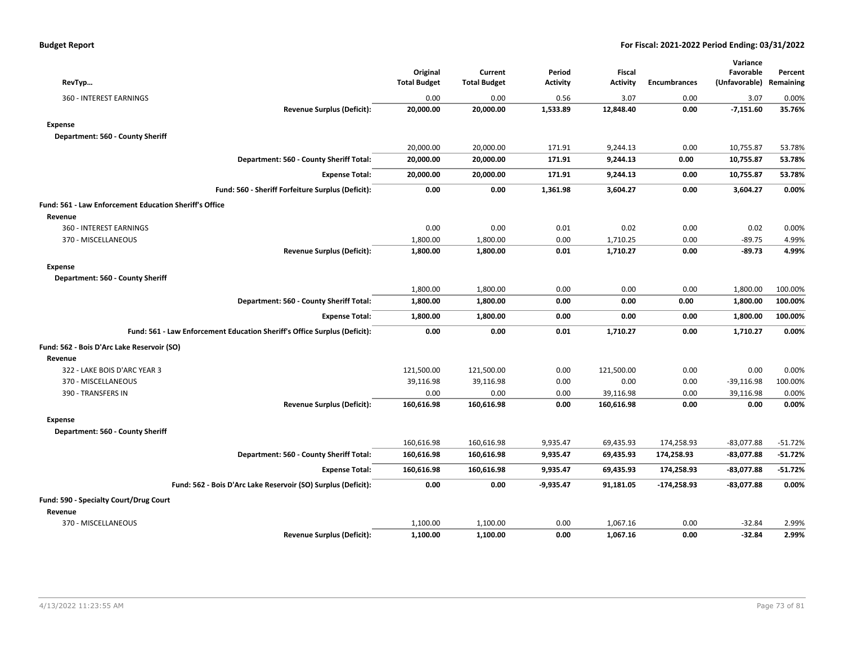| <b>Budget Report</b> |  |  |  |
|----------------------|--|--|--|
|----------------------|--|--|--|

| RevTyp                                                                    | Original<br><b>Total Budget</b> | Current<br><b>Total Budget</b> | Period<br>Activity | <b>Fiscal</b><br><b>Activity</b> | <b>Encumbrances</b> | Variance<br>Favorable<br>(Unfavorable) | Percent<br>Remaining |
|---------------------------------------------------------------------------|---------------------------------|--------------------------------|--------------------|----------------------------------|---------------------|----------------------------------------|----------------------|
| 360 - INTEREST EARNINGS                                                   | 0.00                            | 0.00                           | 0.56               | 3.07                             | 0.00                | 3.07                                   | 0.00%                |
| <b>Revenue Surplus (Deficit):</b>                                         | 20,000.00                       | 20,000.00                      | 1,533.89           | 12,848.40                        | 0.00                | $-7,151.60$                            | 35.76%               |
| <b>Expense</b>                                                            |                                 |                                |                    |                                  |                     |                                        |                      |
| Department: 560 - County Sheriff                                          |                                 |                                |                    |                                  |                     |                                        |                      |
|                                                                           | 20,000.00                       | 20,000.00                      | 171.91             | 9,244.13                         | 0.00                | 10,755.87                              | 53.78%               |
| Department: 560 - County Sheriff Total:                                   | 20,000.00                       | 20,000.00                      | 171.91             | 9,244.13                         | 0.00                | 10,755.87                              | 53.78%               |
| <b>Expense Total:</b>                                                     | 20,000.00                       | 20,000.00                      | 171.91             | 9,244.13                         | 0.00                | 10,755.87                              | 53.78%               |
| Fund: 560 - Sheriff Forfeiture Surplus (Deficit):                         | 0.00                            | 0.00                           | 1,361.98           | 3,604.27                         | 0.00                | 3,604.27                               | 0.00%                |
| Fund: 561 - Law Enforcement Education Sheriff's Office                    |                                 |                                |                    |                                  |                     |                                        |                      |
| Revenue                                                                   |                                 |                                |                    |                                  |                     |                                        |                      |
| 360 - INTEREST EARNINGS                                                   | 0.00                            | 0.00                           | 0.01               | 0.02                             | 0.00                | 0.02                                   | 0.00%                |
| 370 - MISCELLANEOUS                                                       | 1,800.00                        | 1,800.00                       | 0.00               | 1,710.25                         | 0.00                | $-89.75$                               | 4.99%                |
| <b>Revenue Surplus (Deficit):</b>                                         | 1,800.00                        | 1,800.00                       | 0.01               | 1,710.27                         | 0.00                | $-89.73$                               | 4.99%                |
| <b>Expense</b>                                                            |                                 |                                |                    |                                  |                     |                                        |                      |
| Department: 560 - County Sheriff                                          |                                 |                                |                    |                                  |                     |                                        |                      |
|                                                                           | 1,800.00                        | 1,800.00                       | 0.00               | 0.00                             | 0.00                | 1,800.00                               | 100.00%              |
| Department: 560 - County Sheriff Total:                                   | 1,800.00                        | 1,800.00                       | 0.00               | 0.00                             | 0.00                | 1,800.00                               | 100.00%              |
| <b>Expense Total:</b>                                                     | 1,800.00                        | 1,800.00                       | 0.00               | 0.00                             | 0.00                | 1,800.00                               | 100.00%              |
| Fund: 561 - Law Enforcement Education Sheriff's Office Surplus (Deficit): | 0.00                            | 0.00                           | 0.01               | 1,710.27                         | 0.00                | 1,710.27                               | 0.00%                |
| Fund: 562 - Bois D'Arc Lake Reservoir (SO)                                |                                 |                                |                    |                                  |                     |                                        |                      |
| Revenue                                                                   |                                 |                                |                    |                                  |                     |                                        |                      |
| 322 - LAKE BOIS D'ARC YEAR 3                                              | 121,500.00                      | 121,500.00                     | 0.00               | 121,500.00                       | 0.00                | 0.00                                   | 0.00%                |
| 370 - MISCELLANEOUS                                                       | 39,116.98                       | 39,116.98                      | 0.00               | 0.00                             | 0.00                | $-39,116.98$                           | 100.00%              |
| 390 - TRANSFERS IN                                                        | 0.00                            | 0.00                           | 0.00               | 39,116.98                        | 0.00                | 39,116.98                              | 0.00%                |
| <b>Revenue Surplus (Deficit):</b>                                         | 160,616.98                      | 160,616.98                     | 0.00               | 160,616.98                       | 0.00                | 0.00                                   | 0.00%                |
| <b>Expense</b>                                                            |                                 |                                |                    |                                  |                     |                                        |                      |
| Department: 560 - County Sheriff                                          |                                 |                                |                    |                                  |                     |                                        |                      |
|                                                                           | 160,616.98                      | 160,616.98                     | 9,935.47           | 69,435.93                        | 174,258.93          | $-83,077.88$                           | $-51.72%$            |
| Department: 560 - County Sheriff Total:                                   | 160,616.98                      | 160,616.98                     | 9,935.47           | 69,435.93                        | 174,258.93          | -83,077.88                             | $-51.72%$            |
| <b>Expense Total:</b>                                                     | 160,616.98                      | 160,616.98                     | 9,935.47           | 69,435.93                        | 174,258.93          | -83,077.88                             | $-51.72%$            |
| Fund: 562 - Bois D'Arc Lake Reservoir (SO) Surplus (Deficit):             | 0.00                            | 0.00                           | $-9,935.47$        | 91,181.05                        | -174,258.93         | -83,077.88                             | 0.00%                |
| Fund: 590 - Specialty Court/Drug Court                                    |                                 |                                |                    |                                  |                     |                                        |                      |
| Revenue                                                                   |                                 |                                |                    |                                  |                     |                                        |                      |
| 370 - MISCELLANEOUS                                                       | 1,100.00                        | 1,100.00                       | 0.00               | 1,067.16                         | 0.00                | $-32.84$                               | 2.99%                |
| <b>Revenue Surplus (Deficit):</b>                                         | 1,100.00                        | 1.100.00                       | 0.00               | 1.067.16                         | 0.00                | $-32.84$                               | 2.99%                |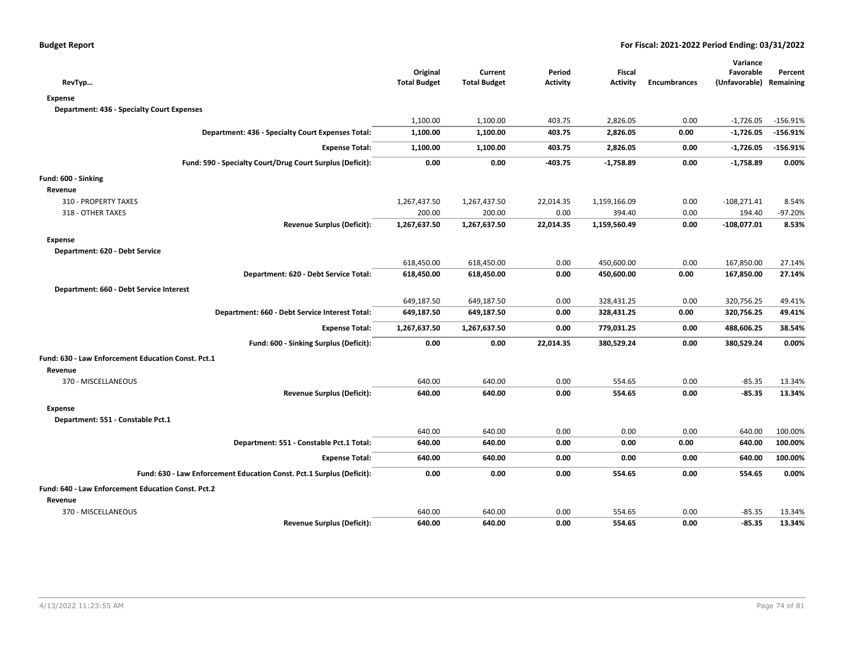| RevTyp                                                                | Original<br><b>Total Budget</b> | Current<br><b>Total Budget</b> | Period<br><b>Activity</b> | <b>Fiscal</b><br><b>Activity</b> | <b>Encumbrances</b> | Variance<br>Favorable<br>(Unfavorable) | Percent<br>Remaining |
|-----------------------------------------------------------------------|---------------------------------|--------------------------------|---------------------------|----------------------------------|---------------------|----------------------------------------|----------------------|
| Expense                                                               |                                 |                                |                           |                                  |                     |                                        |                      |
| <b>Department: 436 - Specialty Court Expenses</b>                     |                                 |                                |                           |                                  |                     |                                        |                      |
|                                                                       | 1,100.00                        | 1,100.00                       | 403.75                    | 2,826.05                         | 0.00                | $-1,726.05$                            | $-156.91%$           |
| Department: 436 - Specialty Court Expenses Total:                     | 1,100.00                        | 1,100.00                       | 403.75                    | 2,826.05                         | 0.00                | $-1,726.05$                            | $-156.91%$           |
| <b>Expense Total:</b>                                                 | 1,100.00                        | 1,100.00                       | 403.75                    | 2,826.05                         | 0.00                | -1,726.05                              | $-156.91%$           |
| Fund: 590 - Specialty Court/Drug Court Surplus (Deficit):             | 0.00                            | 0.00                           | $-403.75$                 | $-1,758.89$                      | 0.00                | $-1,758.89$                            | 0.00%                |
| Fund: 600 - Sinking                                                   |                                 |                                |                           |                                  |                     |                                        |                      |
| Revenue                                                               |                                 |                                |                           |                                  |                     |                                        |                      |
| 310 - PROPERTY TAXES                                                  | 1,267,437.50                    | 1,267,437.50                   | 22,014.35                 | 1,159,166.09                     | 0.00                | $-108,271.41$                          | 8.54%                |
| 318 - OTHER TAXES                                                     | 200.00                          | 200.00                         | 0.00                      | 394.40                           | 0.00                | 194.40                                 | $-97.20%$            |
| <b>Revenue Surplus (Deficit):</b>                                     | 1,267,637.50                    | 1,267,637.50                   | 22,014.35                 | 1,159,560.49                     | 0.00                | $-108,077.01$                          | 8.53%                |
| <b>Expense</b>                                                        |                                 |                                |                           |                                  |                     |                                        |                      |
| Department: 620 - Debt Service                                        |                                 |                                |                           |                                  |                     |                                        |                      |
|                                                                       | 618,450.00                      | 618,450.00                     | 0.00                      | 450,600.00                       | 0.00                | 167,850.00                             | 27.14%               |
| Department: 620 - Debt Service Total:                                 | 618,450.00                      | 618,450.00                     | 0.00                      | 450,600.00                       | 0.00                | 167,850.00                             | 27.14%               |
| Department: 660 - Debt Service Interest                               |                                 |                                |                           |                                  |                     |                                        |                      |
|                                                                       | 649,187.50                      | 649,187.50                     | 0.00                      | 328,431.25                       | 0.00                | 320,756.25                             | 49.41%               |
| Department: 660 - Debt Service Interest Total:                        | 649,187.50                      | 649,187.50                     | 0.00                      | 328,431.25                       | 0.00                | 320,756.25                             | 49.41%               |
| <b>Expense Total:</b>                                                 | 1,267,637.50                    | 1,267,637.50                   | 0.00                      | 779,031.25                       | 0.00                | 488,606.25                             | 38.54%               |
| Fund: 600 - Sinking Surplus (Deficit):                                | 0.00                            | 0.00                           | 22,014.35                 | 380,529.24                       | 0.00                | 380,529.24                             | 0.00%                |
| Fund: 630 - Law Enforcement Education Const. Pct.1                    |                                 |                                |                           |                                  |                     |                                        |                      |
| Revenue                                                               |                                 |                                |                           |                                  |                     |                                        |                      |
| 370 - MISCELLANEOUS                                                   | 640.00                          | 640.00                         | 0.00                      | 554.65                           | 0.00                | $-85.35$                               | 13.34%               |
| <b>Revenue Surplus (Deficit):</b>                                     | 640.00                          | 640.00                         | 0.00                      | 554.65                           | 0.00                | $-85.35$                               | 13.34%               |
| <b>Expense</b>                                                        |                                 |                                |                           |                                  |                     |                                        |                      |
| Department: 551 - Constable Pct.1                                     |                                 |                                |                           |                                  |                     |                                        |                      |
|                                                                       | 640.00                          | 640.00                         | 0.00                      | 0.00                             | 0.00                | 640.00                                 | 100.00%              |
| Department: 551 - Constable Pct.1 Total:                              | 640.00                          | 640.00                         | 0.00                      | 0.00                             | 0.00                | 640.00                                 | 100.00%              |
| <b>Expense Total:</b>                                                 | 640.00                          | 640.00                         | 0.00                      | 0.00                             | 0.00                | 640.00                                 | 100.00%              |
| Fund: 630 - Law Enforcement Education Const. Pct.1 Surplus (Deficit): | 0.00                            | 0.00                           | 0.00                      | 554.65                           | 0.00                | 554.65                                 | 0.00%                |
| Fund: 640 - Law Enforcement Education Const. Pct.2                    |                                 |                                |                           |                                  |                     |                                        |                      |
| Revenue                                                               |                                 |                                |                           |                                  |                     |                                        |                      |
| 370 - MISCELLANEOUS                                                   | 640.00                          | 640.00                         | 0.00                      | 554.65                           | 0.00                | $-85.35$                               | 13.34%               |
| <b>Revenue Surplus (Deficit):</b>                                     | 640.00                          | 640.00                         | 0.00                      | 554.65                           | 0.00                | $-85.35$                               | 13.34%               |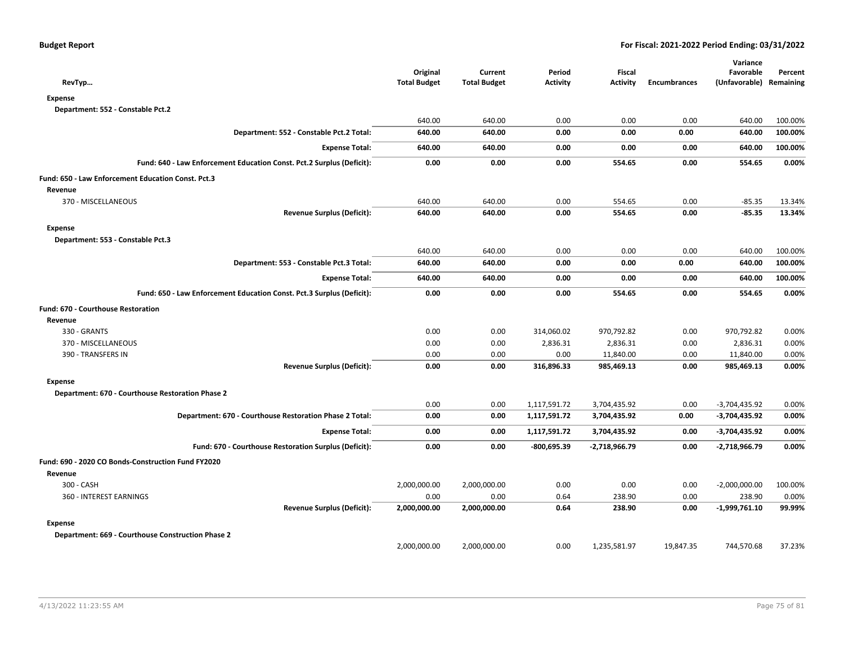| RevTyp                                                                | Original<br><b>Total Budget</b> | Current<br><b>Total Budget</b> | Period<br><b>Activity</b> | <b>Fiscal</b><br><b>Activity</b> | <b>Encumbrances</b> | Variance<br>Favorable<br>(Unfavorable) Remaining | Percent |
|-----------------------------------------------------------------------|---------------------------------|--------------------------------|---------------------------|----------------------------------|---------------------|--------------------------------------------------|---------|
| <b>Expense</b>                                                        |                                 |                                |                           |                                  |                     |                                                  |         |
| Department: 552 - Constable Pct.2                                     |                                 |                                |                           |                                  |                     |                                                  |         |
|                                                                       | 640.00                          | 640.00                         | 0.00                      | 0.00                             | 0.00                | 640.00                                           | 100.00% |
| Department: 552 - Constable Pct.2 Total:                              | 640.00                          | 640.00                         | 0.00                      | 0.00                             | 0.00                | 640.00                                           | 100.00% |
| <b>Expense Total:</b>                                                 | 640.00                          | 640.00                         | 0.00                      | 0.00                             | 0.00                | 640.00                                           | 100.00% |
| Fund: 640 - Law Enforcement Education Const. Pct.2 Surplus (Deficit): | 0.00                            | 0.00                           | 0.00                      | 554.65                           | 0.00                | 554.65                                           | 0.00%   |
| Fund: 650 - Law Enforcement Education Const. Pct.3                    |                                 |                                |                           |                                  |                     |                                                  |         |
| Revenue                                                               |                                 |                                |                           |                                  |                     |                                                  |         |
| 370 - MISCELLANEOUS                                                   | 640.00                          | 640.00                         | 0.00                      | 554.65                           | 0.00                | $-85.35$                                         | 13.34%  |
| <b>Revenue Surplus (Deficit):</b>                                     | 640.00                          | 640.00                         | 0.00                      | 554.65                           | 0.00                | $-85.35$                                         | 13.34%  |
| <b>Expense</b>                                                        |                                 |                                |                           |                                  |                     |                                                  |         |
| Department: 553 - Constable Pct.3                                     |                                 |                                |                           |                                  |                     |                                                  |         |
|                                                                       | 640.00                          | 640.00                         | 0.00                      | 0.00                             | 0.00                | 640.00                                           | 100.00% |
| Department: 553 - Constable Pct.3 Total:                              | 640.00                          | 640.00                         | 0.00                      | 0.00                             | 0.00                | 640.00                                           | 100.00% |
| <b>Expense Total:</b>                                                 | 640.00                          | 640.00                         | 0.00                      | 0.00                             | 0.00                | 640.00                                           | 100.00% |
| Fund: 650 - Law Enforcement Education Const. Pct.3 Surplus (Deficit): | 0.00                            | 0.00                           | 0.00                      | 554.65                           | 0.00                | 554.65                                           | 0.00%   |
| <b>Fund: 670 - Courthouse Restoration</b>                             |                                 |                                |                           |                                  |                     |                                                  |         |
| Revenue                                                               |                                 |                                |                           |                                  |                     |                                                  |         |
| 330 - GRANTS                                                          | 0.00                            | 0.00                           | 314,060.02                | 970,792.82                       | 0.00                | 970,792.82                                       | 0.00%   |
| 370 - MISCELLANEOUS                                                   | 0.00                            | 0.00                           | 2,836.31                  | 2,836.31                         | 0.00                | 2,836.31                                         | 0.00%   |
| 390 - TRANSFERS IN                                                    | 0.00                            | 0.00                           | 0.00                      | 11,840.00                        | 0.00                | 11,840.00                                        | 0.00%   |
| <b>Revenue Surplus (Deficit):</b>                                     | 0.00                            | 0.00                           | 316,896.33                | 985,469.13                       | 0.00                | 985,469.13                                       | 0.00%   |
| <b>Expense</b>                                                        |                                 |                                |                           |                                  |                     |                                                  |         |
| Department: 670 - Courthouse Restoration Phase 2                      |                                 |                                |                           |                                  |                     |                                                  |         |
|                                                                       | 0.00                            | 0.00                           | 1,117,591.72              | 3,704,435.92                     | 0.00                | $-3,704,435.92$                                  | 0.00%   |
| Department: 670 - Courthouse Restoration Phase 2 Total:               | 0.00                            | 0.00                           | 1,117,591.72              | 3,704,435.92                     | 0.00                | -3,704,435.92                                    | 0.00%   |
| <b>Expense Total:</b>                                                 | 0.00                            | 0.00                           | 1,117,591.72              | 3,704,435.92                     | 0.00                | -3,704,435.92                                    | 0.00%   |
| Fund: 670 - Courthouse Restoration Surplus (Deficit):                 | 0.00                            | 0.00                           | $-800,695.39$             | $-2,718,966.79$                  | 0.00                | -2,718,966.79                                    | 0.00%   |
| Fund: 690 - 2020 CO Bonds-Construction Fund FY2020                    |                                 |                                |                           |                                  |                     |                                                  |         |
| Revenue                                                               |                                 |                                |                           |                                  |                     |                                                  |         |
| 300 - CASH                                                            | 2,000,000.00                    | 2,000,000.00                   | 0.00                      | 0.00                             | 0.00                | $-2,000,000.00$                                  | 100.00% |
| 360 - INTEREST EARNINGS                                               | 0.00                            | 0.00                           | 0.64                      | 238.90                           | 0.00                | 238.90                                           | 0.00%   |
| <b>Revenue Surplus (Deficit):</b>                                     | 2,000,000.00                    | 2,000,000.00                   | 0.64                      | 238.90                           | 0.00                | -1,999,761.10                                    | 99.99%  |
| <b>Expense</b>                                                        |                                 |                                |                           |                                  |                     |                                                  |         |
| Department: 669 - Courthouse Construction Phase 2                     |                                 |                                |                           |                                  |                     |                                                  |         |
|                                                                       | 2.000.000.00                    | 2.000.000.00                   | 0.00                      | 1,235,581.97                     | 19.847.35           | 744,570.68                                       | 37.23%  |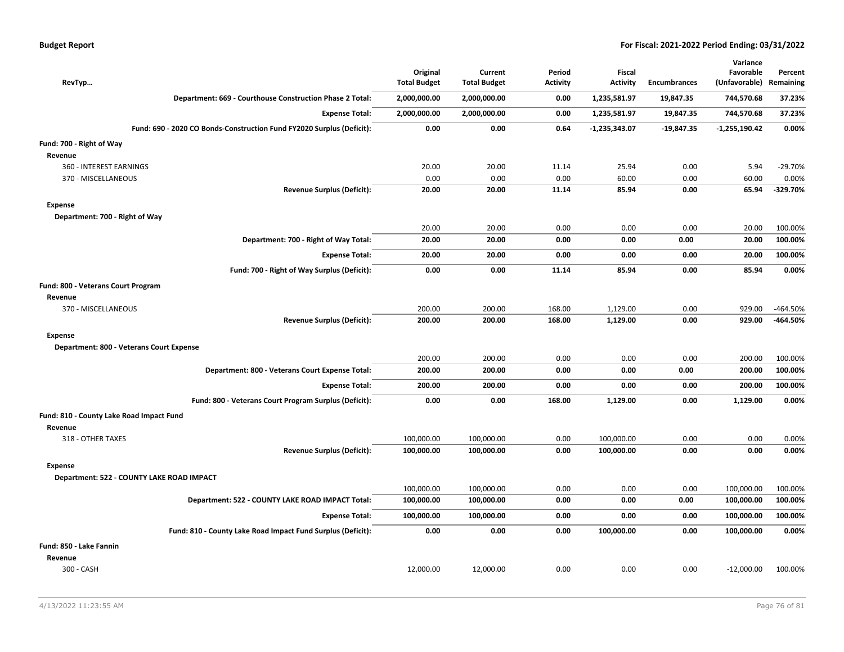|  |  |  | <b>Budget Report</b> |
|--|--|--|----------------------|
|--|--|--|----------------------|

|                                           |                                                                       |                                 |                                |                           |                                  |              | Variance                   |                      |
|-------------------------------------------|-----------------------------------------------------------------------|---------------------------------|--------------------------------|---------------------------|----------------------------------|--------------|----------------------------|----------------------|
| RevTyp                                    |                                                                       | Original<br><b>Total Budget</b> | Current<br><b>Total Budget</b> | Period<br><b>Activity</b> | <b>Fiscal</b><br><b>Activity</b> | Encumbrances | Favorable<br>(Unfavorable) | Percent<br>Remaining |
|                                           | Department: 669 - Courthouse Construction Phase 2 Total:              | 2,000,000.00                    | 2,000,000.00                   | 0.00                      | 1,235,581.97                     | 19,847.35    | 744,570.68                 | 37.23%               |
|                                           | <b>Expense Total:</b>                                                 | 2,000,000.00                    | 2,000,000.00                   | 0.00                      | 1,235,581.97                     | 19,847.35    | 744,570.68                 | 37.23%               |
|                                           | Fund: 690 - 2020 CO Bonds-Construction Fund FY2020 Surplus (Deficit): | 0.00                            | 0.00                           | 0.64                      | $-1,235,343.07$                  | $-19,847.35$ | $-1,255,190.42$            | 0.00%                |
| Fund: 700 - Right of Way                  |                                                                       |                                 |                                |                           |                                  |              |                            |                      |
| Revenue                                   |                                                                       |                                 |                                |                           |                                  |              |                            |                      |
| 360 - INTEREST EARNINGS                   |                                                                       | 20.00                           | 20.00                          | 11.14                     | 25.94                            | 0.00         | 5.94                       | $-29.70%$            |
| 370 - MISCELLANEOUS                       |                                                                       | 0.00                            | 0.00                           | 0.00                      | 60.00                            | 0.00         | 60.00                      | 0.00%                |
|                                           | <b>Revenue Surplus (Deficit):</b>                                     | 20.00                           | 20.00                          | 11.14                     | 85.94                            | 0.00         | 65.94                      | $-329.70%$           |
| <b>Expense</b>                            |                                                                       |                                 |                                |                           |                                  |              |                            |                      |
| Department: 700 - Right of Way            |                                                                       |                                 |                                |                           |                                  |              |                            |                      |
|                                           |                                                                       | 20.00                           | 20.00                          | 0.00                      | 0.00                             | 0.00         | 20.00                      | 100.00%              |
|                                           | Department: 700 - Right of Way Total:                                 | 20.00                           | 20.00                          | 0.00                      | 0.00                             | 0.00         | 20.00                      | 100.00%              |
|                                           | <b>Expense Total:</b>                                                 | 20.00                           | 20.00                          | 0.00                      | 0.00                             | 0.00         | 20.00                      | 100.00%              |
|                                           | Fund: 700 - Right of Way Surplus (Deficit):                           | 0.00                            | 0.00                           | 11.14                     | 85.94                            | 0.00         | 85.94                      | 0.00%                |
| Fund: 800 - Veterans Court Program        |                                                                       |                                 |                                |                           |                                  |              |                            |                      |
| Revenue                                   |                                                                       |                                 |                                |                           |                                  |              |                            |                      |
| 370 - MISCELLANEOUS                       |                                                                       | 200.00                          | 200.00                         | 168.00                    | 1,129.00                         | 0.00         | 929.00                     | $-464.50%$           |
|                                           | <b>Revenue Surplus (Deficit):</b>                                     | 200.00                          | 200.00                         | 168.00                    | 1,129.00                         | 0.00         | 929.00                     | -464.50%             |
| <b>Expense</b>                            |                                                                       |                                 |                                |                           |                                  |              |                            |                      |
| Department: 800 - Veterans Court Expense  |                                                                       |                                 |                                |                           |                                  |              |                            |                      |
|                                           |                                                                       | 200.00                          | 200.00                         | 0.00                      | 0.00                             | 0.00         | 200.00                     | 100.00%              |
|                                           | Department: 800 - Veterans Court Expense Total:                       | 200.00                          | 200.00                         | 0.00                      | 0.00                             | 0.00         | 200.00                     | 100.00%              |
|                                           | <b>Expense Total:</b>                                                 | 200.00                          | 200.00                         | 0.00                      | 0.00                             | 0.00         | 200.00                     | 100.00%              |
|                                           | Fund: 800 - Veterans Court Program Surplus (Deficit):                 | 0.00                            | 0.00                           | 168.00                    | 1,129.00                         | 0.00         | 1,129.00                   | 0.00%                |
| Fund: 810 - County Lake Road Impact Fund  |                                                                       |                                 |                                |                           |                                  |              |                            |                      |
| Revenue                                   |                                                                       |                                 |                                |                           |                                  |              |                            |                      |
| 318 - OTHER TAXES                         |                                                                       | 100,000.00                      | 100,000.00                     | 0.00                      | 100,000.00                       | 0.00         | 0.00                       | 0.00%                |
|                                           | <b>Revenue Surplus (Deficit):</b>                                     | 100,000.00                      | 100,000.00                     | 0.00                      | 100,000.00                       | 0.00         | 0.00                       | 0.00%                |
| <b>Expense</b>                            |                                                                       |                                 |                                |                           |                                  |              |                            |                      |
| Department: 522 - COUNTY LAKE ROAD IMPACT |                                                                       |                                 |                                |                           |                                  |              |                            |                      |
|                                           |                                                                       | 100,000.00                      | 100,000.00                     | 0.00                      | 0.00                             | 0.00         | 100,000.00                 | 100.00%              |
|                                           | Department: 522 - COUNTY LAKE ROAD IMPACT Total:                      | 100,000.00                      | 100,000.00                     | 0.00                      | 0.00                             | 0.00         | 100,000.00                 | 100.00%              |
|                                           | <b>Expense Total:</b>                                                 | 100,000.00                      | 100,000.00                     | 0.00                      | 0.00                             | 0.00         | 100,000.00                 | 100.00%              |
|                                           | Fund: 810 - County Lake Road Impact Fund Surplus (Deficit):           | 0.00                            | 0.00                           | 0.00                      | 100,000.00                       | 0.00         | 100,000.00                 | 0.00%                |
| Fund: 850 - Lake Fannin                   |                                                                       |                                 |                                |                           |                                  |              |                            |                      |
| Revenue                                   |                                                                       |                                 |                                |                           |                                  |              |                            |                      |
| 300 - CASH                                |                                                                       | 12,000.00                       | 12,000.00                      | 0.00                      | 0.00                             | 0.00         | $-12,000.00$               | 100.00%              |
|                                           |                                                                       |                                 |                                |                           |                                  |              |                            |                      |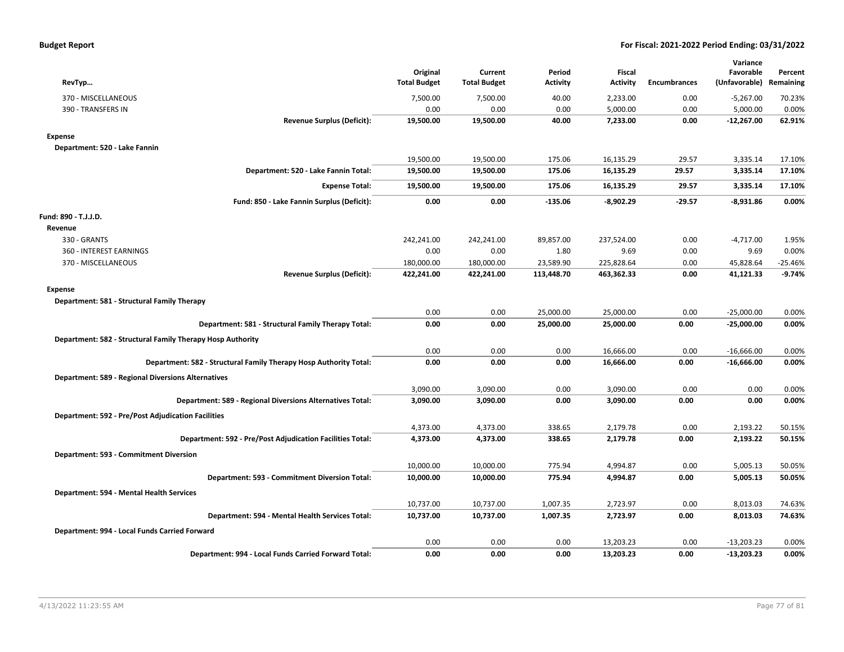| <b>Budget Report</b> |  |  |
|----------------------|--|--|
|----------------------|--|--|

|                                                                   |                                 |                                |                    |                           |              | Variance                   |                      |
|-------------------------------------------------------------------|---------------------------------|--------------------------------|--------------------|---------------------------|--------------|----------------------------|----------------------|
|                                                                   | Original<br><b>Total Budget</b> | Current<br><b>Total Budget</b> | Period<br>Activity | Fiscal<br><b>Activity</b> | Encumbrances | Favorable<br>(Unfavorable) | Percent<br>Remaining |
| RevTyp                                                            |                                 |                                |                    |                           |              |                            |                      |
| 370 - MISCELLANEOUS                                               | 7,500.00                        | 7,500.00                       | 40.00              | 2,233.00                  | 0.00         | $-5,267.00$                | 70.23%               |
| 390 - TRANSFERS IN                                                | 0.00                            | 0.00                           | 0.00               | 5,000.00                  | 0.00         | 5,000.00                   | 0.00%                |
| <b>Revenue Surplus (Deficit):</b>                                 | 19,500.00                       | 19,500.00                      | 40.00              | 7,233.00                  | 0.00         | $-12,267.00$               | 62.91%               |
| <b>Expense</b>                                                    |                                 |                                |                    |                           |              |                            |                      |
| Department: 520 - Lake Fannin                                     |                                 |                                |                    |                           |              |                            |                      |
|                                                                   | 19,500.00                       | 19,500.00                      | 175.06             | 16,135.29                 | 29.57        | 3,335.14                   | 17.10%               |
| Department: 520 - Lake Fannin Total:                              | 19,500.00                       | 19,500.00                      | 175.06             | 16,135.29                 | 29.57        | 3,335.14                   | 17.10%               |
| <b>Expense Total:</b>                                             | 19,500.00                       | 19,500.00                      | 175.06             | 16,135.29                 | 29.57        | 3,335.14                   | 17.10%               |
| Fund: 850 - Lake Fannin Surplus (Deficit):                        | 0.00                            | 0.00                           | $-135.06$          | $-8,902.29$               | $-29.57$     | $-8,931.86$                | 0.00%                |
| Fund: 890 - T.J.J.D.                                              |                                 |                                |                    |                           |              |                            |                      |
| Revenue                                                           |                                 |                                |                    |                           |              |                            |                      |
| 330 - GRANTS                                                      | 242,241.00                      | 242,241.00                     | 89,857.00          | 237,524.00                | 0.00         | $-4,717.00$                | 1.95%                |
| 360 - INTEREST EARNINGS                                           | 0.00                            | 0.00                           | 1.80               | 9.69                      | 0.00         | 9.69                       | 0.00%                |
| 370 - MISCELLANEOUS                                               | 180,000.00                      | 180,000.00                     | 23,589.90          | 225,828.64                | 0.00         | 45,828.64                  | $-25.46%$            |
| <b>Revenue Surplus (Deficit):</b>                                 | 422,241.00                      | 422,241.00                     | 113,448.70         | 463,362.33                | 0.00         | 41,121.33                  | $-9.74%$             |
| Expense                                                           |                                 |                                |                    |                           |              |                            |                      |
| Department: 581 - Structural Family Therapy                       |                                 |                                |                    |                           |              |                            |                      |
|                                                                   | 0.00                            | 0.00                           | 25,000.00          | 25,000.00                 | 0.00         | $-25,000.00$               | 0.00%                |
| Department: 581 - Structural Family Therapy Total:                | 0.00                            | 0.00                           | 25,000.00          | 25,000.00                 | 0.00         | $-25,000.00$               | 0.00%                |
| Department: 582 - Structural Family Therapy Hosp Authority        |                                 |                                |                    |                           |              |                            |                      |
|                                                                   | 0.00                            | 0.00                           | 0.00               | 16,666.00                 | 0.00         | $-16,666.00$               | 0.00%                |
| Department: 582 - Structural Family Therapy Hosp Authority Total: | 0.00                            | 0.00                           | 0.00               | 16,666.00                 | 0.00         | $-16,666.00$               | 0.00%                |
| <b>Department: 589 - Regional Diversions Alternatives</b>         |                                 |                                |                    |                           |              |                            |                      |
|                                                                   | 3,090.00                        | 3,090.00                       | 0.00               | 3,090.00                  | 0.00         | 0.00                       | 0.00%                |
| Department: 589 - Regional Diversions Alternatives Total:         | 3,090.00                        | 3,090.00                       | 0.00               | 3,090.00                  | 0.00         | 0.00                       | 0.00%                |
| <b>Department: 592 - Pre/Post Adjudication Facilities</b>         |                                 |                                |                    |                           |              |                            |                      |
|                                                                   | 4,373.00                        | 4,373.00                       | 338.65             | 2,179.78                  | 0.00         | 2,193.22                   | 50.15%               |
| Department: 592 - Pre/Post Adjudication Facilities Total:         | 4,373.00                        | 4,373.00                       | 338.65             | 2,179.78                  | 0.00         | 2,193.22                   | 50.15%               |
|                                                                   |                                 |                                |                    |                           |              |                            |                      |
| Department: 593 - Commitment Diversion                            |                                 |                                |                    |                           |              |                            |                      |
| Department: 593 - Commitment Diversion Total:                     | 10,000.00<br>10,000.00          | 10,000.00<br>10,000.00         | 775.94<br>775.94   | 4,994.87<br>4,994.87      | 0.00<br>0.00 | 5,005.13<br>5,005.13       | 50.05%<br>50.05%     |
|                                                                   |                                 |                                |                    |                           |              |                            |                      |
| Department: 594 - Mental Health Services                          |                                 |                                |                    |                           |              |                            |                      |
|                                                                   | 10,737.00                       | 10,737.00                      | 1,007.35           | 2,723.97                  | 0.00         | 8,013.03                   | 74.63%               |
| Department: 594 - Mental Health Services Total:                   | 10,737.00                       | 10,737.00                      | 1,007.35           | 2,723.97                  | 0.00         | 8,013.03                   | 74.63%               |
| Department: 994 - Local Funds Carried Forward                     |                                 |                                |                    |                           |              |                            |                      |
|                                                                   | 0.00                            | 0.00                           | 0.00               | 13,203.23                 | 0.00         | $-13,203.23$               | 0.00%                |
| Department: 994 - Local Funds Carried Forward Total:              | 0.00                            | 0.00                           | 0.00               | 13,203.23                 | 0.00         | $-13,203.23$               | 0.00%                |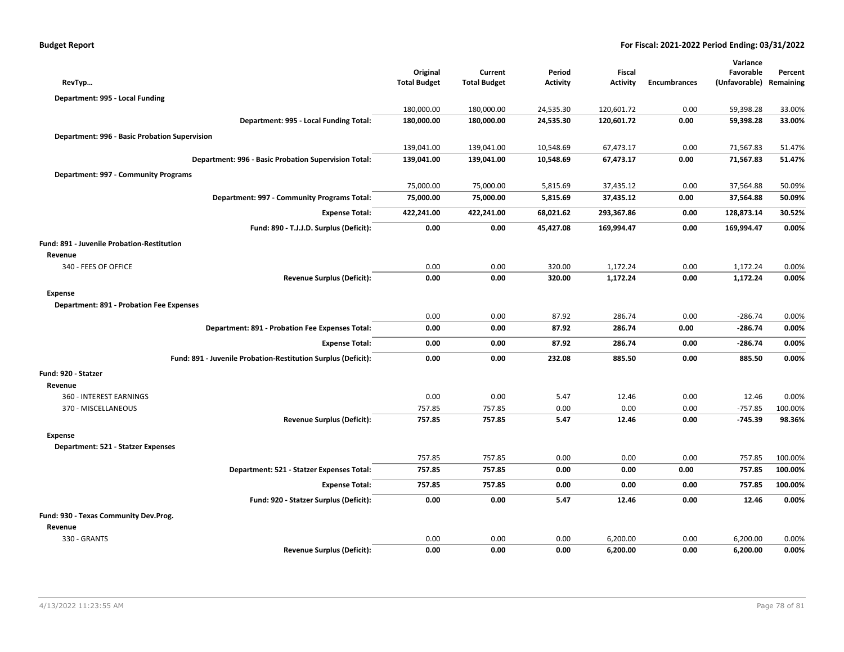|  | Budget Report |
|--|---------------|
|  |               |

|                                                               |                     |                     |                 |                 |                     | Variance      |           |
|---------------------------------------------------------------|---------------------|---------------------|-----------------|-----------------|---------------------|---------------|-----------|
|                                                               | Original            | Current             | Period          | Fiscal          |                     | Favorable     | Percent   |
| RevTyp                                                        | <b>Total Budget</b> | <b>Total Budget</b> | <b>Activity</b> | <b>Activity</b> | <b>Encumbrances</b> | (Unfavorable) | Remaining |
| Department: 995 - Local Funding                               |                     |                     |                 |                 |                     |               |           |
|                                                               | 180,000.00          | 180,000.00          | 24,535.30       | 120,601.72      | 0.00                | 59,398.28     | 33.00%    |
| Department: 995 - Local Funding Total:                        | 180,000.00          | 180,000.00          | 24,535.30       | 120,601.72      | 0.00                | 59,398.28     | 33.00%    |
| Department: 996 - Basic Probation Supervision                 |                     |                     |                 |                 |                     |               |           |
|                                                               | 139,041.00          | 139,041.00          | 10,548.69       | 67,473.17       | 0.00                | 71,567.83     | 51.47%    |
| Department: 996 - Basic Probation Supervision Total:          | 139,041.00          | 139,041.00          | 10,548.69       | 67,473.17       | 0.00                | 71,567.83     | 51.47%    |
| Department: 997 - Community Programs                          |                     |                     |                 |                 |                     |               |           |
|                                                               | 75,000.00           | 75,000.00           | 5,815.69        | 37,435.12       | 0.00                | 37,564.88     | 50.09%    |
| Department: 997 - Community Programs Total:                   | 75,000.00           | 75,000.00           | 5,815.69        | 37,435.12       | 0.00                | 37,564.88     | 50.09%    |
| <b>Expense Total:</b>                                         | 422,241.00          | 422,241.00          | 68,021.62       | 293,367.86      | 0.00                | 128,873.14    | 30.52%    |
| Fund: 890 - T.J.J.D. Surplus (Deficit):                       | 0.00                | 0.00                | 45,427.08       | 169,994.47      | 0.00                | 169,994.47    | 0.00%     |
| Fund: 891 - Juvenile Probation-Restitution                    |                     |                     |                 |                 |                     |               |           |
| Revenue                                                       |                     |                     |                 |                 |                     |               |           |
| 340 - FEES OF OFFICE                                          | 0.00                | 0.00                | 320.00          | 1,172.24        | 0.00                | 1,172.24      | 0.00%     |
| <b>Revenue Surplus (Deficit):</b>                             | 0.00                | 0.00                | 320.00          | 1,172.24        | 0.00                | 1,172.24      | 0.00%     |
| Expense                                                       |                     |                     |                 |                 |                     |               |           |
| <b>Department: 891 - Probation Fee Expenses</b>               |                     |                     |                 |                 |                     |               |           |
|                                                               | 0.00                | 0.00                | 87.92           | 286.74          | 0.00                | $-286.74$     | 0.00%     |
| Department: 891 - Probation Fee Expenses Total:               | 0.00                | 0.00                | 87.92           | 286.74          | 0.00                | $-286.74$     | 0.00%     |
| <b>Expense Total:</b>                                         | 0.00                | 0.00                | 87.92           | 286.74          | 0.00                | $-286.74$     | 0.00%     |
| Fund: 891 - Juvenile Probation-Restitution Surplus (Deficit): | 0.00                | 0.00                | 232.08          | 885.50          | 0.00                | 885.50        | 0.00%     |
| Fund: 920 - Statzer                                           |                     |                     |                 |                 |                     |               |           |
| Revenue                                                       |                     |                     |                 |                 |                     |               |           |
| 360 - INTEREST EARNINGS                                       | 0.00                | 0.00                | 5.47            | 12.46           | 0.00                | 12.46         | 0.00%     |
| 370 - MISCELLANEOUS                                           | 757.85              | 757.85              | 0.00            | 0.00            | 0.00                | $-757.85$     | 100.00%   |
| <b>Revenue Surplus (Deficit):</b>                             | 757.85              | 757.85              | 5.47            | 12.46           | 0.00                | $-745.39$     | 98.36%    |
| Expense                                                       |                     |                     |                 |                 |                     |               |           |
| Department: 521 - Statzer Expenses                            |                     |                     |                 |                 |                     |               |           |
|                                                               | 757.85              | 757.85              | 0.00            | 0.00            | 0.00                | 757.85        | 100.00%   |
| Department: 521 - Statzer Expenses Total:                     | 757.85              | 757.85              | 0.00            | 0.00            | 0.00                | 757.85        | 100.00%   |
| <b>Expense Total:</b>                                         | 757.85              | 757.85              | 0.00            | 0.00            | 0.00                | 757.85        | 100.00%   |
| Fund: 920 - Statzer Surplus (Deficit):                        | 0.00                | 0.00                | 5.47            | 12.46           | 0.00                | 12.46         | 0.00%     |
| Fund: 930 - Texas Community Dev.Prog.                         |                     |                     |                 |                 |                     |               |           |
| Revenue                                                       |                     |                     |                 |                 |                     |               |           |
| 330 - GRANTS                                                  | 0.00                | 0.00                | 0.00            | 6,200.00        | 0.00                | 6,200.00      | 0.00%     |
| <b>Revenue Surplus (Deficit):</b>                             | 0.00                | 0.00                | 0.00            | 6,200.00        | 0.00                | 6,200.00      | 0.00%     |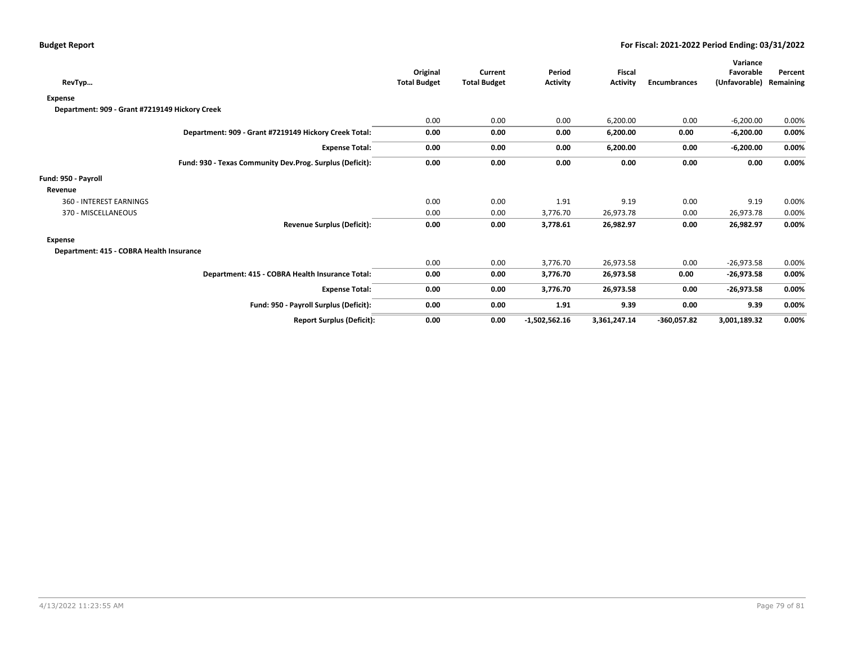| RevTyp                                         |                                                          | Original<br><b>Total Budget</b> | Current<br><b>Total Budget</b> | Period<br><b>Activity</b> | <b>Fiscal</b><br><b>Activity</b> | <b>Encumbrances</b> | Variance<br>Favorable<br>(Unfavorable) | Percent<br>Remaining |
|------------------------------------------------|----------------------------------------------------------|---------------------------------|--------------------------------|---------------------------|----------------------------------|---------------------|----------------------------------------|----------------------|
| <b>Expense</b>                                 |                                                          |                                 |                                |                           |                                  |                     |                                        |                      |
| Department: 909 - Grant #7219149 Hickory Creek |                                                          |                                 |                                |                           |                                  |                     |                                        |                      |
|                                                |                                                          | 0.00                            | 0.00                           | 0.00                      | 6,200.00                         | 0.00                | $-6,200.00$                            | 0.00%                |
|                                                | Department: 909 - Grant #7219149 Hickory Creek Total:    | 0.00                            | 0.00                           | 0.00                      | 6,200.00                         | 0.00                | $-6,200.00$                            | 0.00%                |
|                                                | <b>Expense Total:</b>                                    | 0.00                            | 0.00                           | 0.00                      | 6,200.00                         | 0.00                | $-6,200.00$                            | 0.00%                |
|                                                | Fund: 930 - Texas Community Dev.Prog. Surplus (Deficit): | 0.00                            | 0.00                           | 0.00                      | 0.00                             | 0.00                | 0.00                                   | 0.00%                |
| Fund: 950 - Payroll                            |                                                          |                                 |                                |                           |                                  |                     |                                        |                      |
| Revenue                                        |                                                          |                                 |                                |                           |                                  |                     |                                        |                      |
| 360 - INTEREST EARNINGS                        |                                                          | 0.00                            | 0.00                           | 1.91                      | 9.19                             | 0.00                | 9.19                                   | 0.00%                |
| 370 - MISCELLANEOUS                            |                                                          | 0.00                            | 0.00                           | 3,776.70                  | 26,973.78                        | 0.00                | 26,973.78                              | 0.00%                |
|                                                | <b>Revenue Surplus (Deficit):</b>                        | 0.00                            | 0.00                           | 3,778.61                  | 26,982.97                        | 0.00                | 26,982.97                              | 0.00%                |
| <b>Expense</b>                                 |                                                          |                                 |                                |                           |                                  |                     |                                        |                      |
| Department: 415 - COBRA Health Insurance       |                                                          |                                 |                                |                           |                                  |                     |                                        |                      |
|                                                |                                                          | 0.00                            | 0.00                           | 3,776.70                  | 26,973.58                        | 0.00                | $-26,973.58$                           | 0.00%                |
|                                                | Department: 415 - COBRA Health Insurance Total:          | 0.00                            | 0.00                           | 3,776.70                  | 26,973.58                        | 0.00                | $-26,973.58$                           | $0.00\%$             |
|                                                | <b>Expense Total:</b>                                    | 0.00                            | 0.00                           | 3,776.70                  | 26,973.58                        | 0.00                | $-26,973.58$                           | 0.00%                |
|                                                | Fund: 950 - Payroll Surplus (Deficit):                   | 0.00                            | 0.00                           | 1.91                      | 9.39                             | 0.00                | 9.39                                   | 0.00%                |
|                                                | <b>Report Surplus (Deficit):</b>                         | 0.00                            | 0.00                           | $-1,502,562.16$           | 3,361,247.14                     | $-360,057.82$       | 3,001,189.32                           | 0.00%                |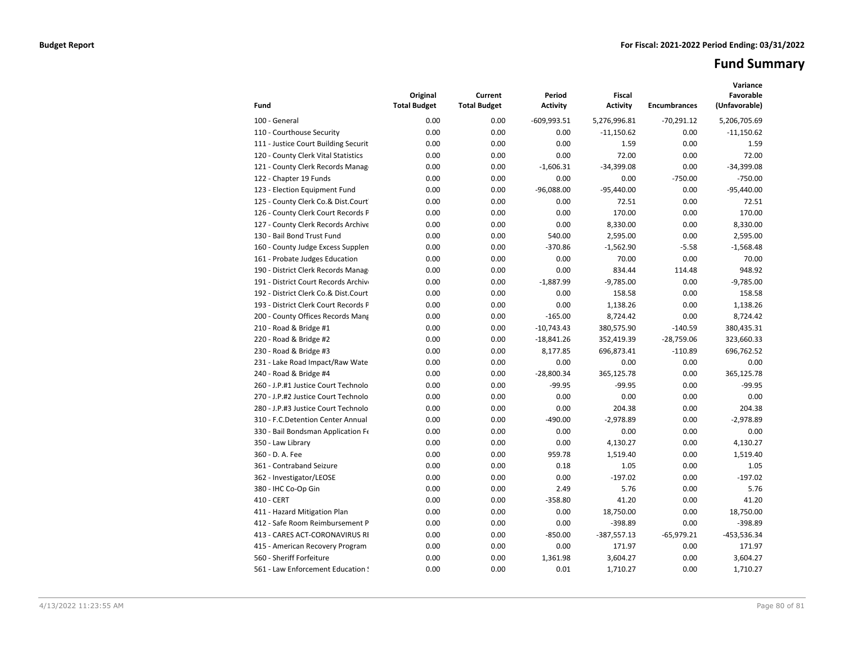# **Fund Summary**

| Fund                                 | Original<br><b>Total Budget</b> | Current<br><b>Total Budget</b> | Period<br><b>Activity</b> | <b>Fiscal</b><br><b>Activity</b> | <b>Encumbrances</b> | Variance<br>Favorable<br>(Unfavorable) |
|--------------------------------------|---------------------------------|--------------------------------|---------------------------|----------------------------------|---------------------|----------------------------------------|
| 100 - General                        | 0.00                            | 0.00                           | $-609,993.51$             | 5,276,996.81                     | $-70,291.12$        | 5,206,705.69                           |
| 110 - Courthouse Security            | 0.00                            | 0.00                           | 0.00                      | $-11,150.62$                     | 0.00                | $-11,150.62$                           |
| 111 - Justice Court Building Securit | 0.00                            | 0.00                           | 0.00                      | 1.59                             | 0.00                | 1.59                                   |
| 120 - County Clerk Vital Statistics  | 0.00                            | 0.00                           | 0.00                      | 72.00                            | 0.00                | 72.00                                  |
| 121 - County Clerk Records Manag     | 0.00                            | 0.00                           | $-1,606.31$               | $-34,399.08$                     | 0.00                | $-34,399.08$                           |
| 122 - Chapter 19 Funds               | 0.00                            | 0.00                           | 0.00                      | 0.00                             | $-750.00$           | $-750.00$                              |
| 123 - Election Equipment Fund        | 0.00                            | 0.00                           | $-96,088.00$              | $-95,440.00$                     | 0.00                | $-95,440.00$                           |
| 125 - County Clerk Co.& Dist.Court   | 0.00                            | 0.00                           | 0.00                      | 72.51                            | 0.00                | 72.51                                  |
| 126 - County Clerk Court Records P   | 0.00                            | 0.00                           | 0.00                      | 170.00                           | 0.00                | 170.00                                 |
| 127 - County Clerk Records Archive   | 0.00                            | 0.00                           | 0.00                      | 8,330.00                         | 0.00                | 8,330.00                               |
| 130 - Bail Bond Trust Fund           | 0.00                            | 0.00                           | 540.00                    | 2,595.00                         | 0.00                | 2,595.00                               |
| 160 - County Judge Excess Supplen    | 0.00                            | 0.00                           | $-370.86$                 | $-1,562.90$                      | $-5.58$             | $-1,568.48$                            |
| 161 - Probate Judges Education       | 0.00                            | 0.00                           | 0.00                      | 70.00                            | 0.00                | 70.00                                  |
| 190 - District Clerk Records Manag   | 0.00                            | 0.00                           | 0.00                      | 834.44                           | 114.48              | 948.92                                 |
| 191 - District Court Records Archive | 0.00                            | 0.00                           | $-1,887.99$               | $-9,785.00$                      | 0.00                | $-9,785.00$                            |
| 192 - District Clerk Co.& Dist.Court | 0.00                            | 0.00                           | 0.00                      | 158.58                           | 0.00                | 158.58                                 |
| 193 - District Clerk Court Records F | 0.00                            | 0.00                           | 0.00                      | 1,138.26                         | 0.00                | 1,138.26                               |
| 200 - County Offices Records Mang    | 0.00                            | 0.00                           | $-165.00$                 | 8,724.42                         | 0.00                | 8,724.42                               |
| 210 - Road & Bridge #1               | 0.00                            | 0.00                           | $-10,743.43$              | 380,575.90                       | $-140.59$           | 380,435.31                             |
| 220 - Road & Bridge #2               | 0.00                            | 0.00                           | $-18,841.26$              | 352,419.39                       | $-28,759.06$        | 323,660.33                             |
| 230 - Road & Bridge #3               | 0.00                            | 0.00                           | 8,177.85                  | 696,873.41                       | $-110.89$           | 696,762.52                             |
| 231 - Lake Road Impact/Raw Wate      | 0.00                            | 0.00                           | 0.00                      | 0.00                             | 0.00                | 0.00                                   |
| 240 - Road & Bridge #4               | 0.00                            | 0.00                           | $-28,800.34$              | 365,125.78                       | 0.00                | 365,125.78                             |
| 260 - J.P.#1 Justice Court Technolo  | 0.00                            | 0.00                           | $-99.95$                  | $-99.95$                         | 0.00                | $-99.95$                               |
| 270 - J.P.#2 Justice Court Technolo  | 0.00                            | 0.00                           | 0.00                      | 0.00                             | 0.00                | 0.00                                   |
| 280 - J.P.#3 Justice Court Technolo  | 0.00                            | 0.00                           | 0.00                      | 204.38                           | 0.00                | 204.38                                 |
| 310 - F.C.Detention Center Annual    | 0.00                            | 0.00                           | $-490.00$                 | $-2,978.89$                      | 0.00                | $-2,978.89$                            |
| 330 - Bail Bondsman Application Fe   | 0.00                            | 0.00                           | 0.00                      | 0.00                             | 0.00                | 0.00                                   |
| 350 - Law Library                    | 0.00                            | 0.00                           | 0.00                      | 4,130.27                         | 0.00                | 4,130.27                               |
| 360 - D. A. Fee                      | 0.00                            | 0.00                           | 959.78                    | 1,519.40                         | 0.00                | 1,519.40                               |
| 361 - Contraband Seizure             | 0.00                            | 0.00                           | 0.18                      | 1.05                             | 0.00                | 1.05                                   |
| 362 - Investigator/LEOSE             | 0.00                            | 0.00                           | 0.00                      | $-197.02$                        | 0.00                | $-197.02$                              |
| 380 - IHC Co-Op Gin                  | 0.00                            | 0.00                           | 2.49                      | 5.76                             | 0.00                | 5.76                                   |
| 410 - CERT                           | 0.00                            | 0.00                           | $-358.80$                 | 41.20                            | 0.00                | 41.20                                  |
| 411 - Hazard Mitigation Plan         | 0.00                            | 0.00                           | 0.00                      | 18,750.00                        | 0.00                | 18,750.00                              |
| 412 - Safe Room Reimbursement P      | 0.00                            | 0.00                           | 0.00                      | $-398.89$                        | 0.00                | $-398.89$                              |
| 413 - CARES ACT-CORONAVIRUS RI       | 0.00                            | 0.00                           | $-850.00$                 | $-387,557.13$                    | $-65,979.21$        | -453,536.34                            |
| 415 - American Recovery Program      | 0.00                            | 0.00                           | 0.00                      | 171.97                           | 0.00                | 171.97                                 |
| 560 - Sheriff Forfeiture             | 0.00                            | 0.00                           | 1,361.98                  | 3,604.27                         | 0.00                | 3,604.27                               |
| 561 - Law Enforcement Education !    | 0.00                            | 0.00                           | 0.01                      | 1,710.27                         | 0.00                | 1,710.27                               |